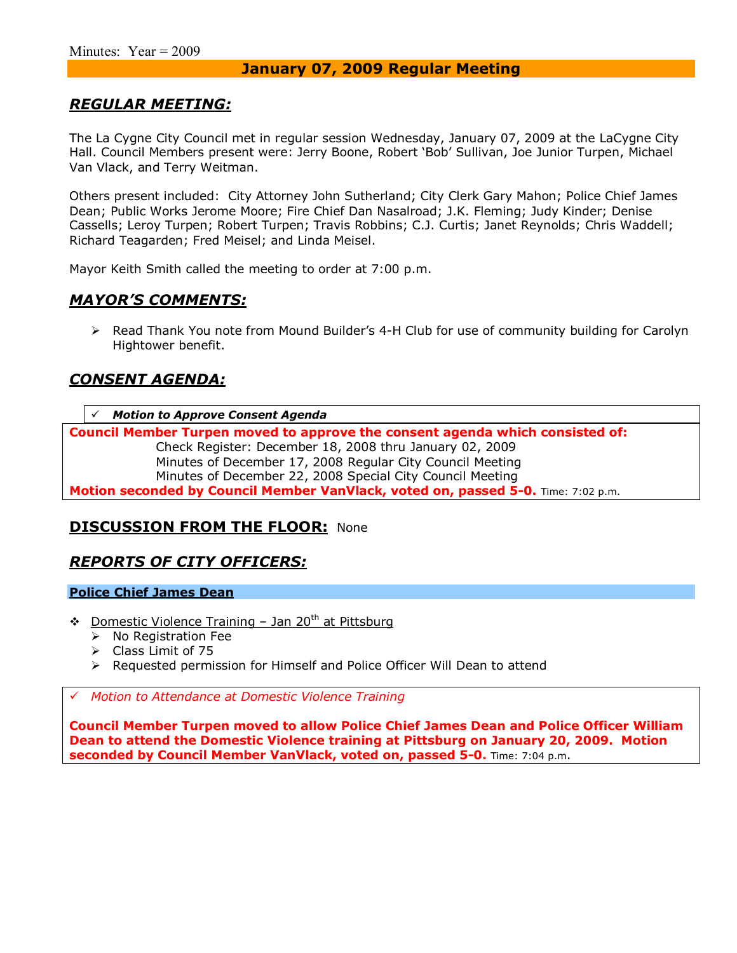### *REGULAR MEETING:*

The La Cygne City Council met in regular session Wednesday, January 07, 2009 at the LaCygne City Hall. Council Members present were: Jerry Boone, Robert 'Bob' Sullivan, Joe Junior Turpen, Michael Van Vlack, and Terry Weitman.

Others present included: City Attorney John Sutherland; City Clerk Gary Mahon; Police Chief James Dean; Public Works Jerome Moore; Fire Chief Dan Nasalroad; J.K. Fleming; Judy Kinder; Denise Cassells; Leroy Turpen; Robert Turpen; Travis Robbins; C.J. Curtis; Janet Reynolds; Chris Waddell; Richard Teagarden; Fred Meisel; and Linda Meisel.

Mayor Keith Smith called the meeting to order at 7:00 p.m.

### *MAYORíS COMMENTS:*

> Read Thank You note from Mound Builder's 4-H Club for use of community building for Carolyn Hightower benefit.

### *CONSENT AGENDA:*

**Motion to Approve Consent Agenda** 

**Council Member Turpen moved to approve the consent agenda which consisted of:**  Check Register: December 18, 2008 thru January 02, 2009 Minutes of December 17, 2008 Regular City Council Meeting Minutes of December 22, 2008 Special City Council Meeting **Motion seconded by Council Member VanVlack, voted on, passed 5-0.** Time: 7:02 p.m.

### **DISCUSSION FROM THE FLOOR: None**

### *REPORTS OF CITY OFFICERS:*

#### **Police Chief James Dean**

- **\*** Domestic Violence Training Jan 20<sup>th</sup> at Pittsburg
	- $\triangleright$  No Registration Fee
	- $\triangleright$  Class Limit of 75
	- $\triangleright$  Requested permission for Himself and Police Officer Will Dean to attend

# *Motion to Attendance at Domestic Violence Training*

**Council Member Turpen moved to allow Police Chief James Dean and Police Officer William Dean to attend the Domestic Violence training at Pittsburg on January 20, 2009. Motion seconded by Council Member VanVlack, voted on, passed 5-0.** Time: 7:04 p.m.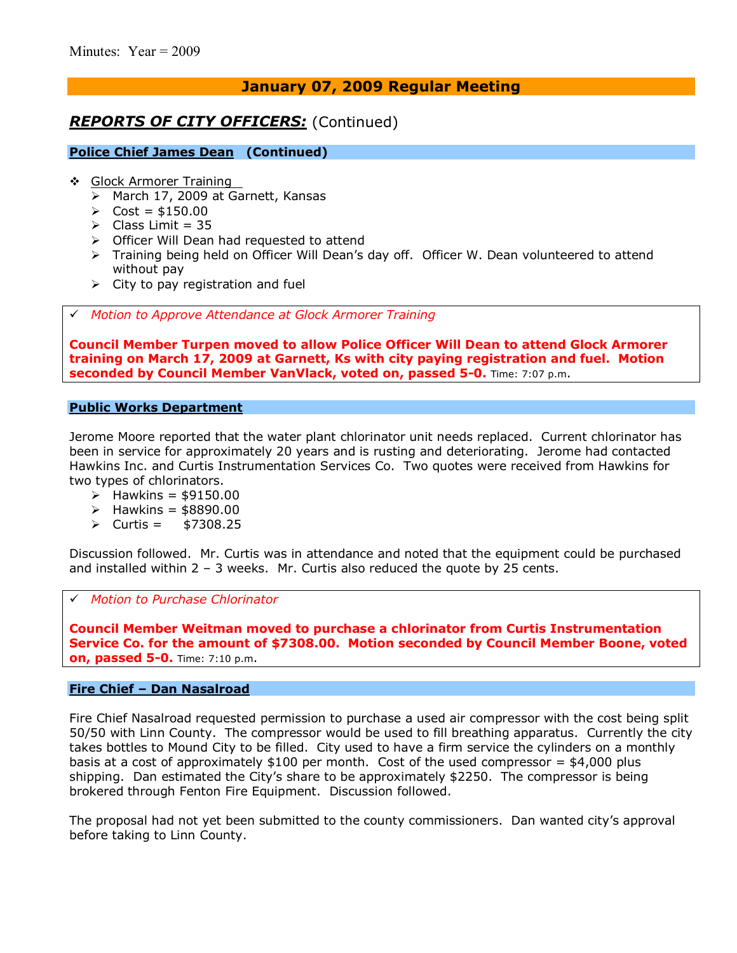## *REPORTS OF CITY OFFICERS:* (Continued)

#### **Police Chief James Dean (Continued)**

- ❖ Glock Armorer Training
	- > March 17, 2009 at Garnett, Kansas
	- $\triangleright$  Cost = \$150.00
	- $\triangleright$  Class Limit = 35
	- $\triangleright$  Officer Will Dean had requested to attend
	- $\triangleright$  Training being held on Officer Will Dean's day off. Officer W. Dean volunteered to attend without pay
	- $\triangleright$  City to pay registration and fuel

# *Motion to Approve Attendance at Glock Armorer Training* 

**Council Member Turpen moved to allow Police Officer Will Dean to attend Glock Armorer training on March 17, 2009 at Garnett, Ks with city paying registration and fuel. Motion seconded by Council Member VanVlack, voted on, passed 5-0.** Time: 7:07 p.m.

#### **Public Works Department**

Jerome Moore reported that the water plant chlorinator unit needs replaced. Current chlorinator has been in service for approximately 20 years and is rusting and deteriorating. Jerome had contacted Hawkins Inc. and Curtis Instrumentation Services Co. Two quotes were received from Hawkins for two types of chlorinators.

- $\triangleright$  Hawkins = \$9150.00
- $\triangleright$  Hawkins = \$8890.00
- $\triangleright$  Curtis = \$7308.25

Discussion followed. Mr. Curtis was in attendance and noted that the equipment could be purchased and installed within  $2 - 3$  weeks. Mr. Curtis also reduced the quote by 25 cents.

#### # *Motion to Purchase Chlorinator*

**Council Member Weitman moved to purchase a chlorinator from Curtis Instrumentation Service Co. for the amount of \$7308.00. Motion seconded by Council Member Boone, voted on, passed 5-0.** Time: 7:10 p.m.

#### **Fire Chief - Dan Nasalroad**

Fire Chief Nasalroad requested permission to purchase a used air compressor with the cost being split 50/50 with Linn County. The compressor would be used to fill breathing apparatus. Currently the city takes bottles to Mound City to be filled. City used to have a firm service the cylinders on a monthly basis at a cost of approximately  $$100$  per month. Cost of the used compressor =  $$4,000$  plus shipping. Dan estimated the City's share to be approximately \$2250. The compressor is being brokered through Fenton Fire Equipment. Discussion followed.

The proposal had not yet been submitted to the county commissioners. Dan wanted city's approval before taking to Linn County.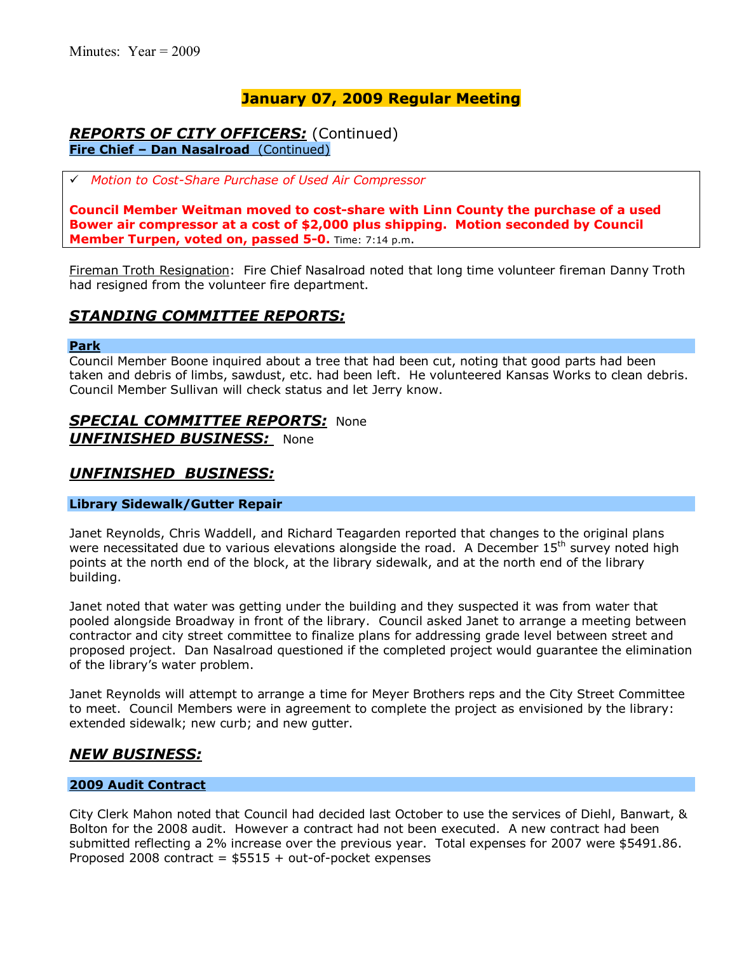### *REPORTS OF CITY OFFICERS:* (Continued) **Fire Chief - Dan Nasalroad** (Continued)

# *Motion to Cost-Share Purchase of Used Air Compressor* 

**Council Member Weitman moved to cost-share with Linn County the purchase of a used Bower air compressor at a cost of \$2,000 plus shipping. Motion seconded by Council Member Turpen, voted on, passed 5-0.** Time: 7:14 p.m.

Fireman Troth Resignation: Fire Chief Nasalroad noted that long time volunteer fireman Danny Troth had resigned from the volunteer fire department.

### *STANDING COMMITTEE REPORTS:*

#### **Park**

Council Member Boone inquired about a tree that had been cut, noting that good parts had been taken and debris of limbs, sawdust, etc. had been left. He volunteered Kansas Works to clean debris. Council Member Sullivan will check status and let Jerry know.

# *SPECIAL COMMITTEE REPORTS:* None

*UNFINISHED BUSINESS:* None

### *UNFINISHED BUSINESS:*

#### **Library Sidewalk/Gutter Repair**

Janet Reynolds, Chris Waddell, and Richard Teagarden reported that changes to the original plans were necessitated due to various elevations alongside the road. A December  $15<sup>th</sup>$  survey noted high points at the north end of the block, at the library sidewalk, and at the north end of the library building.

Janet noted that water was getting under the building and they suspected it was from water that pooled alongside Broadway in front of the library. Council asked Janet to arrange a meeting between contractor and city street committee to finalize plans for addressing grade level between street and proposed project. Dan Nasalroad questioned if the completed project would guarantee the elimination of the library's water problem.

Janet Reynolds will attempt to arrange a time for Meyer Brothers reps and the City Street Committee to meet. Council Members were in agreement to complete the project as envisioned by the library: extended sidewalk; new curb; and new gutter.

### *NEW BUSINESS:*

#### **2009 Audit Contract**

City Clerk Mahon noted that Council had decided last October to use the services of Diehl, Banwart, & Bolton for the 2008 audit. However a contract had not been executed. A new contract had been submitted reflecting a 2% increase over the previous year. Total expenses for 2007 were \$5491.86. Proposed 2008 contract =  $$5515 + out-of-pocket$  expenses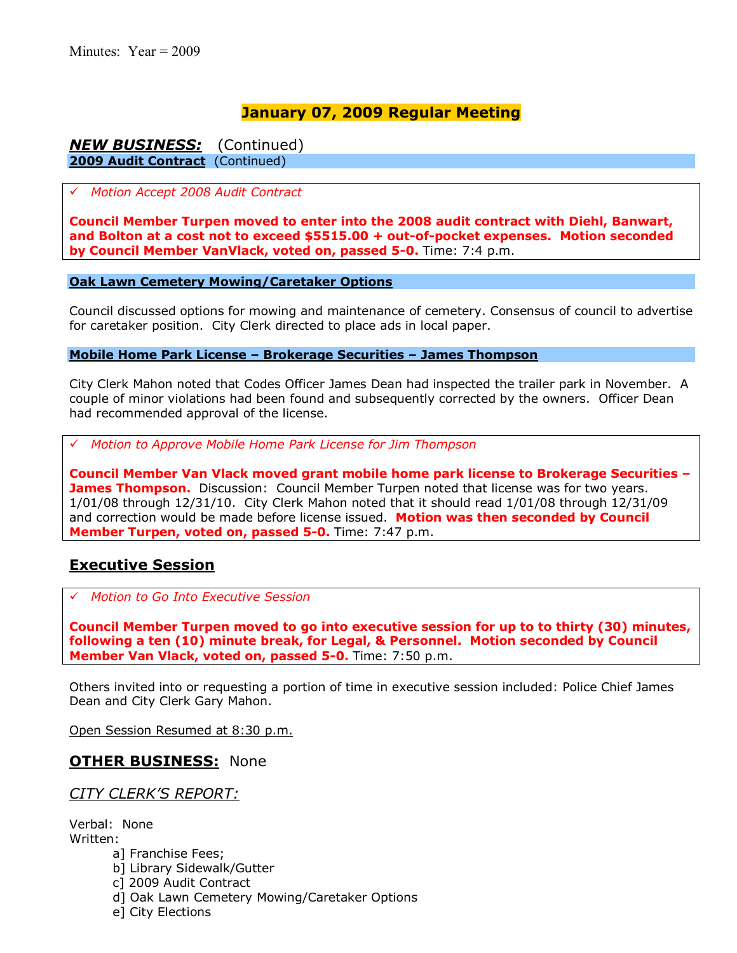### *NEW BUSINESS:* (Continued) **2009 Audit Contract** (Continued)

#### # *Motion Accept 2008 Audit Contract*

**Council Member Turpen moved to enter into the 2008 audit contract with Diehl, Banwart, and Bolton at a cost not to exceed \$5515.00 + out-of-pocket expenses. Motion seconded by Council Member VanVlack, voted on, passed 5-0.** Time: 7:4 p.m.

#### **Oak Lawn Cemetery Mowing/Caretaker Options**

Council discussed options for mowing and maintenance of cemetery. Consensus of council to advertise for caretaker position. City Clerk directed to place ads in local paper.

**Mobile Home Park License - Brokerage Securities - James Thompson** 

City Clerk Mahon noted that Codes Officer James Dean had inspected the trailer park in November. A couple of minor violations had been found and subsequently corrected by the owners. Officer Dean had recommended approval of the license.

# *Motion to Approve Mobile Home Park License for Jim Thompson*

**Council Member Van Vlack moved grant mobile home park license to Brokerage Securities ñ James Thompson.** Discussion: Council Member Turpen noted that license was for two years. 1/01/08 through 12/31/10. City Clerk Mahon noted that it should read 1/01/08 through 12/31/09 and correction would be made before license issued. **Motion was then seconded by Council Member Turpen, voted on, passed 5-0.** Time: 7:47 p.m.

### **Executive Session**

# *Motion to Go Into Executive Session*

**Council Member Turpen moved to go into executive session for up to to thirty (30) minutes, following a ten (10) minute break, for Legal, & Personnel. Motion seconded by Council Member Van Vlack, voted on, passed 5-0.** Time: 7:50 p.m.

Others invited into or requesting a portion of time in executive session included: Police Chief James Dean and City Clerk Gary Mahon.

Open Session Resumed at 8:30 p.m.

### **OTHER BUSINESS:** None

### *CITY CLERKíS REPORT:*

Verbal: None Written:

- a] Franchise Fees;
- b] Library Sidewalk/Gutter
- c] 2009 Audit Contract
- d] Oak Lawn Cemetery Mowing/Caretaker Options
- e] City Elections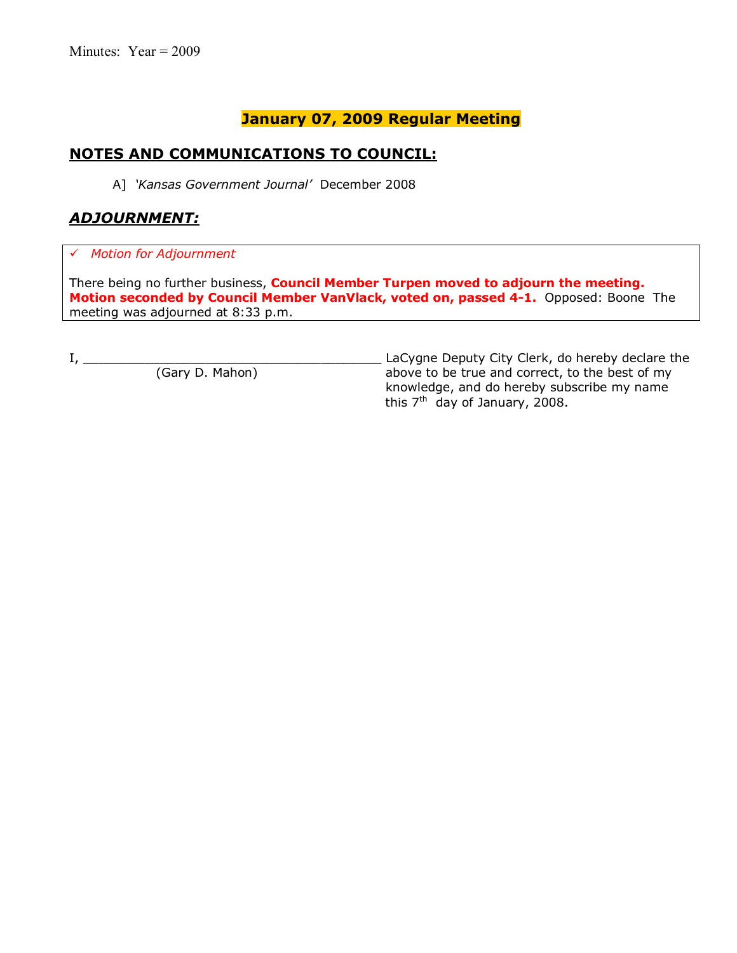# **NOTES AND COMMUNICATIONS TO COUNCIL:**

A] *ëKansas Government Journalí* December 2008

# *ADJOURNMENT:*

# *Motion for Adjournment*

There being no further business, **Council Member Turpen moved to adjourn the meeting. Motion seconded by Council Member VanVlack, voted on, passed 4-1.** Opposed: BooneThe meeting was adjourned at 8:33 p.m.

I, \_\_\_\_\_\_\_\_\_\_\_\_\_\_\_\_\_\_\_\_\_\_\_\_\_\_\_\_\_\_\_\_\_\_\_\_\_\_\_ LaCygne Deputy City Clerk, do hereby declare the above to be true and correct, to the best of my knowledge, and do hereby subscribe my name this  $7<sup>th</sup>$  day of January, 2008.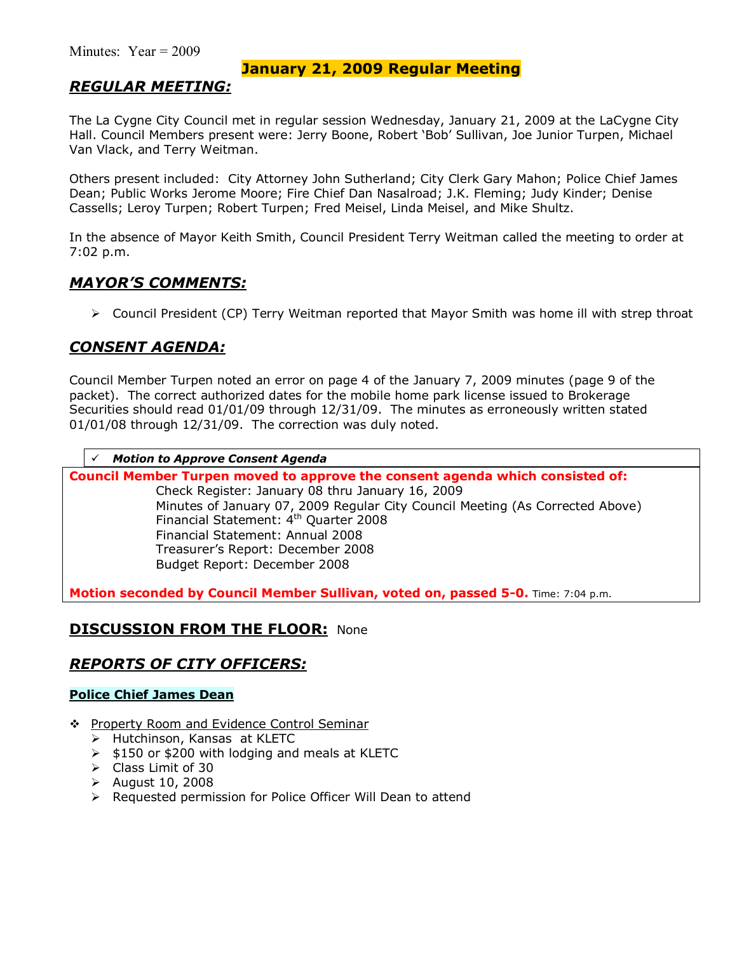### *REGULAR MEETING:*

The La Cygne City Council met in regular session Wednesday, January 21, 2009 at the LaCygne City Hall. Council Members present were: Jerry Boone, Robert 'Bob' Sullivan, Joe Junior Turpen, Michael Van Vlack, and Terry Weitman.

Others present included: City Attorney John Sutherland; City Clerk Gary Mahon; Police Chief James Dean; Public Works Jerome Moore; Fire Chief Dan Nasalroad; J.K. Fleming; Judy Kinder; Denise Cassells; Leroy Turpen; Robert Turpen; Fred Meisel, Linda Meisel, and Mike Shultz.

In the absence of Mayor Keith Smith, Council President Terry Weitman called the meeting to order at 7:02 p.m.

### *MAYORíS COMMENTS:*

 $\triangleright$  Council President (CP) Terry Weitman reported that Mayor Smith was home ill with strep throat

### *CONSENT AGENDA:*

Council Member Turpen noted an error on page 4 of the January 7, 2009 minutes (page 9 of the packet). The correct authorized dates for the mobile home park license issued to Brokerage Securities should read 01/01/09 through 12/31/09. The minutes as erroneously written stated 01/01/08 through 12/31/09. The correction was duly noted.

#### # *Motion to Approve Consent Agenda*

**Council Member Turpen moved to approve the consent agenda which consisted of:**  Check Register: January 08 thru January 16, 2009 Minutes of January 07, 2009 Regular City Council Meeting (As Corrected Above) Financial Statement: 4th Quarter 2008 Financial Statement: Annual 2008 Treasurerís Report: December 2008 Budget Report: December 2008

**Motion seconded by Council Member Sullivan, voted on, passed 5-0.** Time: 7:04 p.m.

### **DISCUSSION FROM THE FLOOR: None**

### *REPORTS OF CITY OFFICERS:*

### **Police Chief James Dean**

- \$ Property Room and Evidence Control Seminar
	- > Hutchinson, Kansas at KLETC
	- $\ge$  \$150 or \$200 with lodging and meals at KLETC
	- $\triangleright$  Class Limit of 30
	- $\geq$  August 10, 2008
	- $\triangleright$  Requested permission for Police Officer Will Dean to attend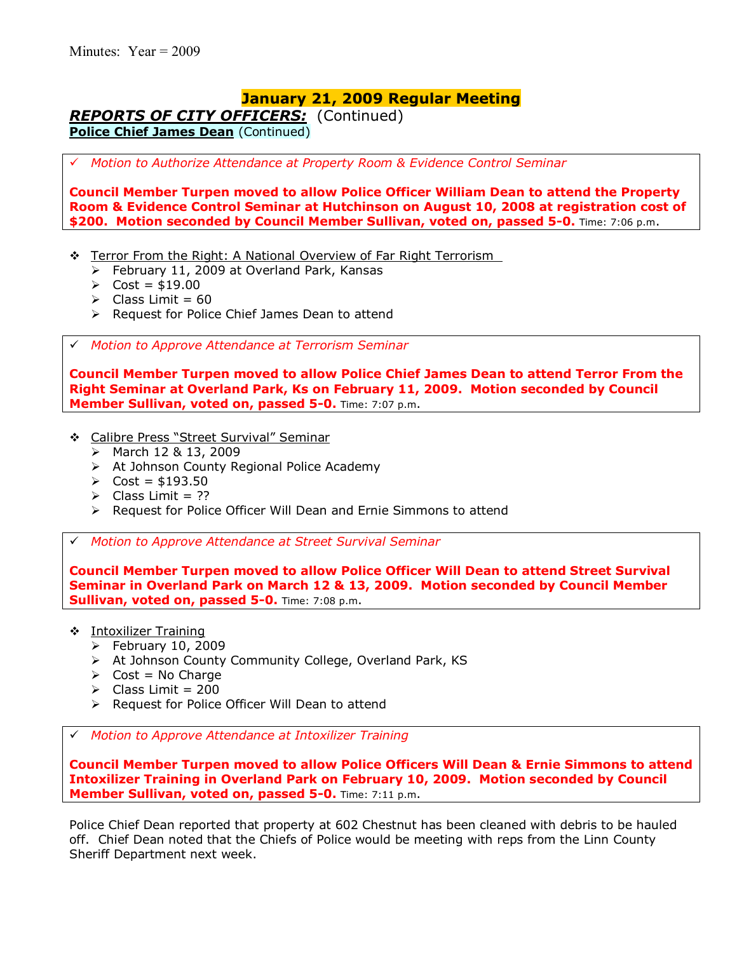*REPORTS OF CITY OFFICERS:* (Continued) **Police Chief James Dean** (Continued)

# *Motion to Authorize Attendance at Property Room & Evidence Control Seminar*

**Council Member Turpen moved to allow Police Officer William Dean to attend the Property Room & Evidence Control Seminar at Hutchinson on August 10, 2008 at registration cost of \$200. Motion seconded by Council Member Sullivan, voted on, passed 5-0.** Time: 7:06 p.m.

- $\div$  Terror From the Right: A National Overview of Far Right Terrorism
	- $\triangleright$  February 11, 2009 at Overland Park, Kansas
	- $\triangleright$  Cost = \$19.00
	- $\triangleright$  Class Limit = 60
	- ▶ Request for Police Chief James Dean to attend

# *Motion to Approve Attendance at Terrorism Seminar* 

**Council Member Turpen moved to allow Police Chief James Dean to attend Terror From the Right Seminar at Overland Park, Ks on February 11, 2009. Motion seconded by Council Member Sullivan, voted on, passed 5-0.** Time: 7:07 p.m.

- \* Calibre Press "Street Survival" Seminar
	- > March 12 & 13, 2009
	- $\triangleright$  At Johnson County Regional Police Academy
	- $\triangleright$  Cost = \$193.50
	- $\triangleright$  Class Limit = ??
	- $\triangleright$  Request for Police Officer Will Dean and Ernie Simmons to attend

# *Motion to Approve Attendance at Street Survival Seminar* 

**Council Member Turpen moved to allow Police Officer Will Dean to attend Street Survival Seminar in Overland Park on March 12 & 13, 2009. Motion seconded by Council Member Sullivan, voted on, passed 5-0.** Time: 7:08 p.m.

- \$ Intoxilizer Training
	- $\blacktriangleright$  February 10, 2009
	- > At Johnson County Community College, Overland Park, KS
	- $\triangleright$  Cost = No Charge
	- $\geq$  Class Limit = 200
	- ▶ Request for Police Officer Will Dean to attend

# *Motion to Approve Attendance at Intoxilizer Training* 

**Council Member Turpen moved to allow Police Officers Will Dean & Ernie Simmons to attend Intoxilizer Training in Overland Park on February 10, 2009. Motion seconded by Council Member Sullivan, voted on, passed 5-0.** Time: 7:11 p.m.

Police Chief Dean reported that property at 602 Chestnut has been cleaned with debris to be hauled off. Chief Dean noted that the Chiefs of Police would be meeting with reps from the Linn County Sheriff Department next week.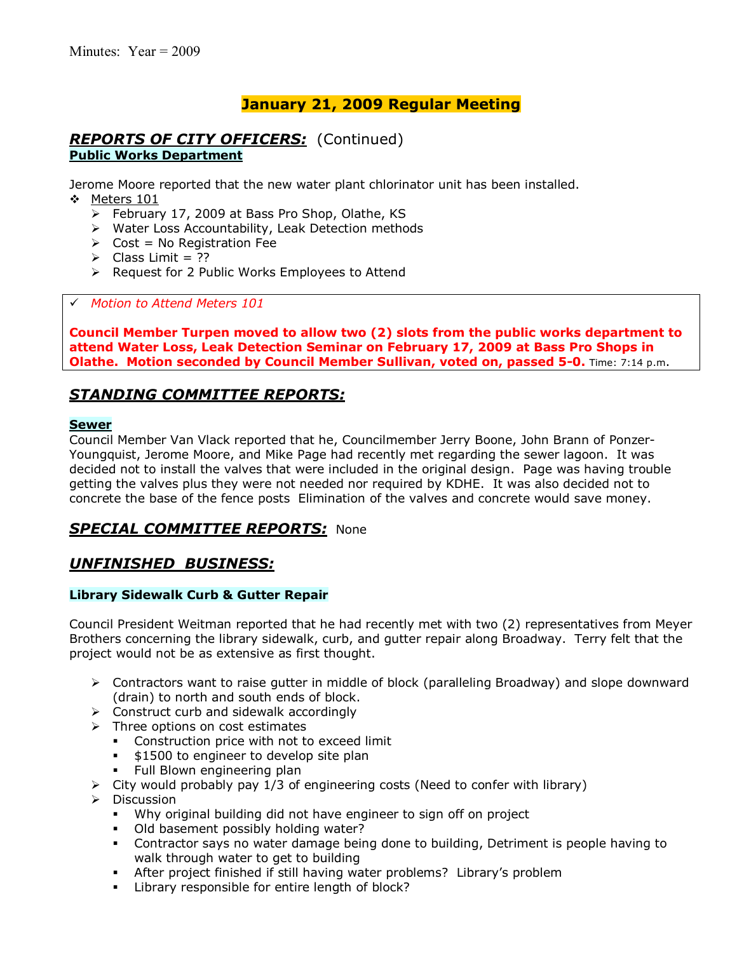### *REPORTS OF CITY OFFICERS:* (Continued) **Public Works Department**

Jerome Moore reported that the new water plant chlorinator unit has been installed. \* Meters 101

- > February 17, 2009 at Bass Pro Shop, Olathe, KS
- > Water Loss Accountability, Leak Detection methods
- $\triangleright$  Cost = No Registration Fee
- $\triangleright$  Class Limit = ??
- > Request for 2 Public Works Employees to Attend

# *Motion to Attend Meters 101* 

**Council Member Turpen moved to allow two (2) slots from the public works department to attend Water Loss, Leak Detection Seminar on February 17, 2009 at Bass Pro Shops in Olathe. Motion seconded by Council Member Sullivan, voted on, passed 5-0.** Time: 7:14 p.m.

### *STANDING COMMITTEE REPORTS:*

#### **Sewer**

Council Member Van Vlack reported that he, Councilmember Jerry Boone, John Brann of Ponzer-Youngquist, Jerome Moore, and Mike Page had recently met regarding the sewer lagoon. It was decided not to install the valves that were included in the original design. Page was having trouble getting the valves plus they were not needed nor required by KDHE. It was also decided not to concrete the base of the fence posts Elimination of the valves and concrete would save money.

### *SPECIAL COMMITTEE REPORTS:* None

### *UNFINISHED BUSINESS:*

#### **Library Sidewalk Curb & Gutter Repair**

Council President Weitman reported that he had recently met with two (2) representatives from Meyer Brothers concerning the library sidewalk, curb, and gutter repair along Broadway. Terry felt that the project would not be as extensive as first thought.

- $\triangleright$  Contractors want to raise gutter in middle of block (paralleling Broadway) and slope downward (drain) to north and south ends of block.
- $\triangleright$  Construct curb and sidewalk accordingly
- $\triangleright$  Three options on cost estimates
	- **•** Construction price with not to exceed limit
	- \$1500 to engineer to develop site plan
	- **Full Blown engineering plan**
- $\triangleright$  City would probably pay 1/3 of engineering costs (Need to confer with library)
- $\triangleright$  Discussion
	- Why original building did not have engineer to sign off on project
	- . Old basement possibly holding water?
	- Contractor says no water damage being done to building, Detriment is people having to walk through water to get to building
	- % After project finished if still having water problems? Libraryís problem
	- **EXECT** Library responsible for entire length of block?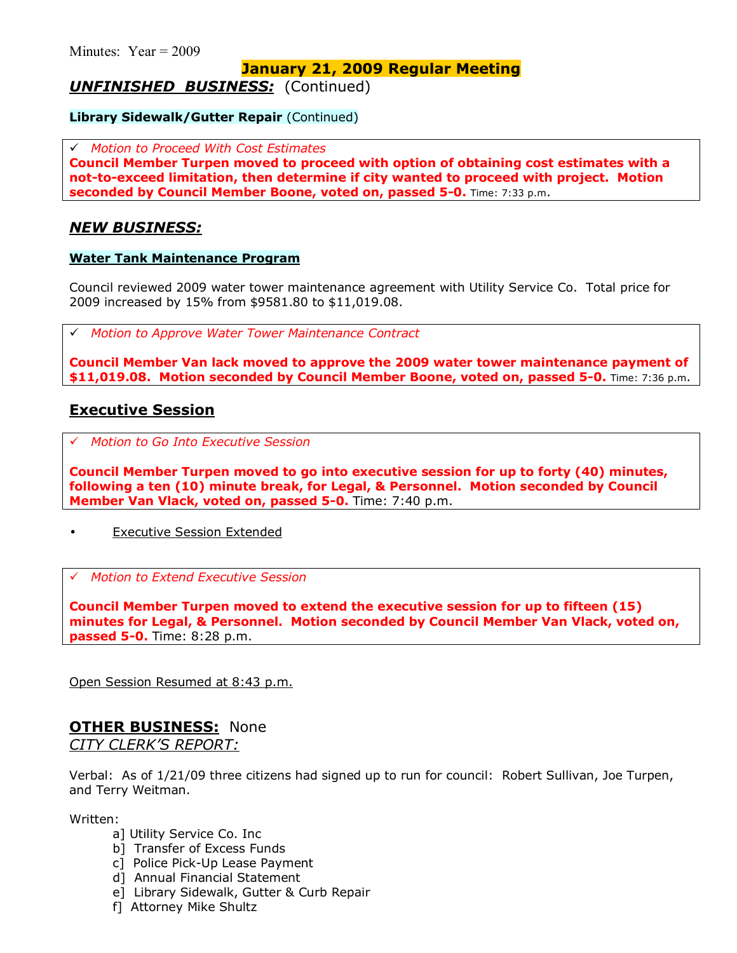*UNFINISHED BUSINESS:* (Continued)

**Library Sidewalk/Gutter Repair (Continued)** 

# *Motion to Proceed With Cost Estimates*

**Council Member Turpen moved to proceed with option of obtaining cost estimates with a not-to-exceed limitation, then determine if city wanted to proceed with project. Motion seconded by Council Member Boone, voted on, passed 5-0.** Time: 7:33 p.m.

### *NEW BUSINESS:*

#### **Water Tank Maintenance Program**

Council reviewed 2009 water tower maintenance agreement with Utility Service Co. Total price for 2009 increased by 15% from \$9581.80 to \$11,019.08.

# *Motion to Approve Water Tower Maintenance Contract*

**Council Member Van lack moved to approve the 2009 water tower maintenance payment of \$11,019.08. Motion seconded by Council Member Boone, voted on, passed 5-0.** Time: 7:36 p.m.

### **Executive Session**

# *Motion to Go Into Executive Session*

**Council Member Turpen moved to go into executive session for up to forty (40) minutes, following a ten (10) minute break, for Legal, & Personnel. Motion seconded by Council Member Van Vlack, voted on, passed 5-0.** Time: 7:40 p.m.

**Executive Session Extended** 

#### # *Motion to Extend Executive Session*

**Council Member Turpen moved to extend the executive session for up to fifteen (15) minutes for Legal, & Personnel. Motion seconded by Council Member Van Vlack, voted on, passed 5-0.** Time: 8:28 p.m.

Open Session Resumed at 8:43 p.m.

# **OTHER BUSINESS:** None

*CITY CLERKíS REPORT:*

Verbal: As of 1/21/09 three citizens had signed up to run for council: Robert Sullivan, Joe Turpen, and Terry Weitman.

Written:

- a] Utility Service Co. Inc
- b] Transfer of Excess Funds
- c] Police Pick-Up Lease Payment
- d] Annual Financial Statement
- e] Library Sidewalk, Gutter & Curb Repair
- f] Attorney Mike Shultz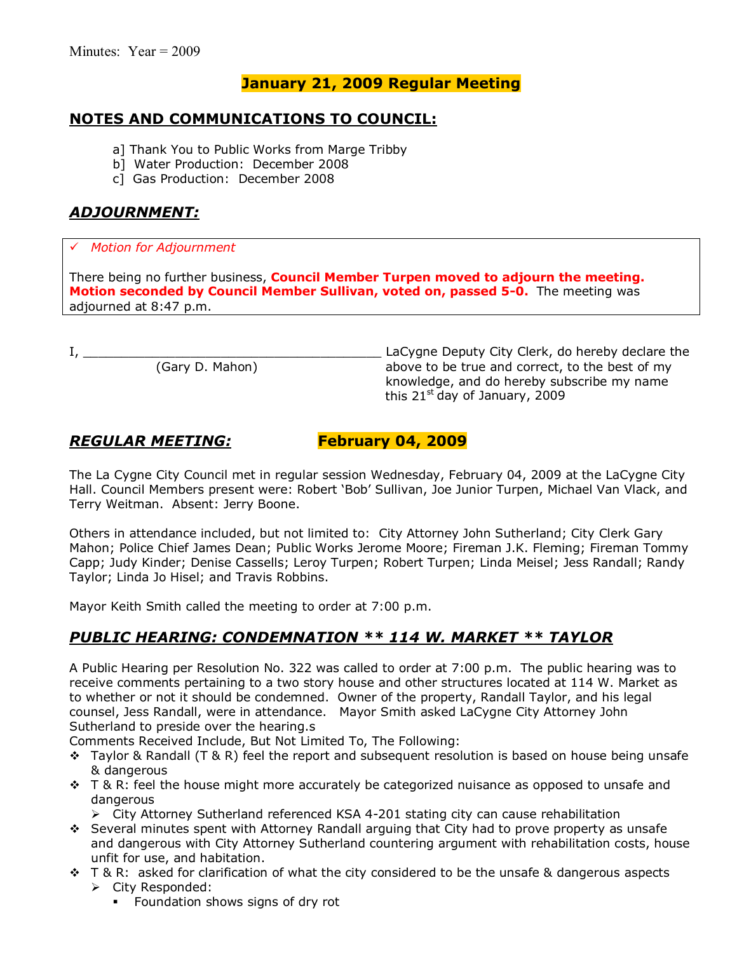## **NOTES AND COMMUNICATIONS TO COUNCIL:**

- a] Thank You to Public Works from Marge Tribby
- b] Water Production: December 2008
- c] Gas Production: December 2008

### *ADJOURNMENT:*

### # *Motion for Adjournment*

There being no further business, **Council Member Turpen moved to adjourn the meeting. Motion seconded by Council Member Sullivan, voted on, passed 5-0.** The meeting was adjourned at 8:47 p.m.

I, \_\_\_\_\_\_\_\_\_\_\_\_\_\_\_\_\_\_\_\_\_\_\_\_\_\_\_\_\_\_\_\_\_\_\_\_\_\_\_ LaCygne Deputy City Clerk, do hereby declare the above to be true and correct, to the best of my knowledge, and do hereby subscribe my name this  $21^{st}$  day of January, 2009

### *REGULAR MEETING:* **February 04, 2009**

The La Cygne City Council met in regular session Wednesday, February 04, 2009 at the LaCygne City Hall. Council Members present were: Robert 'Bob' Sullivan, Joe Junior Turpen, Michael Van Vlack, and Terry Weitman. Absent: Jerry Boone.

Others in attendance included, but not limited to: City Attorney John Sutherland; City Clerk Gary Mahon; Police Chief James Dean; Public Works Jerome Moore; Fireman J.K. Fleming; Fireman Tommy Capp; Judy Kinder; Denise Cassells; Leroy Turpen; Robert Turpen; Linda Meisel; Jess Randall; Randy Taylor; Linda Jo Hisel; and Travis Robbins.

Mayor Keith Smith called the meeting to order at 7:00 p.m.

# *PUBLIC HEARING: CONDEMNATION \*\* 114 W. MARKET \*\* TAYLOR*

A Public Hearing per Resolution No. 322 was called to order at 7:00 p.m. The public hearing was to receive comments pertaining to a two story house and other structures located at 114 W. Market as to whether or not it should be condemned. Owner of the property, Randall Taylor, and his legal counsel, Jess Randall, were in attendance. Mayor Smith asked LaCygne City Attorney John Sutherland to preside over the hearing.s

Comments Received Include, But Not Limited To, The Following:

- $\div$  Taylor & Randall (T & R) feel the report and subsequent resolution is based on house being unsafe & dangerous
- $\div$  T & R: feel the house might more accurately be categorized nuisance as opposed to unsafe and dangerous
	- ! City Attorney Sutherland referenced KSA 4-201 stating city can cause rehabilitation
- \$ Several minutes spent with Attorney Randall arguing that City had to prove property as unsafe and dangerous with City Attorney Sutherland countering argument with rehabilitation costs, house unfit for use, and habitation.
- $\div$  T & R: asked for clarification of what the city considered to be the unsafe & dangerous aspects > City Responded:
	- **Foundation shows signs of dry rot**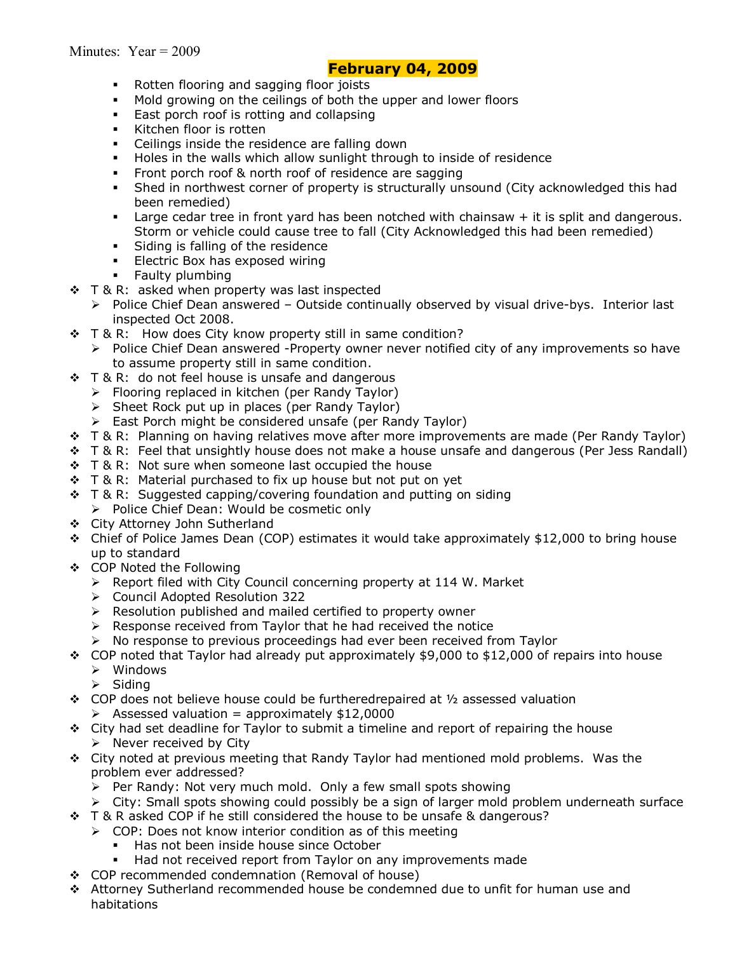### **February 04, 2009**

- **Rotten flooring and sagging floor joists**
- $\blacksquare$  Mold growing on the ceilings of both the upper and lower floors
- **East porch roof is rotting and collapsing**
- Kitchen floor is rotten
- Ceilings inside the residence are falling down
- " Holes in the walls which allow sunlight through to inside of residence
- Front porch roof & north roof of residence are sagging
- Shed in northwest corner of property is structurally unsound (City acknowledged this had been remedied)
- $\blacksquare$  Large cedar tree in front yard has been notched with chainsaw  $+$  it is split and dangerous. Storm or vehicle could cause tree to fall (City Acknowledged this had been remedied)
- **Siding is falling of the residence**
- **Electric Box has exposed wiring**
- **Example Faulty plumbing**
- $\div$  T & R: asked when property was last inspected
	- $\triangleright$  Police Chief Dean answered Outside continually observed by visual drive-bys. Interior last inspected Oct 2008.
- $\div$  T & R: How does City know property still in same condition?
	- $\triangleright$  Police Chief Dean answered -Property owner never notified city of any improvements so have to assume property still in same condition.
- ❖ T & R: do not feel house is unsafe and dangerous
	- $\triangleright$  Flooring replaced in kitchen (per Randy Taylor)
	- > Sheet Rock put up in places (per Randy Taylor)
	- $\triangleright$  East Porch might be considered unsafe (per Randy Taylor)
- \* T & R: Planning on having relatives move after more improvements are made (Per Randy Taylor)
- \$ T & R: Feel that unsightly house does not make a house unsafe and dangerous (Per Jess Randall)
- ❖ T & R: Not sure when someone last occupied the house
- $\div$  T & R: Material purchased to fix up house but not put on yet
- $\div$  T & R: Suggested capping/covering foundation and putting on siding
	- > Police Chief Dean: Would be cosmetic only
- \$ City Attorney John Sutherland
- $\div$  Chief of Police James Dean (COP) estimates it would take approximately \$12,000 to bring house up to standard
- \$ COP Noted the Following
	- $\triangleright$  Report filed with City Council concerning property at 114 W. Market
	- ! Council Adopted Resolution 322
	- $\triangleright$  Resolution published and mailed certified to property owner
	- $\triangleright$  Response received from Taylor that he had received the notice
	- $\triangleright$  No response to previous proceedings had ever been received from Taylor
- \* COP noted that Taylor had already put approximately \$9,000 to \$12,000 of repairs into house
	- $\triangleright$  Windows
		- $\triangleright$  Siding
- $\div$  COP does not believe house could be furtheredrepaired at  $\frac{1}{2}$  assessed valuation  $\triangleright$  Assessed valuation = approximately \$12,0000
- $\div$  City had set deadline for Taylor to submit a timeline and report of repairing the house  $\triangleright$  Never received by City
- $\div$  City noted at previous meeting that Randy Taylor had mentioned mold problems. Was the problem ever addressed?
	- $\triangleright$  Per Randy: Not very much mold. Only a few small spots showing
	- $\ge$  City: Small spots showing could possibly be a sign of larger mold problem underneath surface
- $\div$  T & R asked COP if he still considered the house to be unsafe & dangerous?
	- $\geq$  COP: Does not know interior condition as of this meeting
		- Has not been inside house since October
		- **Had not received report from Taylor on any improvements made**
- \$ COP recommended condemnation (Removal of house)
- \$ Attorney Sutherland recommended house be condemned due to unfit for human use and habitations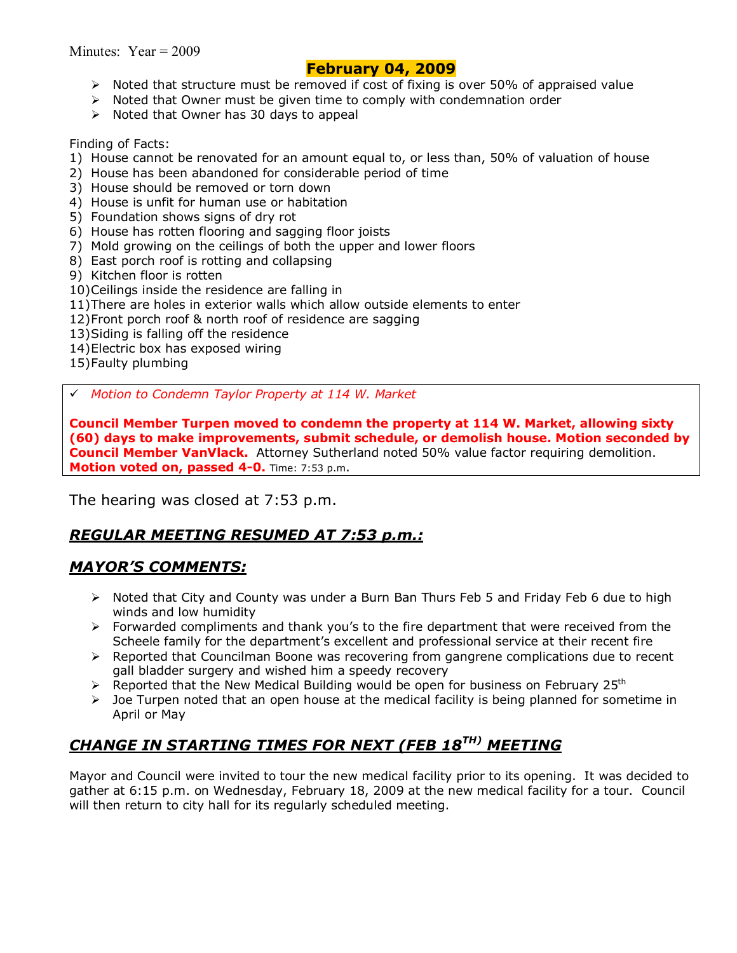### **February 04, 2009**

- $\triangleright$  Noted that structure must be removed if cost of fixing is over 50% of appraised value
- $\triangleright$  Noted that Owner must be given time to comply with condemnation order
- $\triangleright$  Noted that Owner has 30 days to appeal

Finding of Facts:

- 1) House cannot be renovated for an amount equal to, or less than, 50% of valuation of house
- 2) House has been abandoned for considerable period of time
- 3) House should be removed or torn down
- 4) House is unfit for human use or habitation
- 5) Foundation shows signs of dry rot
- 6) House has rotten flooring and sagging floor joists
- 7) Mold growing on the ceilings of both the upper and lower floors
- 8) East porch roof is rotting and collapsing
- 9) Kitchen floor is rotten
- 10) Ceilings inside the residence are falling in
- 11) There are holes in exterior walls which allow outside elements to enter
- 12) Front porch roof & north roof of residence are sagging
- 13) Siding is falling off the residence
- 14) Electric box has exposed wiring
- 15) Faulty plumbing

# *Motion to Condemn Taylor Property at 114 W. Market* 

**Council Member Turpen moved to condemn the property at 114 W. Market, allowing sixty (60) days to make improvements, submit schedule, or demolish house. Motion seconded by Council Member VanVlack.** Attorney Sutherland noted 50% value factor requiring demolition. **Motion voted on, passed 4-0.** Time: 7:53 p.m.

The hearing was closed at 7:53 p.m.

# *REGULAR MEETING RESUMED AT 7:53 p.m.:*

### *MAYORíS COMMENTS:*

- ! Noted that City and County was under a Burn Ban Thurs Feb 5 and Friday Feb 6 due to high winds and low humidity
- $\triangleright$  Forwarded compliments and thank you's to the fire department that were received from the Scheele family for the department's excellent and professional service at their recent fire
- ! Reported that Councilman Boone was recovering from gangrene complications due to recent gall bladder surgery and wished him a speedy recovery
- E Reported that the New Medical Building would be open for business on February 25<sup>th</sup>
- $\triangleright$  Joe Turpen noted that an open house at the medical facility is being planned for sometime in April or May

# *CHANGE IN STARTING TIMES FOR NEXT (FEB 18TH) MEETING*

Mayor and Council were invited to tour the new medical facility prior to its opening. It was decided to gather at 6:15 p.m. on Wednesday, February 18, 2009 at the new medical facility for a tour. Council will then return to city hall for its regularly scheduled meeting.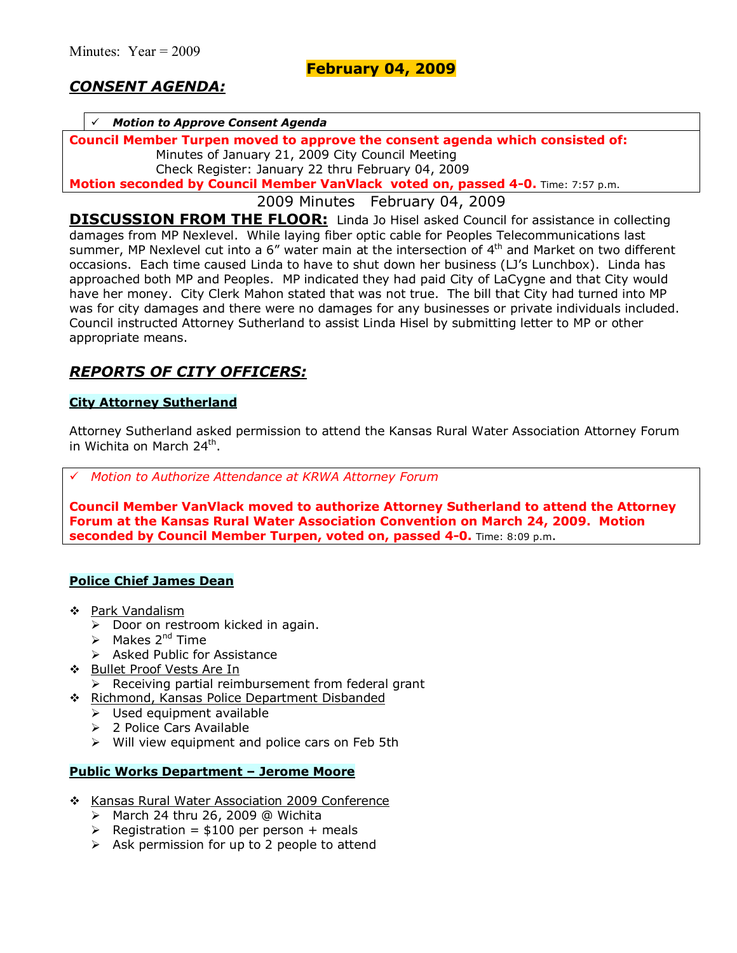## *CONSENT AGENDA:*

#### # *Motion to Approve Consent Agenda*

**Council Member Turpen moved to approve the consent agenda which consisted of:**  Minutes of January 21, 2009 City Council Meeting

Check Register: January 22 thru February 04, 2009

**Motion seconded by Council Member VanVlack voted on, passed 4-0.** Time: 7:57 p.m.

2009 Minutes February 04, 2009

**DISCUSSION FROM THE FLOOR:** Linda Jo Hisel asked Council for assistance in collecting damages from MP Nexlevel. While laying fiber optic cable for Peoples Telecommunications last summer, MP Nexlevel cut into a 6" water main at the intersection of 4<sup>th</sup> and Market on two different occasions. Each time caused Linda to have to shut down her business (LJ's Lunchbox). Linda has approached both MP and Peoples. MP indicated they had paid City of LaCygne and that City would have her money. City Clerk Mahon stated that was not true. The bill that City had turned into MP was for city damages and there were no damages for any businesses or private individuals included. Council instructed Attorney Sutherland to assist Linda Hisel by submitting letter to MP or other appropriate means.

## *REPORTS OF CITY OFFICERS:*

#### **City Attorney Sutherland**

Attorney Sutherland asked permission to attend the Kansas Rural Water Association Attorney Forum in Wichita on March 24th.

# *Motion to Authorize Attendance at KRWA Attorney Forum*

**Council Member VanVlack moved to authorize Attorney Sutherland to attend the Attorney Forum at the Kansas Rural Water Association Convention on March 24, 2009. Motion seconded by Council Member Turpen, voted on, passed 4-0.** Time: 8:09 p.m.

### **Police Chief James Dean**

- \$ Park Vandalism
	- $\triangleright$  Door on restroom kicked in again.
	- $\triangleright$  Makes 2<sup>nd</sup> Time
	- $\triangleright$  Asked Public for Assistance
- **\*** Bullet Proof Vests Are In
	- $\triangleright$  Receiving partial reimbursement from federal grant
- \$ Richmond, Kansas Police Department Disbanded
	- $\triangleright$  Used equipment available
	- $\geq$  2 Police Cars Available
	- $\triangleright$  Will view equipment and police cars on Feb 5th

#### **Public Works Department - Jerome Moore**

- \* Kansas Rural Water Association 2009 Conference
	- $\triangleright$  March 24 thru 26, 2009 @ Wichita
	- $\triangleright$  Registration = \$100 per person + meals
	- $\triangleright$  Ask permission for up to 2 people to attend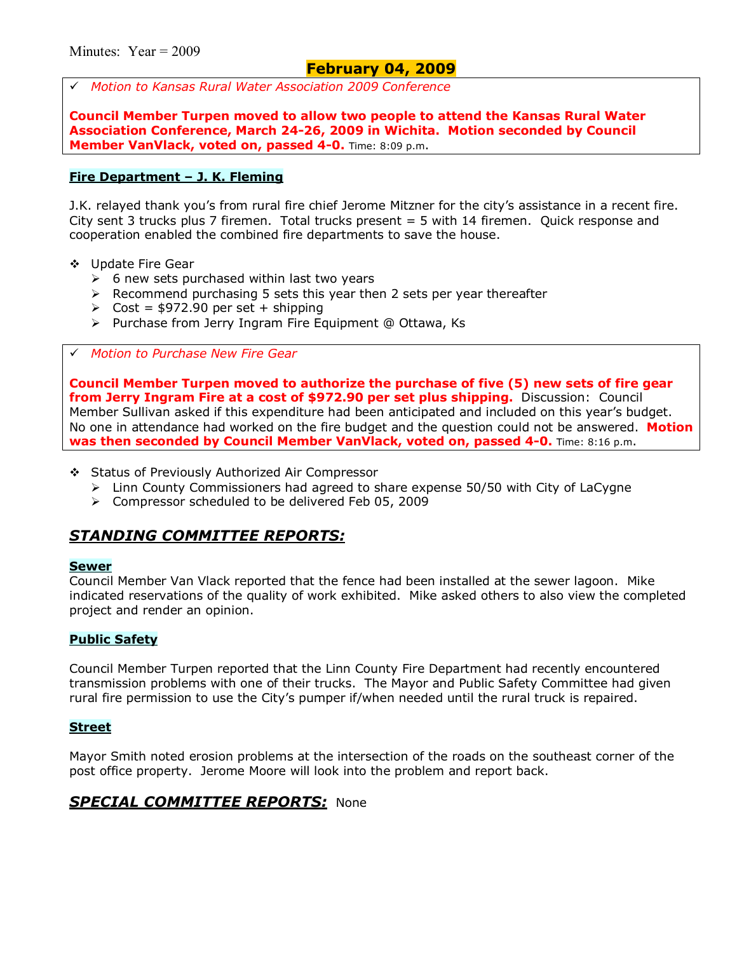### **February 04, 2009**

# *Motion to Kansas Rural Water Association 2009 Conference* 

**Council Member Turpen moved to allow two people to attend the Kansas Rural Water Association Conference, March 24-26, 2009 in Wichita. Motion seconded by Council Member VanVlack, voted on, passed 4-0.** Time: 8:09 p.m.

#### **Fire Department - J. K. Fleming**

J.K. relayed thank you's from rural fire chief Jerome Mitzner for the city's assistance in a recent fire. City sent 3 trucks plus 7 firemen. Total trucks present = 5 with 14 firemen. Quick response and cooperation enabled the combined fire departments to save the house.

- \$ Update Fire Gear
	- $\geq$  6 new sets purchased within last two years
	- $\triangleright$  Recommend purchasing 5 sets this year then 2 sets per year thereafter
	- $\geq$  Cost = \$972.90 per set + shipping
	- > Purchase from Jerry Ingram Fire Equipment @ Ottawa, Ks

#### # *Motion to Purchase New Fire Gear*

**Council Member Turpen moved to authorize the purchase of five (5) new sets of fire gear from Jerry Ingram Fire at a cost of \$972.90 per set plus shipping.** Discussion: Council Member Sullivan asked if this expenditure had been anticipated and included on this yearís budget. No one in attendance had worked on the fire budget and the question could not be answered. **Motion was then seconded by Council Member VanVlack, voted on, passed 4-0.** Time: 8:16 p.m.

- \$ Status of Previously Authorized Air Compressor
	- $\triangleright$  Linn County Commissioners had agreed to share expense 50/50 with City of LaCygne
	- ! Compressor scheduled to be delivered Feb 05, 2009

### *STANDING COMMITTEE REPORTS:*

#### **Sewer**

Council Member Van Vlack reported that the fence had been installed at the sewer lagoon. Mike indicated reservations of the quality of work exhibited. Mike asked others to also view the completed project and render an opinion.

#### **Public Safety**

Council Member Turpen reported that the Linn County Fire Department had recently encountered transmission problems with one of their trucks. The Mayor and Public Safety Committee had given rural fire permission to use the City's pumper if/when needed until the rural truck is repaired.

#### **Street**

Mayor Smith noted erosion problems at the intersection of the roads on the southeast corner of the post office property. Jerome Moore will look into the problem and report back.

### *SPECIAL COMMITTEE REPORTS:* None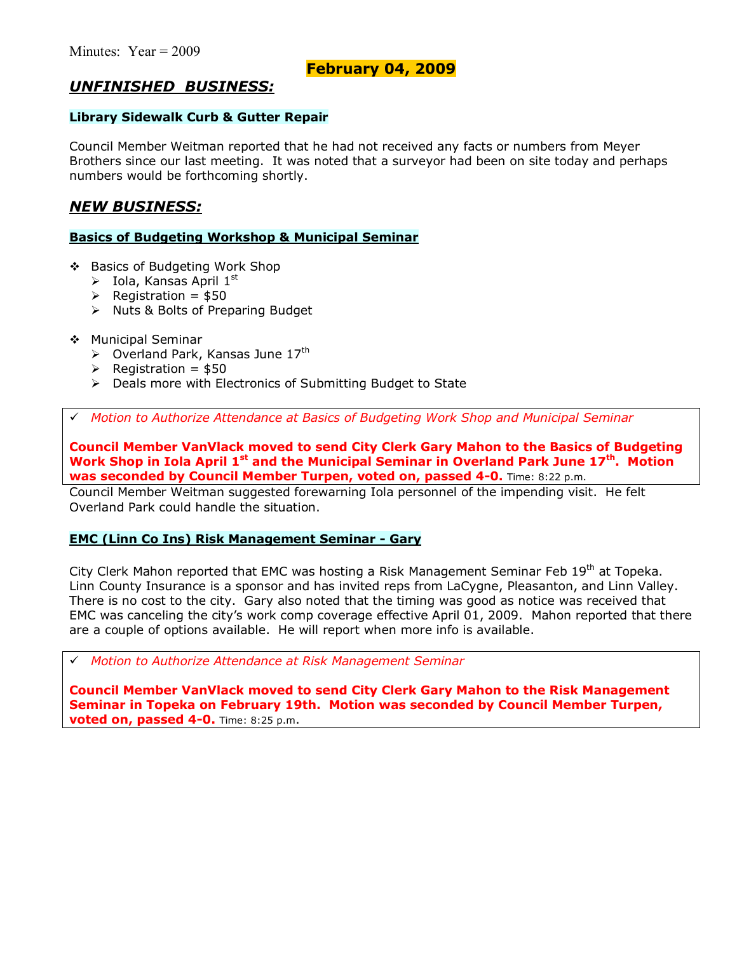### **February 04, 2009**

### *UNFINISHED BUSINESS:*

#### **Library Sidewalk Curb & Gutter Repair**

Council Member Weitman reported that he had not received any facts or numbers from Meyer Brothers since our last meeting. It was noted that a surveyor had been on site today and perhaps numbers would be forthcoming shortly.

### *NEW BUSINESS:*

#### **Basics of Budgeting Workshop & Municipal Seminar**

- \$ Basics of Budgeting Work Shop
	- $\triangleright$  Iola, Kansas April 1st
	- $\triangleright$  Registration = \$50
	- > Nuts & Bolts of Preparing Budget
- \$ Municipal Seminar
	- $\triangleright$  Overland Park, Kansas June 17<sup>th</sup>
	- $\triangleright$  Registration = \$50
	- $\triangleright$  Deals more with Electronics of Submitting Budget to State

# *Motion to Authorize Attendance at Basics of Budgeting Work Shop and Municipal Seminar* 

**Council Member VanVlack moved to send City Clerk Gary Mahon to the Basics of Budgeting**  Work Shop in Iola April 1<sup>st</sup> and the Municipal Seminar in Overland Park June 17<sup>th</sup>. Motion **was seconded by Council Member Turpen, voted on, passed 4-0.** Time: 8:22 p.m.

Council Member Weitman suggested forewarning Iola personnel of the impending visit. He felt Overland Park could handle the situation.

### **EMC (Linn Co Ins) Risk Management Seminar - Gary**

City Clerk Mahon reported that EMC was hosting a Risk Management Seminar Feb 19<sup>th</sup> at Topeka. Linn County Insurance is a sponsor and has invited reps from LaCygne, Pleasanton, and Linn Valley. There is no cost to the city. Gary also noted that the timing was good as notice was received that EMC was canceling the city's work comp coverage effective April 01, 2009. Mahon reported that there are a couple of options available. He will report when more info is available.

# *Motion to Authorize Attendance at Risk Management Seminar* 

**Council Member VanVlack moved to send City Clerk Gary Mahon to the Risk Management Seminar in Topeka on February 19th. Motion was seconded by Council Member Turpen, voted on, passed 4-0.** Time: 8:25 p.m.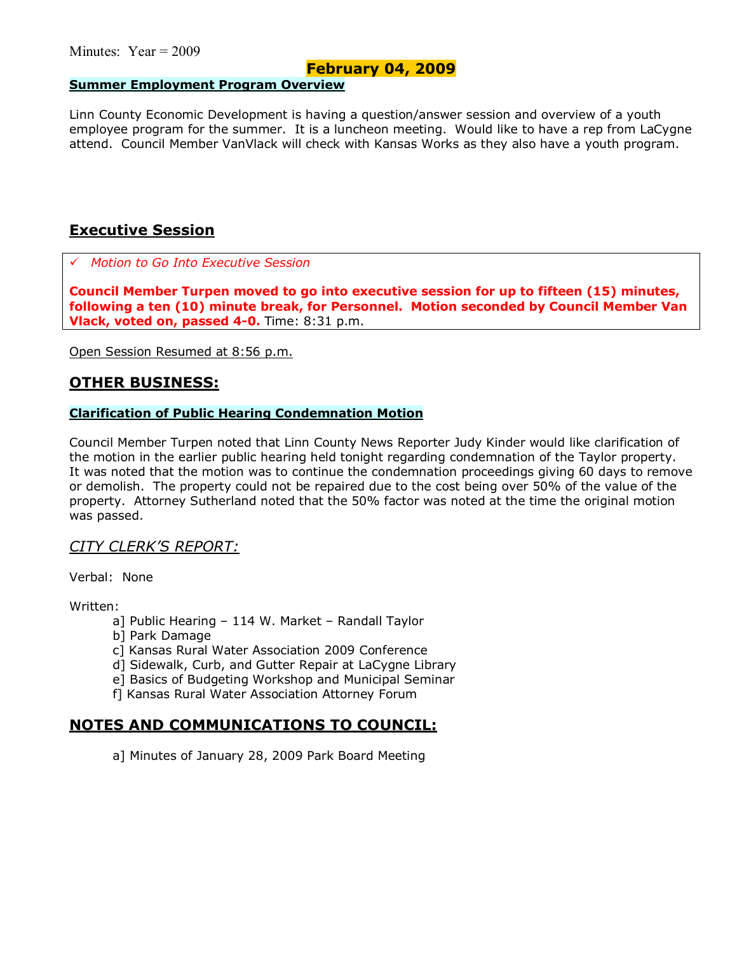### **February 04, 2009**

#### **Summer Employment Program Overview**

Linn County Economic Development is having a question/answer session and overview of a youth employee program for the summer. It is a luncheon meeting. Would like to have a rep from LaCygne attend. Council Member VanVlack will check with Kansas Works as they also have a youth program.

### **Executive Session**

# *Motion to Go Into Executive Session*

**Council Member Turpen moved to go into executive session for up to fifteen (15) minutes, following a ten (10) minute break, for Personnel. Motion seconded by Council Member Van Vlack, voted on, passed 4-0.** Time: 8:31 p.m.

Open Session Resumed at 8:56 p.m.

### **OTHER BUSINESS:**

#### **Clarification of Public Hearing Condemnation Motion**

Council Member Turpen noted that Linn County News Reporter Judy Kinder would like clarification of the motion in the earlier public hearing held tonight regarding condemnation of the Taylor property. It was noted that the motion was to continue the condemnation proceedings giving 60 days to remove or demolish. The property could not be repaired due to the cost being over 50% of the value of the property. Attorney Sutherland noted that the 50% factor was noted at the time the original motion was passed.

### *CITY CLERKíS REPORT:*

Verbal: None

Written:

- a] Public Hearing  $-114$  W. Market  $-$  Randall Taylor
- b] Park Damage
- c] Kansas Rural Water Association 2009 Conference
- d] Sidewalk, Curb, and Gutter Repair at LaCygne Library
- e] Basics of Budgeting Workshop and Municipal Seminar
- f] Kansas Rural Water Association Attorney Forum

### **NOTES AND COMMUNICATIONS TO COUNCIL:**

a] Minutes of January 28, 2009 Park Board Meeting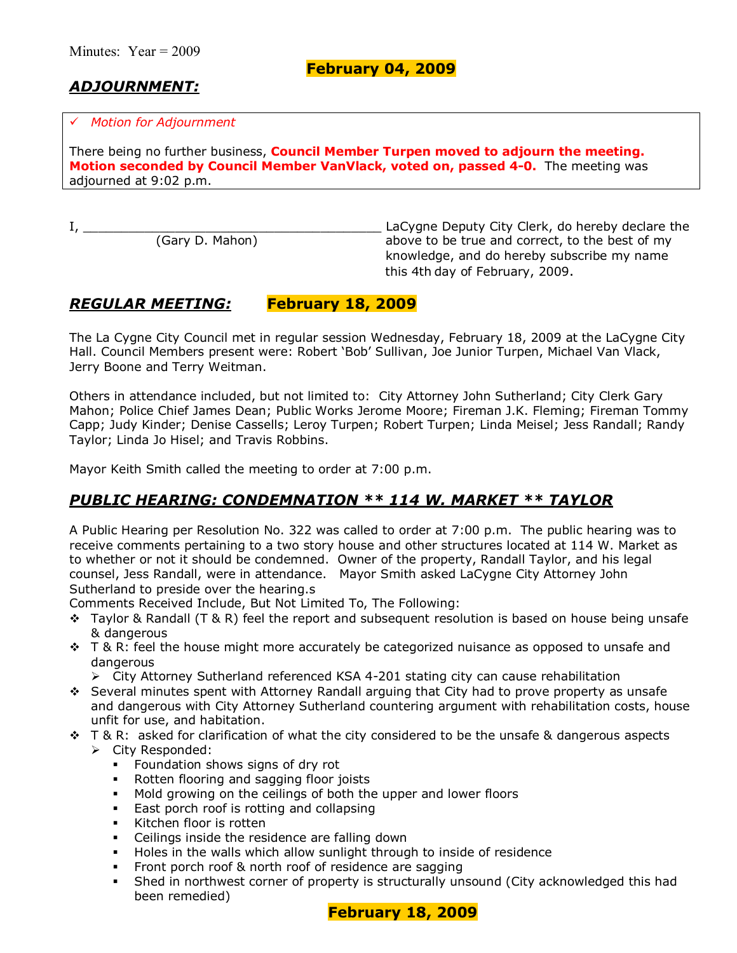**February 04, 2009**

# *ADJOURNMENT:*

#### # *Motion for Adjournment*

There being no further business, **Council Member Turpen moved to adjourn the meeting. Motion seconded by Council Member VanVlack, voted on, passed 4-0.** The meeting was adjourned at 9:02 p.m.

I, \_\_\_\_\_\_\_\_\_\_\_\_\_\_\_\_\_\_\_\_\_\_\_\_\_\_\_\_\_\_\_\_\_\_\_\_\_\_\_ LaCygne Deputy City Clerk, do hereby declare the above to be true and correct, to the best of my knowledge, and do hereby subscribe my name this 4th day of February, 2009.

# *REGULAR MEETING:* **February 18, 2009**

The La Cygne City Council met in regular session Wednesday, February 18, 2009 at the LaCygne City Hall. Council Members present were: Robert 'Bob' Sullivan, Joe Junior Turpen, Michael Van Vlack, Jerry Boone and Terry Weitman.

Others in attendance included, but not limited to: City Attorney John Sutherland; City Clerk Gary Mahon; Police Chief James Dean; Public Works Jerome Moore; Fireman J.K. Fleming; Fireman Tommy Capp; Judy Kinder; Denise Cassells; Leroy Turpen; Robert Turpen; Linda Meisel; Jess Randall; Randy Taylor; Linda Jo Hisel; and Travis Robbins.

Mayor Keith Smith called the meeting to order at 7:00 p.m.

# *PUBLIC HEARING: CONDEMNATION \*\* 114 W. MARKET \*\* TAYLOR*

A Public Hearing per Resolution No. 322 was called to order at 7:00 p.m. The public hearing was to receive comments pertaining to a two story house and other structures located at 114 W. Market as to whether or not it should be condemned. Owner of the property, Randall Taylor, and his legal counsel, Jess Randall, were in attendance. Mayor Smith asked LaCygne City Attorney John Sutherland to preside over the hearing.s

Comments Received Include, But Not Limited To, The Following:

- $\div$  Taylor & Randall (T & R) feel the report and subsequent resolution is based on house being unsafe & dangerous
- $\div$  T & R: feel the house might more accurately be categorized nuisance as opposed to unsafe and dangerous
	- $\triangleright$  City Attorney Sutherland referenced KSA 4-201 stating city can cause rehabilitation
- \* Several minutes spent with Attorney Randall arguing that City had to prove property as unsafe and dangerous with City Attorney Sutherland countering argument with rehabilitation costs, house unfit for use, and habitation.
- $\div$  T & R: asked for clarification of what the city considered to be the unsafe & dangerous aspects > City Responded:
	- **Foundation shows signs of dry rot**
	- **Rotten flooring and sagging floor joists**
	- $\blacksquare$  Mold growing on the ceilings of both the upper and lower floors
	- **East porch roof is rotting and collapsing**
	- Kitchen floor is rotten
	- Ceilings inside the residence are falling down
	- **•** Holes in the walls which allow sunlight through to inside of residence
	- **Front porch roof & north roof of residence are sagging**
	- Shed in northwest corner of property is structurally unsound (City acknowledged this had been remedied)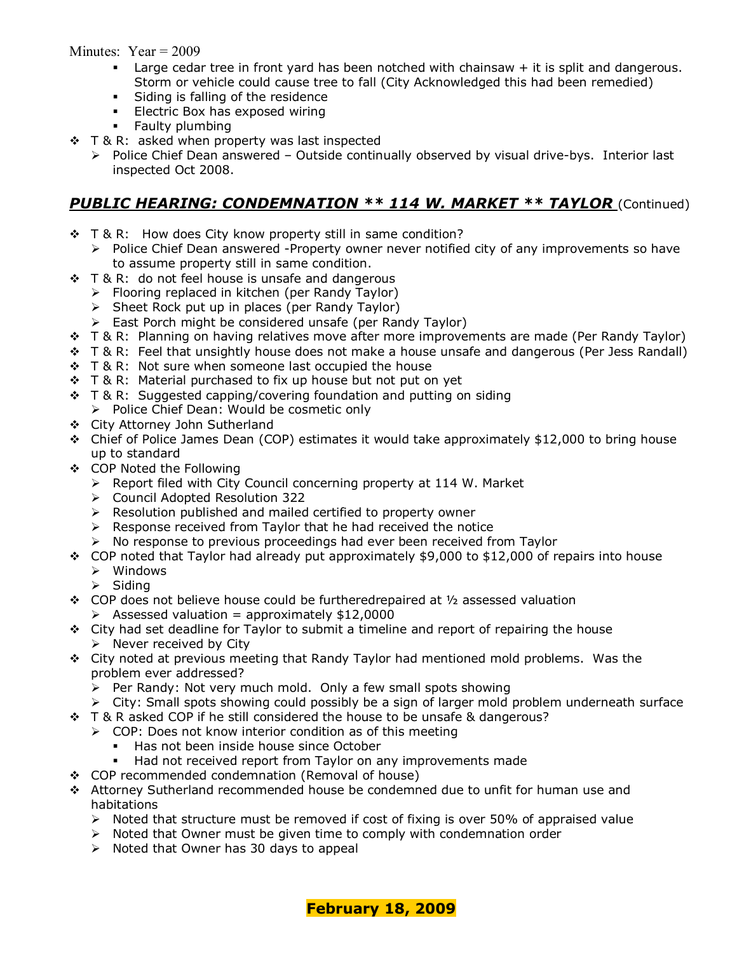- **Large cedar tree in front yard has been notched with chainsaw**  $+$  **it is split and dangerous.** Storm or vehicle could cause tree to fall (City Acknowledged this had been remedied)
- **Siding is falling of the residence**
- **Electric Box has exposed wiring**
- **Faulty plumbing**
- ❖ T & R: asked when property was last inspected
	- $\triangleright$  Police Chief Dean answered Outside continually observed by visual drive-bys. Interior last inspected Oct 2008.

### **PUBLIC HEARING: CONDEMNATION \*\* 114 W. MARKET \*\* TAYLOR** (Continued)

- $\div$  T & R: How does City know property still in same condition?
	- $\triangleright$  Police Chief Dean answered -Property owner never notified city of any improvements so have to assume property still in same condition.
- ❖ T & R: do not feel house is unsafe and dangerous
	- $\triangleright$  Flooring replaced in kitchen (per Randy Taylor)
		- $\triangleright$  Sheet Rock put up in places (per Randy Taylor)
		- $\triangleright$  East Porch might be considered unsafe (per Randy Taylor)
- \$ T & R: Planning on having relatives move after more improvements are made (Per Randy Taylor)
- \* T & R: Feel that unsightly house does not make a house unsafe and dangerous (Per Jess Randall)
- $\div$  T & R: Not sure when someone last occupied the house
- $\div$  T & R: Material purchased to fix up house but not put on yet
- $\div$  T & R: Suggested capping/covering foundation and putting on siding
	- $\triangleright$  Police Chief Dean: Would be cosmetic only
- \$ City Attorney John Sutherland
- $\div$  Chief of Police James Dean (COP) estimates it would take approximately \$12,000 to bring house up to standard
- \$ COP Noted the Following
	- > Report filed with City Council concerning property at 114 W. Market
	- ! Council Adopted Resolution 322
	- $\triangleright$  Resolution published and mailed certified to property owner
	- $\triangleright$  Response received from Taylor that he had received the notice
	- $\triangleright$  No response to previous proceedings had ever been received from Taylor
- $\div$  COP noted that Taylor had already put approximately \$9,000 to \$12,000 of repairs into house  $\triangleright$  Windows
	- $\triangleright$  Siding
- $\div$  COP does not believe house could be furtheredrepaired at  $\frac{1}{2}$  assessed valuation  $\triangleright$  Assessed valuation = approximately \$12,0000
- $\div$  City had set deadline for Taylor to submit a timeline and report of repairing the house  $\triangleright$  Never received by City
- $\div$  City noted at previous meeting that Randy Taylor had mentioned mold problems. Was the problem ever addressed?
	- $\triangleright$  Per Randy: Not very much mold. Only a few small spots showing
	- $\triangleright$  City: Small spots showing could possibly be a sign of larger mold problem underneath surface
- $\div$  T & R asked COP if he still considered the house to be unsafe & dangerous?
	- $\geq$  COP: Does not know interior condition as of this meeting
		- Has not been inside house since October
		- Had not received report from Taylor on any improvements made
- \$ COP recommended condemnation (Removal of house)
- \$ Attorney Sutherland recommended house be condemned due to unfit for human use and habitations
	- $\triangleright$  Noted that structure must be removed if cost of fixing is over 50% of appraised value
	- $\triangleright$  Noted that Owner must be given time to comply with condemnation order
	- $\triangleright$  Noted that Owner has 30 days to appeal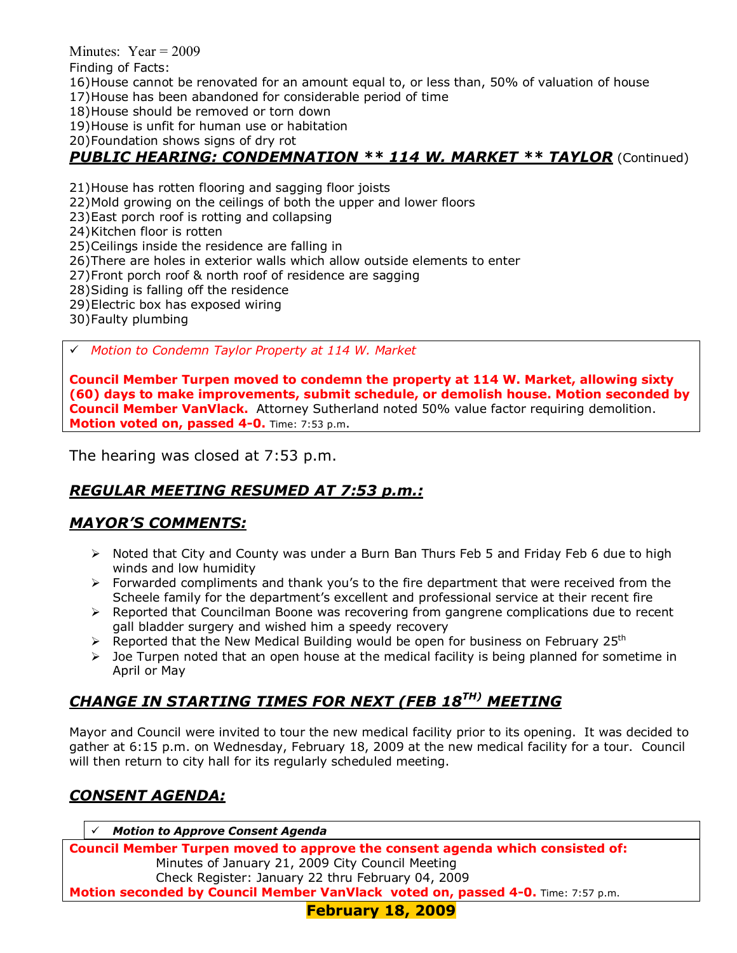Finding of Facts:

- 16) House cannot be renovated for an amount equal to, or less than, 50% of valuation of house
- 17) House has been abandoned for considerable period of time
- 18) House should be removed or torn down

19) House is unfit for human use or habitation

20) Foundation shows signs of dry rot

### *PUBLIC HEARING: CONDEMNATION \*\* 114 W. MARKET \*\* TAYLOR* (Continued)

- 21) House has rotten flooring and sagging floor joists
- 22) Mold growing on the ceilings of both the upper and lower floors
- 23) East porch roof is rotting and collapsing
- 24) Kitchen floor is rotten
- 25) Ceilings inside the residence are falling in
- 26) There are holes in exterior walls which allow outside elements to enter
- 27) Front porch roof & north roof of residence are sagging
- 28) Siding is falling off the residence
- 29) Electric box has exposed wiring
- 30) Faulty plumbing

# *Motion to Condemn Taylor Property at 114 W. Market* 

**Council Member Turpen moved to condemn the property at 114 W. Market, allowing sixty (60) days to make improvements, submit schedule, or demolish house. Motion seconded by Council Member VanVlack.** Attorney Sutherland noted 50% value factor requiring demolition. **Motion voted on, passed 4-0.** Time: 7:53 p.m.

The hearing was closed at 7:53 p.m.

# *REGULAR MEETING RESUMED AT 7:53 p.m.:*

# *MAYORíS COMMENTS:*

- ! Noted that City and County was under a Burn Ban Thurs Feb 5 and Friday Feb 6 due to high winds and low humidity
- $\triangleright$  Forwarded compliments and thank you's to the fire department that were received from the Scheele family for the department's excellent and professional service at their recent fire
- $\triangleright$  Reported that Councilman Boone was recovering from gangrene complications due to recent gall bladder surgery and wished him a speedy recovery
- $\triangleright$  Reported that the New Medical Building would be open for business on February 25<sup>th</sup>
- $\triangleright$  Joe Turpen noted that an open house at the medical facility is being planned for sometime in April or May

# *CHANGE IN STARTING TIMES FOR NEXT (FEB 18TH) MEETING*

Mayor and Council were invited to tour the new medical facility prior to its opening. It was decided to gather at 6:15 p.m. on Wednesday, February 18, 2009 at the new medical facility for a tour. Council will then return to city hall for its regularly scheduled meeting.

# *CONSENT AGENDA:*

# *Motion to Approve Consent Agenda* **Council Member Turpen moved to approve the consent agenda which consisted of:**  Minutes of January 21, 2009 City Council Meeting Check Register: January 22 thru February 04, 2009 **Motion seconded by Council Member VanVlack voted on, passed 4-0.** Time: 7:57 p.m.

**February 18, 2009**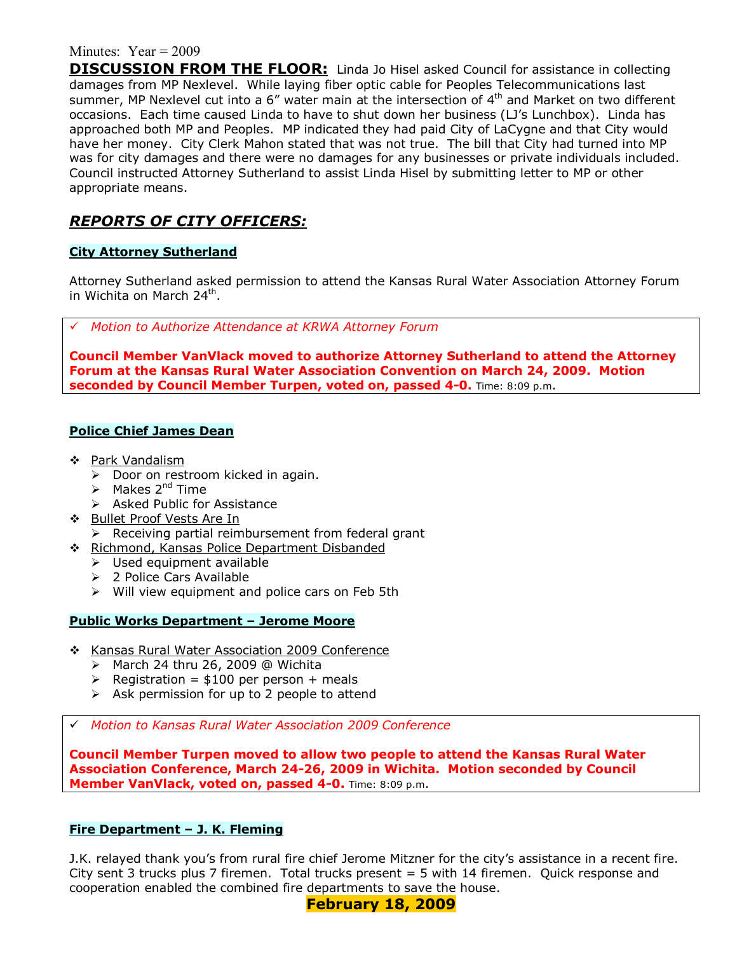**DISCUSSION FROM THE FLOOR:** Linda Jo Hisel asked Council for assistance in collecting damages from MP Nexlevel. While laying fiber optic cable for Peoples Telecommunications last summer, MP Nexlevel cut into a  $6''$  water main at the intersection of  $4<sup>th</sup>$  and Market on two different occasions. Each time caused Linda to have to shut down her business (LJís Lunchbox). Linda has approached both MP and Peoples. MP indicated they had paid City of LaCygne and that City would have her money. City Clerk Mahon stated that was not true. The bill that City had turned into MP was for city damages and there were no damages for any businesses or private individuals included. Council instructed Attorney Sutherland to assist Linda Hisel by submitting letter to MP or other appropriate means.

### *REPORTS OF CITY OFFICERS:*

#### **City Attorney Sutherland**

Attorney Sutherland asked permission to attend the Kansas Rural Water Association Attorney Forum in Wichita on March 24<sup>th</sup>.

# *Motion to Authorize Attendance at KRWA Attorney Forum*

**Council Member VanVlack moved to authorize Attorney Sutherland to attend the Attorney Forum at the Kansas Rural Water Association Convention on March 24, 2009. Motion seconded by Council Member Turpen, voted on, passed 4-0.** Time: 8:09 p.m.

#### **Police Chief James Dean**

- ❖ Park Vandalism
	- $\triangleright$  Door on restroom kicked in again.
	- $\triangleright$  Makes 2<sup>nd</sup> Time
	- > Asked Public for Assistance
- \$ Bullet Proof Vests Are In
- $\triangleright$  Receiving partial reimbursement from federal grant
- \$ Richmond, Kansas Police Department Disbanded
	- $\triangleright$  Used equipment available
	- > 2 Police Cars Available
	- $\triangleright$  Will view equipment and police cars on Feb 5th

#### **Public Works Department - Jerome Moore**

- \$ Kansas Rural Water Association 2009 Conference
	- $\triangleright$  March 24 thru 26, 2009 @ Wichita
	- $\triangleright$  Registration = \$100 per person + meals
	- $\triangleright$  Ask permission for up to 2 people to attend
- # *Motion to Kansas Rural Water Association 2009 Conference*

**Council Member Turpen moved to allow two people to attend the Kansas Rural Water Association Conference, March 24-26, 2009 in Wichita. Motion seconded by Council Member VanVlack, voted on, passed 4-0.** Time: 8:09 p.m.

### **Fire Department - J. K. Fleming**

J.K. relayed thank youís from rural fire chief Jerome Mitzner for the cityís assistance in a recent fire. City sent 3 trucks plus 7 firemen. Total trucks present = 5 with 14 firemen. Quick response and cooperation enabled the combined fire departments to save the house.

**February 18, 2009**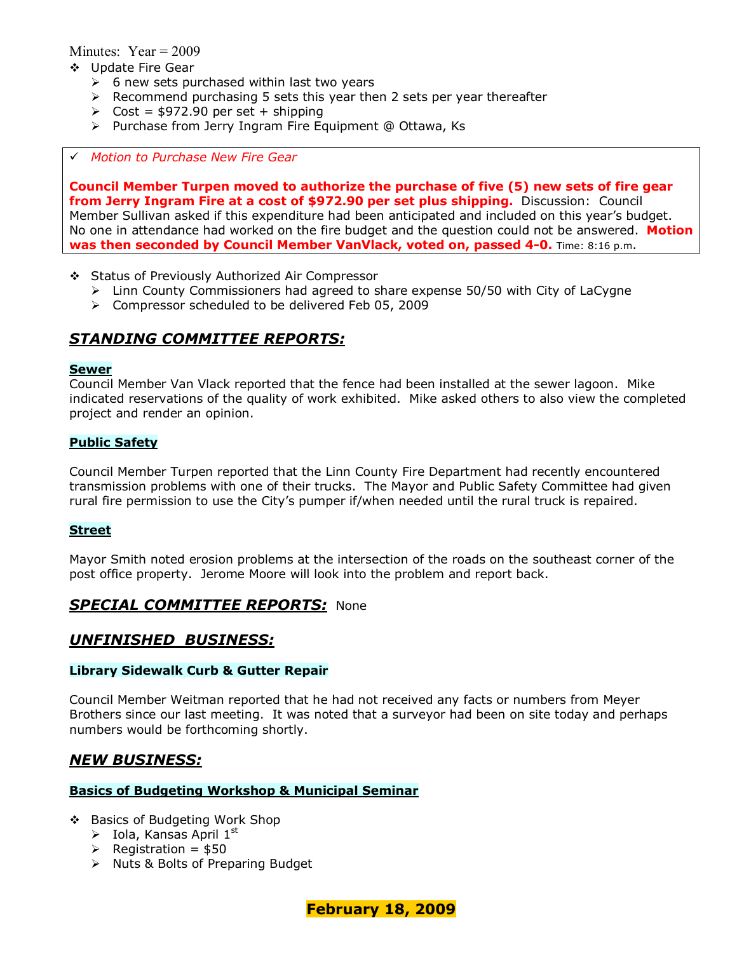- \$ Update Fire Gear
	- $\geq$  6 new sets purchased within last two years
	- $\triangleright$  Recommend purchasing 5 sets this year then 2 sets per year thereafter
	- $\geq$  Cost = \$972.90 per set + shipping
	- > Purchase from Jerry Ingram Fire Equipment @ Ottawa, Ks

#### # *Motion to Purchase New Fire Gear*

**Council Member Turpen moved to authorize the purchase of five (5) new sets of fire gear from Jerry Ingram Fire at a cost of \$972.90 per set plus shipping.** Discussion: Council Member Sullivan asked if this expenditure had been anticipated and included on this yearís budget. No one in attendance had worked on the fire budget and the question could not be answered. **Motion was then seconded by Council Member VanVlack, voted on, passed 4-0.** Time: 8:16 p.m.

- \$ Status of Previously Authorized Air Compressor
	- $\geq$  Linn County Commissioners had agreed to share expense 50/50 with City of LaCygne
	- ! Compressor scheduled to be delivered Feb 05, 2009

### *STANDING COMMITTEE REPORTS:*

#### **Sewer**

Council Member Van Vlack reported that the fence had been installed at the sewer lagoon. Mike indicated reservations of the quality of work exhibited. Mike asked others to also view the completed project and render an opinion.

#### **Public Safety**

Council Member Turpen reported that the Linn County Fire Department had recently encountered transmission problems with one of their trucks. The Mayor and Public Safety Committee had given rural fire permission to use the Cityís pumper if/when needed until the rural truck is repaired.

#### **Street**

Mayor Smith noted erosion problems at the intersection of the roads on the southeast corner of the post office property. Jerome Moore will look into the problem and report back.

### *SPECIAL COMMITTEE REPORTS:* None

### *UNFINISHED BUSINESS:*

#### **Library Sidewalk Curb & Gutter Repair**

Council Member Weitman reported that he had not received any facts or numbers from Meyer Brothers since our last meeting. It was noted that a surveyor had been on site today and perhaps numbers would be forthcoming shortly.

### *NEW BUSINESS:*

#### **Basics of Budgeting Workshop & Municipal Seminar**

- \$ Basics of Budgeting Work Shop
	- $\triangleright$  Iola, Kansas April 1st
	- $\triangleright$  Registration = \$50
	- $\triangleright$  Nuts & Bolts of Preparing Budget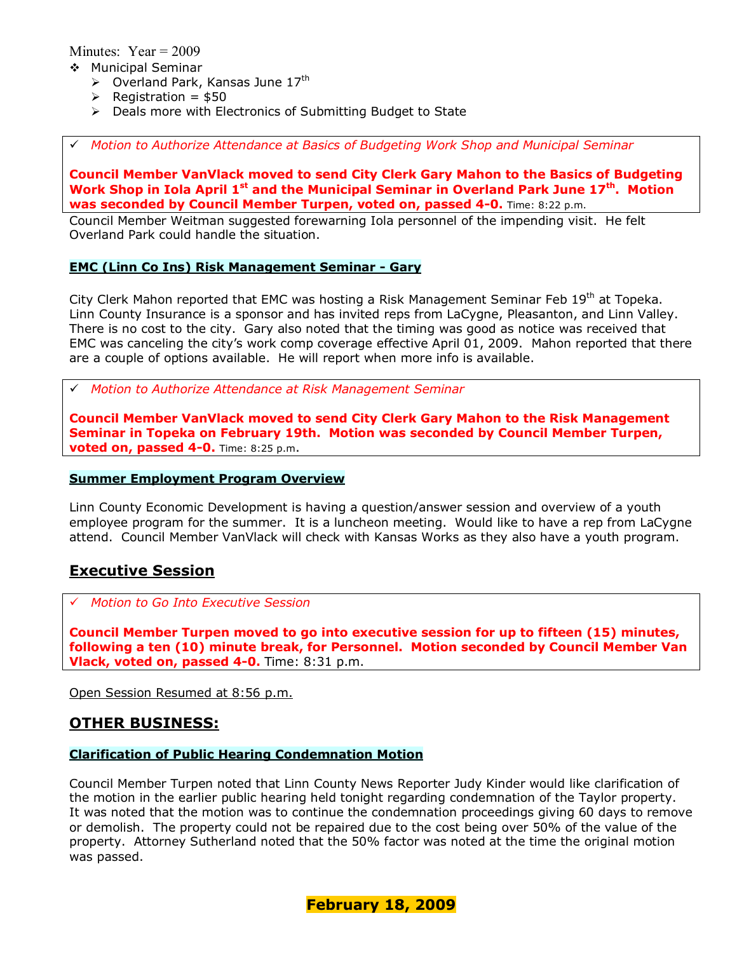- \$ Municipal Seminar
	- $\triangleright$  Overland Park, Kansas June 17<sup>th</sup>
	- $\triangleright$  Registration = \$50
	- $\triangleright$  Deals more with Electronics of Submitting Budget to State

# *Motion to Authorize Attendance at Basics of Budgeting Work Shop and Municipal Seminar* 

**Council Member VanVlack moved to send City Clerk Gary Mahon to the Basics of Budgeting Work Shop in Iola April 1<sup>st</sup> and the Municipal Seminar in Overland Park June 17<sup>th</sup>. Motion was seconded by Council Member Turpen, voted on, passed 4-0.** Time: 8:22 p.m.

Council Member Weitman suggested forewarning Iola personnel of the impending visit. He felt Overland Park could handle the situation.

#### **EMC (Linn Co Ins) Risk Management Seminar - Gary**

City Clerk Mahon reported that EMC was hosting a Risk Management Seminar Feb 19<sup>th</sup> at Topeka. Linn County Insurance is a sponsor and has invited reps from LaCygne, Pleasanton, and Linn Valley. There is no cost to the city. Gary also noted that the timing was good as notice was received that EMC was canceling the city's work comp coverage effective April 01, 2009. Mahon reported that there are a couple of options available. He will report when more info is available.

# *Motion to Authorize Attendance at Risk Management Seminar* 

**Council Member VanVlack moved to send City Clerk Gary Mahon to the Risk Management Seminar in Topeka on February 19th. Motion was seconded by Council Member Turpen, voted on, passed 4-0.** Time: 8:25 p.m.

#### **Summer Employment Program Overview**

Linn County Economic Development is having a question/answer session and overview of a youth employee program for the summer. It is a luncheon meeting. Would like to have a rep from LaCygne attend. Council Member VanVlack will check with Kansas Works as they also have a youth program.

### **Executive Session**

# *Motion to Go Into Executive Session*

**Council Member Turpen moved to go into executive session for up to fifteen (15) minutes, following a ten (10) minute break, for Personnel. Motion seconded by Council Member Van Vlack, voted on, passed 4-0.** Time: 8:31 p.m.

Open Session Resumed at 8:56 p.m.

### **OTHER BUSINESS:**

#### **Clarification of Public Hearing Condemnation Motion**

Council Member Turpen noted that Linn County News Reporter Judy Kinder would like clarification of the motion in the earlier public hearing held tonight regarding condemnation of the Taylor property. It was noted that the motion was to continue the condemnation proceedings giving 60 days to remove or demolish. The property could not be repaired due to the cost being over 50% of the value of the property. Attorney Sutherland noted that the 50% factor was noted at the time the original motion was passed.

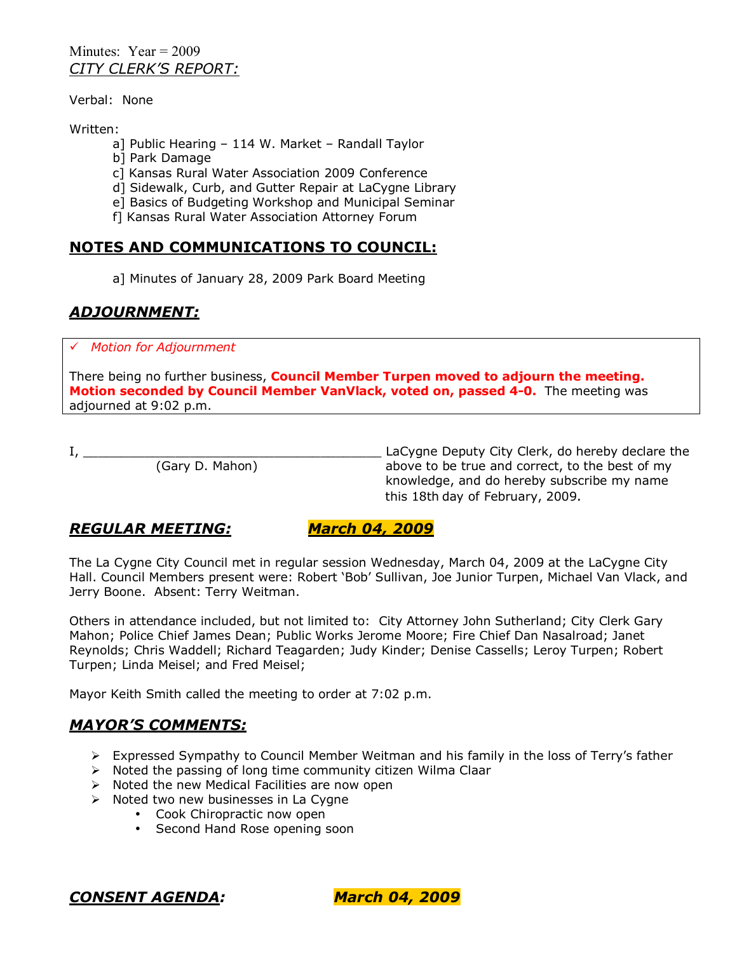Minutes:  $Year = 2009$ *CITY CLERKíS REPORT:*

Verbal: None

Written:

- a] Public Hearing  $-114$  W. Market  $-$  Randall Taylor
- b] Park Damage
- c] Kansas Rural Water Association 2009 Conference
- d] Sidewalk, Curb, and Gutter Repair at LaCygne Library
- e] Basics of Budgeting Workshop and Municipal Seminar
- f] Kansas Rural Water Association Attorney Forum

## **NOTES AND COMMUNICATIONS TO COUNCIL:**

a] Minutes of January 28, 2009 Park Board Meeting

# *ADJOURNMENT:*

# *Motion for Adjournment*

There being no further business, **Council Member Turpen moved to adjourn the meeting. Motion seconded by Council Member VanVlack, voted on, passed 4-0.** The meeting was adjourned at 9:02 p.m.

I, \_\_\_\_\_\_\_\_\_\_\_\_\_\_\_\_\_\_\_\_\_\_\_\_\_\_\_\_\_\_\_\_\_\_\_\_\_\_\_ LaCygne Deputy City Clerk, do hereby declare the above to be true and correct, to the best of my knowledge, and do hereby subscribe my name this 18th day of February, 2009.

# *REGULAR MEETING: March 04, 2009*

The La Cygne City Council met in regular session Wednesday, March 04, 2009 at the LaCygne City Hall. Council Members present were: Robert 'Bob' Sullivan, Joe Junior Turpen, Michael Van Vlack, and Jerry Boone. Absent: Terry Weitman.

Others in attendance included, but not limited to: City Attorney John Sutherland; City Clerk Gary Mahon; Police Chief James Dean; Public Works Jerome Moore; Fire Chief Dan Nasalroad; Janet Reynolds; Chris Waddell; Richard Teagarden; Judy Kinder; Denise Cassells; Leroy Turpen; Robert Turpen; Linda Meisel; and Fred Meisel;

Mayor Keith Smith called the meeting to order at 7:02 p.m.

### *MAYORíS COMMENTS:*

- $\triangleright$  Expressed Sympathy to Council Member Weitman and his family in the loss of Terry's father
- $\triangleright$  Noted the passing of long time community citizen Wilma Claar
- $\triangleright$  Noted the new Medical Facilities are now open
- $\triangleright$  Noted two new businesses in La Cygne
	- Cook Chiropractic now open
	- Second Hand Rose opening soon

*CONSENT AGENDA: March 04, 2009*

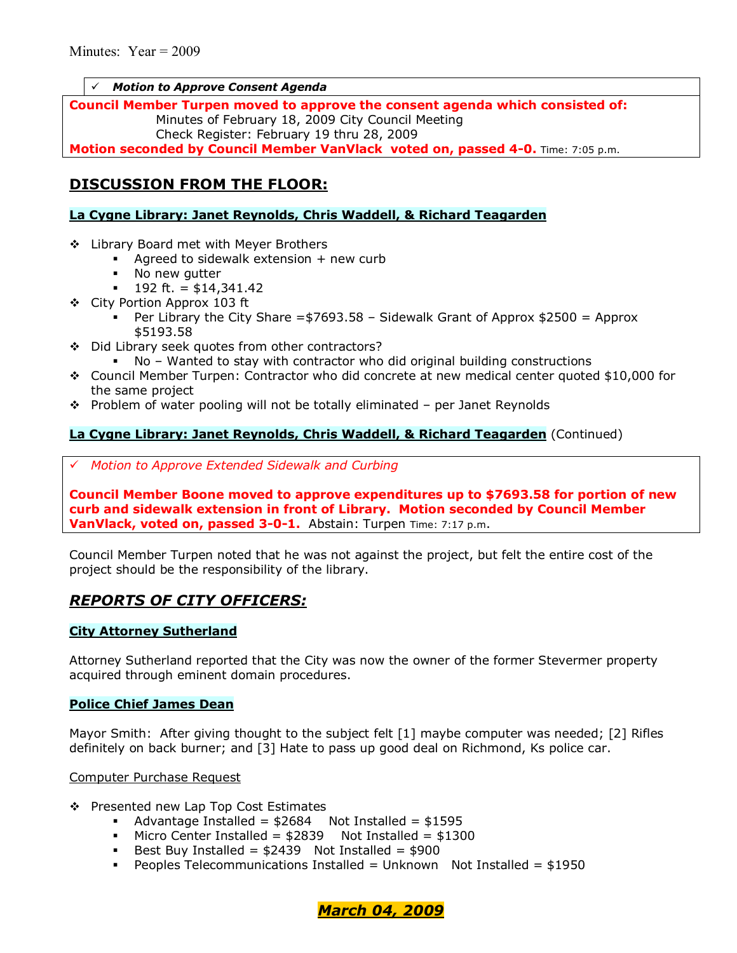#### **Motion to Approve Consent Agenda**

**Council Member Turpen moved to approve the consent agenda which consisted of:**  Minutes of February 18, 2009 City Council Meeting Check Register: February 19 thru 28, 2009 **Motion seconded by Council Member VanVlack voted on, passed 4-0.** Time: 7:05 p.m.

### **DISCUSSION FROM THE FLOOR:**

#### **La Cygne Library: Janet Reynolds, Chris Waddell, & Richard Teagarden**

- ❖ Library Board met with Meyer Brothers
	- $\blacksquare$  Agreed to sidewalk extension  $+$  new curb
	- . No new gutter
	- $\blacksquare$  192 ft. = \$14,341.42
- \$ City Portion Approx 103 ft
	- Per Library the City Share =  $$7693.58$  Sidewalk Grant of Approx  $$2500$  = Approx \$5193.58
- ◆ Did Library seek quotes from other contractors?
	- $No -$  Wanted to stay with contractor who did original building constructions
- \$ Council Member Turpen: Contractor who did concrete at new medical center quoted \$10,000 for the same project
- $\cdot \cdot$  Problem of water pooling will not be totally eliminated per Janet Reynolds

### **La Cygne Library: Janet Reynolds, Chris Waddell, & Richard Teagarden** (Continued)

# *Motion to Approve Extended Sidewalk and Curbing*

**Council Member Boone moved to approve expenditures up to \$7693.58 for portion of new curb and sidewalk extension in front of Library. Motion seconded by Council Member VanVlack, voted on, passed 3-0-1.** Abstain: Turpen Time: 7:17 p.m.

Council Member Turpen noted that he was not against the project, but felt the entire cost of the project should be the responsibility of the library.

### *REPORTS OF CITY OFFICERS:*

### **City Attorney Sutherland**

Attorney Sutherland reported that the City was now the owner of the former Stevermer property acquired through eminent domain procedures.

#### **Police Chief James Dean**

Mayor Smith: After giving thought to the subject felt [1] maybe computer was needed; [2] Rifles definitely on back burner; and [3] Hate to pass up good deal on Richmond, Ks police car.

Computer Purchase Request

- \$ Presented new Lap Top Cost Estimates
	- Advantage Installed =  $$2684$  Not Installed =  $$1595$
	- $\blacksquare$  Micro Center Installed = \$2839 Not Installed = \$1300
	- Best Buy Installed =  $$2439$  Not Installed =  $$900$
	- **•** Peoples Telecommunications Installed = Unknown Not Installed =  $$1950$

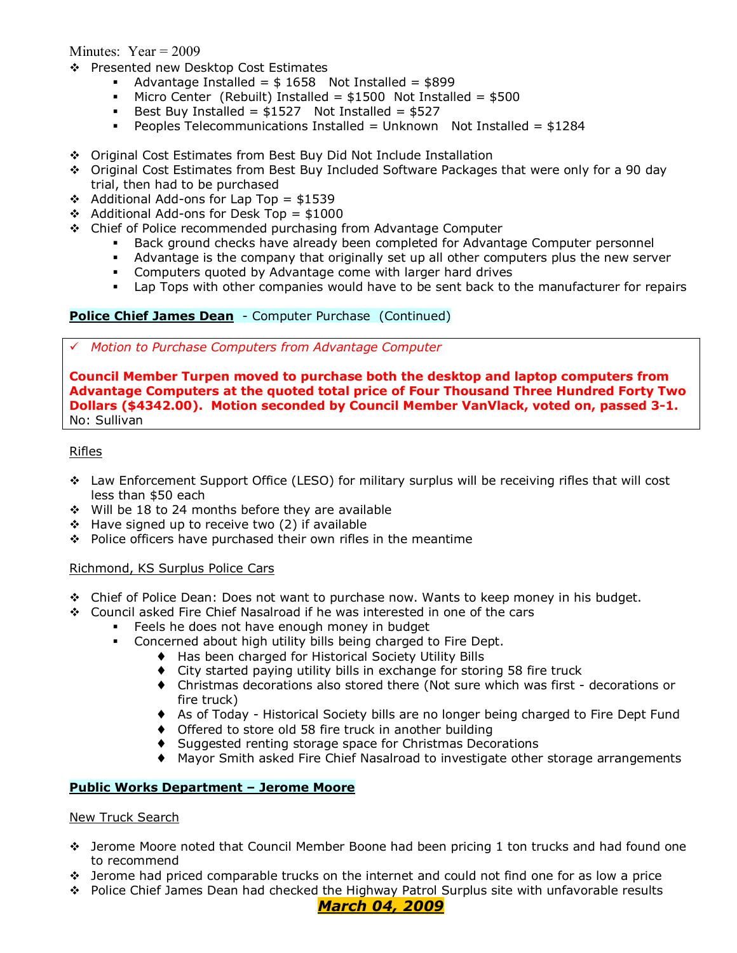- \$ Presented new Desktop Cost Estimates
	- Advantage Installed =  $$1658$  Not Installed =  $$899$
	- $\blacksquare$  Micro Center (Rebuilt) Installed = \$1500 Not Installed = \$500
	- Best Buy Installed =  $$1527$  Not Installed =  $$527$
	- **Peoples Telecommunications Installed = Unknown** Not Installed =  $$1284$
- \$ Original Cost Estimates from Best Buy Did Not Include Installation
- \* Original Cost Estimates from Best Buy Included Software Packages that were only for a 90 day trial, then had to be purchased
- $\div$  Additional Add-ons for Lap Top = \$1539
- $\div$  Additional Add-ons for Desk Top = \$1000
- $\div$  Chief of Police recommended purchasing from Advantage Computer
	- Back ground checks have already been completed for Advantage Computer personnel
	- % Advantage is the company that originally set up all other computers plus the new server
	- **EXECOMPUTER 6 COMPUTER 19 ADVALUATE:** Computers quoted by Advantage come with larger hard drives
	- Lap Tops with other companies would have to be sent back to the manufacturer for repairs

#### **Police Chief James Dean** - Computer Purchase (Continued)

# *Motion to Purchase Computers from Advantage Computer*

**Council Member Turpen moved to purchase both the desktop and laptop computers from Advantage Computers at the quoted total price of Four Thousand Three Hundred Forty Two Dollars (\$4342.00). Motion seconded by Council Member VanVlack, voted on, passed 3-1.** No: Sullivan

#### Rifles

- $\div$  Law Enforcement Support Office (LESO) for military surplus will be receiving rifles that will cost less than \$50 each
- $\div$  Will be 18 to 24 months before they are available
- $\div$  Have signed up to receive two (2) if available
- \* Police officers have purchased their own rifles in the meantime

#### Richmond, KS Surplus Police Cars

- \* Chief of Police Dean: Does not want to purchase now. Wants to keep money in his budget.
- $\div$  Council asked Fire Chief Nasalroad if he was interested in one of the cars
	- Feels he does not have enough money in budget
		- . Concerned about high utility bills being charged to Fire Dept.
			- ♦ Has been charged for Historical Society Utility Bills
			- ♦ City started paying utility bills in exchange for storing 58 fire truck
			- ♦ Christmas decorations also stored there (Not sure which was first decorations or fire truck)
			- ♦ As of Today Historical Society bills are no longer being charged to Fire Dept Fund
			- ♦ Offered to store old 58 fire truck in another building
			- ♦ Suggested renting storage space for Christmas Decorations
			- ♦ Mayor Smith asked Fire Chief Nasalroad to investigate other storage arrangements

#### **Public Works Department - Jerome Moore**

#### New Truck Search

- \* Jerome Moore noted that Council Member Boone had been pricing 1 ton trucks and had found one to recommend
- $\cdot \cdot$  Jerome had priced comparable trucks on the internet and could not find one for as low a price
- \* Police Chief James Dean had checked the Highway Patrol Surplus site with unfavorable results

#### *March 04, 2009*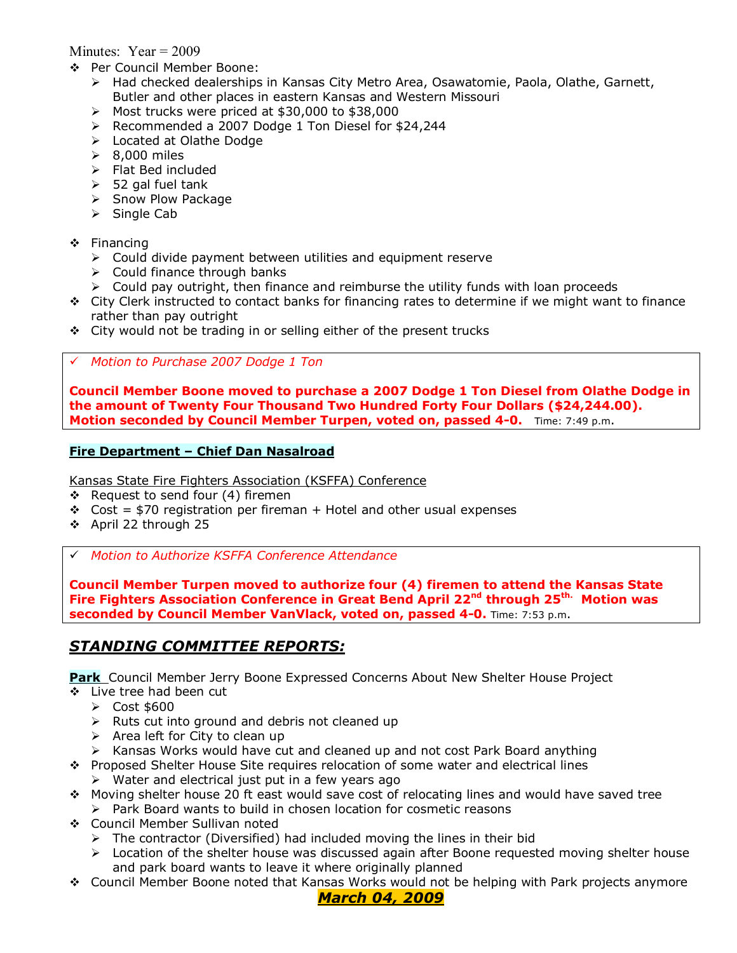- \$ Per Council Member Boone:
	- $\triangleright$  Had checked dealerships in Kansas City Metro Area, Osawatomie, Paola, Olathe, Garnett, Butler and other places in eastern Kansas and Western Missouri
	- $\triangleright$  Most trucks were priced at \$30,000 to \$38,000
	- > Recommended a 2007 Dodge 1 Ton Diesel for \$24,244
	- > Located at Olathe Dodge
	- $\geq$  8,000 miles
	- > Flat Bed included
	- $>$  52 gal fuel tank
	- > Snow Plow Package
	- $\triangleright$  Single Cab
- \$ Financing
	- $\triangleright$  Could divide payment between utilities and equipment reserve
	- $\triangleright$  Could finance through banks
	- $\triangleright$  Could pay outright, then finance and reimburse the utility funds with loan proceeds
- $\div$  City Clerk instructed to contact banks for financing rates to determine if we might want to finance rather than pay outright
- \* City would not be trading in or selling either of the present trucks

#### # *Motion to Purchase 2007 Dodge 1 Ton*

**Council Member Boone moved to purchase a 2007 Dodge 1 Ton Diesel from Olathe Dodge in the amount of Twenty Four Thousand Two Hundred Forty Four Dollars (\$24,244.00). Motion seconded by Council Member Turpen, voted on, passed 4-0.** Time: 7:49 p.m.

#### **Fire Department - Chief Dan Nasalroad**

Kansas State Fire Fighters Association (KSFFA) Conference

- \$ Request to send four (4) firemen
- $\div$  Cost = \$70 registration per fireman + Hotel and other usual expenses
- \$ April 22 through 25
- # *Motion to Authorize KSFFA Conference Attendance*

**Council Member Turpen moved to authorize four (4) firemen to attend the Kansas State Fire Fighters Association Conference in Great Bend April 22nd through 25th. Motion was seconded by Council Member VanVlack, voted on, passed 4-0.** Time: 7:53 p.m.

### *STANDING COMMITTEE REPORTS:*

**Park** Council Member Jerry Boone Expressed Concerns About New Shelter House Project

- \$ Live tree had been cut
	- **▶ Cost \$600**
	- $\triangleright$  Ruts cut into ground and debris not cleaned up
	- $\triangleright$  Area left for City to clean up
	- $\triangleright$  Kansas Works would have cut and cleaned up and not cost Park Board anything
- $\div$  Proposed Shelter House Site requires relocation of some water and electrical lines
	- $\triangleright$  Water and electrical just put in a few years ago
- $\div$  Moving shelter house 20 ft east would save cost of relocating lines and would have saved tree  $\triangleright$  Park Board wants to build in chosen location for cosmetic reasons
- \$ Council Member Sullivan noted
	- $\triangleright$  The contractor (Diversified) had included moving the lines in their bid
	- $\triangleright$  Location of the shelter house was discussed again after Boone requested moving shelter house and park board wants to leave it where originally planned
- \$ Council Member Boone noted that Kansas Works would not be helping with Park projects anymore

### *March 04, 2009*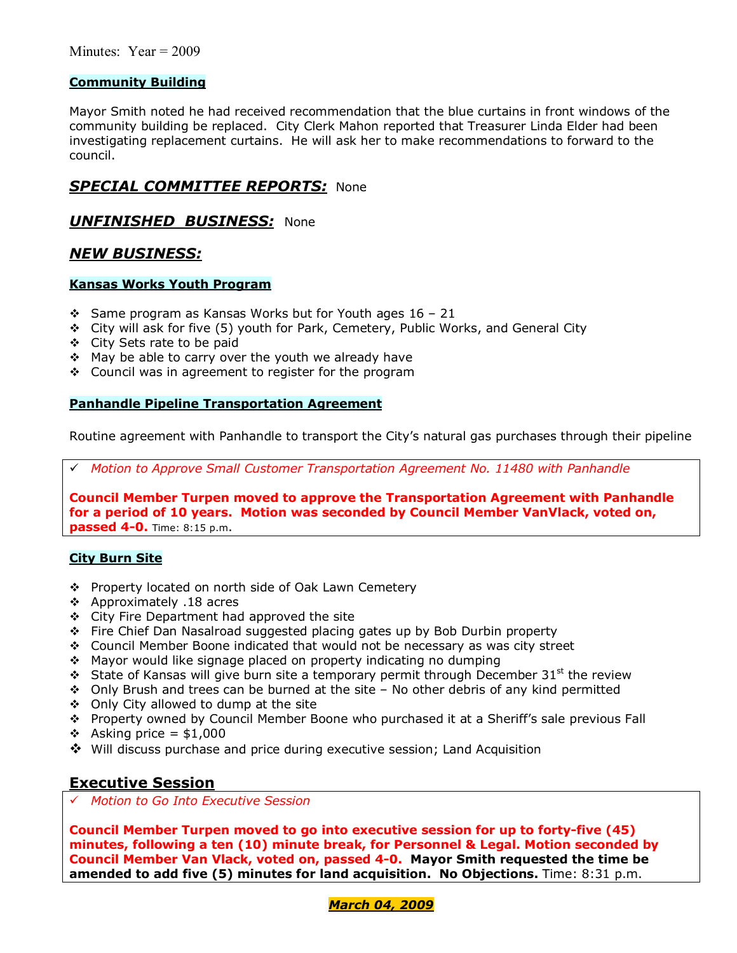### **Community Building**

Mayor Smith noted he had received recommendation that the blue curtains in front windows of the community building be replaced. City Clerk Mahon reported that Treasurer Linda Elder had been investigating replacement curtains. He will ask her to make recommendations to forward to the council.

### *SPECIAL COMMITTEE REPORTS:* None

### *UNFINISHED BUSINESS:* None

### *NEW BUSINESS:*

#### **Kansas Works Youth Program**

- $\div$  Same program as Kansas Works but for Youth ages 16 21
- $\div$  City will ask for five (5) youth for Park, Cemetery, Public Works, and General City
- \$ City Sets rate to be paid
- ❖ May be able to carry over the youth we already have
- ❖ Council was in agreement to register for the program

#### **Panhandle Pipeline Transportation Agreement**

Routine agreement with Panhandle to transport the Cityís natural gas purchases through their pipeline

# *Motion to Approve Small Customer Transportation Agreement No. 11480 with Panhandle* 

**Council Member Turpen moved to approve the Transportation Agreement with Panhandle for a period of 10 years. Motion was seconded by Council Member VanVlack, voted on, passed 4-0.** Time: 8:15 p.m.

#### **City Burn Site**

- \$ Property located on north side of Oak Lawn Cemetery
- $\div$  Approximately .18 acres
- \$ City Fire Department had approved the site
- \* Fire Chief Dan Nasalroad suggested placing gates up by Bob Durbin property
- \$ Council Member Boone indicated that would not be necessary as was city street
- \$ Mayor would like signage placed on property indicating no dumping
- $\cdot$  State of Kansas will give burn site a temporary permit through December 31<sup>st</sup> the review
- $\div$  Only Brush and trees can be burned at the site  $-$  No other debris of any kind permitted
- ◆ Only City allowed to dump at the site
- \* Property owned by Council Member Boone who purchased it at a Sheriff's sale previous Fall
- $\div$  Asking price = \$1,000
- \$ Will discuss purchase and price during executive session; Land Acquisition

### **Executive Session**

# *Motion to Go Into Executive Session*

**Council Member Turpen moved to go into executive session for up to forty-five (45) minutes, following a ten (10) minute break, for Personnel & Legal. Motion seconded by Council Member Van Vlack, voted on, passed 4-0. Mayor Smith requested the time be amended to add five (5) minutes for land acquisition. No Objections.** Time: 8:31 p.m.

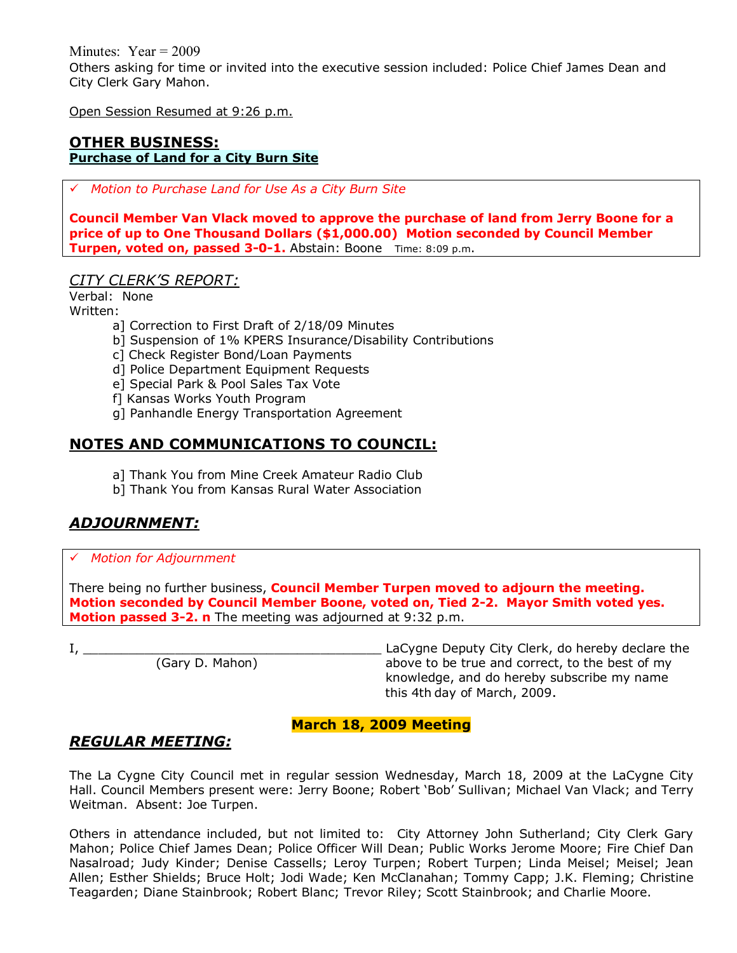Minutes: Year = 2009 Others asking for time or invited into the executive session included: Police Chief James Dean and City Clerk Gary Mahon.

Open Session Resumed at 9:26 p.m.

#### **OTHER BUSINESS: Purchase of Land for a City Burn Site**

# *Motion to Purchase Land for Use As a City Burn Site*

**Council Member Van Vlack moved to approve the purchase of land from Jerry Boone for a price of up to One Thousand Dollars (\$1,000.00) Motion seconded by Council Member Turpen, voted on, passed 3-0-1.** Abstain: Boone Time: 8:09 p.m.

*CITY CLERKíS REPORT:*

Verbal: None Written:

- a] Correction to First Draft of 2/18/09 Minutes
- b] Suspension of 1% KPERS Insurance/Disability Contributions
- c] Check Register Bond/Loan Payments
- d] Police Department Equipment Requests
- e] Special Park & Pool Sales Tax Vote
- f] Kansas Works Youth Program
- g] Panhandle Energy Transportation Agreement

### **NOTES AND COMMUNICATIONS TO COUNCIL:**

- a] Thank You from Mine Creek Amateur Radio Club
- b] Thank You from Kansas Rural Water Association

# *ADJOURNMENT:*

#### # *Motion for Adjournment*

There being no further business, **Council Member Turpen moved to adjourn the meeting. Motion seconded by Council Member Boone, voted on, Tied 2-2. Mayor Smith voted yes. Motion passed 3-2. n** The meeting was adjourned at 9:32 p.m.

I, \_\_\_\_\_\_\_\_\_\_\_\_\_\_\_\_\_\_\_\_\_\_\_\_\_\_\_\_\_\_\_\_\_\_\_\_\_\_\_ LaCygne Deputy City Clerk, do hereby declare the (Gary D. Mahon) above to be true and correct, to the best of my knowledge, and do hereby subscribe my name this 4th day of March, 2009.

### **March 18, 2009 Meeting**

### *REGULAR MEETING:*

The La Cygne City Council met in regular session Wednesday, March 18, 2009 at the LaCygne City Hall. Council Members present were: Jerry Boone; Robert 'Bob' Sullivan; Michael Van Vlack; and Terry Weitman. Absent: Joe Turpen.

Others in attendance included, but not limited to: City Attorney John Sutherland; City Clerk Gary Mahon; Police Chief James Dean; Police Officer Will Dean; Public Works Jerome Moore; Fire Chief Dan Nasalroad; Judy Kinder; Denise Cassells; Leroy Turpen; Robert Turpen; Linda Meisel; Meisel; Jean Allen; Esther Shields; Bruce Holt; Jodi Wade; Ken McClanahan; Tommy Capp; J.K. Fleming; Christine Teagarden; Diane Stainbrook; Robert Blanc; Trevor Riley; Scott Stainbrook; and Charlie Moore.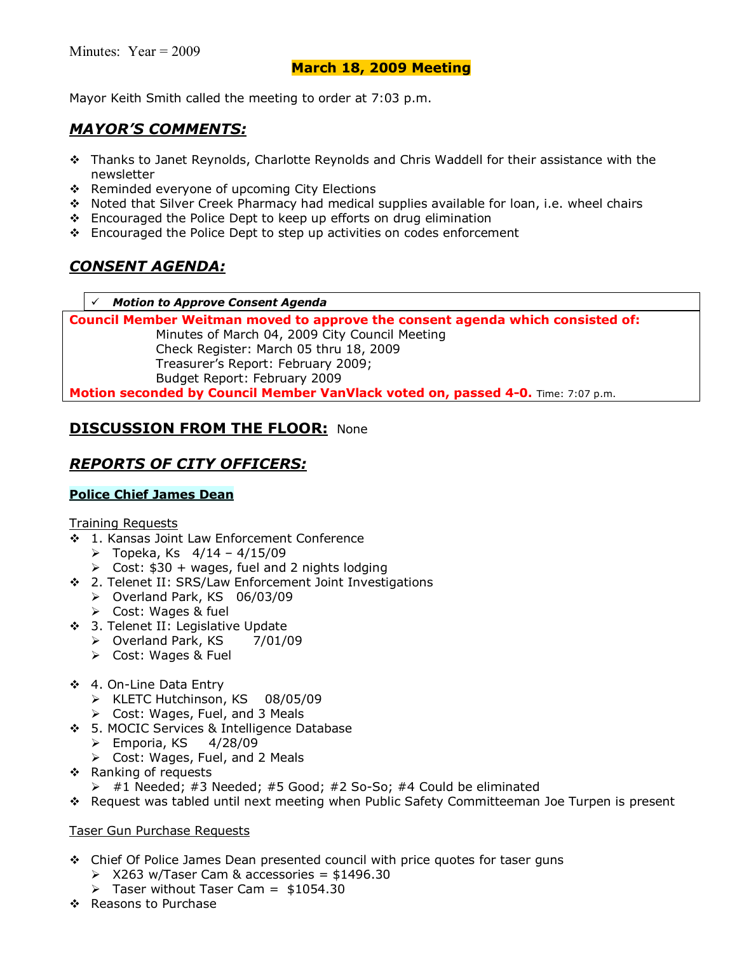Mayor Keith Smith called the meeting to order at 7:03 p.m.

### *MAYORíS COMMENTS:*

- \$ Thanks to Janet Reynolds, Charlotte Reynolds and Chris Waddell for their assistance with the newsletter
- \* Reminded everyone of upcoming City Elections
- \$ Noted that Silver Creek Pharmacy had medical supplies available for loan, i.e. wheel chairs
- $\div$  Encouraged the Police Dept to keep up efforts on drug elimination
- \$ Encouraged the Police Dept to step up activities on codes enforcement

# *CONSENT AGENDA:*

#### # *Motion to Approve Consent Agenda*

**Council Member Weitman moved to approve the consent agenda which consisted of:** 

 Minutes of March 04, 2009 City Council Meeting Check Register: March 05 thru 18, 2009 Treasurerís Report: February 2009; Budget Report: February 2009

**Motion seconded by Council Member VanVlack voted on, passed 4-0.** Time: 7:07 p.m.

## **DISCUSSION FROM THE FLOOR: None**

## *REPORTS OF CITY OFFICERS:*

### **Police Chief James Dean**

#### Training Requests

- ◆ 1. Kansas Joint Law Enforcement Conference
	- $\triangleright$  Topeka, Ks  $4/14 4/15/09$
	- $\triangleright$  Cost: \$30 + wages, fuel and 2 nights lodging
- \$ 2. Telenet II: SRS/Law Enforcement Joint Investigations
	- > Overland Park, KS 06/03/09
	- $\triangleright$  Cost: Wages & fuel
- ◆ 3. Telenet II: Legislative Update
	- > Overland Park, KS 7/01/09
	- $\triangleright$  Cost: Wages & Fuel
- \$ 4. On-Line Data Entry
	- > KLETC Hutchinson, KS 08/05/09
	- $\triangleright$  Cost: Wages, Fuel, and 3 Meals
- \$ 5. MOCIC Services & Intelligence Database
	- $\triangleright$  Emporia, KS 4/28/09
	- $\triangleright$  Cost: Wages, Fuel, and 2 Meals
- \$ Ranking of requests
	- $\triangleright$  #1 Needed; #3 Needed; #5 Good; #2 So-So; #4 Could be eliminated
- \$ Request was tabled until next meeting when Public Safety Committeeman Joe Turpen is present

### Taser Gun Purchase Requests

- \$ Chief Of Police James Dean presented council with price quotes for taser guns
	- $\geqslant$  X263 w/Taser Cam & accessories = \$1496.30
	- $\geq$  Taser without Taser Cam = \$1054.30
- ❖ Reasons to Purchase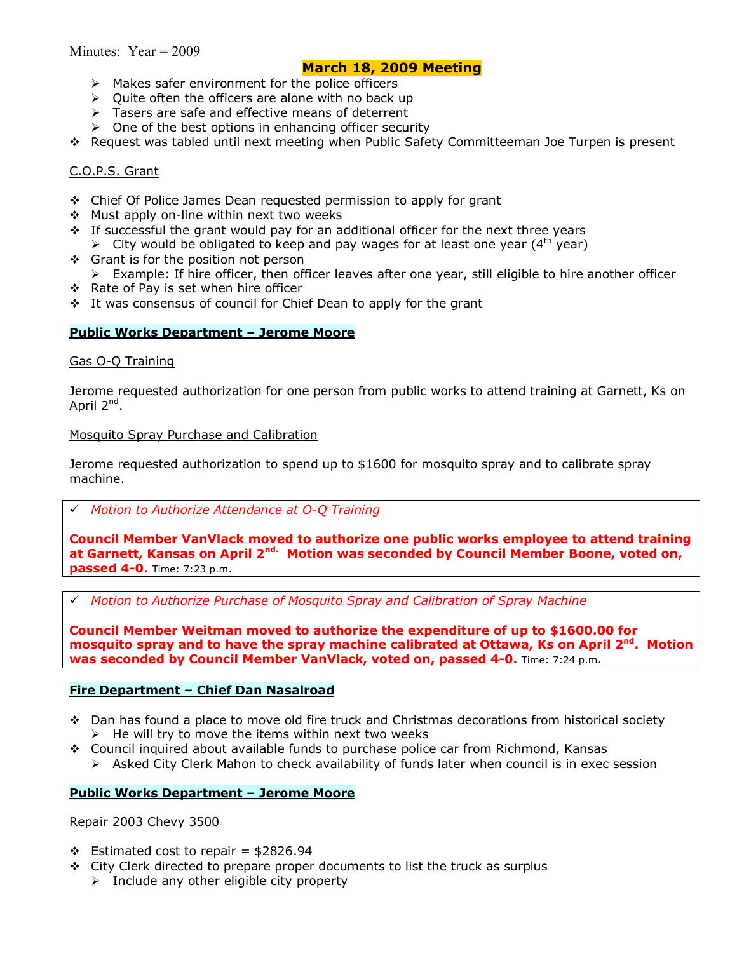- $\triangleright$  Makes safer environment for the police officers
- $\triangleright$  Ouite often the officers are alone with no back up
- $\triangleright$  Tasers are safe and effective means of deterrent
- $\triangleright$  One of the best options in enhancing officer security
- \$ Request was tabled until next meeting when Public Safety Committeeman Joe Turpen is present

#### C.O.P.S. Grant

- $\div$  Chief Of Police James Dean requested permission to apply for grant
- ❖ Must apply on-line within next two weeks
- $\cdot$  If successful the grant would pay for an additional officer for the next three years
	- $\triangleright$  City would be obligated to keep and pay wages for at least one year (4<sup>th</sup> year)
- ❖ Grant is for the position not person
- $\triangleright$  Example: If hire officer, then officer leaves after one year, still eligible to hire another officer
- \$ Rate of Pay is set when hire officer
- $\div$  It was consensus of council for Chief Dean to apply for the grant

#### **Public Works Department - Jerome Moore**

#### Gas O-Q Training

Jerome requested authorization for one person from public works to attend training at Garnett, Ks on April 2<sup>nd</sup>.

#### Mosquito Spray Purchase and Calibration

Jerome requested authorization to spend up to \$1600 for mosquito spray and to calibrate spray machine.

#### # *Motion to Authorize Attendance at O-Q Training*

**Council Member VanVlack moved to authorize one public works employee to attend training at Garnett, Kansas on April 2nd. Motion was seconded by Council Member Boone, voted on, passed 4-0.** Time: 7:23 p.m.

# *Motion to Authorize Purchase of Mosquito Spray and Calibration of Spray Machine*

**Council Member Weitman moved to authorize the expenditure of up to \$1600.00 for mosquito spray and to have the spray machine calibrated at Ottawa, Ks on April 2nd. Motion was seconded by Council Member VanVlack, voted on, passed 4-0.** Time: 7:24 p.m.

#### **Fire Department - Chief Dan Nasalroad**

- $\div$  Dan has found a place to move old fire truck and Christmas decorations from historical society  $\triangleright$  He will try to move the items within next two weeks
- \$ Council inquired about available funds to purchase police car from Richmond, Kansas
	- $\triangleright$  Asked City Clerk Mahon to check availability of funds later when council is in exec session

#### **Public Works Department - Jerome Moore**

#### Repair 2003 Chevy 3500

- $\div$  Estimated cost to repair = \$2826.94
- $\div$  City Clerk directed to prepare proper documents to list the truck as surplus
	- $\triangleright$  Include any other eligible city property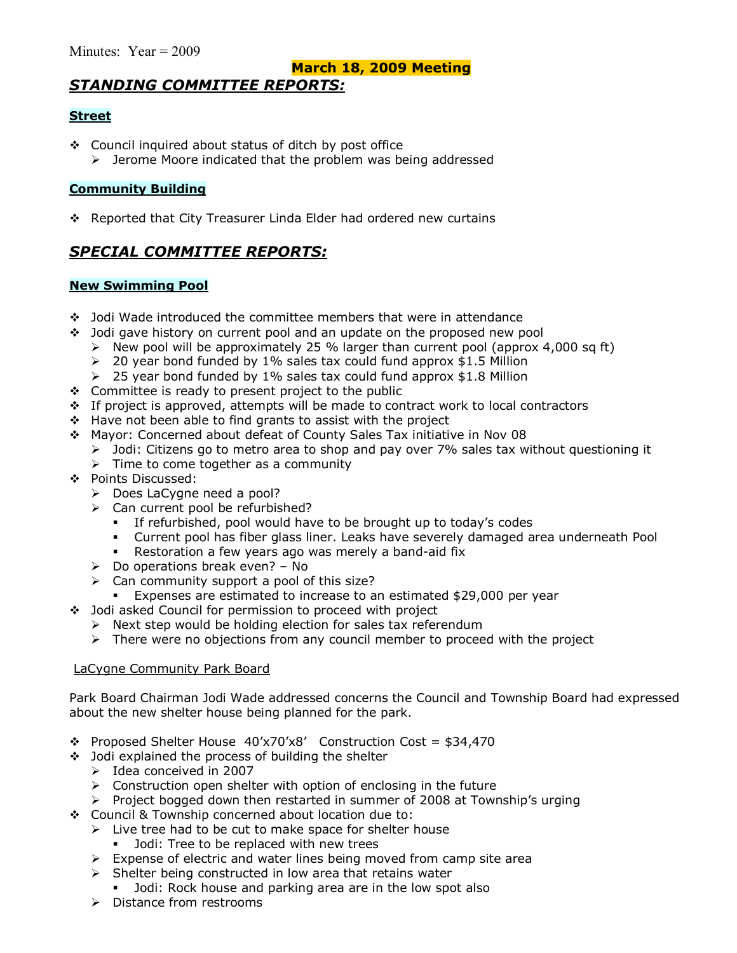# *STANDING COMMITTEE REPORTS:*

### **Street**

- \$ Council inquired about status of ditch by post office
	- $\triangleright$  Jerome Moore indicated that the problem was being addressed

### **Community Building**

❖ Reported that City Treasurer Linda Elder had ordered new curtains

# *SPECIAL COMMITTEE REPORTS:*

### **New Swimming Pool**

- \$ Jodi Wade introduced the committee members that were in attendance
- $\div$  Jodi gave history on current pool and an update on the proposed new pool
	- $\triangleright$  New pool will be approximately 25 % larger than current pool (approx 4,000 sq ft)
	- $\geq$  20 year bond funded by 1% sales tax could fund approx \$1.5 Million
	- $\geq$  25 year bond funded by 1% sales tax could fund approx \$1.8 Million
- $\div$  Committee is ready to present project to the public
- $\cdot$  If project is approved, attempts will be made to contract work to local contractors
- $\div$  Have not been able to find grants to assist with the project
- \$ Mayor: Concerned about defeat of County Sales Tax initiative in Nov 08
	- > Jodi: Citizens go to metro area to shop and pay over 7% sales tax without questioning it
	- $\triangleright$  Time to come together as a community
- \$ Points Discussed:
	- > Does LaCygne need a pool?
	- $\triangleright$  Can current pool be refurbished?
		- If refurbished, pool would have to be brought up to today's codes
		- % Current pool has fiber glass liner. Leaks have severely damaged area underneath Pool
		- Restoration a few years ago was merely a band-aid fix
	- $\triangleright$  Do operations break even? No
	- $\triangleright$  Can community support a pool of this size?
	- Expenses are estimated to increase to an estimated \$29,000 per year
- \$ Jodi asked Council for permission to proceed with project
	- $\triangleright$  Next step would be holding election for sales tax referendum
	- $\triangleright$  There were no objections from any council member to proceed with the project

### LaCygne Community Park Board

Park Board Chairman Jodi Wade addressed concerns the Council and Township Board had expressed about the new shelter house being planned for the park.

- $\cdot$  Proposed Shelter House 40'x70'x8' Construction Cost = \$34,470
- $\div$  Jodi explained the process of building the shelter
	- $\triangleright$  Idea conceived in 2007
	- $\triangleright$  Construction open shelter with option of enclosing in the future
	- $\triangleright$  Project bogged down then restarted in summer of 2008 at Township's urging
- \$ Council & Township concerned about location due to:
	- $\triangleright$  Live tree had to be cut to make space for shelter house
		- **Jodi: Tree to be replaced with new trees**
	- $\triangleright$  Expense of electric and water lines being moved from camp site area
	- $\triangleright$  Shelter being constructed in low area that retains water
		- Jodi: Rock house and parking area are in the low spot also
	- $\triangleright$  Distance from restrooms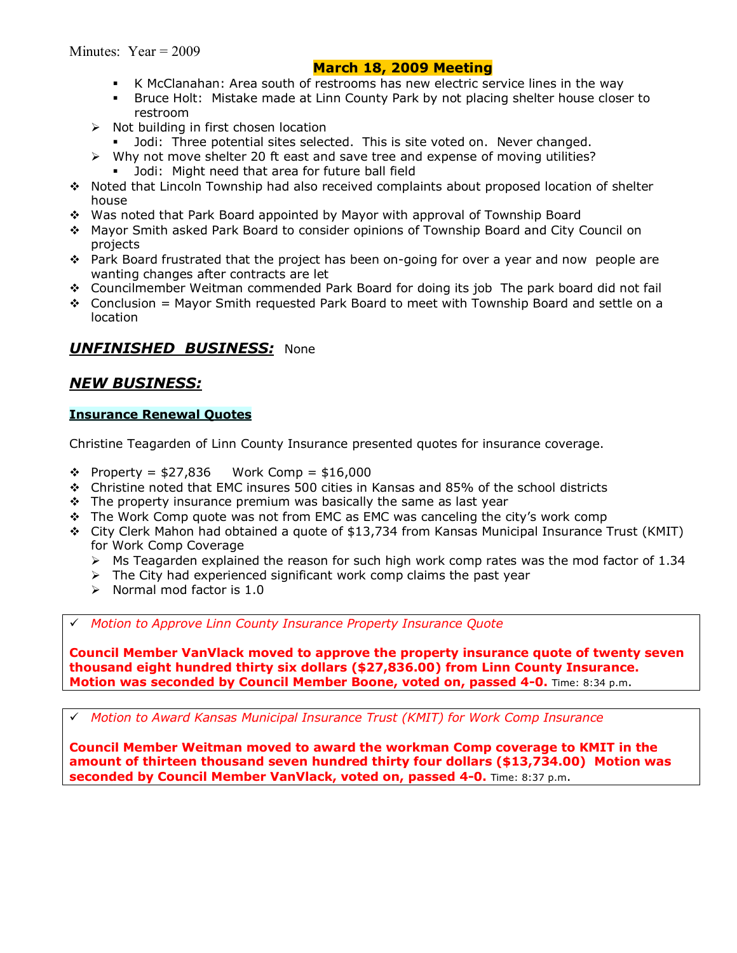- % K McClanahan: Area south of restrooms has new electric service lines in the way
- % Bruce Holt: Mistake made at Linn County Park by not placing shelter house closer to restroom
- $\triangleright$  Not building in first chosen location
	- Jodi: Three potential sites selected. This is site voted on. Never changed.
- $\triangleright$  Why not move shelter 20 ft east and save tree and expense of moving utilities?
	- Jodi: Might need that area for future ball field
- \$ Noted that Lincoln Township had also received complaints about proposed location of shelter house
- \* Was noted that Park Board appointed by Mayor with approval of Township Board
- \$ Mayor Smith asked Park Board to consider opinions of Township Board and City Council on projects
- \* Park Board frustrated that the project has been on-going for over a year and now people are wanting changes after contracts are let
- \$ Councilmember Weitman commended Park Board for doing its job The park board did not fail
- $\div$  Conclusion = Mayor Smith requested Park Board to meet with Township Board and settle on a location

### *UNFINISHED BUSINESS:* None

### *NEW BUSINESS:*

#### **Insurance Renewal Quotes**

Christine Teagarden of Linn County Insurance presented quotes for insurance coverage.

- $\div$  Property = \$27,836 Work Comp = \$16,000
- $\div$  Christine noted that EMC insures 500 cities in Kansas and 85% of the school districts
- $\div$  The property insurance premium was basically the same as last year
- \* The Work Comp quote was not from EMC as EMC was canceling the city's work comp
- \$ City Clerk Mahon had obtained a quote of \$13,734 from Kansas Municipal Insurance Trust (KMIT) for Work Comp Coverage
	- $\triangleright$  Ms Teagarden explained the reason for such high work comp rates was the mod factor of 1.34
	- $\triangleright$  The City had experienced significant work comp claims the past year
	- $\triangleright$  Normal mod factor is 1.0

# *Motion to Approve Linn County Insurance Property Insurance Quote* 

**Council Member VanVlack moved to approve the property insurance quote of twenty seven thousand eight hundred thirty six dollars (\$27,836.00) from Linn County Insurance. Motion was seconded by Council Member Boone, voted on, passed 4-0.** Time: 8:34 p.m.

# *Motion to Award Kansas Municipal Insurance Trust (KMIT) for Work Comp Insurance* 

**Council Member Weitman moved to award the workman Comp coverage to KMIT in the amount of thirteen thousand seven hundred thirty four dollars (\$13,734.00) Motion was seconded by Council Member VanVlack, voted on, passed 4-0.** Time: 8:37 p.m.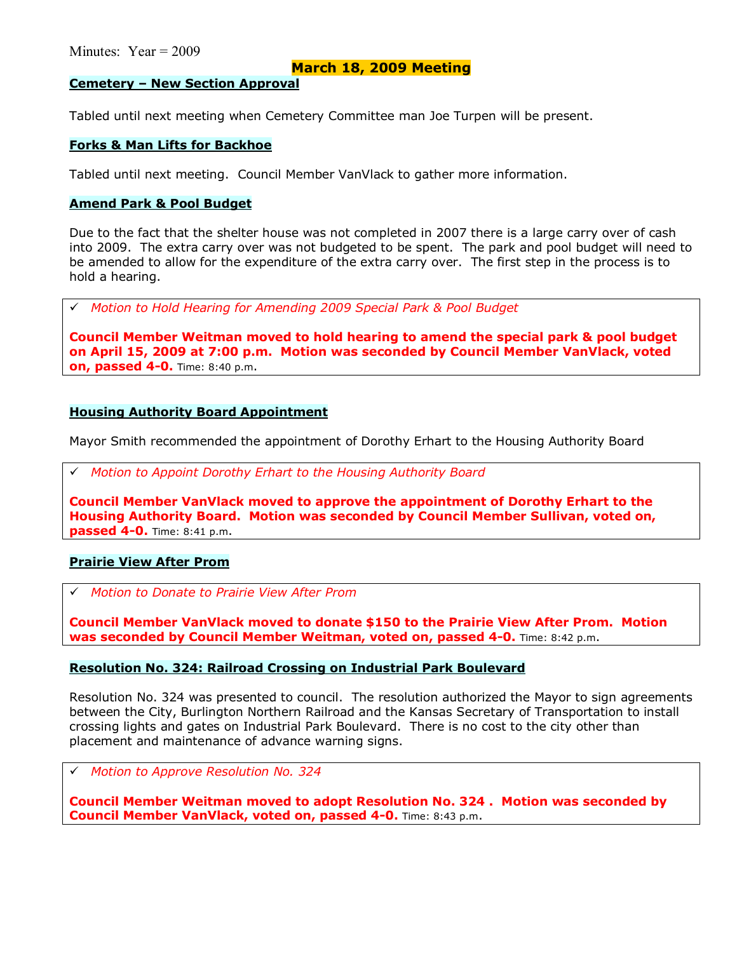#### **Cemetery - New Section Approval**

Tabled until next meeting when Cemetery Committee man Joe Turpen will be present.

#### **Forks & Man Lifts for Backhoe**

Tabled until next meeting. Council Member VanVlack to gather more information.

#### **Amend Park & Pool Budget**

Due to the fact that the shelter house was not completed in 2007 there is a large carry over of cash into 2009. The extra carry over was not budgeted to be spent. The park and pool budget will need to be amended to allow for the expenditure of the extra carry over. The first step in the process is to hold a hearing.

# *Motion to Hold Hearing for Amending 2009 Special Park & Pool Budget* 

**Council Member Weitman moved to hold hearing to amend the special park & pool budget on April 15, 2009 at 7:00 p.m. Motion was seconded by Council Member VanVlack, voted on, passed 4-0.** Time: 8:40 p.m.

#### **Housing Authority Board Appointment**

Mayor Smith recommended the appointment of Dorothy Erhart to the Housing Authority Board

# *Motion to Appoint Dorothy Erhart to the Housing Authority Board* 

**Council Member VanVlack moved to approve the appointment of Dorothy Erhart to the Housing Authority Board. Motion was seconded by Council Member Sullivan, voted on, passed 4-0.** Time: 8:41 p.m.

#### **Prairie View After Prom**

# *Motion to Donate to Prairie View After Prom* 

**Council Member VanVlack moved to donate \$150 to the Prairie View After Prom. Motion was seconded by Council Member Weitman, voted on, passed 4-0.** Time: 8:42 p.m.

#### **Resolution No. 324: Railroad Crossing on Industrial Park Boulevard**

Resolution No. 324 was presented to council. The resolution authorized the Mayor to sign agreements between the City, Burlington Northern Railroad and the Kansas Secretary of Transportation to install crossing lights and gates on Industrial Park Boulevard. There is no cost to the city other than placement and maintenance of advance warning signs.

# *Motion to Approve Resolution No. 324* 

**Council Member Weitman moved to adopt Resolution No. 324 . Motion was seconded by Council Member VanVlack, voted on, passed 4-0.** Time: 8:43 p.m.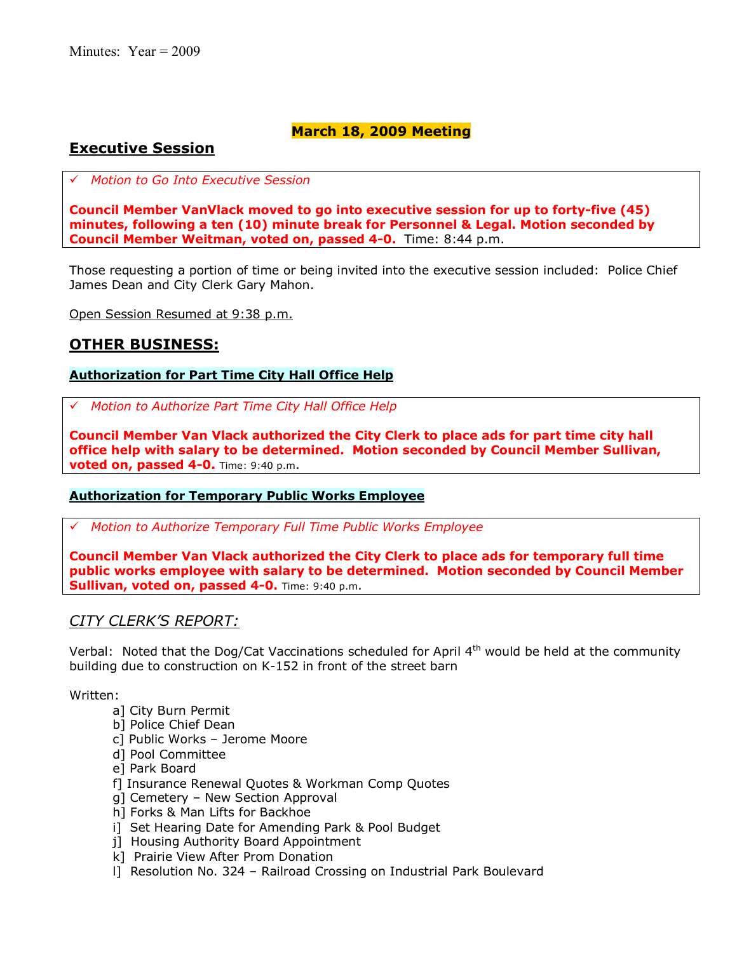### **Executive Session**

# *Motion to Go Into Executive Session*

**Council Member VanVlack moved to go into executive session for up to forty-five (45) minutes, following a ten (10) minute break for Personnel & Legal. Motion seconded by Council Member Weitman, voted on, passed 4-0.** Time: 8:44 p.m.

Those requesting a portion of time or being invited into the executive session included: Police Chief James Dean and City Clerk Gary Mahon.

Open Session Resumed at 9:38 p.m.

### **OTHER BUSINESS:**

### **Authorization for Part Time City Hall Office Help**

# *Motion to Authorize Part Time City Hall Office Help*

**Council Member Van Vlack authorized the City Clerk to place ads for part time city hall office help with salary to be determined. Motion seconded by Council Member Sullivan, voted on, passed 4-0.** Time: 9:40 p.m.

### **Authorization for Temporary Public Works Employee**

# *Motion to Authorize Temporary Full Time Public Works Employee*

**Council Member Van Vlack authorized the City Clerk to place ads for temporary full time public works employee with salary to be determined. Motion seconded by Council Member Sullivan, voted on, passed 4-0.** Time: 9:40 p.m.

### *CITY CLERKíS REPORT:*

Verbal: Noted that the Dog/Cat Vaccinations scheduled for April  $4<sup>th</sup>$  would be held at the community building due to construction on K-152 in front of the street barn

Written:

- a] City Burn Permit
- b] Police Chief Dean
- c] Public Works Jerome Moore
- d] Pool Committee
- e] Park Board
- f] Insurance Renewal Quotes & Workman Comp Quotes
- g] Cemetery New Section Approval
- h] Forks & Man Lifts for Backhoe
- i] Set Hearing Date for Amending Park & Pool Budget
- j] Housing Authority Board Appointment
- k] Prairie View After Prom Donation
- l] Resolution No. 324 Railroad Crossing on Industrial Park Boulevard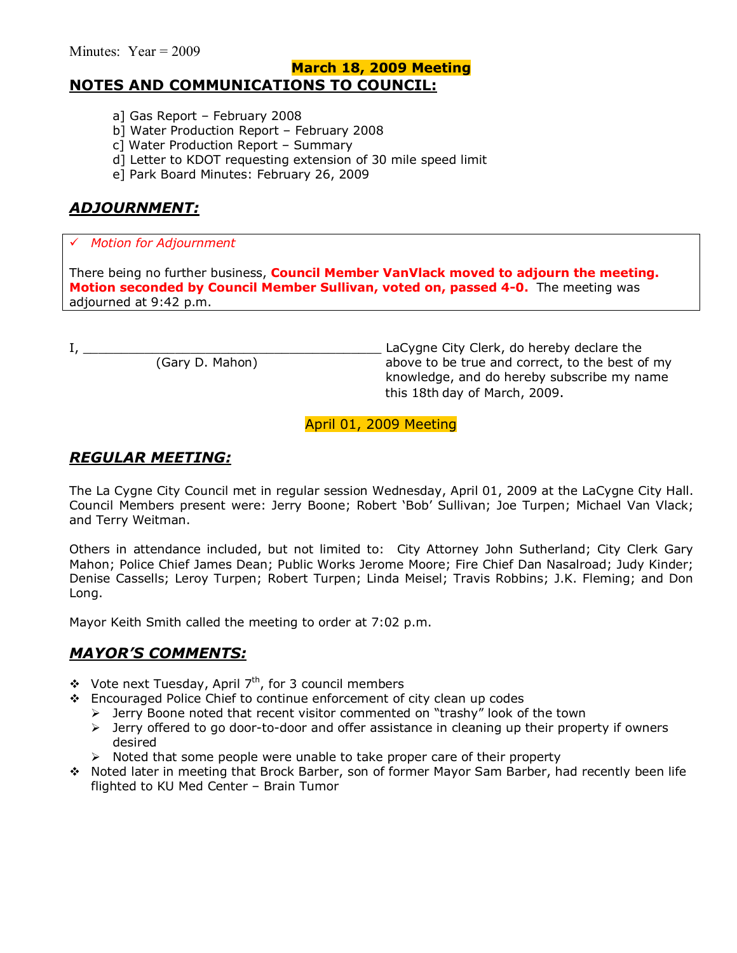### **March 18, 2009 Meeting NOTES AND COMMUNICATIONS TO COUNCIL:**

- a] Gas Report  $-$  February 2008
- b] Water Production Report February 2008
- c] Water Production Report  $-$  Summary
- d] Letter to KDOT requesting extension of 30 mile speed limit
- e] Park Board Minutes: February 26, 2009

# *ADJOURNMENT:*

### # *Motion for Adjournment*

There being no further business, **Council Member VanVlack moved to adjourn the meeting. Motion seconded by Council Member Sullivan, voted on, passed 4-0.** The meeting was adjourned at 9:42 p.m.

I, \_\_\_\_\_\_\_\_\_\_\_\_\_\_\_\_\_\_\_\_\_\_\_\_\_\_\_\_\_\_\_\_\_\_\_\_\_\_\_ LaCygne City Clerk, do hereby declare the above to be true and correct, to the best of my knowledge, and do hereby subscribe my name this 18th day of March, 2009.

April 01, 2009 Meeting

### *REGULAR MEETING:*

The La Cygne City Council met in regular session Wednesday, April 01, 2009 at the LaCygne City Hall. Council Members present were: Jerry Boone; Robert 'Bob' Sullivan; Joe Turpen; Michael Van Vlack; and Terry Weitman.

Others in attendance included, but not limited to: City Attorney John Sutherland; City Clerk Gary Mahon; Police Chief James Dean; Public Works Jerome Moore; Fire Chief Dan Nasalroad; Judy Kinder; Denise Cassells; Leroy Turpen; Robert Turpen; Linda Meisel; Travis Robbins; J.K. Fleming; and Don Long.

Mayor Keith Smith called the meeting to order at 7:02 p.m.

### *MAYORíS COMMENTS:*

- $\div$  Vote next Tuesday, April 7<sup>th</sup>, for 3 council members
- \$ Encouraged Police Chief to continue enforcement of city clean up codes
	- $\triangleright$  Jerry Boone noted that recent visitor commented on "trashy" look of the town
	- $\triangleright$  Jerry offered to go door-to-door and offer assistance in cleaning up their property if owners desired
	- $\triangleright$  Noted that some people were unable to take proper care of their property
- \$ Noted later in meeting that Brock Barber, son of former Mayor Sam Barber, had recently been life flighted to KU Med Center - Brain Tumor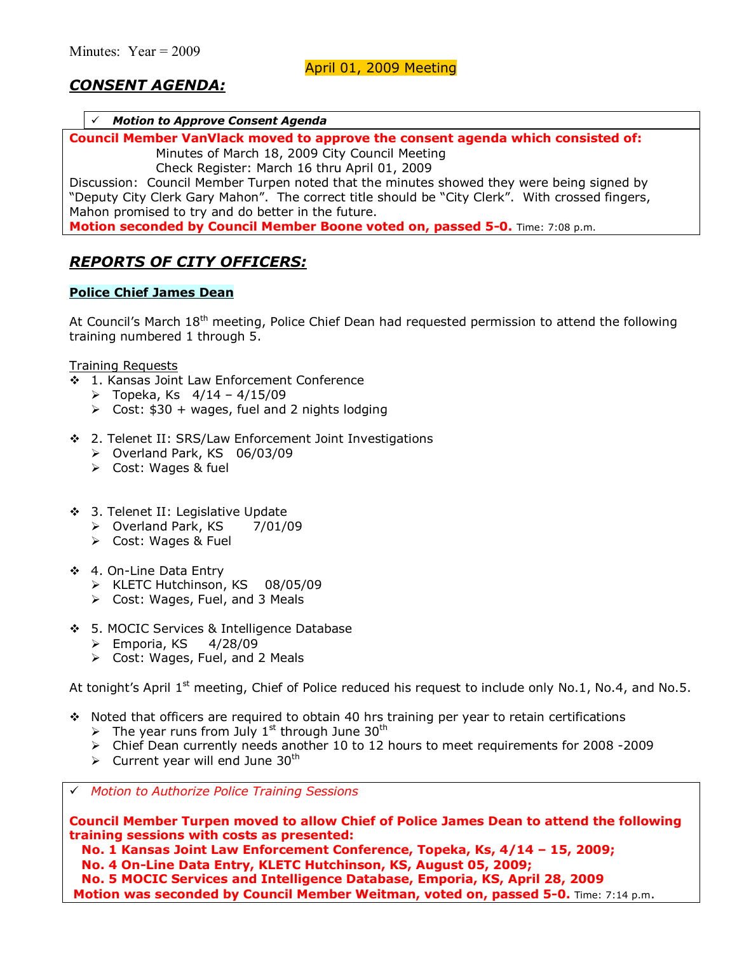# *CONSENT AGENDA:*

#### # *Motion to Approve Consent Agenda*

**Council Member VanVlack moved to approve the consent agenda which consisted of:** 

Minutes of March 18, 2009 City Council Meeting

Check Register: March 16 thru April 01, 2009

Discussion: Council Member Turpen noted that the minutes showed they were being signed by "Deputy City Clerk Gary Mahon". The correct title should be "City Clerk". With crossed fingers, Mahon promised to try and do better in the future.

**Motion seconded by Council Member Boone voted on, passed 5-0.** Time: 7:08 p.m.

### *REPORTS OF CITY OFFICERS:*

#### **Police Chief James Dean**

At Council's March 18<sup>th</sup> meeting, Police Chief Dean had requested permission to attend the following training numbered 1 through 5.

Training Requests

- $\frac{1}{2}$  1. Kansas Joint Law Enforcement Conference
	- $\triangleright$  Topeka, Ks  $4/14 4/15/09$
	- $\triangleright$  Cost: \$30 + wages, fuel and 2 nights lodging
- \$ 2. Telenet II: SRS/Law Enforcement Joint Investigations
	- $\triangleright$  Overland Park, KS 06/03/09
	- $\triangleright$  Cost: Wages & fuel
- ◆ 3. Telenet II: Legislative Update
	- $\triangleright$  Overland Park, KS  $\triangleright$  7/01/09
	- ▶ Cost: Wages & Fuel
- \$ 4. On-Line Data Entry
	- > KLETC Hutchinson, KS 08/05/09
	- $\triangleright$  Cost: Wages, Fuel, and 3 Meals
- \$ 5. MOCIC Services & Intelligence Database
	- $\triangleright$  Emporia, KS  $4/28/09$
	- $\triangleright$  Cost: Wages, Fuel, and 2 Meals

At tonight's April  $1<sup>st</sup>$  meeting, Chief of Police reduced his request to include only No.1, No.4, and No.5.

- $\cdot$  Noted that officers are required to obtain 40 hrs training per year to retain certifications
	- The year runs from July  $1^{st}$  through June 30<sup>th</sup>
	- $\triangleright$  Chief Dean currently needs another 10 to 12 hours to meet requirements for 2008 -2009
	- $\triangleright$  Current year will end June 30<sup>th</sup>

# *Motion to Authorize Police Training Sessions* 

**Council Member Turpen moved to allow Chief of Police James Dean to attend the following training sessions with costs as presented:** 

**No. 1 Kansas Joint Law Enforcement Conference, Topeka, Ks, 4/14 - 15, 2009;** 

 **No. 4 On-Line Data Entry, KLETC Hutchinson, KS, August 05, 2009;** 

 **No. 5 MOCIC Services and Intelligence Database, Emporia, KS, April 28, 2009** 

**Motion was seconded by Council Member Weitman, voted on, passed 5-0.** Time: 7:14 p.m.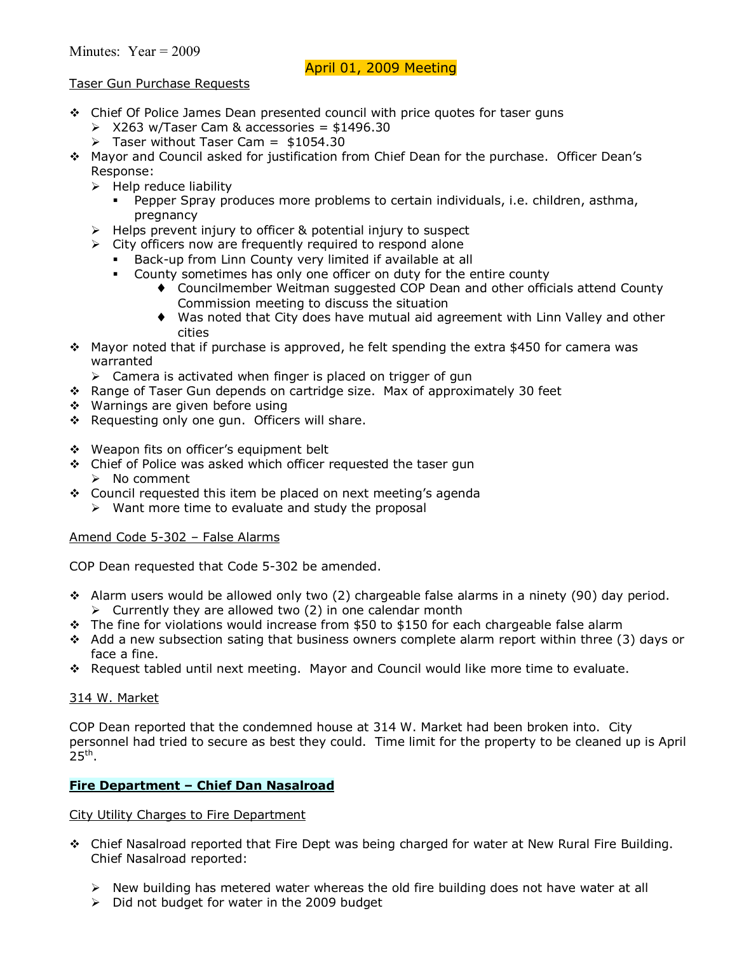## Taser Gun Purchase Requests

- \* Chief Of Police James Dean presented council with price quotes for taser guns
	- $\geqslant$  X263 w/Taser Cam & accessories = \$1496.30
	- $\triangleright$  Taser without Taser Cam = \$1054.30
- \$ Mayor and Council asked for justification from Chief Dean for the purchase. Officer Deanís Response:
	- $\triangleright$  Help reduce liability
		- Pepper Spray produces more problems to certain individuals, i.e. children, asthma, pregnancy
	- $\triangleright$  Helps prevent injury to officer & potential injury to suspect
	- $\triangleright$  City officers now are frequently required to respond alone
		- Back-up from Linn County very limited if available at all
			- County sometimes has only one officer on duty for the entire county
				- ♦ Councilmember Weitman suggested COP Dean and other officials attend County Commission meeting to discuss the situation
				- ♦ Was noted that City does have mutual aid agreement with Linn Valley and other cities
- $\cdot$  Mayor noted that if purchase is approved, he felt spending the extra \$450 for camera was warranted
	- $\triangleright$  Camera is activated when finger is placed on trigger of gun
- \* Range of Taser Gun depends on cartridge size. Max of approximately 30 feet
- ❖ Warnings are given before using
- \* Requesting only one gun. Officers will share.
- ❖ Weapon fits on officer's equipment belt
- \* Chief of Police was asked which officer requested the taser gun  $\triangleright$  No comment
- \* Council requested this item be placed on next meeting's agenda
	- $\triangleright$  Want more time to evaluate and study the proposal

#### Amend Code 5-302 - False Alarms

COP Dean requested that Code 5-302 be amended.

- \* Alarm users would be allowed only two (2) chargeable false alarms in a ninety (90) day period.  $\triangleright$  Currently they are allowed two (2) in one calendar month
- $\cdot \cdot$  The fine for violations would increase from \$50 to \$150 for each chargeable false alarm
- $\div$  Add a new subsection sating that business owners complete alarm report within three (3) days or face a fine.
- \* Request tabled until next meeting. Mayor and Council would like more time to evaluate.

#### 314 W. Market

COP Dean reported that the condemned house at 314 W. Market had been broken into. City personnel had tried to secure as best they could. Time limit for the property to be cleaned up is April  $25<sup>th</sup>$ .

#### **Fire Department - Chief Dan Nasalroad**

#### City Utility Charges to Fire Department

- $\cdot$  Chief Nasalroad reported that Fire Dept was being charged for water at New Rural Fire Building. Chief Nasalroad reported:
	- $\triangleright$  New building has metered water whereas the old fire building does not have water at all
	- $\triangleright$  Did not budget for water in the 2009 budget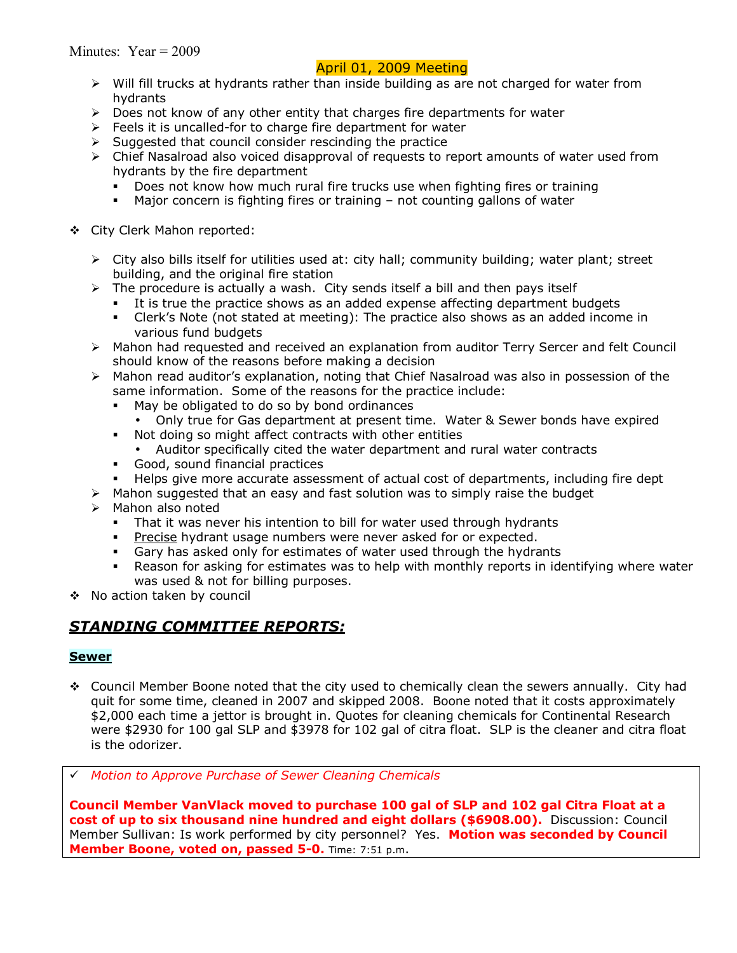- $\triangleright$  Will fill trucks at hydrants rather than inside building as are not charged for water from hydrants
- $\triangleright$  Does not know of any other entity that charges fire departments for water
- $\triangleright$  Feels it is uncalled-for to charge fire department for water
- $\triangleright$  Suggested that council consider rescinding the practice
- $\triangleright$  Chief Nasalroad also voiced disapproval of requests to report amounts of water used from hydrants by the fire department
	- Does not know how much rural fire trucks use when fighting fires or training
	- Major concern is fighting fires or training  $-$  not counting gallons of water
- \$ City Clerk Mahon reported:
	- $\triangleright$  City also bills itself for utilities used at: city hall; community building; water plant; street building, and the original fire station
	- $\triangleright$  The procedure is actually a wash. City sends itself a bill and then pays itself
		- It is true the practice shows as an added expense affecting department budgets
		- Clerk's Note (not stated at meeting): The practice also shows as an added income in various fund budgets
	- $\triangleright$  Mahon had requested and received an explanation from auditor Terry Sercer and felt Council should know of the reasons before making a decision
	- $\triangleright$  Mahon read auditor's explanation, noting that Chief Nasalroad was also in possession of the same information. Some of the reasons for the practice include:
		- May be obligated to do so by bond ordinances
			- Only true for Gas department at present time. Water & Sewer bonds have expired
		- **Not doing so might affect contracts with other entities** 
			- Auditor specifically cited the water department and rural water contracts
		- **Good, sound financial practices**
		- Helps give more accurate assessment of actual cost of departments, including fire dept
	- $\triangleright$  Mahon suggested that an easy and fast solution was to simply raise the budget
	- $\triangleright$  Mahon also noted
		- That it was never his intention to bill for water used through hydrants
		- Precise hydrant usage numbers were never asked for or expected.
		- **Gary has asked only for estimates of water used through the hydrants**
		- . Reason for asking for estimates was to help with monthly reports in identifying where water was used & not for billing purposes.
- \$ No action taken by council

# *STANDING COMMITTEE REPORTS:*

#### **Sewer**

\$ Council Member Boone noted that the city used to chemically clean the sewers annually. City had quit for some time, cleaned in 2007 and skipped 2008. Boone noted that it costs approximately \$2,000 each time a jettor is brought in. Quotes for cleaning chemicals for Continental Research were \$2930 for 100 gal SLP and \$3978 for 102 gal of citra float. SLP is the cleaner and citra float is the odorizer.

# *Motion to Approve Purchase of Sewer Cleaning Chemicals* 

**Council Member VanVlack moved to purchase 100 gal of SLP and 102 gal Citra Float at a cost of up to six thousand nine hundred and eight dollars (\$6908.00).** Discussion: Council Member Sullivan: Is work performed by city personnel? Yes. **Motion was seconded by Council Member Boone, voted on, passed 5-0.** Time: 7:51 p.m.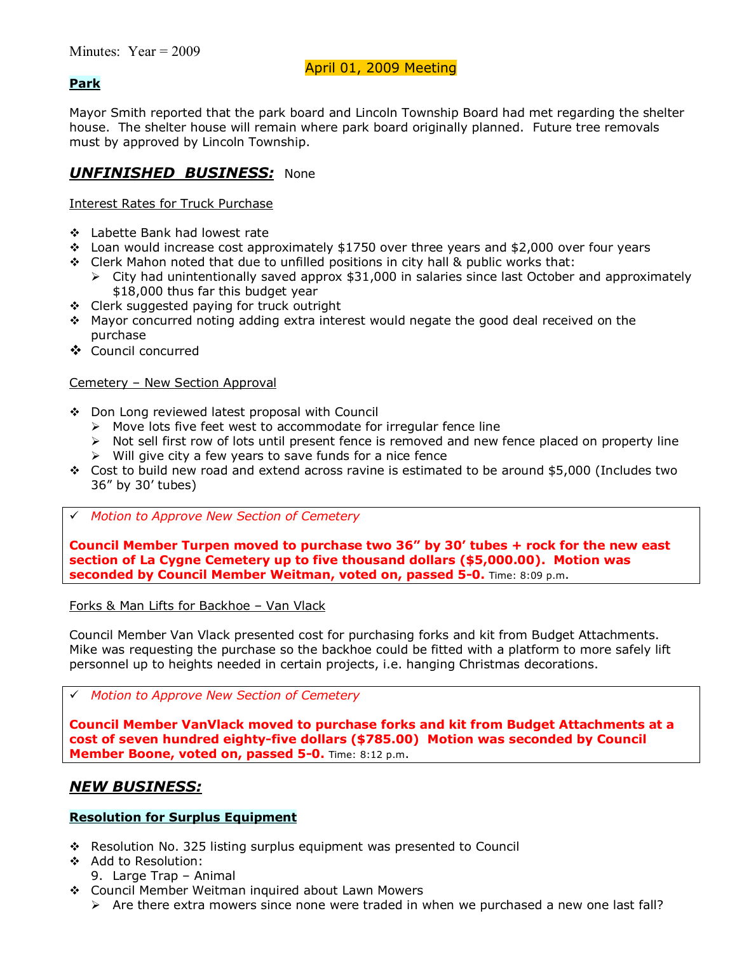## **Park**

Mayor Smith reported that the park board and Lincoln Township Board had met regarding the shelter house. The shelter house will remain where park board originally planned. Future tree removals must by approved by Lincoln Township.

## *UNFINISHED BUSINESS:* None

Interest Rates for Truck Purchase

- \$ Labette Bank had lowest rate
- \* Loan would increase cost approximately \$1750 over three years and \$2,000 over four years
- $\div$  Clerk Mahon noted that due to unfilled positions in city hall & public works that:
	- $\triangleright$  City had unintentionally saved approx \$31,000 in salaries since last October and approximately \$18,000 thus far this budget year
- \$ Clerk suggested paying for truck outright
- $\div$  Mayor concurred noting adding extra interest would negate the good deal received on the purchase
- \$ Council concurred

## Cemetery - New Section Approval

- ◆ Don Long reviewed latest proposal with Council
	- $\triangleright$  Move lots five feet west to accommodate for irregular fence line
	- $\triangleright$  Not sell first row of lots until present fence is removed and new fence placed on property line
	- $\triangleright$  Will give city a few years to save funds for a nice fence
- \* Cost to build new road and extend across ravine is estimated to be around \$5,000 (Includes two 36î by 30í tubes)
- # *Motion to Approve New Section of Cemetery*

**Council Member Turpen moved to purchase two 36î by 30í tubes + rock for the new east section of La Cygne Cemetery up to five thousand dollars (\$5,000.00). Motion was seconded by Council Member Weitman, voted on, passed 5-0.** Time: 8:09 p.m.

Forks & Man Lifts for Backhoe - Van Vlack

Council Member Van Vlack presented cost for purchasing forks and kit from Budget Attachments. Mike was requesting the purchase so the backhoe could be fitted with a platform to more safely lift personnel up to heights needed in certain projects, i.e. hanging Christmas decorations.

#### # *Motion to Approve New Section of Cemetery*

**Council Member VanVlack moved to purchase forks and kit from Budget Attachments at a cost of seven hundred eighty-five dollars (\$785.00) Motion was seconded by Council Member Boone, voted on, passed 5-0.** Time: 8:12 p.m.

# *NEW BUSINESS:*

## **Resolution for Surplus Equipment**

- \* Resolution No. 325 listing surplus equipment was presented to Council
- \$ Add to Resolution:
	- 9. Large Trap Animal
- \$ Council Member Weitman inquired about Lawn Mowers
	- $\triangleright$  Are there extra mowers since none were traded in when we purchased a new one last fall?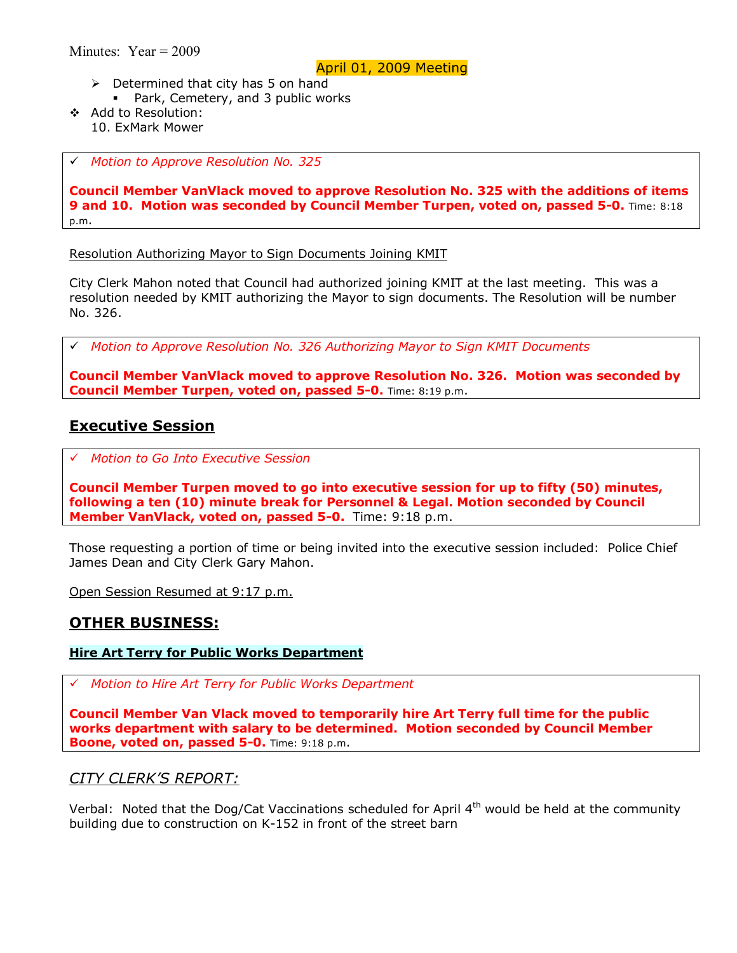- $\triangleright$  Determined that city has 5 on hand
	- Park, Cemetery, and 3 public works
- \$ Add to Resolution: 10. ExMark Mower

# *Motion to Approve Resolution No. 325* 

**Council Member VanVlack moved to approve Resolution No. 325 with the additions of items 9 and 10. Motion was seconded by Council Member Turpen, voted on, passed 5-0.** Time: 8:18 p.m.

Resolution Authorizing Mayor to Sign Documents Joining KMIT

City Clerk Mahon noted that Council had authorized joining KMIT at the last meeting. This was a resolution needed by KMIT authorizing the Mayor to sign documents. The Resolution will be number No. 326.

# *Motion to Approve Resolution No. 326 Authorizing Mayor to Sign KMIT Documents* 

**Council Member VanVlack moved to approve Resolution No. 326. Motion was seconded by Council Member Turpen, voted on, passed 5-0.** Time: 8:19 p.m.

# **Executive Session**

# *Motion to Go Into Executive Session*

**Council Member Turpen moved to go into executive session for up to fifty (50) minutes, following a ten (10) minute break for Personnel & Legal. Motion seconded by Council Member VanVlack, voted on, passed 5-0.** Time: 9:18 p.m.

Those requesting a portion of time or being invited into the executive session included: Police Chief James Dean and City Clerk Gary Mahon.

Open Session Resumed at 9:17 p.m.

## **OTHER BUSINESS:**

## **Hire Art Terry for Public Works Department**

# *Motion to Hire Art Terry for Public Works Department*

**Council Member Van Vlack moved to temporarily hire Art Terry full time for the public works department with salary to be determined. Motion seconded by Council Member Boone, voted on, passed 5-0.** Time: 9:18 p.m.

## *CITY CLERKíS REPORT:*

Verbal: Noted that the Dog/Cat Vaccinations scheduled for April 4<sup>th</sup> would be held at the community building due to construction on K-152 in front of the street barn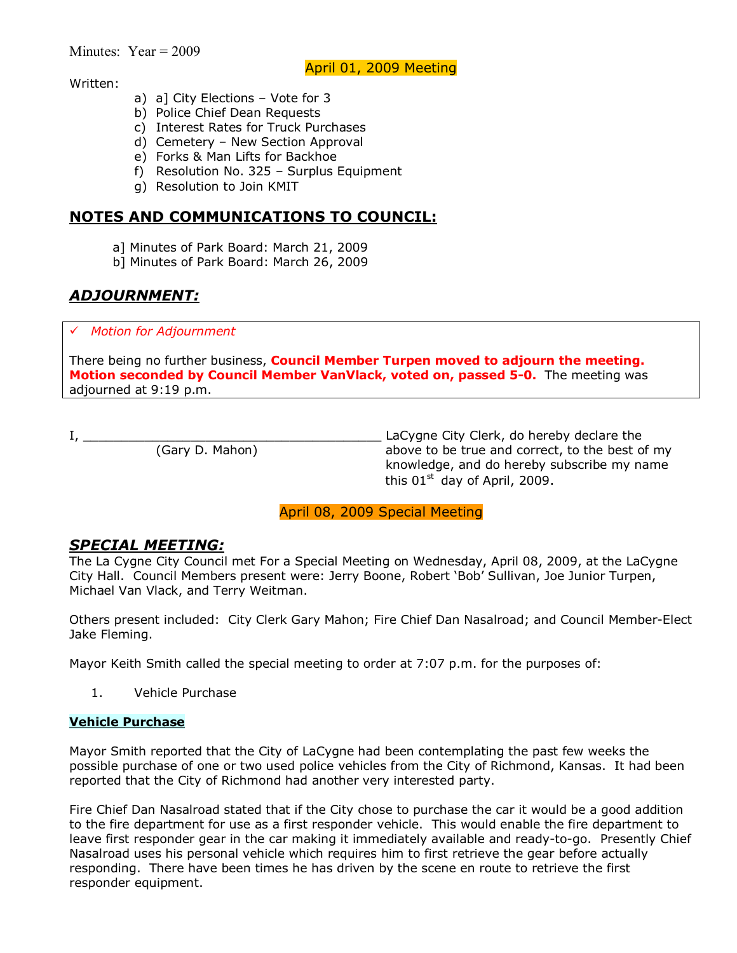#### Written:

- a) a] City Elections  $-$  Vote for 3
- b) Police Chief Dean Requests
- c) Interest Rates for Truck Purchases
- d) Cemetery  $-$  New Section Approval
- e) Forks & Man Lifts for Backhoe
- f) Resolution No.  $325 -$  Surplus Equipment
- g) Resolution to Join KMIT

## **NOTES AND COMMUNICATIONS TO COUNCIL:**

- a] Minutes of Park Board: March 21, 2009
- b] Minutes of Park Board: March 26, 2009

# *ADJOURNMENT:*

# *Motion for Adjournment*

There being no further business, **Council Member Turpen moved to adjourn the meeting. Motion seconded by Council Member VanVlack, voted on, passed 5-0.** The meeting was adjourned at 9:19 p.m.

I, \_\_\_\_\_\_\_\_\_\_\_\_\_\_\_\_\_\_\_\_\_\_\_\_\_\_\_\_\_\_\_\_\_\_\_\_\_\_\_ LaCygne City Clerk, do hereby declare the above to be true and correct, to the best of my knowledge, and do hereby subscribe my name this  $01<sup>st</sup>$  day of April, 2009.

## April 08, 2009 Special Meeting

# *SPECIAL MEETING:*

The La Cygne City Council met For a Special Meeting on Wednesday, April 08, 2009, at the LaCygne City Hall. Council Members present were: Jerry Boone, Robert 'Bob' Sullivan, Joe Junior Turpen, Michael Van Vlack, and Terry Weitman.

Others present included: City Clerk Gary Mahon; Fire Chief Dan Nasalroad; and Council Member-Elect Jake Fleming.

Mayor Keith Smith called the special meeting to order at 7:07 p.m. for the purposes of:

1. Vehicle Purchase

#### **Vehicle Purchase**

Mayor Smith reported that the City of LaCygne had been contemplating the past few weeks the possible purchase of one or two used police vehicles from the City of Richmond, Kansas. It had been reported that the City of Richmond had another very interested party.

Fire Chief Dan Nasalroad stated that if the City chose to purchase the car it would be a good addition to the fire department for use as a first responder vehicle. This would enable the fire department to leave first responder gear in the car making it immediately available and ready-to-go. Presently Chief Nasalroad uses his personal vehicle which requires him to first retrieve the gear before actually responding. There have been times he has driven by the scene en route to retrieve the first responder equipment.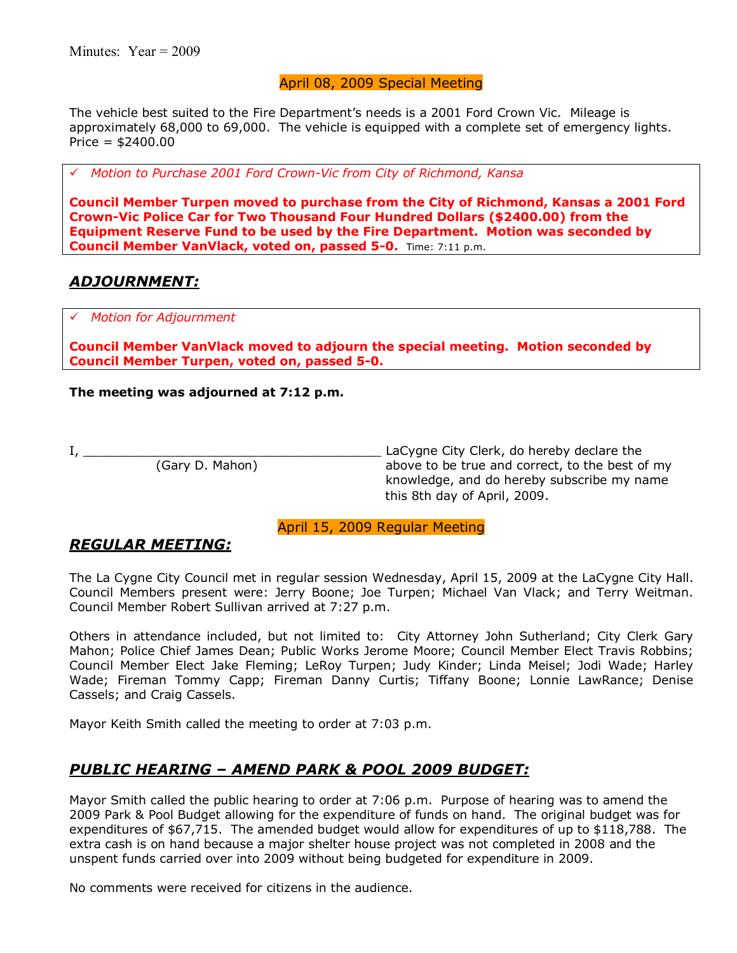## April 08, 2009 Special Meeting

The vehicle best suited to the Fire Department's needs is a 2001 Ford Crown Vic. Mileage is approximately 68,000 to 69,000. The vehicle is equipped with a complete set of emergency lights. Price = \$2400.00

# *Motion to Purchase 2001 Ford Crown-Vic from City of Richmond, Kansa*

**Council Member Turpen moved to purchase from the City of Richmond, Kansas a 2001 Ford Crown-Vic Police Car for Two Thousand Four Hundred Dollars (\$2400.00) from the Equipment Reserve Fund to be used by the Fire Department. Motion was seconded by Council Member VanVlack, voted on, passed 5-0.** Time: 7:11 p.m.

## *ADJOURNMENT:*

# *Motion for Adjournment*

**Council Member VanVlack moved to adjourn the special meeting. Motion seconded by Council Member Turpen, voted on, passed 5-0.** 

#### **The meeting was adjourned at 7:12 p.m.**

I, \_\_\_\_\_\_\_\_\_\_\_\_\_\_\_\_\_\_\_\_\_\_\_\_\_\_\_\_\_\_\_\_\_\_\_\_\_\_\_ LaCygne City Clerk, do hereby declare the above to be true and correct, to the best of my knowledge, and do hereby subscribe my name this 8th day of April, 2009.

April 15, 2009 Regular Meeting

# *REGULAR MEETING:*

The La Cygne City Council met in regular session Wednesday, April 15, 2009 at the LaCygne City Hall. Council Members present were: Jerry Boone; Joe Turpen; Michael Van Vlack; and Terry Weitman. Council Member Robert Sullivan arrived at 7:27 p.m.

Others in attendance included, but not limited to: City Attorney John Sutherland; City Clerk Gary Mahon; Police Chief James Dean; Public Works Jerome Moore; Council Member Elect Travis Robbins; Council Member Elect Jake Fleming; LeRoy Turpen; Judy Kinder; Linda Meisel; Jodi Wade; Harley Wade; Fireman Tommy Capp; Fireman Danny Curtis; Tiffany Boone; Lonnie LawRance; Denise Cassels; and Craig Cassels.

Mayor Keith Smith called the meeting to order at 7:03 p.m.

# **PUBLIC HEARING - AMEND PARK & POOL 2009 BUDGET:**

Mayor Smith called the public hearing to order at 7:06 p.m. Purpose of hearing was to amend the 2009 Park & Pool Budget allowing for the expenditure of funds on hand. The original budget was for expenditures of \$67,715. The amended budget would allow for expenditures of up to \$118,788. The extra cash is on hand because a major shelter house project was not completed in 2008 and the unspent funds carried over into 2009 without being budgeted for expenditure in 2009.

No comments were received for citizens in the audience.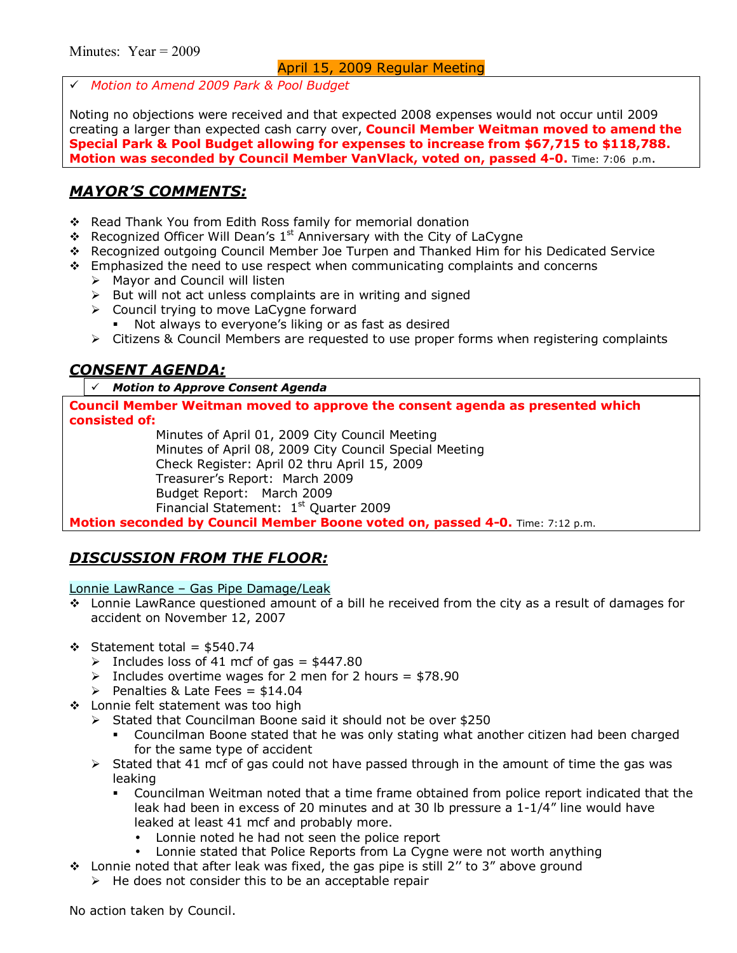# *Motion to Amend 2009 Park & Pool Budget* 

Noting no objections were received and that expected 2008 expenses would not occur until 2009 creating a larger than expected cash carry over, **Council Member Weitman moved to amend the Special Park & Pool Budget allowing for expenses to increase from \$67,715 to \$118,788. Motion was seconded by Council Member VanVlack, voted on, passed 4-0.** Time: 7:06 p.m.

# *MAYORíS COMMENTS:*

- \* Read Thank You from Edith Ross family for memorial donation
- Recognized Officer Will Dean's  $1<sup>st</sup>$  Anniversary with the City of LaCygne
- \$ Recognized outgoing Council Member Joe Turpen and Thanked Him for his Dedicated Service
- $\div$  Emphasized the need to use respect when communicating complaints and concerns
	- $\triangleright$  Mayor and Council will listen
	- $\triangleright$  But will not act unless complaints are in writing and signed
	- $\triangleright$  Council trying to move LaCygne forward
		- Not always to everyone's liking or as fast as desired
	- $\triangleright$  Citizens & Council Members are requested to use proper forms when registering complaints

# *CONSENT AGENDA:*

## # *Motion to Approve Consent Agenda*

**Council Member Weitman moved to approve the consent agenda as presented which consisted of:** 

 Minutes of April 01, 2009 City Council Meeting Minutes of April 08, 2009 City Council Special Meeting Check Register: April 02 thru April 15, 2009 Treasurerís Report: March 2009 Budget Report: March 2009 Financial Statement: 1<sup>st</sup> Quarter 2009

**Motion seconded by Council Member Boone voted on, passed 4-0.** Time: 7:12 p.m.

# *DISCUSSION FROM THE FLOOR:*

Lonnie LawRance - Gas Pipe Damage/Leak

- \$ Lonnie LawRance questioned amount of a bill he received from the city as a result of damages for accident on November 12, 2007
- $\div$  Statement total = \$540.74
	- $\triangleright$  Includes loss of 41 mcf of gas = \$447.80
	- $\triangleright$  Includes overtime wages for 2 men for 2 hours = \$78.90
	- Penalties & Late Fees =  $$14.04$
- ❖ Lonnie felt statement was too high
	- $\triangleright$  Stated that Councilman Boone said it should not be over \$250
		- Councilman Boone stated that he was only stating what another citizen had been charged for the same type of accident
	- $\triangleright$  Stated that 41 mcf of gas could not have passed through in the amount of time the gas was leaking
		- % Councilman Weitman noted that a time frame obtained from police report indicated that the leak had been in excess of 20 minutes and at 30 lb pressure a  $1-1/4$ " line would have leaked at least 41 mcf and probably more.
			- Lonnie noted he had not seen the police report
		- Lonnie stated that Police Reports from La Cygne were not worth anything
- $\cdot$  Lonnie noted that after leak was fixed, the gas pipe is still 2" to 3" above ground
	- $\triangleright$  He does not consider this to be an acceptable repair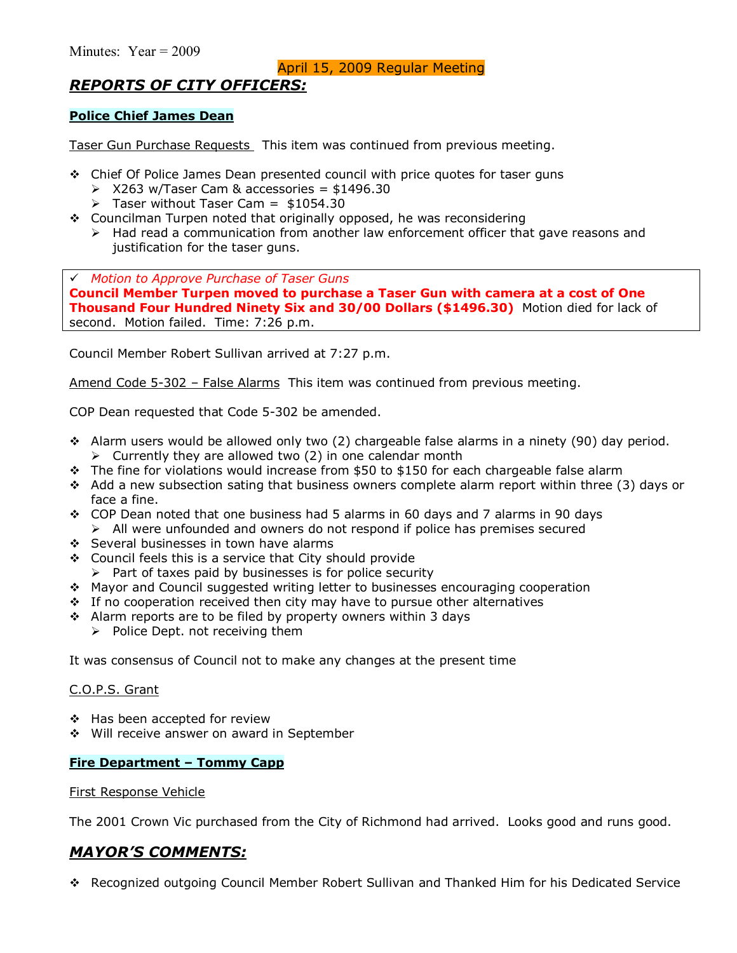## April 15, 2009 Regular Meeting

# *REPORTS OF CITY OFFICERS:*

## **Police Chief James Dean**

Taser Gun Purchase Requests This item was continued from previous meeting.

- $\div$  Chief Of Police James Dean presented council with price quotes for taser guns
	- $\geq$  X263 w/Taser Cam & accessories = \$1496.30
	- $\triangleright$  Taser without Taser Cam = \$1054.30
- $\div$  Councilman Turpen noted that originally opposed, he was reconsidering  $\triangleright$  Had read a communication from another law enforcement officer that gave reasons and justification for the taser guns.

# *Motion to Approve Purchase of Taser Guns*  **Council Member Turpen moved to purchase a Taser Gun with camera at a cost of One Thousand Four Hundred Ninety Six and 30/00 Dollars (\$1496.30)** Motion died for lack of second. Motion failed. Time: 7:26 p.m.

Council Member Robert Sullivan arrived at 7:27 p.m.

Amend Code 5-302 - False Alarms This item was continued from previous meeting.

COP Dean requested that Code 5-302 be amended.

- $\div$  Alarm users would be allowed only two (2) chargeable false alarms in a ninety (90) day period.  $\triangleright$  Currently they are allowed two (2) in one calendar month
- \* The fine for violations would increase from \$50 to \$150 for each chargeable false alarm
- $\div$  Add a new subsection sating that business owners complete alarm report within three (3) days or face a fine.
- \* COP Dean noted that one business had 5 alarms in 60 days and 7 alarms in 90 days  $\triangleright$  All were unfounded and owners do not respond if police has premises secured
- ❖ Several businesses in town have alarms
- \$ Council feels this is a service that City should provide
	- $\triangleright$  Part of taxes paid by businesses is for police security
- \$ Mayor and Council suggested writing letter to businesses encouraging cooperation
- \* If no cooperation received then city may have to pursue other alternatives
- \* Alarm reports are to be filed by property owners within 3 days
	- $\triangleright$  Police Dept. not receiving them

It was consensus of Council not to make any changes at the present time

#### C.O.P.S. Grant

- ◆ Has been accepted for review
- \$ Will receive answer on award in September

#### **Fire Department - Tommy Capp**

#### First Response Vehicle

The 2001 Crown Vic purchased from the City of Richmond had arrived. Looks good and runs good.

## *MAYORíS COMMENTS:*

\$ Recognized outgoing Council Member Robert Sullivan and Thanked Him for his Dedicated Service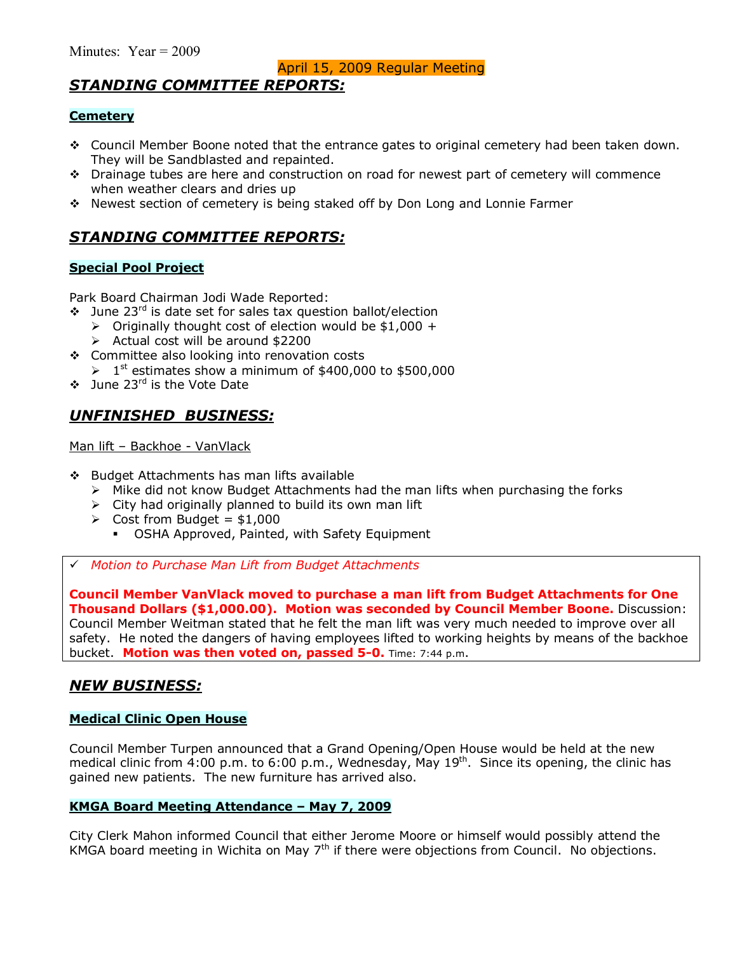# *STANDING COMMITTEE REPORTS:*

## **Cemetery**

- \* Council Member Boone noted that the entrance gates to original cemetery had been taken down. They will be Sandblasted and repainted.
- $\div$  Drainage tubes are here and construction on road for newest part of cemetery will commence when weather clears and dries up
- \$ Newest section of cemetery is being staked off by Don Long and Lonnie Farmer

# *STANDING COMMITTEE REPORTS:*

## **Special Pool Project**

Park Board Chairman Jodi Wade Reported:

- $\cdot$  June 23<sup>rd</sup> is date set for sales tax question ballot/election
	- $\triangleright$  Originally thought cost of election would be \$1,000 +
	- $\triangleright$  Actual cost will be around \$2200
- ❖ Committee also looking into renovation costs
	- $\geq 1$ <sup>st</sup> estimates show a minimum of \$400,000 to \$500,000
- $\cdot \cdot$  June 23<sup>rd</sup> is the Vote Date

# *UNFINISHED BUSINESS:*

Man lift - Backhoe - VanVlack

- \$ Budget Attachments has man lifts available
	- $\triangleright$  Mike did not know Budget Attachments had the man lifts when purchasing the forks
	- $\triangleright$  City had originally planned to build its own man lift
	- $\geq$  Cost from Budget = \$1,000
		- **OSHA Approved, Painted, with Safety Equipment**
- # *Motion to Purchase Man Lift from Budget Attachments*

**Council Member VanVlack moved to purchase a man lift from Budget Attachments for One Thousand Dollars (\$1,000.00). Motion was seconded by Council Member Boone.** Discussion: Council Member Weitman stated that he felt the man lift was very much needed to improve over all safety. He noted the dangers of having employees lifted to working heights by means of the backhoe bucket. **Motion was then voted on, passed 5-0.** Time: 7:44 p.m.

## *NEW BUSINESS:*

## **Medical Clinic Open House**

Council Member Turpen announced that a Grand Opening/Open House would be held at the new medical clinic from 4:00 p.m. to 6:00 p.m., Wednesday, May 19<sup>th</sup>. Since its opening, the clinic has gained new patients. The new furniture has arrived also.

## **KMGA Board Meeting Attendance - May 7, 2009**

City Clerk Mahon informed Council that either Jerome Moore or himself would possibly attend the KMGA board meeting in Wichita on May  $7<sup>th</sup>$  if there were objections from Council. No objections.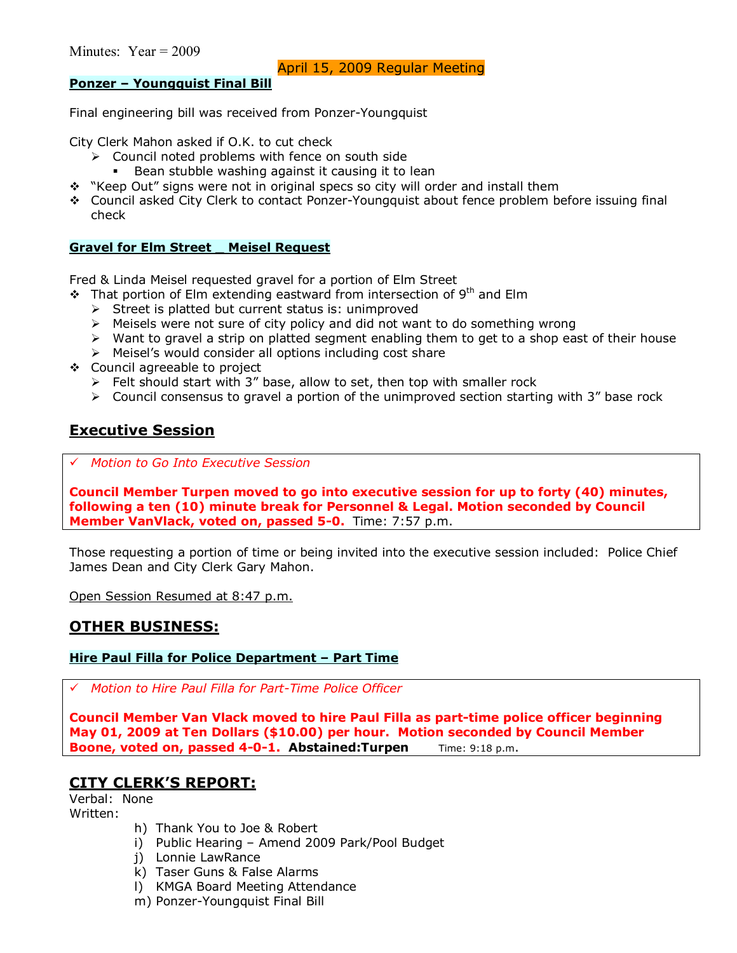## **Ponzer - Youngquist Final Bill**

Final engineering bill was received from Ponzer-Youngquist

City Clerk Mahon asked if O.K. to cut check

- $\triangleright$  Council noted problems with fence on south side
- **Bean stubble washing against it causing it to lean**
- \* "Keep Out" signs were not in original specs so city will order and install them
- \$ Council asked City Clerk to contact Ponzer-Youngquist about fence problem before issuing final check

## **Gravel for Elm Street \_ Meisel Request**

Fred & Linda Meisel requested gravel for a portion of Elm Street

- $\cdot$  That portion of Elm extending eastward from intersection of 9<sup>th</sup> and Elm
	- $\triangleright$  Street is platted but current status is: unimproved
	- $\triangleright$  Meisels were not sure of city policy and did not want to do something wrong
	- $\triangleright$  Want to gravel a strip on platted segment enabling them to get to a shop east of their house
	- $\triangleright$  Meisel's would consider all options including cost share
- \$ Council agreeable to project
	- $\triangleright$  Felt should start with 3" base, allow to set, then top with smaller rock
	- $\triangleright$  Council consensus to gravel a portion of the unimproved section starting with 3<sup>n</sup> base rock

## **Executive Session**

# *Motion to Go Into Executive Session*

**Council Member Turpen moved to go into executive session for up to forty (40) minutes, following a ten (10) minute break for Personnel & Legal. Motion seconded by Council Member VanVlack, voted on, passed 5-0.** Time: 7:57 p.m.

Those requesting a portion of time or being invited into the executive session included: Police Chief James Dean and City Clerk Gary Mahon.

Open Session Resumed at 8:47 p.m.

## **OTHER BUSINESS:**

## **Hire Paul Filla for Police Department - Part Time**

# *Motion to Hire Paul Filla for Part-Time Police Officer*

**Council Member Van Vlack moved to hire Paul Filla as part-time police officer beginning May 01, 2009 at Ten Dollars (\$10.00) per hour. Motion seconded by Council Member Boone, voted on, passed 4-0-1. Abstained:Turpen** Time: 9:18 p.m.

# **CITY CLERKíS REPORT:**

Verbal: None Written:

- h) Thank You to Joe & Robert
- $i)$  Public Hearing Amend 2009 Park/Pool Budget
- j) Lonnie LawRance
- k) Taser Guns & False Alarms
- l) KMGA Board Meeting Attendance
- m) Ponzer-Youngquist Final Bill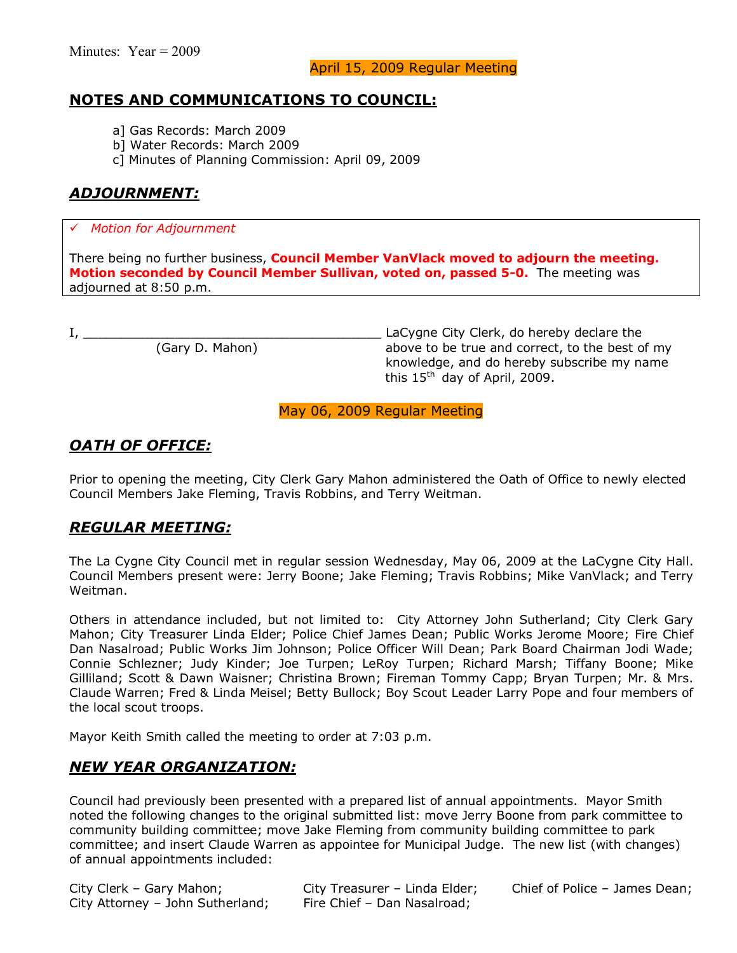Minutes: Year = 2009

## **NOTES AND COMMUNICATIONS TO COUNCIL:**

- a] Gas Records: March 2009
- b] Water Records: March 2009
- c] Minutes of Planning Commission: April 09, 2009

# *ADJOURNMENT:*

## # *Motion for Adjournment*

There being no further business, **Council Member VanVlack moved to adjourn the meeting. Motion seconded by Council Member Sullivan, voted on, passed 5-0.** The meeting was adjourned at 8:50 p.m.

I, \_\_\_\_\_\_\_\_\_\_\_\_\_\_\_\_\_\_\_\_\_\_\_\_\_\_\_\_\_\_\_\_\_\_\_\_\_\_\_ LaCygne City Clerk, do hereby declare the above to be true and correct, to the best of my knowledge, and do hereby subscribe my name this 15<sup>th</sup> day of April, 2009.

May 06, 2009 Regular Meeting

# *OATH OF OFFICE:*

Prior to opening the meeting, City Clerk Gary Mahon administered the Oath of Office to newly elected Council Members Jake Fleming, Travis Robbins, and Terry Weitman.

# *REGULAR MEETING:*

The La Cygne City Council met in regular session Wednesday, May 06, 2009 at the LaCygne City Hall. Council Members present were: Jerry Boone; Jake Fleming; Travis Robbins; Mike VanVlack; and Terry Weitman.

Others in attendance included, but not limited to: City Attorney John Sutherland; City Clerk Gary Mahon; City Treasurer Linda Elder; Police Chief James Dean; Public Works Jerome Moore; Fire Chief Dan Nasalroad; Public Works Jim Johnson; Police Officer Will Dean; Park Board Chairman Jodi Wade; Connie Schlezner; Judy Kinder; Joe Turpen; LeRoy Turpen; Richard Marsh; Tiffany Boone; Mike Gilliland; Scott & Dawn Waisner; Christina Brown; Fireman Tommy Capp; Bryan Turpen; Mr. & Mrs. Claude Warren; Fred & Linda Meisel; Betty Bullock; Boy Scout Leader Larry Pope and four members of the local scout troops.

Mayor Keith Smith called the meeting to order at 7:03 p.m.

# *NEW YEAR ORGANIZATION:*

Council had previously been presented with a prepared list of annual appointments. Mayor Smith noted the following changes to the original submitted list: move Jerry Boone from park committee to community building committee; move Jake Fleming from community building committee to park committee; and insert Claude Warren as appointee for Municipal Judge. The new list (with changes) of annual appointments included:

City Clerk - Gary Mahon; City Treasurer - Linda Elder; Chief of Police - James Dean; City Attorney - John Sutherland; Fire Chief - Dan Nasalroad;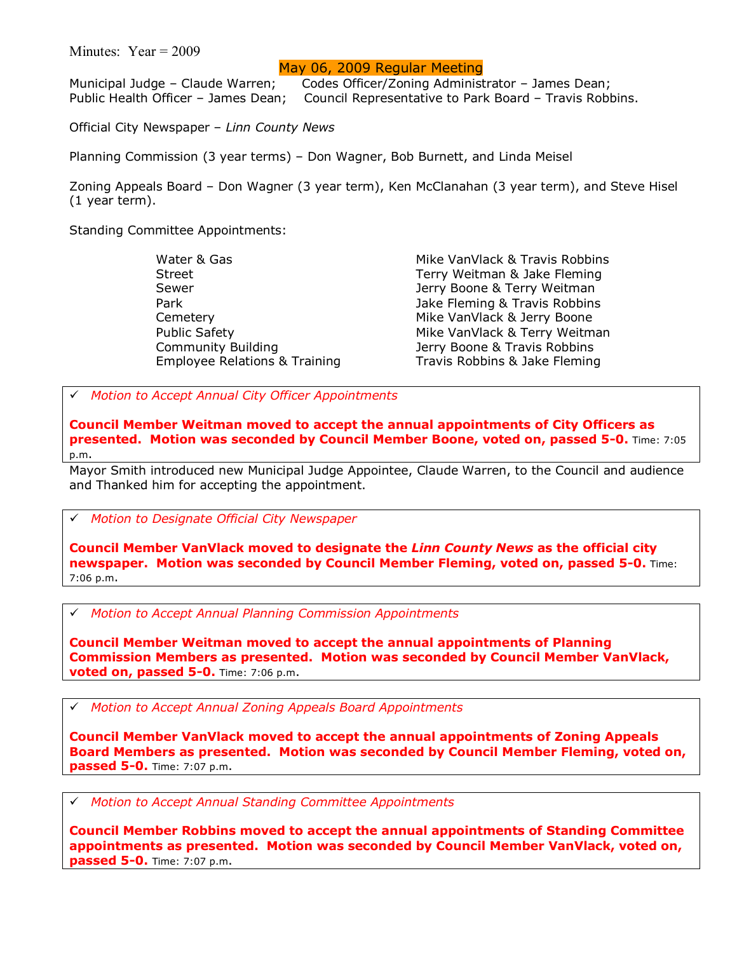#### Minutes: Year = 2009

## May 06, 2009 Regular Meeting

Municipal Judge – Claude Warren; Codes Officer/Zoning Administrator – James Dean; Public Health Officer - James Dean; Council Representative to Park Board - Travis Robbins.

Official City Newspaper - Linn County News

Planning Commission (3 year terms) – Don Wagner, Bob Burnett, and Linda Meisel

Zoning Appeals Board - Don Wagner (3 year term), Ken McClanahan (3 year term), and Steve Hisel (1 year term).

Standing Committee Appointments:

Water & Gas Mike VanVlack & Travis Robbins Street Terry Weitman & Jake Fleming Sewer **General Contract Contract Contract Contract Contract Contract Contract Contract Contract Contract Contract Contract Contract Contract Contract Contract Contract Contract Contract Contract Contract Contract Contract** Park **Park 1996** The Control of the United State Fleming & Travis Robbins Cemetery **Mike VanVlack & Jerry Boone** Public Safety **Mike VanVlack & Terry Weitman** Community Building The Matter of Boone & Travis Robbins Employee Relations & Training Travis Robbins & Jake Fleming

# *Motion to Accept Annual City Officer Appointments* 

**Council Member Weitman moved to accept the annual appointments of City Officers as presented. Motion was seconded by Council Member Boone, voted on, passed 5-0.** Time: 7:05 p.m.

Mayor Smith introduced new Municipal Judge Appointee, Claude Warren, to the Council and audience and Thanked him for accepting the appointment.

# *Motion to Designate Official City Newspaper* 

**Council Member VanVlack moved to designate the** *Linn County News* **as the official city newspaper. Motion was seconded by Council Member Fleming, voted on, passed 5-0.** Time: 7:06 p.m.

# *Motion to Accept Annual Planning Commission Appointments* 

**Council Member Weitman moved to accept the annual appointments of Planning Commission Members as presented. Motion was seconded by Council Member VanVlack, voted on, passed 5-0.** Time: 7:06 p.m.

# *Motion to Accept Annual Zoning Appeals Board Appointments* 

**Council Member VanVlack moved to accept the annual appointments of Zoning Appeals Board Members as presented. Motion was seconded by Council Member Fleming, voted on, passed 5-0.** Time: 7:07 p.m.

# *Motion to Accept Annual Standing Committee Appointments* 

**Council Member Robbins moved to accept the annual appointments of Standing Committee appointments as presented. Motion was seconded by Council Member VanVlack, voted on, passed 5-0.** Time: 7:07 p.m.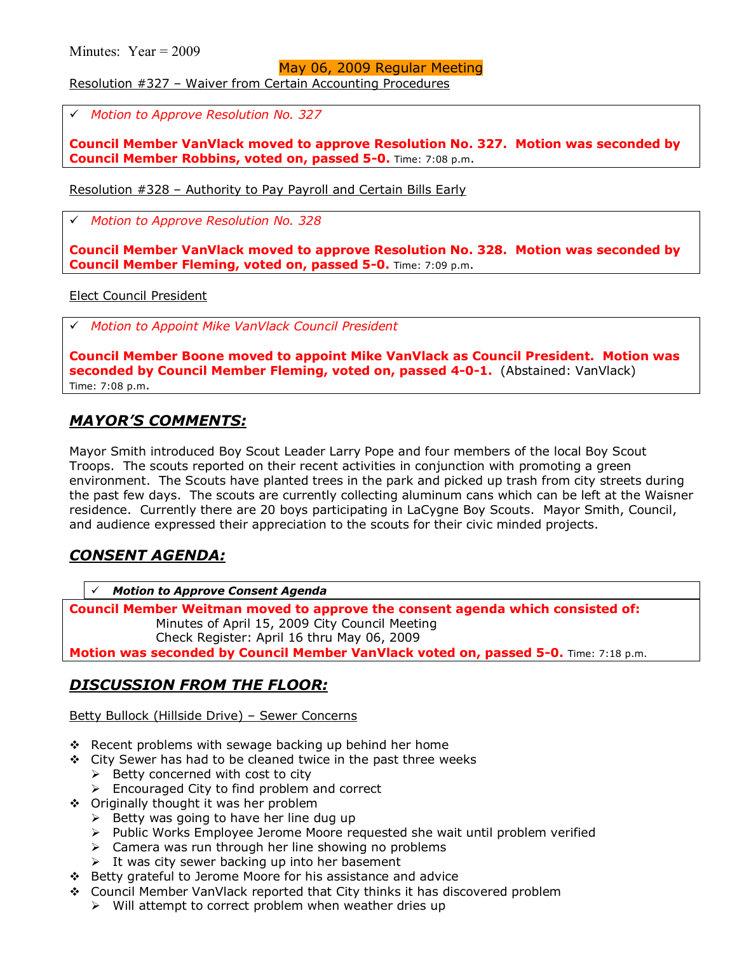#### May 06, 2009 Regular Meeting

Resolution #327 - Waiver from Certain Accounting Procedures

# *Motion to Approve Resolution No. 327* 

**Council Member VanVlack moved to approve Resolution No. 327. Motion was seconded by Council Member Robbins, voted on, passed 5-0.** Time: 7:08 p.m.

Resolution  $#328$  – Authority to Pay Payroll and Certain Bills Early

# *Motion to Approve Resolution No. 328* 

**Council Member VanVlack moved to approve Resolution No. 328. Motion was seconded by Council Member Fleming, voted on, passed 5-0.** Time: 7:09 p.m.

Elect Council President

# *Motion to Appoint Mike VanVlack Council President* 

**Council Member Boone moved to appoint Mike VanVlack as Council President. Motion was seconded by Council Member Fleming, voted on, passed 4-0-1.** (Abstained: VanVlack) Time: 7:08 p.m.

## *MAYORíS COMMENTS:*

Mayor Smith introduced Boy Scout Leader Larry Pope and four members of the local Boy Scout Troops. The scouts reported on their recent activities in conjunction with promoting a green environment. The Scouts have planted trees in the park and picked up trash from city streets during the past few days. The scouts are currently collecting aluminum cans which can be left at the Waisner residence. Currently there are 20 boys participating in LaCygne Boy Scouts. Mayor Smith, Council, and audience expressed their appreciation to the scouts for their civic minded projects.

# *CONSENT AGENDA:*

*Motion to Approve Consent Agenda* 

**Council Member Weitman moved to approve the consent agenda which consisted of:**  Minutes of April 15, 2009 City Council Meeting Check Register: April 16 thru May 06, 2009 **Motion was seconded by Council Member VanVlack voted on, passed 5-0.** Time: 7:18 p.m.

# *DISCUSSION FROM THE FLOOR:*

Betty Bullock (Hillside Drive) - Sewer Concerns

- $\div$  Recent problems with sewage backing up behind her home
- $\div$  City Sewer has had to be cleaned twice in the past three weeks
	- $\triangleright$  Betty concerned with cost to city
	- $\triangleright$  Encouraged City to find problem and correct
- ❖ Originally thought it was her problem
	- $\triangleright$  Betty was going to have her line dug up
	- ! Public Works Employee Jerome Moore requested she wait until problem verified
	- $\triangleright$  Camera was run through her line showing no problems
	- $\triangleright$  It was city sewer backing up into her basement
- \$ Betty grateful to Jerome Moore for his assistance and advice
- \$ Council Member VanVlack reported that City thinks it has discovered problem
	- $\triangleright$  Will attempt to correct problem when weather dries up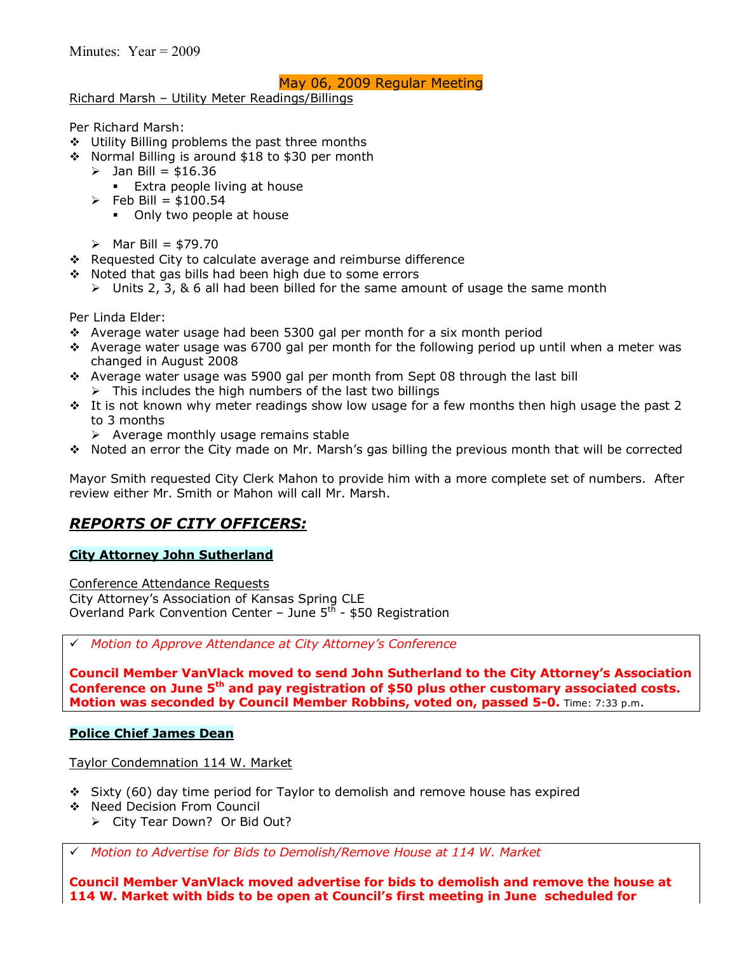## May 06, 2009 Regular Meeting

Richard Marsh - Utility Meter Readings/Billings

Per Richard Marsh:

- $\div$  Utility Billing problems the past three months
- $\cdot$  Normal Billing is around \$18 to \$30 per month
	- $\geq$  Jan Bill = \$16.36
		- $\blacksquare$  Extra people living at house
	- $\triangleright$  Feb Bill = \$100.54
		- Only two people at house
	- $\triangleright$  Mar Bill = \$79.70
- \$ Requested City to calculate average and reimburse difference
- $\div$  Noted that gas bills had been high due to some errors
	- $\ge$  Units 2, 3, & 6 all had been billed for the same amount of usage the same month

Per Linda Elder:

- $\cdot$  Average water usage had been 5300 gal per month for a six month period
- $\cdot$  Average water usage was 6700 gal per month for the following period up until when a meter was changed in August 2008
- $\cdot$  Average water usage was 5900 gal per month from Sept 08 through the last bill  $\triangleright$  This includes the high numbers of the last two billings
- $\cdot$  It is not known why meter readings show low usage for a few months then high usage the past 2 to 3 months
	- $\triangleright$  Average monthly usage remains stable
- \* Noted an error the City made on Mr. Marsh's gas billing the previous month that will be corrected

Mayor Smith requested City Clerk Mahon to provide him with a more complete set of numbers. After review either Mr. Smith or Mahon will call Mr. Marsh.

# *REPORTS OF CITY OFFICERS:*

## **City Attorney John Sutherland**

Conference Attendance Requests City Attorneyís Association of Kansas Spring CLE Overland Park Convention Center – June  $5<sup>th</sup>$  - \$50 Registration

# *Motion to Approve Attendance at City Attorneyís Conference* 

**Council Member VanVlack moved to send John Sutherland to the City Attorneyís Association Conference on June 5th and pay registration of \$50 plus other customary associated costs. Motion was seconded by Council Member Robbins, voted on, passed 5-0.** Time: 7:33 p.m.

#### **Police Chief James Dean**

Taylor Condemnation 114 W. Market

- $\div$  Sixty (60) day time period for Taylor to demolish and remove house has expired
- ◆ Need Decision From Council
	- > City Tear Down? Or Bid Out?

# *Motion to Advertise for Bids to Demolish/Remove House at 114 W. Market* 

**Council Member VanVlack moved advertise for bids to demolish and remove the house at 114 W. Market with bids to be open at Councilís first meeting in June scheduled for**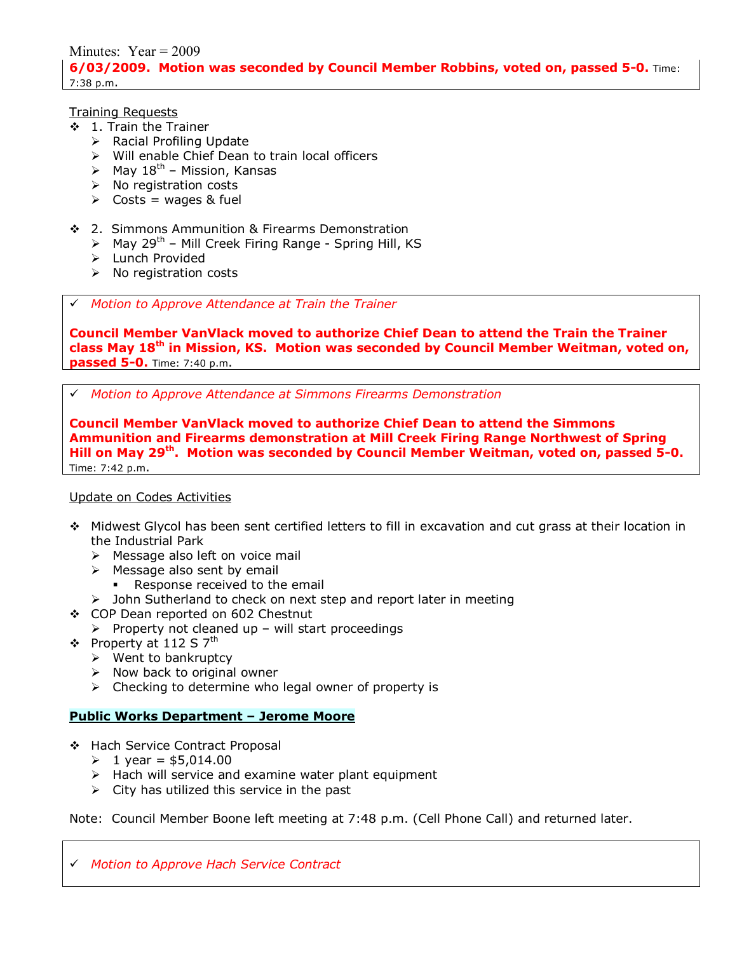Minutes: Year = 2009 **6/03/2009. Motion was seconded by Council Member Robbins, voted on, passed 5-0.** Time: 7:38 p.m.

Training Requests

- \$ 1. Train the Trainer
	- $\triangleright$  Racial Profiling Update
	- > Will enable Chief Dean to train local officers
	- $\triangleright$  May 18<sup>th</sup> Mission, Kansas
	- $\triangleright$  No registration costs
	- $\triangleright$  Costs = wages & fuel
- ❖ 2. Simmons Ammunition & Firearms Demonstration
	- $\triangleright$  May 29<sup>th</sup> Mill Creek Firing Range Spring Hill, KS
	- > Lunch Provided
	- $\triangleright$  No registration costs

# *Motion to Approve Attendance at Train the Trainer* 

**Council Member VanVlack moved to authorize Chief Dean to attend the Train the Trainer class May 18th in Mission, KS. Motion was seconded by Council Member Weitman, voted on, passed 5-0.** Time: 7:40 p.m.

# *Motion to Approve Attendance at Simmons Firearms Demonstration* 

**Council Member VanVlack moved to authorize Chief Dean to attend the Simmons Ammunition and Firearms demonstration at Mill Creek Firing Range Northwest of Spring Hill on May 29th. Motion was seconded by Council Member Weitman, voted on, passed 5-0.** Time: 7:42 p.m.

#### Update on Codes Activities

- \$ Midwest Glycol has been sent certified letters to fill in excavation and cut grass at their location in the Industrial Park
	- $\triangleright$  Message also left on voice mail
	- $\triangleright$  Message also sent by email
		- Response received to the email
	- $\triangleright$  John Sutherland to check on next step and report later in meeting
- \$ COP Dean reported on 602 Chestnut
- $\triangleright$  Property not cleaned up will start proceedings
- $\div$  Property at 112 S 7<sup>th</sup>
	- $\triangleright$  Went to bankruptcy
	- $\triangleright$  Now back to original owner
	- $\triangleright$  Checking to determine who legal owner of property is

#### **Public Works Department - Jerome Moore**

- \$ Hach Service Contract Proposal
	- $\geq 1$  year = \$5,014.00
	- $\triangleright$  Hach will service and examine water plant equipment
	- $\triangleright$  City has utilized this service in the past

Note: Council Member Boone left meeting at 7:48 p.m. (Cell Phone Call) and returned later.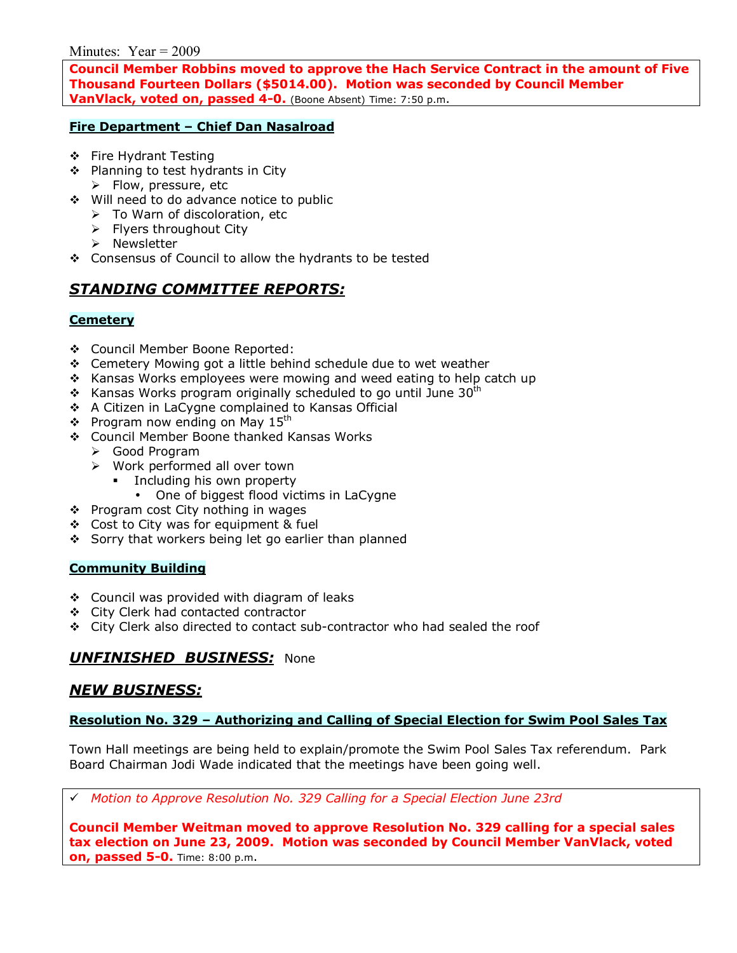Minutes:  $Year = 2009$ 

**Council Member Robbins moved to approve the Hach Service Contract in the amount of Five Thousand Fourteen Dollars (\$5014.00). Motion was seconded by Council Member VanVlack, voted on, passed 4-0.** (Boone Absent) Time: 7:50 p.m.

## **Fire Department - Chief Dan Nasalroad**

- ❖ Fire Hydrant Testing
- ❖ Planning to test hydrants in City  $\triangleright$  Flow, pressure, etc
- \$ Will need to do advance notice to public
	- $\triangleright$  To Warn of discoloration, etc
	- $\triangleright$  Flyers throughout City
	- $\triangleright$  Newsletter
- \* Consensus of Council to allow the hydrants to be tested

# *STANDING COMMITTEE REPORTS:*

## **Cemetery**

- \$ Council Member Boone Reported:
- \$ Cemetery Mowing got a little behind schedule due to wet weather
- $\cdot$  Kansas Works employees were mowing and weed eating to help catch up
- $\div$  Kansas Works program originally scheduled to go until June 30<sup>th</sup>
- \$ A Citizen in LaCygne complained to Kansas Official
- $\div$  Program now ending on May 15<sup>th</sup>
- \$ Council Member Boone thanked Kansas Works
	- ▶ Good Program
	- $\triangleright$  Work performed all over town
		- **Example 1** Including his own property
			- One of biggest flood victims in LaCygne
- ❖ Program cost City nothing in wages
- $\div$  Cost to City was for equipment & fuel
- Sorry that workers being let go earlier than planned

#### **Community Building**

- \$ Council was provided with diagram of leaks
- \$ City Clerk had contacted contractor
- $\div$  City Clerk also directed to contact sub-contractor who had sealed the roof

# *UNFINISHED BUSINESS:* None

## *NEW BUSINESS:*

## Resolution No. 329 - Authorizing and Calling of Special Election for Swim Pool Sales Tax

Town Hall meetings are being held to explain/promote the Swim Pool Sales Tax referendum. Park Board Chairman Jodi Wade indicated that the meetings have been going well.

# *Motion to Approve Resolution No. 329 Calling for a Special Election June 23rd*

**Council Member Weitman moved to approve Resolution No. 329 calling for a special sales tax election on June 23, 2009. Motion was seconded by Council Member VanVlack, voted on, passed 5-0.** Time: 8:00 p.m.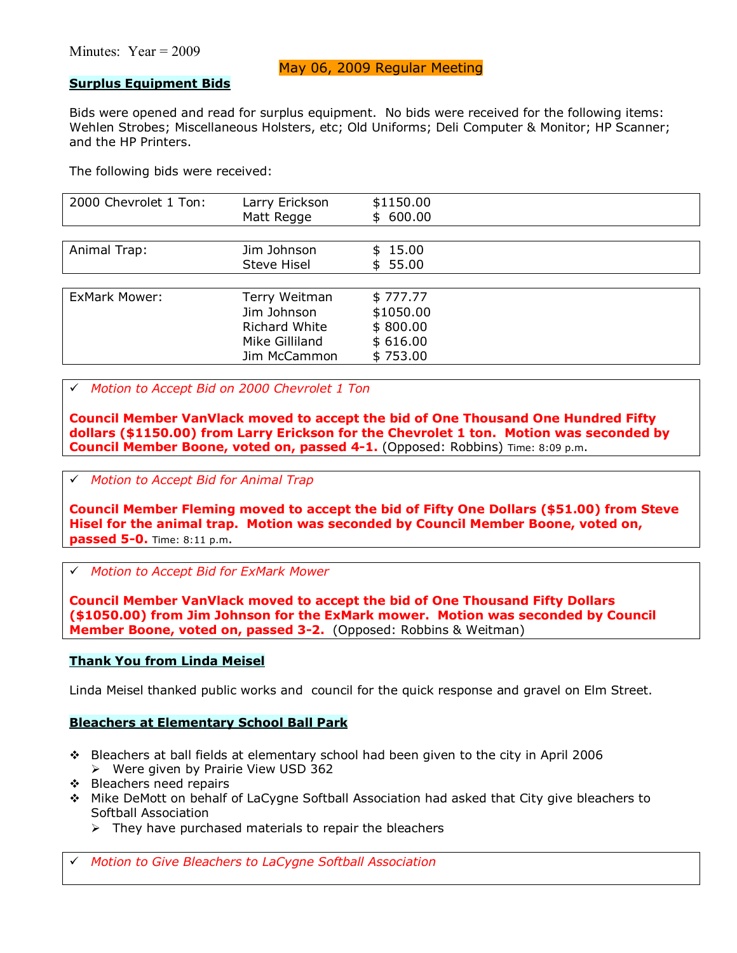## May 06, 2009 Regular Meeting

#### **Surplus Equipment Bids**

Bids were opened and read for surplus equipment. No bids were received for the following items: Wehlen Strobes; Miscellaneous Holsters, etc; Old Uniforms; Deli Computer & Monitor; HP Scanner; and the HP Printers.

The following bids were received:

| 2000 Chevrolet 1 Ton: | Larry Erickson       | \$1150.00 |
|-----------------------|----------------------|-----------|
|                       | Matt Regge           | \$600.00  |
|                       |                      |           |
| Animal Trap:          | Jim Johnson          | \$15.00   |
|                       | <b>Steve Hisel</b>   | \$55.00   |
|                       |                      |           |
| <b>ExMark Mower:</b>  | Terry Weitman        | \$777.77  |
|                       | Jim Johnson          | \$1050.00 |
|                       | <b>Richard White</b> | \$800.00  |
|                       | Mike Gilliland       | \$616.00  |
|                       | Jim McCammon         | \$753.00  |

#### # *Motion to Accept Bid on 2000 Chevrolet 1 Ton*

**Council Member VanVlack moved to accept the bid of One Thousand One Hundred Fifty dollars (\$1150.00) from Larry Erickson for the Chevrolet 1 ton. Motion was seconded by Council Member Boone, voted on, passed 4-1.** (Opposed: Robbins) Time: 8:09 p.m.

#### # *Motion to Accept Bid for Animal Trap*

**Council Member Fleming moved to accept the bid of Fifty One Dollars (\$51.00) from Steve Hisel for the animal trap. Motion was seconded by Council Member Boone, voted on, passed 5-0.** Time: 8:11 p.m.

# *Motion to Accept Bid for ExMark Mower*

**Council Member VanVlack moved to accept the bid of One Thousand Fifty Dollars (\$1050.00) from Jim Johnson for the ExMark mower. Motion was seconded by Council Member Boone, voted on, passed 3-2.** (Opposed: Robbins & Weitman)

#### **Thank You from Linda Meisel**

Linda Meisel thanked public works and council for the quick response and gravel on Elm Street.

#### **Bleachers at Elementary School Ball Park**

- \$ Bleachers at ball fields at elementary school had been given to the city in April 2006  $\triangleright$  Were given by Prairie View USD 362
- $\div$  Bleachers need repairs
- \$ Mike DeMott on behalf of LaCygne Softball Association had asked that City give bleachers to Softball Association
	- $\triangleright$  They have purchased materials to repair the bleachers

# *Motion to Give Bleachers to LaCygne Softball Association*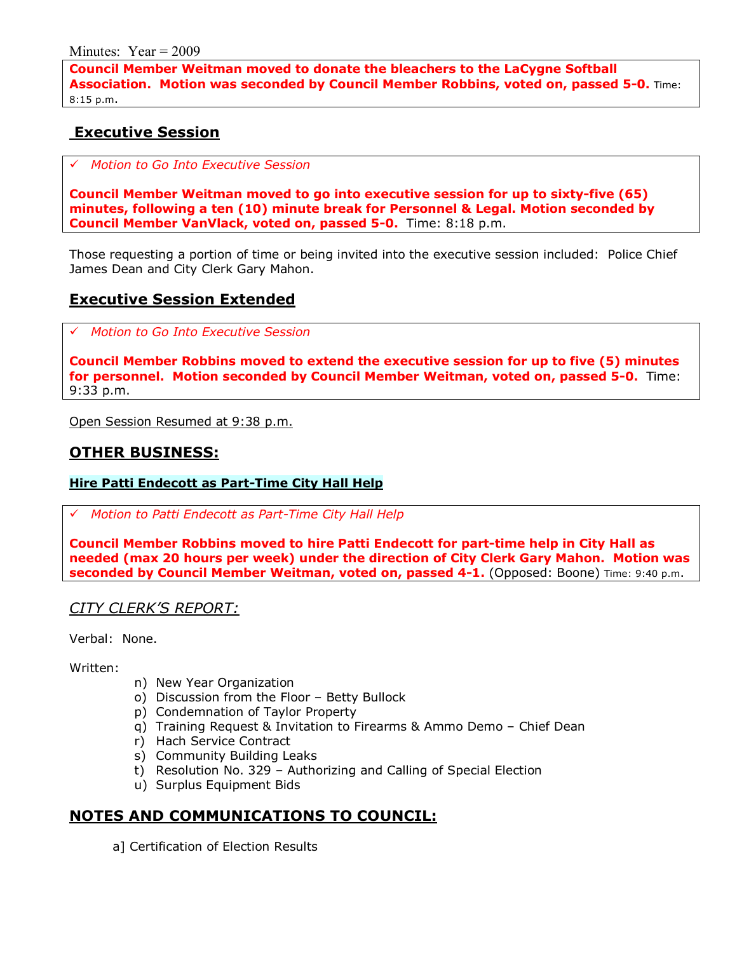**Council Member Weitman moved to donate the bleachers to the LaCygne Softball Association. Motion was seconded by Council Member Robbins, voted on, passed 5-0.** Time: 8:15 p.m.

# **Executive Session**

# *Motion to Go Into Executive Session*

**Council Member Weitman moved to go into executive session for up to sixty-five (65) minutes, following a ten (10) minute break for Personnel & Legal. Motion seconded by Council Member VanVlack, voted on, passed 5-0.** Time: 8:18 p.m.

Those requesting a portion of time or being invited into the executive session included: Police Chief James Dean and City Clerk Gary Mahon.

# **Executive Session Extended**

# *Motion to Go Into Executive Session*

**Council Member Robbins moved to extend the executive session for up to five (5) minutes for personnel. Motion seconded by Council Member Weitman, voted on, passed 5-0.** Time: 9:33 p.m.

Open Session Resumed at 9:38 p.m.

## **OTHER BUSINESS:**

## **Hire Patti Endecott as Part-Time City Hall Help**

# *Motion to Patti Endecott as Part-Time City Hall Help*

**Council Member Robbins moved to hire Patti Endecott for part-time help in City Hall as needed (max 20 hours per week) under the direction of City Clerk Gary Mahon. Motion was seconded by Council Member Weitman, voted on, passed 4-1.** (Opposed: Boone) Time: 9:40 p.m.

## *CITY CLERKíS REPORT:*

Verbal: None.

## Written:

- n) New Year Organization
- o) Discussion from the Floor Betty Bullock
- p) Condemnation of Taylor Property
- q) Training Request & Invitation to Firearms & Ammo Demo Chief Dean
- r) Hach Service Contract
- s) Community Building Leaks
- t) Resolution No. 329 Authorizing and Calling of Special Election
- u) Surplus Equipment Bids

# **NOTES AND COMMUNICATIONS TO COUNCIL:**

a] Certification of Election Results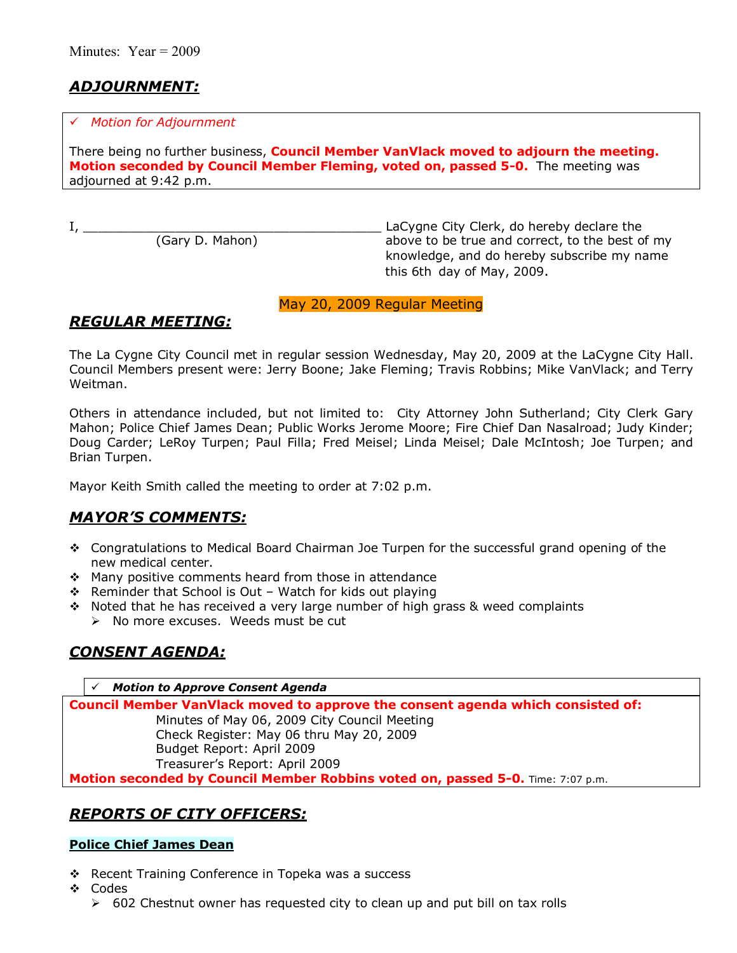# *ADJOURNMENT:*

#### # *Motion for Adjournment*

There being no further business, **Council Member VanVlack moved to adjourn the meeting. Motion seconded by Council Member Fleming, voted on, passed 5-0.** The meeting was adjourned at 9:42 p.m.

I, \_\_\_\_\_\_\_\_\_\_\_\_\_\_\_\_\_\_\_\_\_\_\_\_\_\_\_\_\_\_\_\_\_\_\_\_\_\_\_ LaCygne City Clerk, do hereby declare the above to be true and correct, to the best of my knowledge, and do hereby subscribe my name this 6th day of May, 2009.

## May 20, 2009 Regular Meeting

# *REGULAR MEETING:*

The La Cygne City Council met in regular session Wednesday, May 20, 2009 at the LaCygne City Hall. Council Members present were: Jerry Boone; Jake Fleming; Travis Robbins; Mike VanVlack; and Terry Weitman.

Others in attendance included, but not limited to: City Attorney John Sutherland; City Clerk Gary Mahon; Police Chief James Dean; Public Works Jerome Moore; Fire Chief Dan Nasalroad; Judy Kinder; Doug Carder; LeRoy Turpen; Paul Filla; Fred Meisel; Linda Meisel; Dale McIntosh; Joe Turpen; and Brian Turpen.

Mayor Keith Smith called the meeting to order at 7:02 p.m.

# *MAYORíS COMMENTS:*

- \* Congratulations to Medical Board Chairman Joe Turpen for the successful grand opening of the new medical center.
- \* Many positive comments heard from those in attendance
- $\div$  Reminder that School is Out Watch for kids out playing
- $\div$  Noted that he has received a very large number of high grass & weed complaints
	- $\triangleright$  No more excuses. Weeds must be cut

# *CONSENT AGENDA:*

#### # *Motion to Approve Consent Agenda*

**Council Member VanVlack moved to approve the consent agenda which consisted of:**  Minutes of May 06, 2009 City Council Meeting Check Register: May 06 thru May 20, 2009 Budget Report: April 2009 Treasurerís Report: April 2009 **Motion seconded by Council Member Robbins voted on, passed 5-0.** Time: 7:07 p.m.

# *REPORTS OF CITY OFFICERS:*

## **Police Chief James Dean**

- \* Recent Training Conference in Topeka was a success
- \$ Codes
	- $\geq$  602 Chestnut owner has requested city to clean up and put bill on tax rolls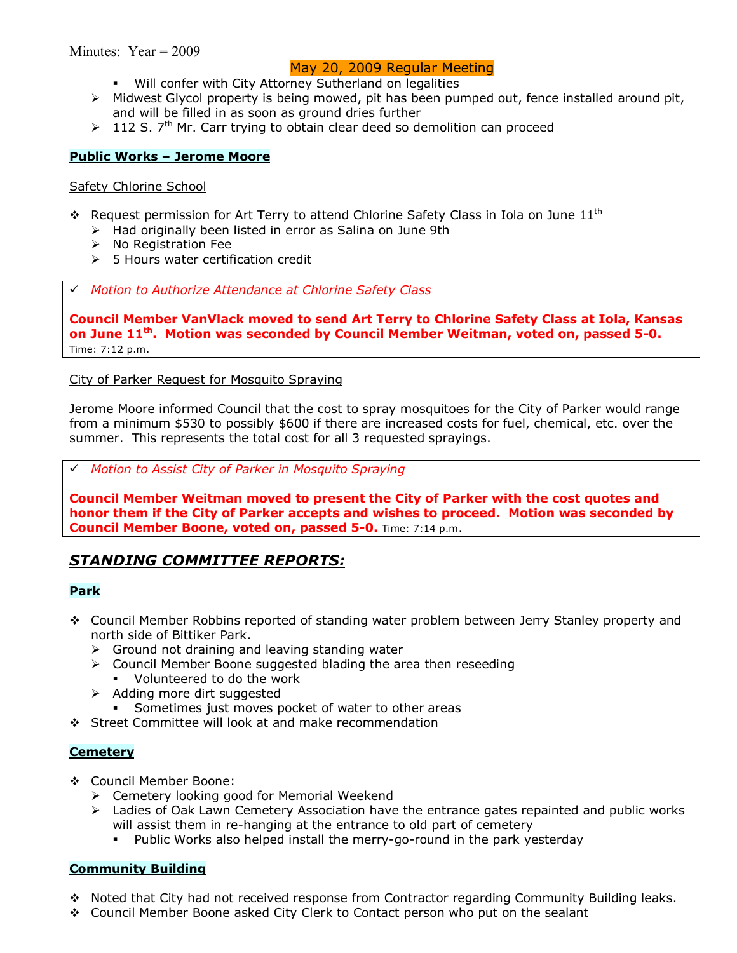## May 20, 2009 Regular Meeting

- Will confer with City Attorney Sutherland on legalities
- $\triangleright$  Midwest Glycol property is being mowed, pit has been pumped out, fence installed around pit, and will be filled in as soon as ground dries further
- $\geq 112$  S. 7<sup>th</sup> Mr. Carr trying to obtain clear deed so demolition can proceed

#### **Public Works - Jerome Moore**

#### Safety Chlorine School

- $\cdot$  Request permission for Art Terry to attend Chlorine Safety Class in Iola on June 11<sup>th</sup>
	- $\triangleright$  Had originally been listed in error as Salina on June 9th
	- $\triangleright$  No Registration Fee
	- $\geq$  5 Hours water certification credit

# *Motion to Authorize Attendance at Chlorine Safety Class* 

**Council Member VanVlack moved to send Art Terry to Chlorine Safety Class at Iola, Kansas on June 11th. Motion was seconded by Council Member Weitman, voted on, passed 5-0.** Time: 7:12 p.m.

## City of Parker Request for Mosquito Spraying

Jerome Moore informed Council that the cost to spray mosquitoes for the City of Parker would range from a minimum \$530 to possibly \$600 if there are increased costs for fuel, chemical, etc. over the summer. This represents the total cost for all 3 requested sprayings.

## # *Motion to Assist City of Parker in Mosquito Spraying*

**Council Member Weitman moved to present the City of Parker with the cost quotes and honor them if the City of Parker accepts and wishes to proceed. Motion was seconded by Council Member Boone, voted on, passed 5-0.** Time: 7:14 p.m.

# *STANDING COMMITTEE REPORTS:*

## **Park**

- \$ Council Member Robbins reported of standing water problem between Jerry Stanley property and north side of Bittiker Park.
	- $\triangleright$  Ground not draining and leaving standing water
	- $\triangleright$  Council Member Boone suggested blading the area then reseeding
		- Volunteered to do the work
	- $\triangleright$  Adding more dirt suggested
		- **Sometimes just moves pocket of water to other areas**
- \$ Street Committee will look at and make recommendation

#### **Cemetery**

- \$ Council Member Boone:
	- $\triangleright$  Cemetery looking good for Memorial Weekend
	- $\triangleright$  Ladies of Oak Lawn Cemetery Association have the entrance gates repainted and public works will assist them in re-hanging at the entrance to old part of cemetery
		- % Public Works also helped install the merry-go-round in the park yesterday

## **Community Building**

- $\div$  Noted that City had not received response from Contractor regarding Community Building leaks.
- \$ Council Member Boone asked City Clerk to Contact person who put on the sealant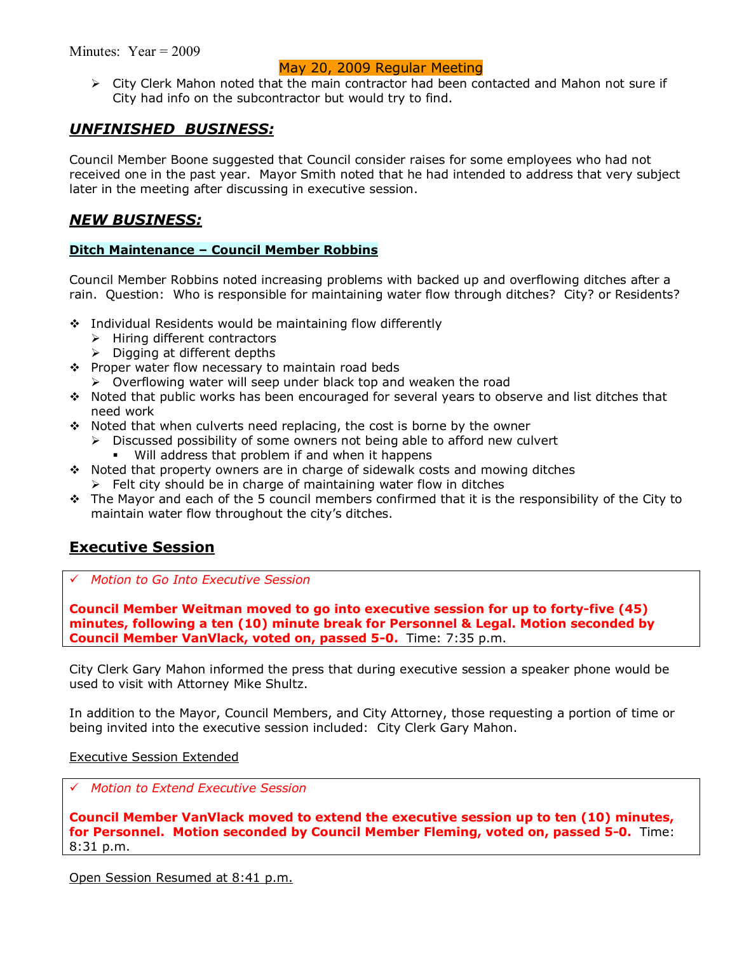## May 20, 2009 Regular Meeting

> City Clerk Mahon noted that the main contractor had been contacted and Mahon not sure if City had info on the subcontractor but would try to find.

## *UNFINISHED BUSINESS:*

Council Member Boone suggested that Council consider raises for some employees who had not received one in the past year. Mayor Smith noted that he had intended to address that very subject later in the meeting after discussing in executive session.

## *NEW BUSINESS:*

## **Ditch Maintenance - Council Member Robbins**

Council Member Robbins noted increasing problems with backed up and overflowing ditches after a rain. Question: Who is responsible for maintaining water flow through ditches? City? or Residents?

- $\div$  Individual Residents would be maintaining flow differently
	- $\triangleright$  Hiring different contractors
	- $\triangleright$  Digging at different depths
- \* Proper water flow necessary to maintain road beds
	- $\triangleright$  Overflowing water will seep under black top and weaken the road
- \$ Noted that public works has been encouraged for several years to observe and list ditches that need work
- $\cdot \cdot$  Noted that when culverts need replacing, the cost is borne by the owner
	- $\triangleright$  Discussed possibility of some owners not being able to afford new culvert
		- Will address that problem if and when it happens
- $\cdot$  Noted that property owners are in charge of sidewalk costs and mowing ditches
	- $\triangleright$  Felt city should be in charge of maintaining water flow in ditches
- $\cdot \cdot$  The Mayor and each of the 5 council members confirmed that it is the responsibility of the City to maintain water flow throughout the city's ditches.

# **Executive Session**

# *Motion to Go Into Executive Session*

**Council Member Weitman moved to go into executive session for up to forty-five (45) minutes, following a ten (10) minute break for Personnel & Legal. Motion seconded by Council Member VanVlack, voted on, passed 5-0.** Time: 7:35 p.m.

City Clerk Gary Mahon informed the press that during executive session a speaker phone would be used to visit with Attorney Mike Shultz.

In addition to the Mayor, Council Members, and City Attorney, those requesting a portion of time or being invited into the executive session included: City Clerk Gary Mahon.

Executive Session Extended

# *Motion to Extend Executive Session*

**Council Member VanVlack moved to extend the executive session up to ten (10) minutes, for Personnel. Motion seconded by Council Member Fleming, voted on, passed 5-0.** Time: 8:31 p.m.

Open Session Resumed at 8:41 p.m.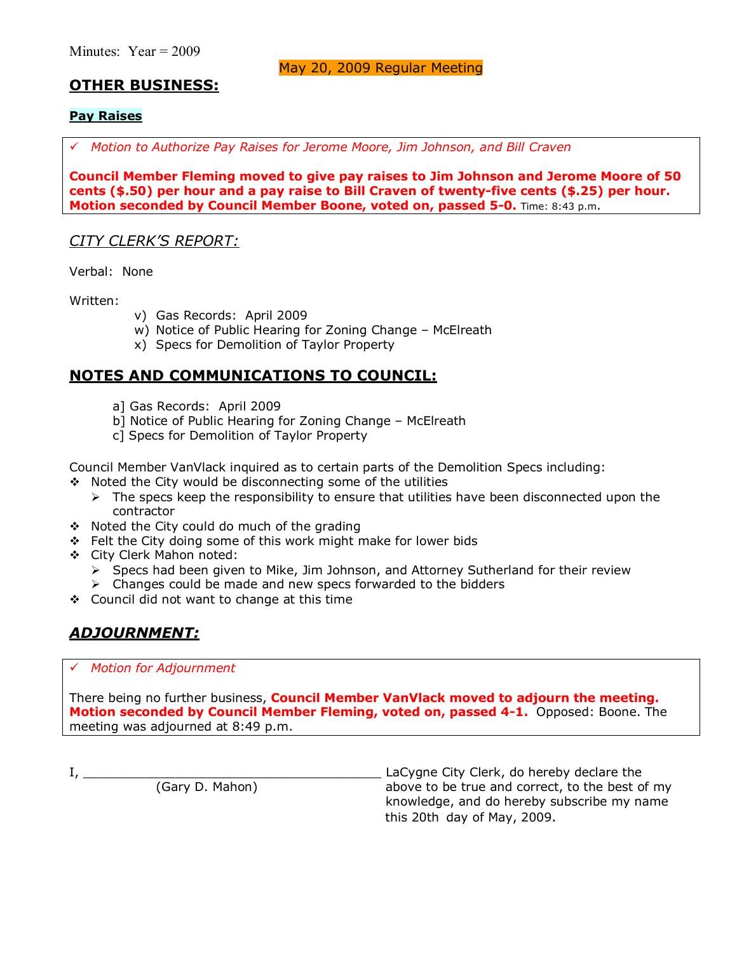May 20, 2009 Regular Meeting

# **OTHER BUSINESS:**

## **Pay Raises**

# *Motion to Authorize Pay Raises for Jerome Moore, Jim Johnson, and Bill Craven*

**Council Member Fleming moved to give pay raises to Jim Johnson and Jerome Moore of 50 cents (\$.50) per hour and a pay raise to Bill Craven of twenty-five cents (\$.25) per hour. Motion seconded by Council Member Boone, voted on, passed 5-0.** Time: 8:43 p.m.

## *CITY CLERKíS REPORT:*

Verbal: None

Written:

- v) Gas Records: April 2009
- w) Notice of Public Hearing for Zoning Change McElreath
- x) Specs for Demolition of Taylor Property

# **NOTES AND COMMUNICATIONS TO COUNCIL:**

- a] Gas Records: April 2009
- b] Notice of Public Hearing for Zoning Change McElreath
- c] Specs for Demolition of Taylor Property

Council Member VanVlack inquired as to certain parts of the Demolition Specs including:

- $\div$  Noted the City would be disconnecting some of the utilities
	- $\triangleright$  The specs keep the responsibility to ensure that utilities have been disconnected upon the contractor
- \* Noted the City could do much of the grading
- \$ Felt the City doing some of this work might make for lower bids
- \$ City Clerk Mahon noted:
	- > Specs had been given to Mike, Jim Johnson, and Attorney Sutherland for their review
	- $\triangleright$  Changes could be made and new specs forwarded to the bidders
- \$ Council did not want to change at this time

# *ADJOURNMENT:*

## # *Motion for Adjournment*

There being no further business, **Council Member VanVlack moved to adjourn the meeting. Motion seconded by Council Member Fleming, voted on, passed 4-1.** Opposed: Boone. The meeting was adjourned at 8:49 p.m.

I, \_\_\_\_\_\_\_\_\_\_\_\_\_\_\_\_\_\_\_\_\_\_\_\_\_\_\_\_\_\_\_\_\_\_\_\_\_\_\_ LaCygne City Clerk, do hereby declare the (Gary D. Mahon) above to be true and correct, to the best of my knowledge, and do hereby subscribe my name this 20th day of May, 2009.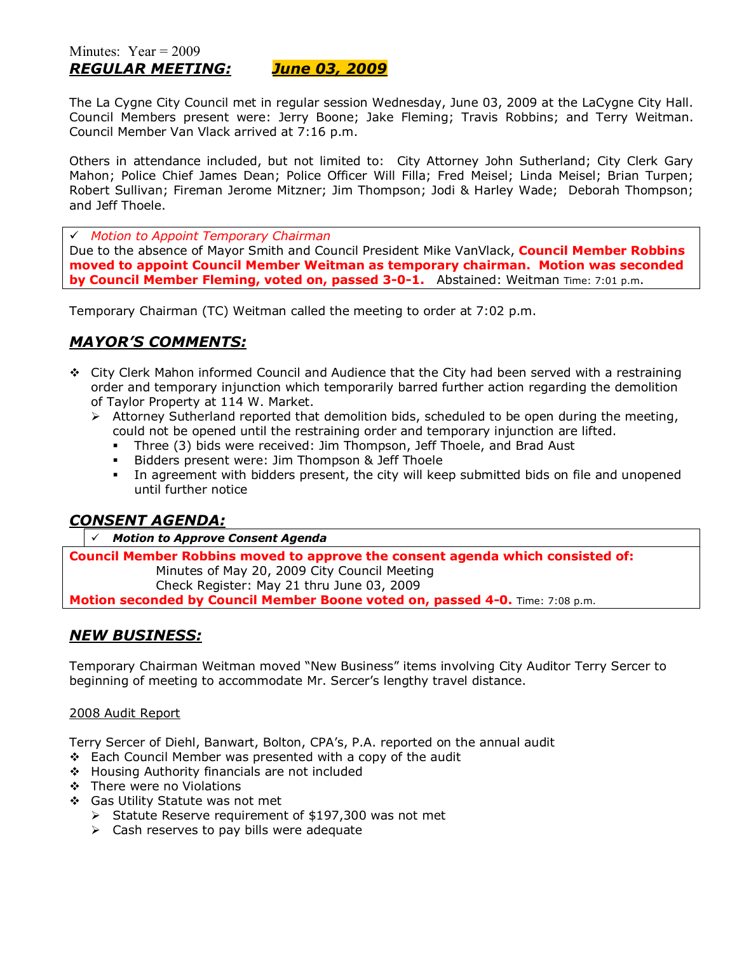The La Cygne City Council met in regular session Wednesday, June 03, 2009 at the LaCygne City Hall. Council Members present were: Jerry Boone; Jake Fleming; Travis Robbins; and Terry Weitman. Council Member Van Vlack arrived at 7:16 p.m.

Others in attendance included, but not limited to: City Attorney John Sutherland; City Clerk Gary Mahon; Police Chief James Dean; Police Officer Will Filla; Fred Meisel; Linda Meisel; Brian Turpen; Robert Sullivan; Fireman Jerome Mitzner; Jim Thompson; Jodi & Harley Wade; Deborah Thompson; and Jeff Thoele.

# *Motion to Appoint Temporary Chairman*

Due to the absence of Mayor Smith and Council President Mike VanVlack, **Council Member Robbins moved to appoint Council Member Weitman as temporary chairman. Motion was seconded by Council Member Fleming, voted on, passed 3-0-1.** Abstained: Weitman Time: 7:01 p.m.

Temporary Chairman (TC) Weitman called the meeting to order at 7:02 p.m.

# *MAYORíS COMMENTS:*

- \$ City Clerk Mahon informed Council and Audience that the City had been served with a restraining order and temporary injunction which temporarily barred further action regarding the demolition of Taylor Property at 114 W. Market.
	- $\triangleright$  Attorney Sutherland reported that demolition bids, scheduled to be open during the meeting, could not be opened until the restraining order and temporary injunction are lifted.
		- % Three (3) bids were received: Jim Thompson, Jeff Thoele, and Brad Aust
		- **Bidders present were: Jim Thompson & Jeff Thoele**
		- In agreement with bidders present, the city will keep submitted bids on file and unopened until further notice

# *CONSENT AGENDA:*

#### *Motion to Approve Consent Agenda*

**Council Member Robbins moved to approve the consent agenda which consisted of:**  Minutes of May 20, 2009 City Council Meeting Check Register: May 21 thru June 03, 2009 **Motion seconded by Council Member Boone voted on, passed 4-0.** Time: 7:08 p.m.

## *NEW BUSINESS:*

Temporary Chairman Weitman moved "New Business" items involving City Auditor Terry Sercer to beginning of meeting to accommodate Mr. Sercerís lengthy travel distance.

#### 2008 Audit Report

Terry Sercer of Diehl, Banwart, Bolton, CPAís, P.A. reported on the annual audit

- $\div$  Each Council Member was presented with a copy of the audit
- \$ Housing Authority financials are not included
- \$ There were no Violations
- ❖ Gas Utility Statute was not met
	- $\triangleright$  Statute Reserve requirement of \$197,300 was not met
	- $\triangleright$  Cash reserves to pay bills were adequate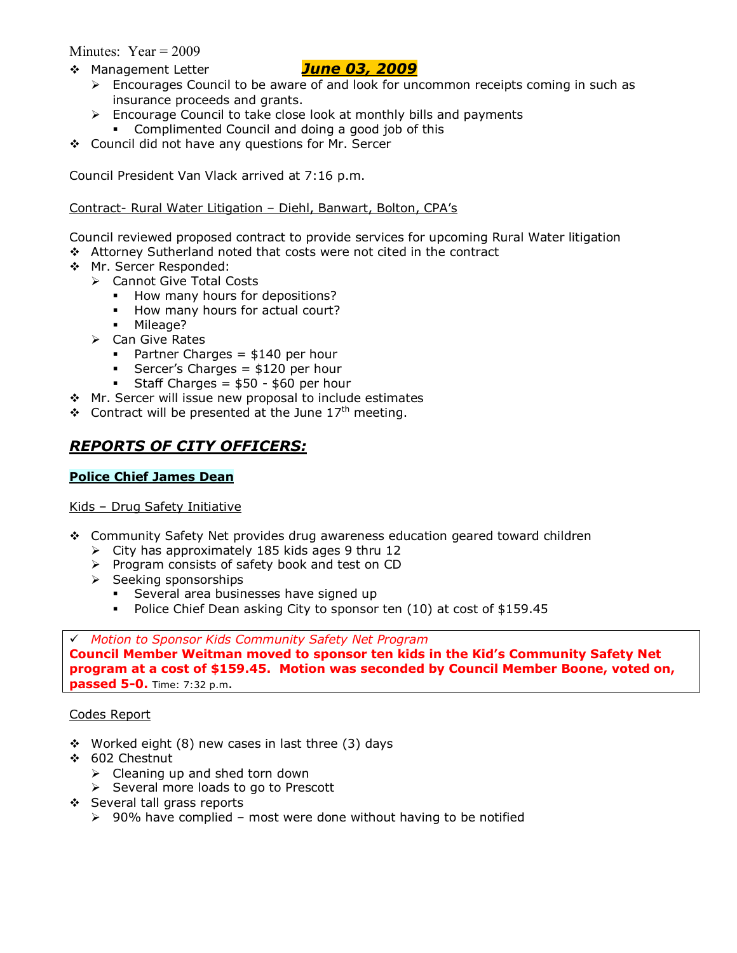Minutes:  $Year = 2009$ 

\$ Management Letter *June 03, 2009*

- $\triangleright$  Encourages Council to be aware of and look for uncommon receipts coming in such as insurance proceeds and grants.
- $\triangleright$  Encourage Council to take close look at monthly bills and payments
- Complimented Council and doing a good job of this
- \$ Council did not have any questions for Mr. Sercer

Council President Van Vlack arrived at 7:16 p.m.

## Contract- Rural Water Litigation - Diehl, Banwart, Bolton, CPA's

Council reviewed proposed contract to provide services for upcoming Rural Water litigation

- \$ Attorney Sutherland noted that costs were not cited in the contract
- \$ Mr. Sercer Responded:
	- > Cannot Give Total Costs
		- **How many hours for depositions?**
		- How many hours for actual court?
		- Mileage?
	- $\triangleright$  Can Give Rates
		- Partner Charges =  $$140$  per hour
		- Sercer's Charges =  $$120$  per hour
		- Staff Charges =  $$50 $60$  per hour
- ◆ Mr. Sercer will issue new proposal to include estimates
- $\div$  Contract will be presented at the June 17<sup>th</sup> meeting.

# *REPORTS OF CITY OFFICERS:*

## **Police Chief James Dean**

## Kids - Drug Safety Initiative

- \$ Community Safety Net provides drug awareness education geared toward children
	- $\triangleright$  City has approximately 185 kids ages 9 thru 12
	- > Program consists of safety book and test on CD
	- $\triangleright$  Seeking sponsorships
		- **Several area businesses have signed up**
		- Police Chief Dean asking City to sponsor ten (10) at cost of \$159.45

## # *Motion to Sponsor Kids Community Safety Net Program*

**Council Member Weitman moved to sponsor ten kids in the Kidís Community Safety Net program at a cost of \$159.45. Motion was seconded by Council Member Boone, voted on, passed 5-0.** Time: 7:32 p.m.

## Codes Report

- $\div$  Worked eight (8) new cases in last three (3) days
- \$ 602 Chestnut
	- $\triangleright$  Cleaning up and shed torn down
	- $\triangleright$  Several more loads to go to Prescott
- \$ Several tall grass reports
	- $\geq$  90% have complied most were done without having to be notified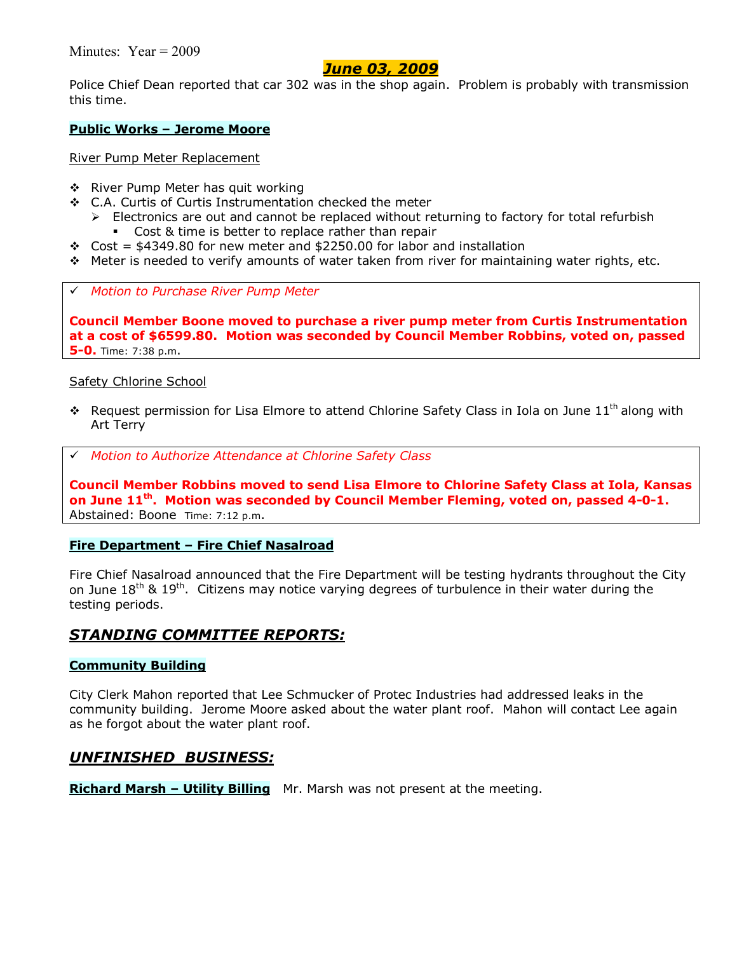Minutes: Year = 2009

## *June 03, 2009*

Police Chief Dean reported that car 302 was in the shop again. Problem is probably with transmission this time.

#### **Public Works - Jerome Moore**

River Pump Meter Replacement

- ❖ River Pump Meter has quit working
- \$ C.A. Curtis of Curtis Instrumentation checked the meter
	- $\triangleright$  Electronics are out and cannot be replaced without returning to factory for total refurbish
		- Cost & time is better to replace rather than repair
- $\div$  Cost = \$4349.80 for new meter and \$2250.00 for labor and installation
- $\div$  Meter is needed to verify amounts of water taken from river for maintaining water rights, etc.
- # *Motion to Purchase River Pump Meter*

**Council Member Boone moved to purchase a river pump meter from Curtis Instrumentation at a cost of \$6599.80. Motion was seconded by Council Member Robbins, voted on, passed 5-0.** Time: 7:38 p.m.

#### Safety Chlorine School

- $\cdot \cdot$  Request permission for Lisa Elmore to attend Chlorine Safety Class in Iola on June 11<sup>th</sup> along with Art Terry
- # *Motion to Authorize Attendance at Chlorine Safety Class*

**Council Member Robbins moved to send Lisa Elmore to Chlorine Safety Class at Iola, Kansas on June 11th. Motion was seconded by Council Member Fleming, voted on, passed 4-0-1.** Abstained: Boone Time: 7:12 p.m.

#### **Fire Department - Fire Chief Nasalroad**

Fire Chief Nasalroad announced that the Fire Department will be testing hydrants throughout the City on June  $18<sup>th</sup>$  &  $19<sup>th</sup>$ . Citizens may notice varying degrees of turbulence in their water during the testing periods.

## *STANDING COMMITTEE REPORTS:*

#### **Community Building**

City Clerk Mahon reported that Lee Schmucker of Protec Industries had addressed leaks in the community building. Jerome Moore asked about the water plant roof. Mahon will contact Lee again as he forgot about the water plant roof.

## *UNFINISHED BUSINESS:*

**Richard Marsh – Utility Billing** Mr. Marsh was not present at the meeting.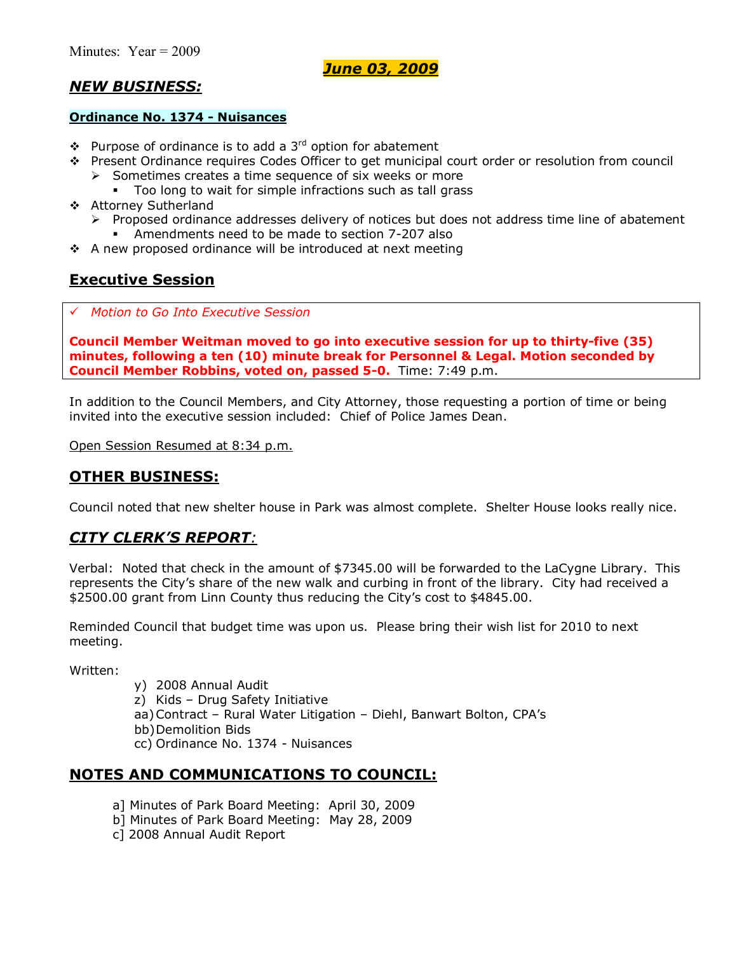*June 03, 2009*

# *NEW BUSINESS:*

## **Ordinance No. 1374 - Nuisances**

- $\bullet$  Purpose of ordinance is to add a 3<sup>rd</sup> option for abatement
- \$ Present Ordinance requires Codes Officer to get municipal court order or resolution from council
	- $\triangleright$  Sometimes creates a time sequence of six weeks or more
		- Too long to wait for simple infractions such as tall grass
- \$ Attorney Sutherland
	- $\triangleright$  Proposed ordinance addresses delivery of notices but does not address time line of abatement
		- Amendments need to be made to section 7-207 also
- $\cdot$  A new proposed ordinance will be introduced at next meeting

# **Executive Session**

# *Motion to Go Into Executive Session*

**Council Member Weitman moved to go into executive session for up to thirty-five (35) minutes, following a ten (10) minute break for Personnel & Legal. Motion seconded by Council Member Robbins, voted on, passed 5-0.** Time: 7:49 p.m.

In addition to the Council Members, and City Attorney, those requesting a portion of time or being invited into the executive session included: Chief of Police James Dean.

Open Session Resumed at 8:34 p.m.

# **OTHER BUSINESS:**

Council noted that new shelter house in Park was almost complete. Shelter House looks really nice.

# *CITY CLERKíS REPORT:*

Verbal: Noted that check in the amount of \$7345.00 will be forwarded to the LaCygne Library. This represents the City's share of the new walk and curbing in front of the library. City had received a \$2500.00 grant from Linn County thus reducing the Cityís cost to \$4845.00.

Reminded Council that budget time was upon us. Please bring their wish list for 2010 to next meeting.

Written:

- y) 2008 Annual Audit
- $z)$  Kids Drug Safety Initiative
- aa) Contract Rural Water Litigation Diehl, Banwart Bolton, CPA's
- bb) Demolition Bids
- cc) Ordinance No. 1374 Nuisances

# **NOTES AND COMMUNICATIONS TO COUNCIL:**

- a] Minutes of Park Board Meeting: April 30, 2009
- b] Minutes of Park Board Meeting: May 28, 2009
- c] 2008 Annual Audit Report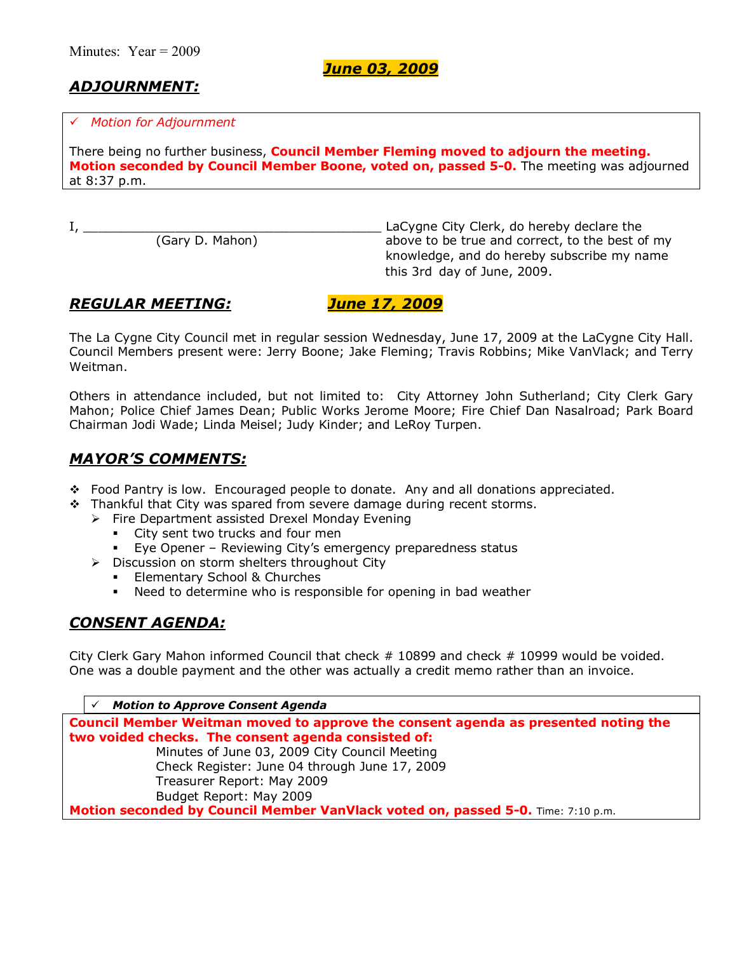*June 03, 2009*

# *ADJOURNMENT:*

#### # *Motion for Adjournment*

There being no further business, **Council Member Fleming moved to adjourn the meeting. Motion seconded by Council Member Boone, voted on, passed 5-0.** The meeting was adjourned at 8:37 p.m.

I, \_\_\_\_\_\_\_\_\_\_\_\_\_\_\_\_\_\_\_\_\_\_\_\_\_\_\_\_\_\_\_\_\_\_\_\_\_\_\_ LaCygne City Clerk, do hereby declare the above to be true and correct, to the best of my knowledge, and do hereby subscribe my name this 3rd day of June, 2009.

# *REGULAR MEETING: June 17, 2009*

The La Cygne City Council met in regular session Wednesday, June 17, 2009 at the LaCygne City Hall. Council Members present were: Jerry Boone; Jake Fleming; Travis Robbins; Mike VanVlack; and Terry Weitman.

Others in attendance included, but not limited to: City Attorney John Sutherland; City Clerk Gary Mahon; Police Chief James Dean; Public Works Jerome Moore; Fire Chief Dan Nasalroad; Park Board Chairman Jodi Wade; Linda Meisel; Judy Kinder; and LeRoy Turpen.

# *MAYORíS COMMENTS:*

- \$ Food Pantry is low. Encouraged people to donate. Any and all donations appreciated.
- $\cdot \cdot$  Thankful that City was spared from severe damage during recent storms.
	- $\triangleright$  Fire Department assisted Drexel Monday Evening
		- City sent two trucks and four men
		- **Eye Opener Reviewing City's emergency preparedness status**
	- $\triangleright$  Discussion on storm shelters throughout City
		- **Elementary School & Churches**
		- . Need to determine who is responsible for opening in bad weather

# *CONSENT AGENDA:*

City Clerk Gary Mahon informed Council that check # 10899 and check # 10999 would be voided. One was a double payment and the other was actually a credit memo rather than an invoice.

# *Motion to Approve Consent Agenda* **Council Member Weitman moved to approve the consent agenda as presented noting the two voided checks. The consent agenda consisted of:**  Minutes of June 03, 2009 City Council Meeting Check Register: June 04 through June 17, 2009 Treasurer Report: May 2009 Budget Report: May 2009 **Motion seconded by Council Member VanVlack voted on, passed 5-0.** Time: 7:10 p.m.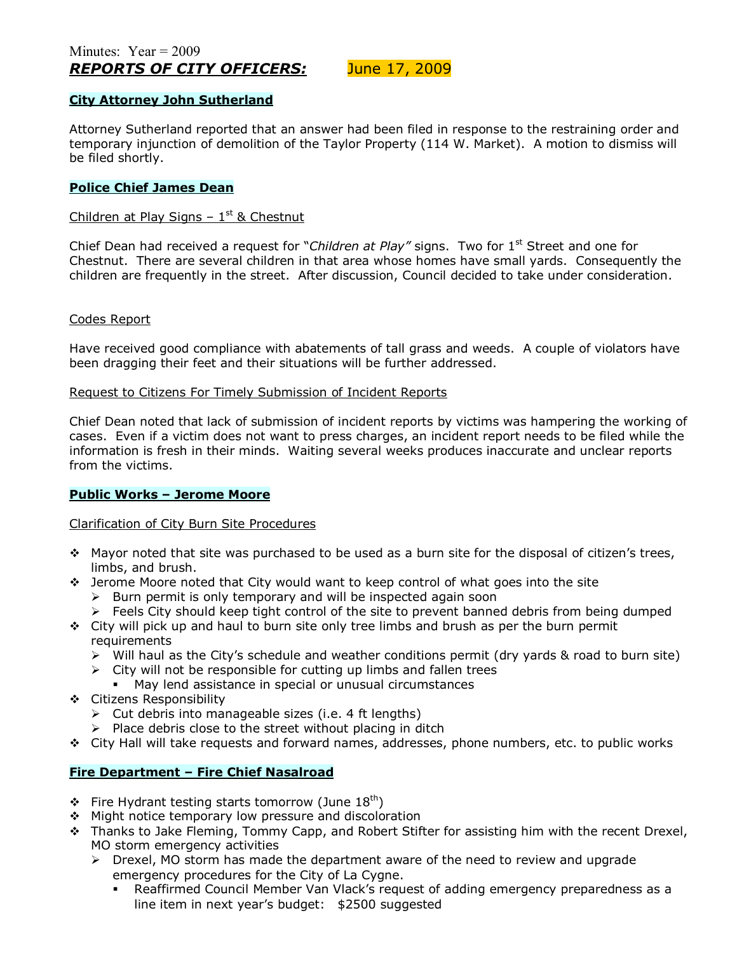#### **City Attorney John Sutherland**

Attorney Sutherland reported that an answer had been filed in response to the restraining order and temporary injunction of demolition of the Taylor Property (114 W. Market). A motion to dismiss will be filed shortly.

#### **Police Chief James Dean**

## Children at Play Signs  $-1$ <sup>st</sup> & Chestnut

Chief Dean had received a request for *"Children at Play"* signs. Two for 1<sup>st</sup> Street and one for Chestnut. There are several children in that area whose homes have small yards. Consequently the children are frequently in the street. After discussion, Council decided to take under consideration.

#### Codes Report

Have received good compliance with abatements of tall grass and weeds. A couple of violators have been dragging their feet and their situations will be further addressed.

#### Request to Citizens For Timely Submission of Incident Reports

Chief Dean noted that lack of submission of incident reports by victims was hampering the working of cases. Even if a victim does not want to press charges, an incident report needs to be filed while the information is fresh in their minds. Waiting several weeks produces inaccurate and unclear reports from the victims.

#### **Public Works - Jerome Moore**

#### Clarification of City Burn Site Procedures

- $\cdot$  Mayor noted that site was purchased to be used as a burn site for the disposal of citizen's trees, limbs, and brush.
- \* Jerome Moore noted that City would want to keep control of what goes into the site
	- $\triangleright$  Burn permit is only temporary and will be inspected again soon
	- $\triangleright$  Feels City should keep tight control of the site to prevent banned debris from being dumped
- $\div$  City will pick up and haul to burn site only tree limbs and brush as per the burn permit requirements
	- ! Will haul as the Cityís schedule and weather conditions permit (dry yards & road to burn site)
	- $\triangleright$  City will not be responsible for cutting up limbs and fallen trees
		- May lend assistance in special or unusual circumstances
- \$ Citizens Responsibility
	- $\triangleright$  Cut debris into manageable sizes (i.e. 4 ft lengths)
	- $\triangleright$  Place debris close to the street without placing in ditch
- \$ City Hall will take requests and forward names, addresses, phone numbers, etc. to public works

#### **Fire Department - Fire Chief Nasalroad**

- $\div$  Fire Hydrant testing starts tomorrow (June 18<sup>th</sup>)
- ❖ Might notice temporary low pressure and discoloration
- \* Thanks to Jake Fleming, Tommy Capp, and Robert Stifter for assisting him with the recent Drexel, MO storm emergency activities
	- $\triangleright$  Drexel, MO storm has made the department aware of the need to review and upgrade emergency procedures for the City of La Cygne.
		- Reaffirmed Council Member Van Vlack's request of adding emergency preparedness as a line item in next year's budget: \$2500 suggested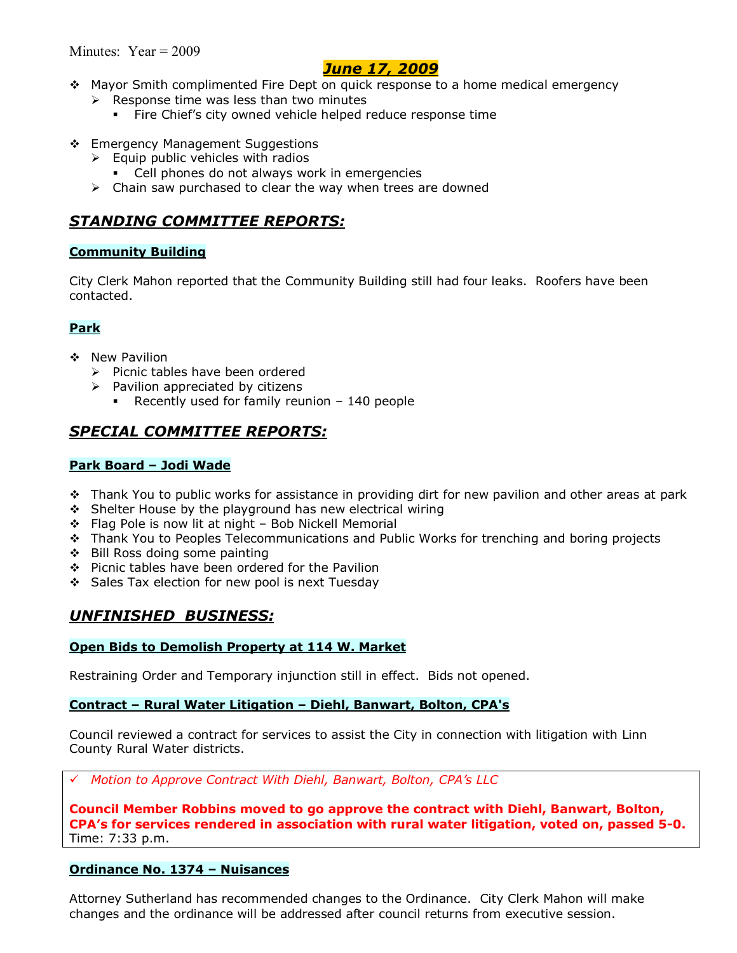# *June 17, 2009*

- \$ Mayor Smith complimented Fire Dept on quick response to a home medical emergency
	- $\triangleright$  Response time was less than two minutes
		- **Fire Chief's city owned vehicle helped reduce response time**
- \* Emergency Management Suggestions
	- $\triangleright$  Equip public vehicles with radios
		- Cell phones do not always work in emergencies
	- $\triangleright$  Chain saw purchased to clear the way when trees are downed

# *STANDING COMMITTEE REPORTS:*

## **Community Building**

City Clerk Mahon reported that the Community Building still had four leaks. Roofers have been contacted.

## **Park**

- \$ New Pavilion
	- $\triangleright$  Picnic tables have been ordered
	- $\triangleright$  Pavilion appreciated by citizens
		- Recently used for family reunion  $-140$  people

# *SPECIAL COMMITTEE REPORTS:*

## **Park Board - Jodi Wade**

- $\cdot$  Thank You to public works for assistance in providing dirt for new pavilion and other areas at park
- ◆ Shelter House by the playground has new electrical wiring
- $\div$  Flag Pole is now lit at night Bob Nickell Memorial
- \* Thank You to Peoples Telecommunications and Public Works for trenching and boring projects
- \$ Bill Ross doing some painting
- \$ Picnic tables have been ordered for the Pavilion
- Sales Tax election for new pool is next Tuesday

# *UNFINISHED BUSINESS:*

#### **Open Bids to Demolish Property at 114 W. Market**

Restraining Order and Temporary injunction still in effect. Bids not opened.

#### **Contract - Rural Water Litigation - Diehl, Banwart, Bolton, CPA's**

Council reviewed a contract for services to assist the City in connection with litigation with Linn County Rural Water districts.

# *Motion to Approve Contract With Diehl, Banwart, Bolton, CPAís LLC*

**Council Member Robbins moved to go approve the contract with Diehl, Banwart, Bolton, CPAís for services rendered in association with rural water litigation, voted on, passed 5-0.**  Time: 7:33 p.m.

## **Ordinance No. 1374 - Nuisances**

Attorney Sutherland has recommended changes to the Ordinance. City Clerk Mahon will make changes and the ordinance will be addressed after council returns from executive session.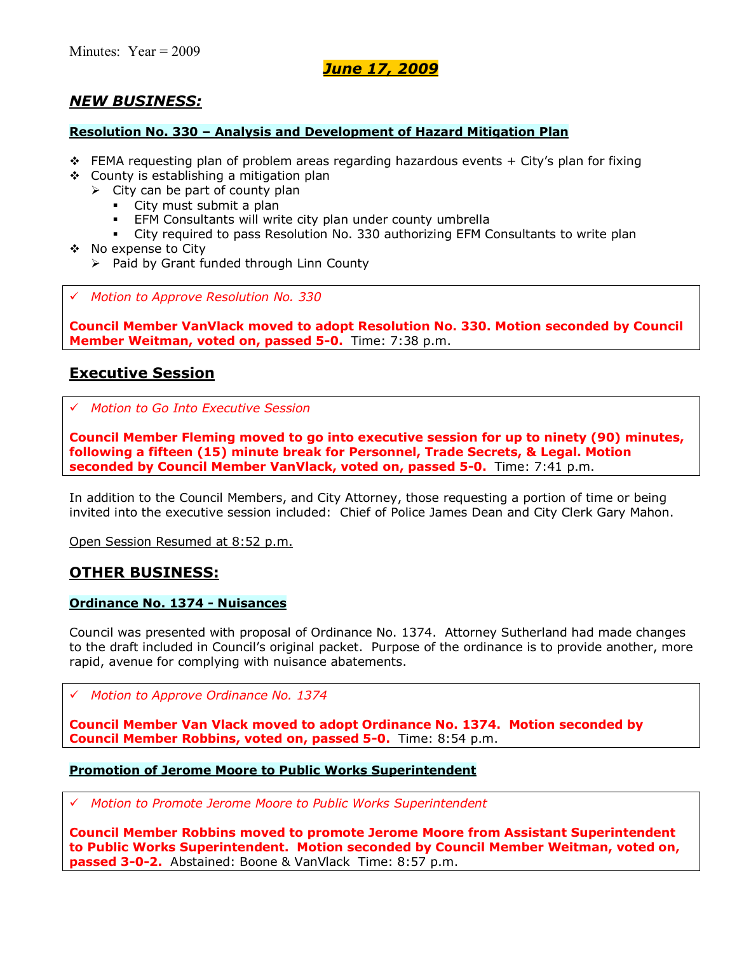# *June 17, 2009*

# *NEW BUSINESS:*

#### **Resolution No. 330 - Analysis and Development of Hazard Mitigation Plan**

- $\div$  FEMA requesting plan of problem areas regarding hazardous events + City's plan for fixing
- $\div$  County is establishing a mitigation plan
	- $\triangleright$  City can be part of county plan
		- City must submit a plan
		- EFM Consultants will write city plan under county umbrella
		- City required to pass Resolution No. 330 authorizing EFM Consultants to write plan
- \$ No expense to City
	- $\triangleright$  Paid by Grant funded through Linn County
- # *Motion to Approve Resolution No. 330*

**Council Member VanVlack moved to adopt Resolution No. 330. Motion seconded by Council Member Weitman, voted on, passed 5-0.** Time: 7:38 p.m.

## **Executive Session**

# *Motion to Go Into Executive Session*

**Council Member Fleming moved to go into executive session for up to ninety (90) minutes, following a fifteen (15) minute break for Personnel, Trade Secrets, & Legal. Motion seconded by Council Member VanVlack, voted on, passed 5-0.** Time: 7:41 p.m.

In addition to the Council Members, and City Attorney, those requesting a portion of time or being invited into the executive session included: Chief of Police James Dean and City Clerk Gary Mahon.

Open Session Resumed at 8:52 p.m.

## **OTHER BUSINESS:**

#### **Ordinance No. 1374 - Nuisances**

Council was presented with proposal of Ordinance No. 1374. Attorney Sutherland had made changes to the draft included in Councilís original packet. Purpose of the ordinance is to provide another, more rapid, avenue for complying with nuisance abatements.

# *Motion to Approve Ordinance No. 1374*

**Council Member Van Vlack moved to adopt Ordinance No. 1374. Motion seconded by Council Member Robbins, voted on, passed 5-0.** Time: 8:54 p.m.

#### **Promotion of Jerome Moore to Public Works Superintendent**

# *Motion to Promote Jerome Moore to Public Works Superintendent*

**Council Member Robbins moved to promote Jerome Moore from Assistant Superintendent to Public Works Superintendent. Motion seconded by Council Member Weitman, voted on, passed 3-0-2.** Abstained: Boone & VanVlack Time: 8:57 p.m.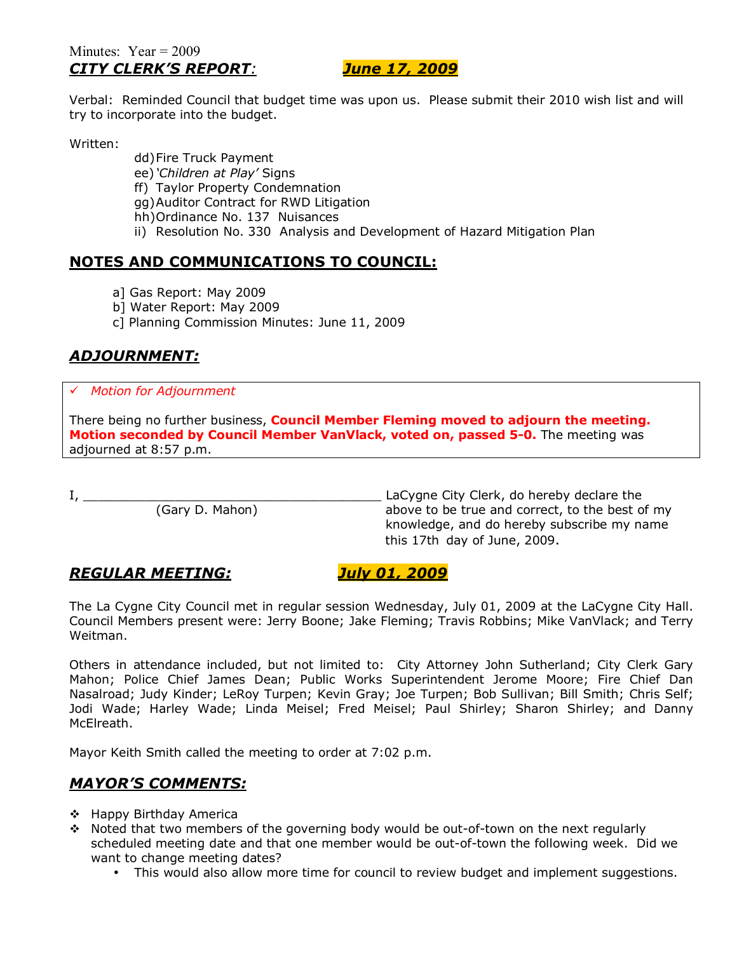## Minutes:  $Year = 2009$ *CITY CLERKíS REPORT: June 17, 2009*

Verbal: Reminded Council that budget time was upon us. Please submit their 2010 wish list and will try to incorporate into the budget.

Written:

dd) Fire Truck Payment ee) *'Children at Play'* Signs

ff) Taylor Property Condemnation

gg) Auditor Contract for RWD Litigation

- hh) Ordinance No. 137 Nuisances
- ii) Resolution No. 330 Analysis and Development of Hazard Mitigation Plan

# **NOTES AND COMMUNICATIONS TO COUNCIL:**

- a] Gas Report: May 2009
- b] Water Report: May 2009
- c] Planning Commission Minutes: June 11, 2009

# *ADJOURNMENT:*

## # *Motion for Adjournment*

There being no further business, **Council Member Fleming moved to adjourn the meeting. Motion seconded by Council Member VanVlack, voted on, passed 5-0.** The meeting was adjourned at 8:57 p.m.

I, \_\_\_\_\_\_\_\_\_\_\_\_\_\_\_\_\_\_\_\_\_\_\_\_\_\_\_\_\_\_\_\_\_\_\_\_\_\_\_ LaCygne City Clerk, do hereby declare the above to be true and correct, to the best of my knowledge, and do hereby subscribe my name this 17th day of June, 2009.

# *REGULAR MEETING: July 01, 2009*

The La Cygne City Council met in regular session Wednesday, July 01, 2009 at the LaCygne City Hall. Council Members present were: Jerry Boone; Jake Fleming; Travis Robbins; Mike VanVlack; and Terry Weitman.

Others in attendance included, but not limited to: City Attorney John Sutherland; City Clerk Gary Mahon; Police Chief James Dean; Public Works Superintendent Jerome Moore; Fire Chief Dan Nasalroad; Judy Kinder; LeRoy Turpen; Kevin Gray; Joe Turpen; Bob Sullivan; Bill Smith; Chris Self; Jodi Wade; Harley Wade; Linda Meisel; Fred Meisel; Paul Shirley; Sharon Shirley; and Danny McElreath.

Mayor Keith Smith called the meeting to order at 7:02 p.m.

# *MAYORíS COMMENTS:*

- ◆ Happy Birthday America
- $\div$  Noted that two members of the governing body would be out-of-town on the next regularly scheduled meeting date and that one member would be out-of-town the following week. Did we want to change meeting dates?
	- This would also allow more time for council to review budget and implement suggestions.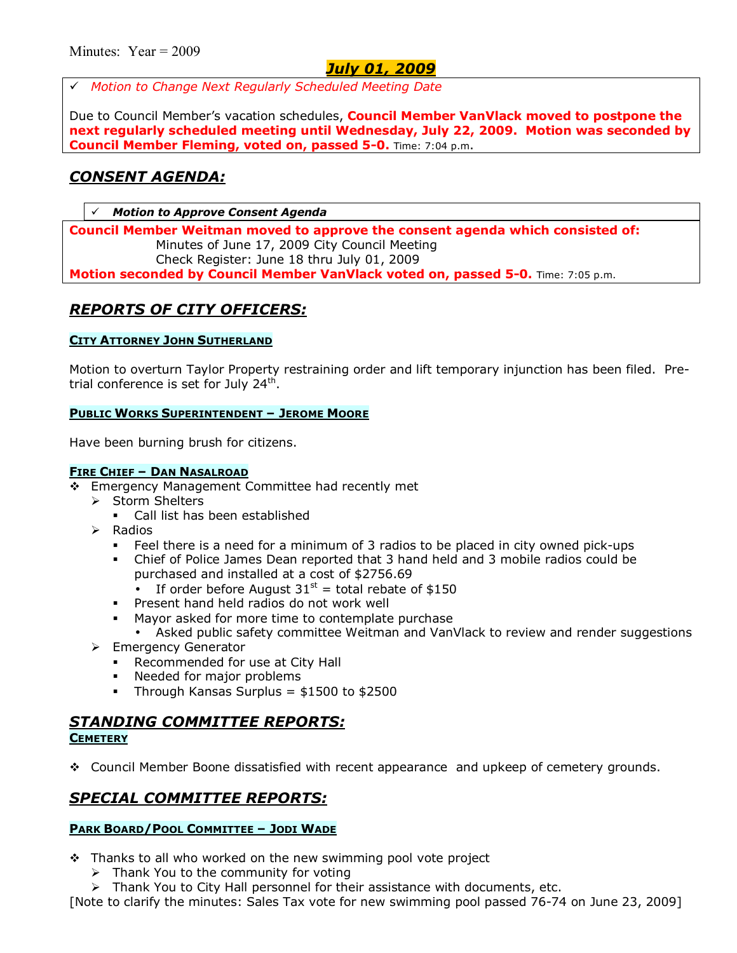# *July 01, 2009*

# *Motion to Change Next Regularly Scheduled Meeting Date* 

Due to Council Memberís vacation schedules, **Council Member VanVlack moved to postpone the next regularly scheduled meeting until Wednesday, July 22, 2009. Motion was seconded by Council Member Fleming, voted on, passed 5-0.** Time: 7:04 p.m.

# *CONSENT AGENDA:*

**Motion to Approve Consent Agenda** 

**Council Member Weitman moved to approve the consent agenda which consisted of:**  Minutes of June 17, 2009 City Council Meeting Check Register: June 18 thru July 01, 2009 **Motion seconded by Council Member VanVlack voted on, passed 5-0.** Time: 7:05 p.m.

# *REPORTS OF CITY OFFICERS:*

## **CITY ATTORNEY JOHN SUTHERLAND**

Motion to overturn Taylor Property restraining order and lift temporary injunction has been filed. Pretrial conference is set for July  $24<sup>th</sup>$ .

#### **PUBLIC WORKS SUPERINTENDENT - JEROME MOORE**

Have been burning brush for citizens.

#### **FIRE CHIEF - DAN NASALROAD**

- \$ Emergency Management Committee had recently met
	- $\triangleright$  Storm Shelters
		- Call list has been established
	- $\triangleright$  Radios
		- **Feel there is a need for a minimum of 3 radios to be placed in city owned pick-ups**
		- % Chief of Police James Dean reported that 3 hand held and 3 mobile radios could be purchased and installed at a cost of \$2756.69
			- If order before August  $31^{st}$  = total rebate of \$150
		- **Present hand held radios do not work well**
		- Mayor asked for more time to contemplate purchase
		- Asked public safety committee Weitman and VanVlack to review and render suggestions
	- > Emergency Generator
		- **Recommended for use at City Hall**
		- Needed for major problems
		- $\blacksquare$  Through Kansas Surplus = \$1500 to \$2500

# *STANDING COMMITTEE REPORTS:*

#### **CEMETERY**

\$ Council Member Boone dissatisfied with recent appearance and upkeep of cemetery grounds.

# *SPECIAL COMMITTEE REPORTS:*

#### **PARK BOARD/POOL COMMITTEE - JODI WADE**

- $\cdot \cdot$  Thanks to all who worked on the new swimming pool vote project
	- $\triangleright$  Thank You to the community for voting
	- $\triangleright$  Thank You to City Hall personnel for their assistance with documents, etc.

[Note to clarify the minutes: Sales Tax vote for new swimming pool passed 76-74 on June 23, 2009]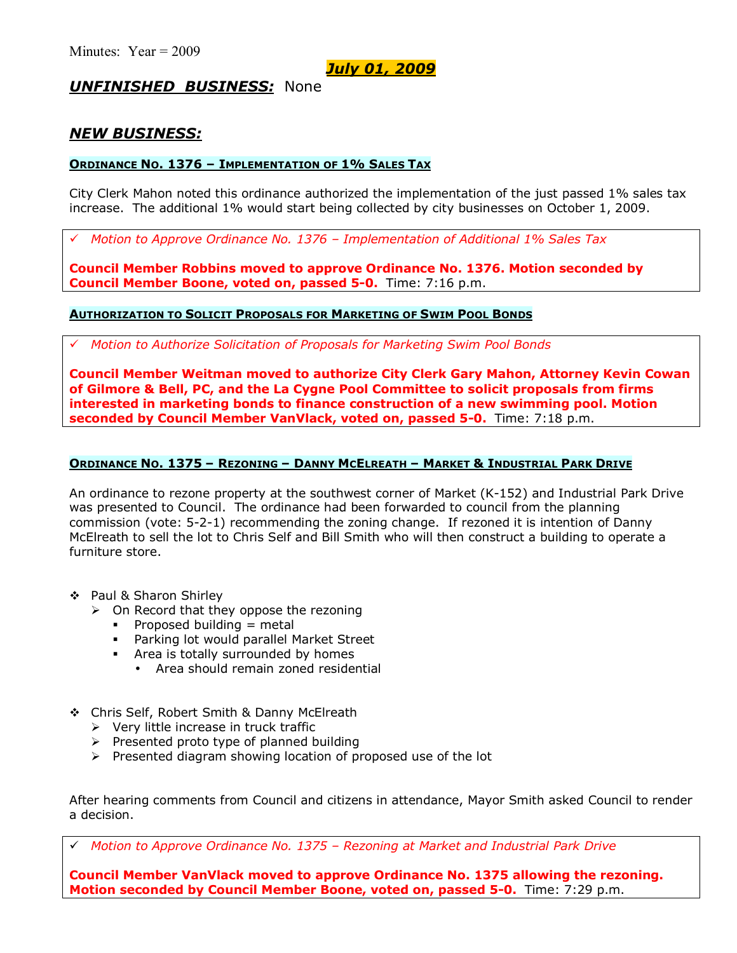*July 01, 2009*

## *UNFINISHED BUSINESS:* None

## *NEW BUSINESS:*

## **ORDINANCE NO. 1376 - IMPLEMENTATION OF 1% SALES TAX**

City Clerk Mahon noted this ordinance authorized the implementation of the just passed 1% sales tax increase. The additional 1% would start being collected by city businesses on October 1, 2009.

*Motion to Approve Ordinance No. 1376 - Implementation of Additional 1% Sales Tax* 

**Council Member Robbins moved to approve Ordinance No. 1376. Motion seconded by Council Member Boone, voted on, passed 5-0.** Time: 7:16 p.m.

## **AUTHORIZATION TO SOLICIT PROPOSALS FOR MARKETING OF SWIM POOL BONDS**

# *Motion to Authorize Solicitation of Proposals for Marketing Swim Pool Bonds*

**Council Member Weitman moved to authorize City Clerk Gary Mahon, Attorney Kevin Cowan of Gilmore & Bell, PC, and the La Cygne Pool Committee to solicit proposals from firms interested in marketing bonds to finance construction of a new swimming pool. Motion seconded by Council Member VanVlack, voted on, passed 5-0.** Time: 7:18 p.m.

## **ORDINANCE NO. 1375 - REZONING - DANNY MCELREATH - MARKET & INDUSTRIAL PARK DRIVE**

An ordinance to rezone property at the southwest corner of Market (K-152) and Industrial Park Drive was presented to Council. The ordinance had been forwarded to council from the planning commission (vote: 5-2-1) recommending the zoning change. If rezoned it is intention of Danny McElreath to sell the lot to Chris Self and Bill Smith who will then construct a building to operate a furniture store.

- \$ Paul & Sharon Shirley
	- $\triangleright$  On Record that they oppose the rezoning
		- $\blacksquare$  Proposed building = metal
		- **Parking lot would parallel Market Street**
		- Area is totally surrounded by homes
			- Area should remain zoned residential
- \$ Chris Self, Robert Smith & Danny McElreath
	- $\triangleright$  Very little increase in truck traffic
	- $\triangleright$  Presented proto type of planned building
	- $\triangleright$  Presented diagram showing location of proposed use of the lot

After hearing comments from Council and citizens in attendance, Mayor Smith asked Council to render a decision.

← Motion to Approve Ordinance No. 1375 - Rezoning at Market and Industrial Park Drive

**Council Member VanVlack moved to approve Ordinance No. 1375 allowing the rezoning. Motion seconded by Council Member Boone, voted on, passed 5-0.** Time: 7:29 p.m.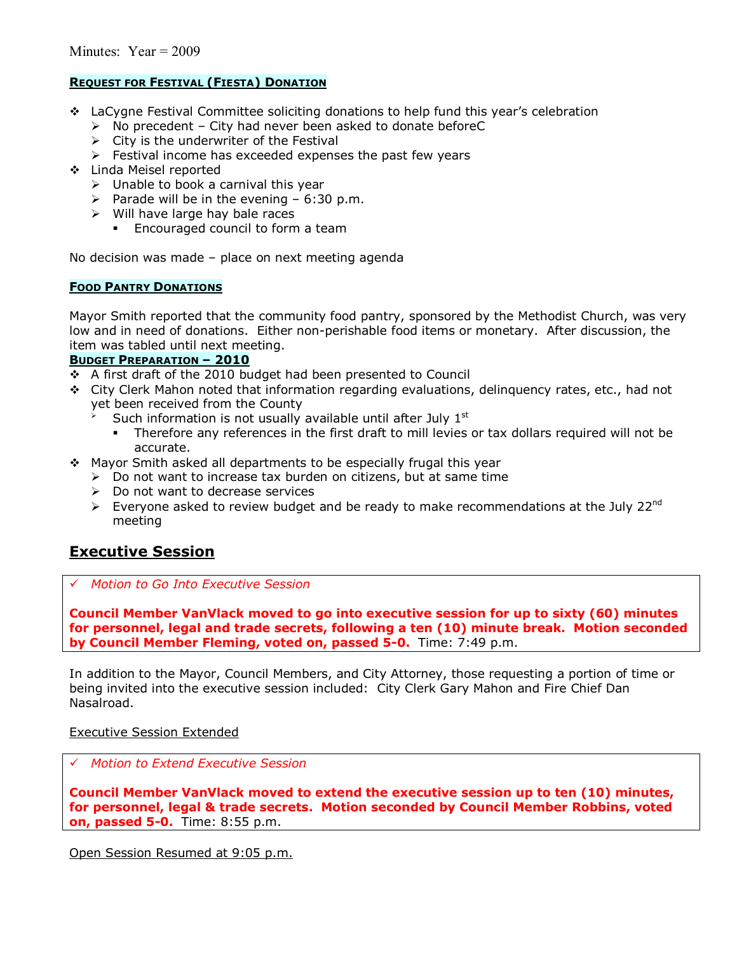## **REQUEST FOR FESTIVAL (FIESTA) DONATION**

- $\cdot$  LaCygne Festival Committee soliciting donations to help fund this year's celebration
	- $\triangleright$  No precedent City had never been asked to donate beforeC
	- $\triangleright$  City is the underwriter of the Festival
	- $\triangleright$  Festival income has exceeded expenses the past few years
- \$ Linda Meisel reported
	- $\triangleright$  Unable to book a carnival this year
	- $\triangleright$  Parade will be in the evening 6:30 p.m.
	- $\triangleright$  Will have large hay bale races
		- **Encouraged council to form a team**

No decision was made  $-$  place on next meeting agenda

#### **FOOD PANTRY DONATIONS**

Mayor Smith reported that the community food pantry, sponsored by the Methodist Church, was very low and in need of donations. Either non-perishable food items or monetary. After discussion, the item was tabled until next meeting.

#### **BUDGET PREPARATION - 2010**

- \$ A first draft of the 2010 budget had been presented to Council
- \$ City Clerk Mahon noted that information regarding evaluations, delinquency rates, etc., had not yet been received from the County
	- Such information is not usually available until after July  $1<sup>st</sup>$
	- Therefore any references in the first draft to mill levies or tax dollars required will not be accurate.
- \$ Mayor Smith asked all departments to be especially frugal this year
	- $\triangleright$  Do not want to increase tax burden on citizens, but at same time
	- $\triangleright$  Do not want to decrease services
	- $\triangleright$  Everyone asked to review budget and be ready to make recommendations at the July 22<sup>nd</sup> meeting

# **Executive Session**

# *Motion to Go Into Executive Session*

**Council Member VanVlack moved to go into executive session for up to sixty (60) minutes for personnel, legal and trade secrets, following a ten (10) minute break. Motion seconded by Council Member Fleming, voted on, passed 5-0.** Time: 7:49 p.m.

In addition to the Mayor, Council Members, and City Attorney, those requesting a portion of time or being invited into the executive session included: City Clerk Gary Mahon and Fire Chief Dan Nasalroad.

#### Executive Session Extended

# *Motion to Extend Executive Session*

**Council Member VanVlack moved to extend the executive session up to ten (10) minutes, for personnel, legal & trade secrets. Motion seconded by Council Member Robbins, voted on, passed 5-0.** Time: 8:55 p.m.

Open Session Resumed at 9:05 p.m.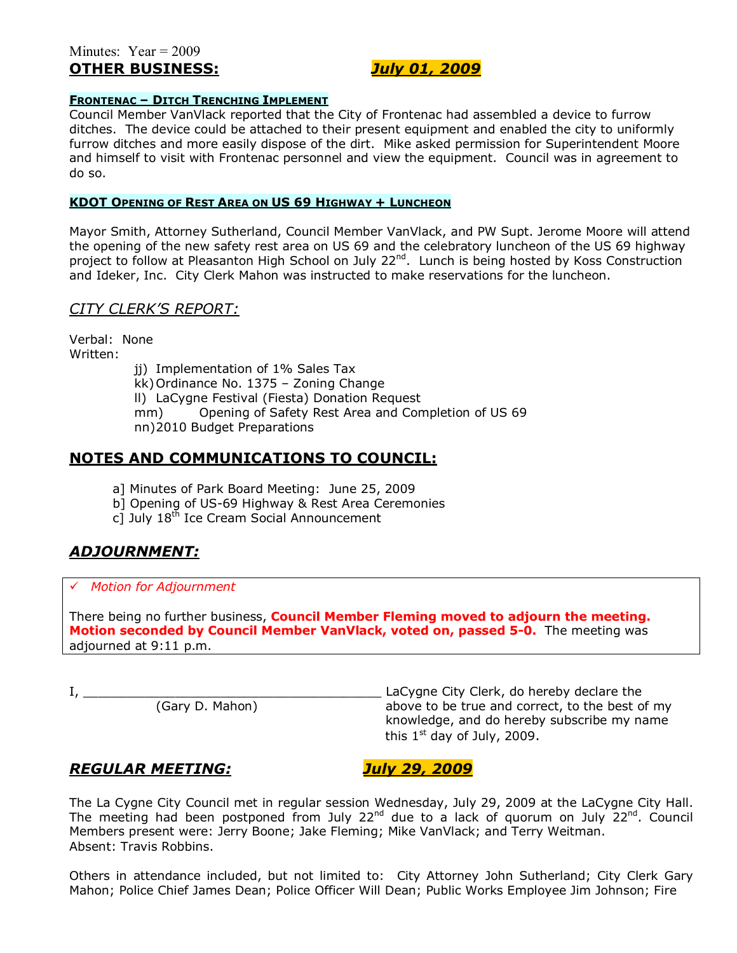## Minutes: Year = 2009 **OTHER BUSINESS:** *July 01, 2009*

#### **FRONTENAC - DITCH TRENCHING IMPLEMENT**

Council Member VanVlack reported that the City of Frontenac had assembled a device to furrow ditches. The device could be attached to their present equipment and enabled the city to uniformly furrow ditches and more easily dispose of the dirt. Mike asked permission for Superintendent Moore and himself to visit with Frontenac personnel and view the equipment. Council was in agreement to do so.

#### **KDOT OPENING OF REST AREA ON US 69 HIGHWAY + LUNCHEON**

Mayor Smith, Attorney Sutherland, Council Member VanVlack, and PW Supt. Jerome Moore will attend the opening of the new safety rest area on US 69 and the celebratory luncheon of the US 69 highway project to follow at Pleasanton High School on July 22<sup>nd</sup>. Lunch is being hosted by Koss Construction and Ideker, Inc. City Clerk Mahon was instructed to make reservations for the luncheon.

## *CITY CLERKíS REPORT:*

Verbal: None Written:

jj) Implementation of 1% Sales Tax

 $kk)$  Ordinance No. 1375 - Zoning Change

ll) LaCygne Festival (Fiesta) Donation Request

mm) Opening of Safety Rest Area and Completion of US 69

nn) 2010 Budget Preparations

## **NOTES AND COMMUNICATIONS TO COUNCIL:**

- a] Minutes of Park Board Meeting: June 25, 2009
- b] Opening of US-69 Highway & Rest Area Ceremonies
- c] July 18<sup>th</sup> Ice Cream Social Announcement

# *ADJOURNMENT:*

## # *Motion for Adjournment*

There being no further business, **Council Member Fleming moved to adjourn the meeting. Motion seconded by Council Member VanVlack, voted on, passed 5-0.** The meeting was adjourned at 9:11 p.m.

I, \_\_\_\_\_\_\_\_\_\_\_\_\_\_\_\_\_\_\_\_\_\_\_\_\_\_\_\_\_\_\_\_\_\_\_\_\_\_\_ LaCygne City Clerk, do hereby declare the above to be true and correct, to the best of my knowledge, and do hereby subscribe my name this  $1<sup>st</sup>$  day of July, 2009.

## *REGULAR MEETING: July 29, 2009*

The La Cygne City Council met in regular session Wednesday, July 29, 2009 at the LaCygne City Hall. The meeting had been postponed from July 22 $^{nd}$  due to a lack of quorum on July 22 $^{nd}$ . Council Members present were: Jerry Boone; Jake Fleming; Mike VanVlack; and Terry Weitman. Absent: Travis Robbins.

Others in attendance included, but not limited to: City Attorney John Sutherland; City Clerk Gary Mahon; Police Chief James Dean; Police Officer Will Dean; Public Works Employee Jim Johnson; Fire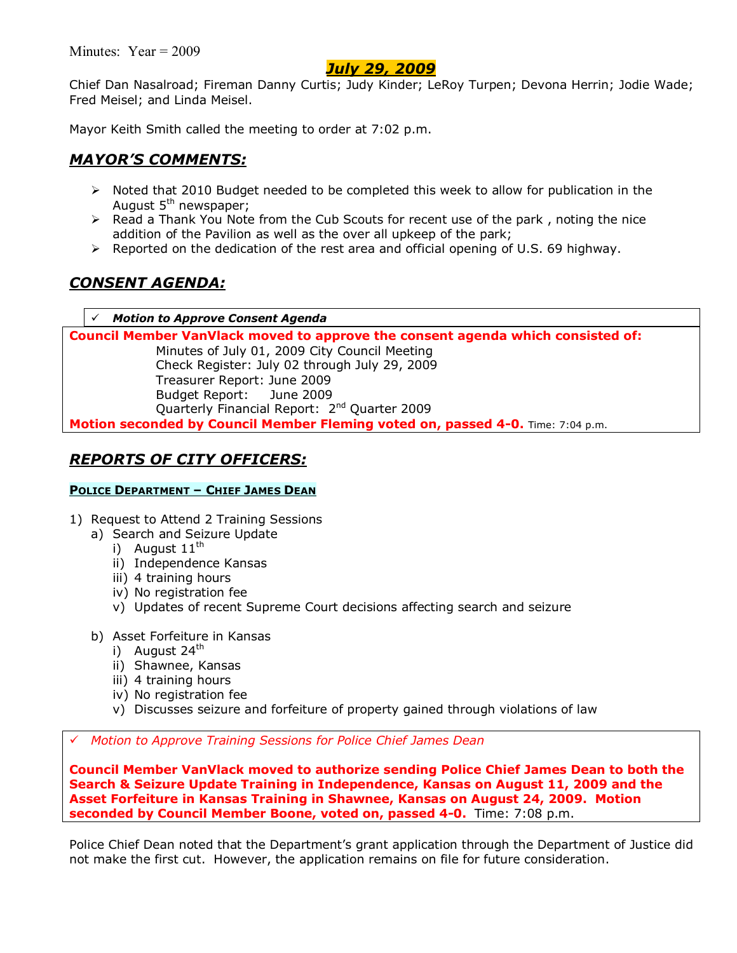Minutes: Year = 2009

# *July 29, 2009*

Chief Dan Nasalroad; Fireman Danny Curtis; Judy Kinder; LeRoy Turpen; Devona Herrin; Jodie Wade; Fred Meisel; and Linda Meisel.

Mayor Keith Smith called the meeting to order at 7:02 p.m.

# *MAYORíS COMMENTS:*

- $\triangleright$  Noted that 2010 Budget needed to be completed this week to allow for publication in the August  $5<sup>th</sup>$  newspaper;
- $\triangleright$  Read a Thank You Note from the Cub Scouts for recent use of the park, noting the nice addition of the Pavilion as well as the over all upkeep of the park;
- $\triangleright$  Reported on the dedication of the rest area and official opening of U.S. 69 highway.

# *CONSENT AGENDA:*

**Motion to Approve Consent Agenda** 

**Council Member VanVlack moved to approve the consent agenda which consisted of:**  Minutes of July 01, 2009 City Council Meeting Check Register: July 02 through July 29, 2009 Treasurer Report: June 2009 Budget Report: June 2009 Quarterly Financial Report: 2<sup>nd</sup> Quarter 2009 **Motion seconded by Council Member Fleming voted on, passed 4-0.** Time: 7:04 p.m.

# *REPORTS OF CITY OFFICERS:*

## **POLICE DEPARTMENT - CHIEF JAMES DEAN**

- 1) Request to Attend 2 Training Sessions
	- a) Search and Seizure Update
		- i) August  $11^{th}$
		- ii) Independence Kansas
		- iii) 4 training hours
		- iv) No registration fee
		- v) Updates of recent Supreme Court decisions affecting search and seizure
	- b) Asset Forfeiture in Kansas
		- i) August  $24^{th}$
		- ii) Shawnee, Kansas
		- iii) 4 training hours
		- iv) No registration fee
		- v) Discusses seizure and forfeiture of property gained through violations of law

# *Motion to Approve Training Sessions for Police Chief James Dean*

**Council Member VanVlack moved to authorize sending Police Chief James Dean to both the Search & Seizure Update Training in Independence, Kansas on August 11, 2009 and the Asset Forfeiture in Kansas Training in Shawnee, Kansas on August 24, 2009. Motion seconded by Council Member Boone, voted on, passed 4-0.** Time: 7:08 p.m.

Police Chief Dean noted that the Department's grant application through the Department of Justice did not make the first cut. However, the application remains on file for future consideration.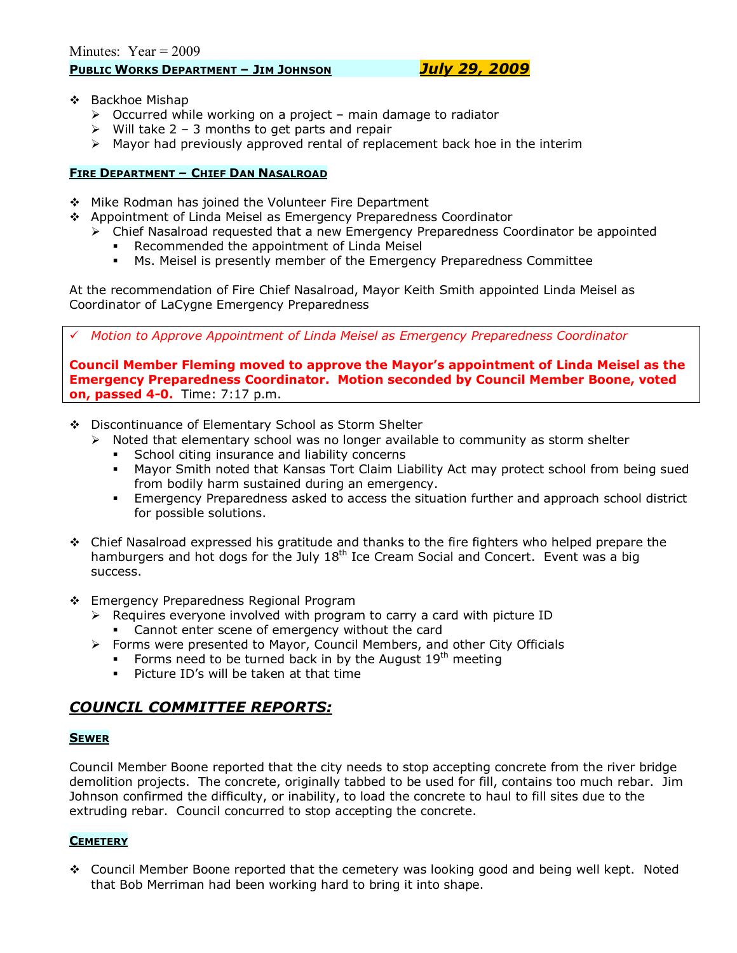- ❖ Backhoe Mishap
	- $\triangleright$  Occurred while working on a project main damage to radiator
	- $\triangleright$  Will take 2 3 months to get parts and repair
	- $\triangleright$  Mayor had previously approved rental of replacement back hoe in the interim

### **FIRE DEPARTMENT - CHIEF DAN NASALROAD**

- \$ Mike Rodman has joined the Volunteer Fire Department
- \$ Appointment of Linda Meisel as Emergency Preparedness Coordinator
	- $\triangleright$  Chief Nasalroad requested that a new Emergency Preparedness Coordinator be appointed
		- Recommended the appointment of Linda Meisel
		- % Ms. Meisel is presently member of the Emergency Preparedness Committee

At the recommendation of Fire Chief Nasalroad, Mayor Keith Smith appointed Linda Meisel as Coordinator of LaCygne Emergency Preparedness

# *Motion to Approve Appointment of Linda Meisel as Emergency Preparedness Coordinator*

**Council Member Fleming moved to approve the Mayorís appointment of Linda Meisel as the Emergency Preparedness Coordinator. Motion seconded by Council Member Boone, voted on, passed 4-0.** Time: 7:17 p.m.

- \$ Discontinuance of Elementary School as Storm Shelter
	- $\triangleright$  Noted that elementary school was no longer available to community as storm shelter
		- School citing insurance and liability concerns
		- % Mayor Smith noted that Kansas Tort Claim Liability Act may protect school from being sued from bodily harm sustained during an emergency.
		- **Emergency Preparedness asked to access the situation further and approach school district** for possible solutions.
- $\div$  Chief Nasalroad expressed his gratitude and thanks to the fire fighters who helped prepare the hamburgers and hot dogs for the July  $18<sup>th</sup>$  Ice Cream Social and Concert. Event was a big success.
- \$ Emergency Preparedness Regional Program
	- $\triangleright$  Requires everyone involved with program to carry a card with picture ID
		- **EXEC** Cannot enter scene of emergency without the card
	- ! Forms were presented to Mayor, Council Members, and other City Officials
		- Forms need to be turned back in by the August  $19<sup>th</sup>$  meeting
		- $\blacksquare$  Picture ID's will be taken at that time

## *COUNCIL COMMITTEE REPORTS:*

#### **SEWER**

Council Member Boone reported that the city needs to stop accepting concrete from the river bridge demolition projects. The concrete, originally tabbed to be used for fill, contains too much rebar. Jim Johnson confirmed the difficulty, or inability, to load the concrete to haul to fill sites due to the extruding rebar. Council concurred to stop accepting the concrete.

### **CEMETERY**

 $\div$  Council Member Boone reported that the cemetery was looking good and being well kept. Noted that Bob Merriman had been working hard to bring it into shape.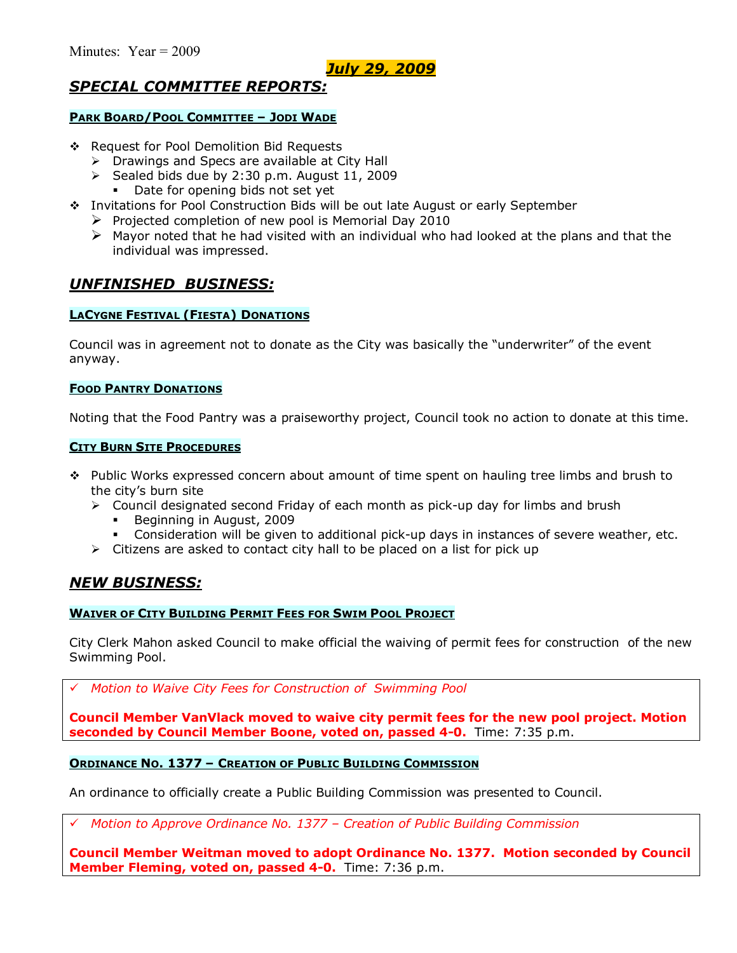## *July 29, 2009*

# *SPECIAL COMMITTEE REPORTS:*

#### **PARK BOARD/POOL COMMITTEE - JODI WADE**

- \$ Request for Pool Demolition Bid Requests
	- $\triangleright$  Drawings and Specs are available at City Hall
	- $\triangleright$  Sealed bids due by 2:30 p.m. August 11, 2009
		- Date for opening bids not set yet
- \$ Invitations for Pool Construction Bids will be out late August or early September
	- $\triangleright$  Projected completion of new pool is Memorial Day 2010
	- $\triangleright$  Mayor noted that he had visited with an individual who had looked at the plans and that the individual was impressed.

### *UNFINISHED BUSINESS:*

#### **LACYGNE FESTIVAL (FIESTA) DONATIONS**

Council was in agreement not to donate as the City was basically the "underwriter" of the event anyway.

#### **FOOD PANTRY DONATIONS**

Noting that the Food Pantry was a praiseworthy project, Council took no action to donate at this time.

#### **CITY BURN SITE PROCEDURES**

- \* Public Works expressed concern about amount of time spent on hauling tree limbs and brush to the cityís burn site
	- $\triangleright$  Council designated second Friday of each month as pick-up day for limbs and brush
		- Beginning in August, 2009
		- Consideration will be given to additional pick-up days in instances of severe weather, etc.
	- $\triangleright$  Citizens are asked to contact city hall to be placed on a list for pick up

### *NEW BUSINESS:*

#### **WAIVER OF CITY BUILDING PERMIT FEES FOR SWIM POOL PROJECT**

City Clerk Mahon asked Council to make official the waiving of permit fees for construction of the new Swimming Pool.

# *Motion to Waive City Fees for Construction of Swimming Pool* 

**Council Member VanVlack moved to waive city permit fees for the new pool project. Motion seconded by Council Member Boone, voted on, passed 4-0.** Time: 7:35 p.m.

#### **ORDINANCE NO. 1377 - CREATION OF PUBLIC BUILDING COMMISSION**

An ordinance to officially create a Public Building Commission was presented to Council.

*Motion to Approve Ordinance No. 1377 – Creation of Public Building Commission* 

**Council Member Weitman moved to adopt Ordinance No. 1377. Motion seconded by Council Member Fleming, voted on, passed 4-0.** Time: 7:36 p.m.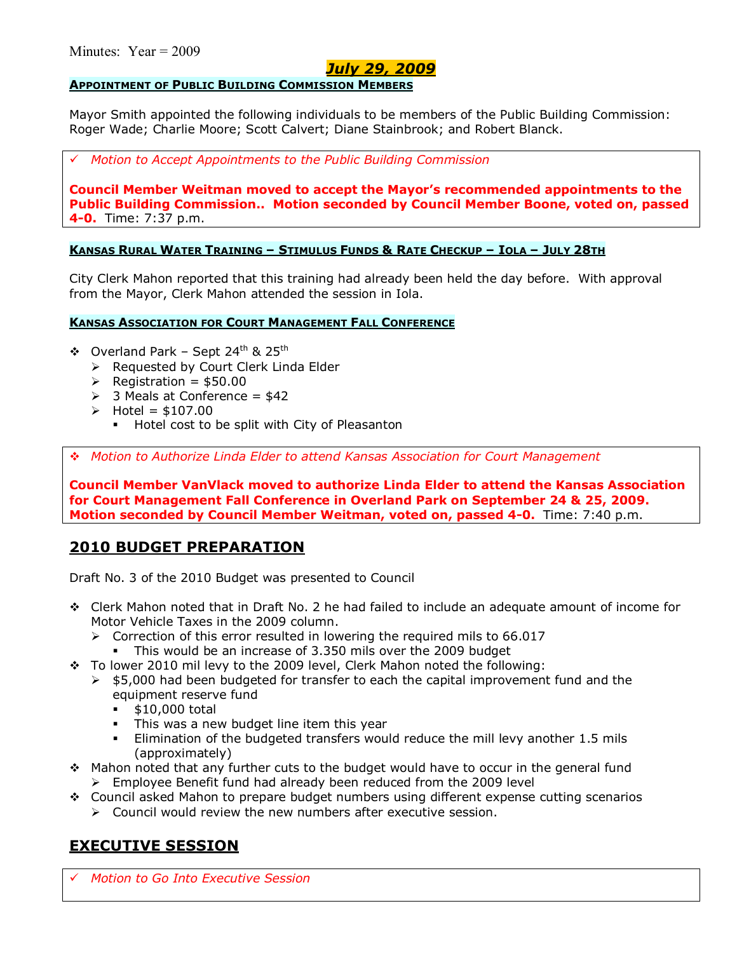## *July 29, 2009*

### **APPOINTMENT OF PUBLIC BUILDING COMMISSION MEMBERS**

Mayor Smith appointed the following individuals to be members of the Public Building Commission: Roger Wade; Charlie Moore; Scott Calvert; Diane Stainbrook; and Robert Blanck.

# *Motion to Accept Appointments to the Public Building Commission* 

**Council Member Weitman moved to accept the Mayorís recommended appointments to the Public Building Commission.. Motion seconded by Council Member Boone, voted on, passed 4-0.** Time: 7:37 p.m.

### **KANSAS RURAL WATER TRAINING - STIMULUS FUNDS & RATE CHECKUP - IOLA - JULY 28TH**

City Clerk Mahon reported that this training had already been held the day before. With approval from the Mayor, Clerk Mahon attended the session in Iola.

### **KANSAS ASSOCIATION FOR COURT MANAGEMENT FALL CONFERENCE**

- $\div$  Overland Park Sept 24<sup>th</sup> & 25<sup>th</sup>
	- ▶ Requested by Court Clerk Linda Elder
	- $\triangleright$  Registration = \$50.00
	- $\geq$  3 Meals at Conference = \$42
	- $\triangleright$  Hotel = \$107.00
		- **Hotel cost to be split with City of Pleasanton**

\$ *Motion to Authorize Linda Elder to attend Kansas Association for Court Management* 

**Council Member VanVlack moved to authorize Linda Elder to attend the Kansas Association for Court Management Fall Conference in Overland Park on September 24 & 25, 2009. Motion seconded by Council Member Weitman, voted on, passed 4-0.** Time: 7:40 p.m.

## **2010 BUDGET PREPARATION**

Draft No. 3 of the 2010 Budget was presented to Council

- \$ Clerk Mahon noted that in Draft No. 2 he had failed to include an adequate amount of income for Motor Vehicle Taxes in the 2009 column.
	- $\triangleright$  Correction of this error resulted in lowering the required mils to 66.017
		- This would be an increase of 3.350 mils over the 2009 budget
- \$ To lower 2010 mil levy to the 2009 level, Clerk Mahon noted the following:
	- $\triangleright$  \$5,000 had been budgeted for transfer to each the capital improvement fund and the equipment reserve fund
		- % \$10,000 total
		- This was a new budget line item this year
		- % Elimination of the budgeted transfers would reduce the mill levy another 1.5 mils (approximately)
- $\div$  Mahon noted that any further cuts to the budget would have to occur in the general fund
	- $\triangleright$  Employee Benefit fund had already been reduced from the 2009 level
- \$ Council asked Mahon to prepare budget numbers using different expense cutting scenarios
	- $\triangleright$  Council would review the new numbers after executive session.

## **EXECUTIVE SESSION**

# *Motion to Go Into Executive Session*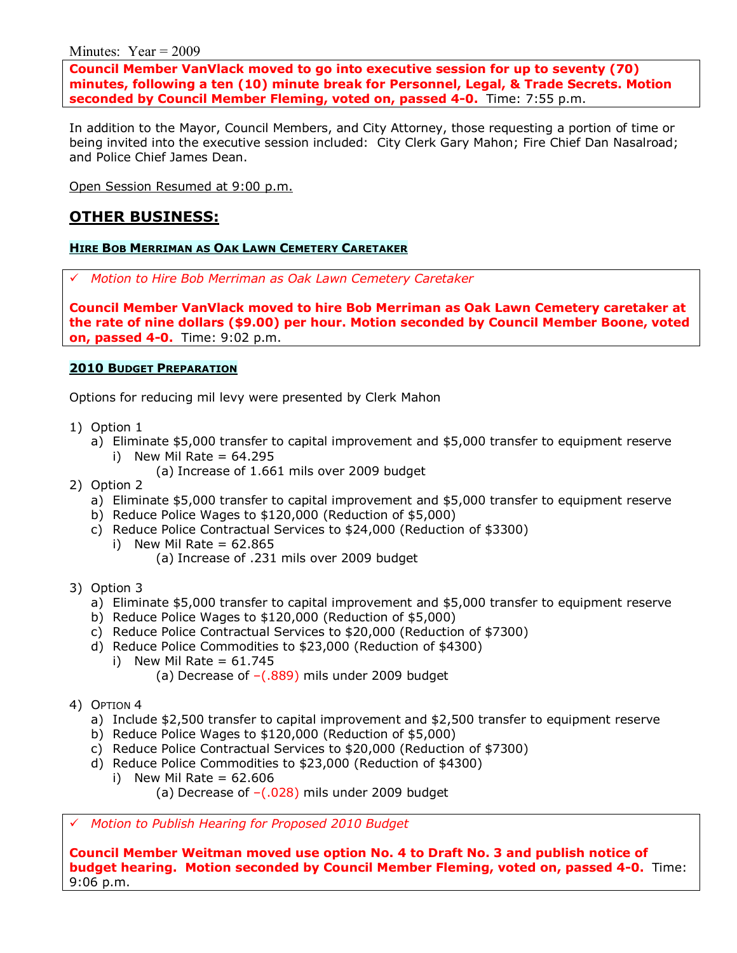Minutes: Year  $= 2009$ 

**Council Member VanVlack moved to go into executive session for up to seventy (70) minutes, following a ten (10) minute break for Personnel, Legal, & Trade Secrets. Motion seconded by Council Member Fleming, voted on, passed 4-0.** Time: 7:55 p.m.

In addition to the Mayor, Council Members, and City Attorney, those requesting a portion of time or being invited into the executive session included: City Clerk Gary Mahon; Fire Chief Dan Nasalroad; and Police Chief James Dean.

Open Session Resumed at 9:00 p.m.

## **OTHER BUSINESS:**

### **HIRE BOB MERRIMAN AS OAK LAWN CEMETERY CARETAKER**

# *Motion to Hire Bob Merriman as Oak Lawn Cemetery Caretaker*

**Council Member VanVlack moved to hire Bob Merriman as Oak Lawn Cemetery caretaker at the rate of nine dollars (\$9.00) per hour. Motion seconded by Council Member Boone, voted on, passed 4-0.** Time: 9:02 p.m.

### **2010 BUDGET PREPARATION**

Options for reducing mil levy were presented by Clerk Mahon

- 1) Option 1
	- a) Eliminate \$5,000 transfer to capital improvement and \$5,000 transfer to equipment reserve i) New Mil Rate =  $64.295$ 
		- (a) Increase of 1.661 mils over 2009 budget
- 2) Option 2
	- a) Eliminate \$5,000 transfer to capital improvement and \$5,000 transfer to equipment reserve
	- b) Reduce Police Wages to \$120,000 (Reduction of \$5,000)
	- c) Reduce Police Contractual Services to \$24,000 (Reduction of \$3300)
		- i) New Mil Rate  $= 62.865$ 
			- (a) Increase of .231 mils over 2009 budget
- 3) Option 3
	- a) Eliminate \$5,000 transfer to capital improvement and \$5,000 transfer to equipment reserve
	- b) Reduce Police Wages to \$120,000 (Reduction of \$5,000)
	- c) Reduce Police Contractual Services to \$20,000 (Reduction of \$7300)
	- d) Reduce Police Commodities to \$23,000 (Reduction of \$4300)
		- i) New Mil Rate =  $61.745$ (a) Decrease of  $-(.889)$  mils under 2009 budget
- 4) OPTION 4
	- a) Include \$2,500 transfer to capital improvement and \$2,500 transfer to equipment reserve
	- b) Reduce Police Wages to \$120,000 (Reduction of \$5,000)
	- c) Reduce Police Contractual Services to \$20,000 (Reduction of \$7300)
	- d) Reduce Police Commodities to \$23,000 (Reduction of \$4300)
		- i) New Mil Rate  $= 62.606$ 
			- (a) Decrease of  $-(.028)$  mils under 2009 budget

# *Motion to Publish Hearing for Proposed 2010 Budget*

**Council Member Weitman moved use option No. 4 to Draft No. 3 and publish notice of budget hearing. Motion seconded by Council Member Fleming, voted on, passed 4-0.** Time: 9:06 p.m.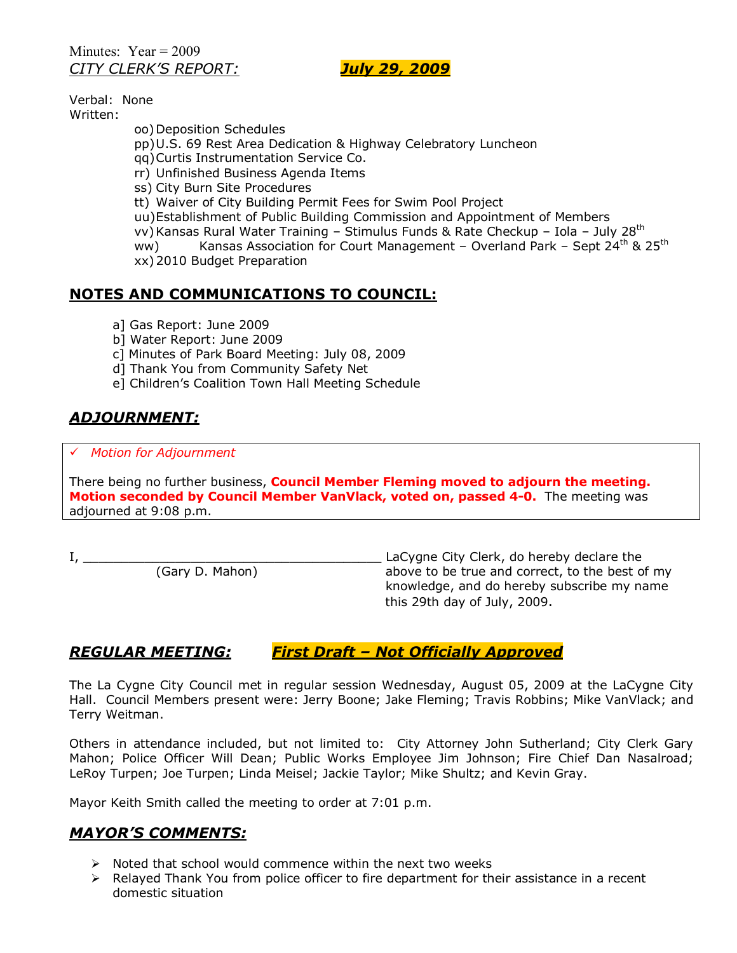Minutes:  $Year = 2009$ *CITY CLERKíS REPORT: July 29, 2009*

Verbal: None Written:

> oo) Deposition Schedules pp) U.S. 69 Rest Area Dedication & Highway Celebratory Luncheon qq) Curtis Instrumentation Service Co. rr) Unfinished Business Agenda Items ss) City Burn Site Procedures tt) Waiver of City Building Permit Fees for Swim Pool Project uu) Establishment of Public Building Commission and Appointment of Members vv) Kansas Rural Water Training - Stimulus Funds & Rate Checkup - Iola - July 28<sup>th</sup> ww) Kansas Association for Court Management – Overland Park – Sept  $24^{th}$  & 25<sup>th</sup> xx) 2010 Budget Preparation

# **NOTES AND COMMUNICATIONS TO COUNCIL:**

- a] Gas Report: June 2009
- b] Water Report: June 2009
- c] Minutes of Park Board Meeting: July 08, 2009
- d] Thank You from Community Safety Net
- e] Children's Coalition Town Hall Meeting Schedule

# *ADJOURNMENT:*

#### # *Motion for Adjournment*

There being no further business, **Council Member Fleming moved to adjourn the meeting. Motion seconded by Council Member VanVlack, voted on, passed 4-0.** The meeting was adjourned at 9:08 p.m.

I, \_\_\_\_\_\_\_\_\_\_\_\_\_\_\_\_\_\_\_\_\_\_\_\_\_\_\_\_\_\_\_\_\_\_\_\_\_\_\_ LaCygne City Clerk, do hereby declare the above to be true and correct, to the best of my knowledge, and do hereby subscribe my name this 29th day of July, 2009.

## *REGULAR MEETING: First Draft ñ Not Officially Approved*

The La Cygne City Council met in regular session Wednesday, August 05, 2009 at the LaCygne City Hall. Council Members present were: Jerry Boone; Jake Fleming; Travis Robbins; Mike VanVlack; and Terry Weitman.

Others in attendance included, but not limited to: City Attorney John Sutherland; City Clerk Gary Mahon; Police Officer Will Dean; Public Works Employee Jim Johnson; Fire Chief Dan Nasalroad; LeRoy Turpen; Joe Turpen; Linda Meisel; Jackie Taylor; Mike Shultz; and Kevin Gray.

Mayor Keith Smith called the meeting to order at 7:01 p.m.

### *MAYORíS COMMENTS:*

- $\triangleright$  Noted that school would commence within the next two weeks
- $\triangleright$  Relayed Thank You from police officer to fire department for their assistance in a recent domestic situation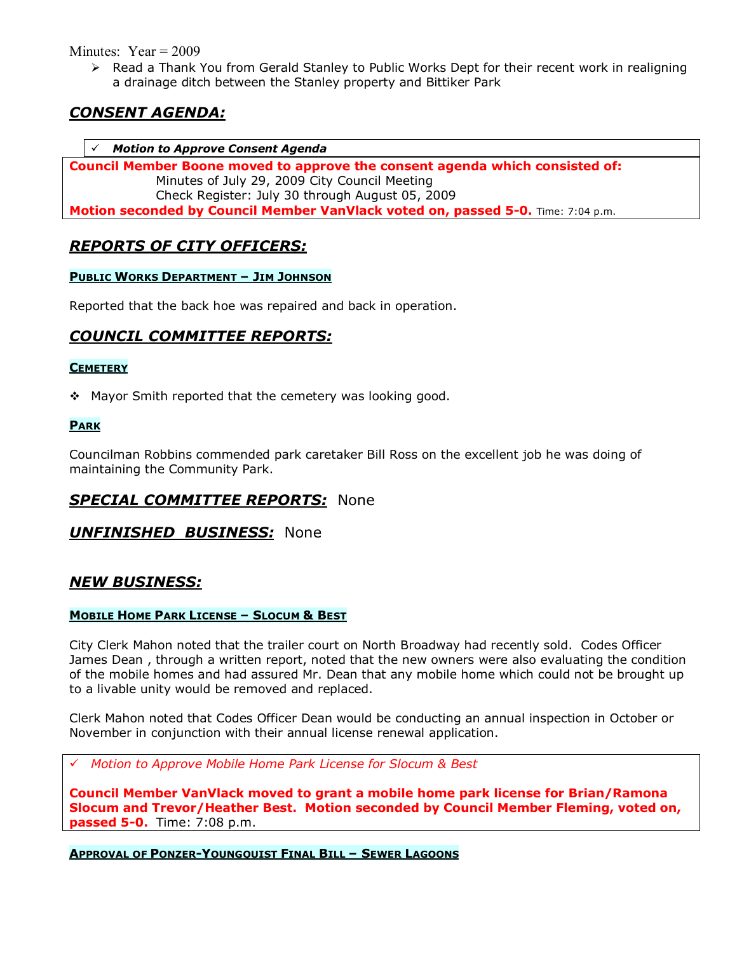Minutes:  $Year = 2009$ 

 $\triangleright$  Read a Thank You from Gerald Stanley to Public Works Dept for their recent work in realigning a drainage ditch between the Stanley property and Bittiker Park

# *CONSENT AGENDA:*

### # *Motion to Approve Consent Agenda*

**Council Member Boone moved to approve the consent agenda which consisted of:**  Minutes of July 29, 2009 City Council Meeting Check Register: July 30 through August 05, 2009 **Motion seconded by Council Member VanVlack voted on, passed 5-0.** Time: 7:04 p.m.

## *REPORTS OF CITY OFFICERS:*

### **PUBLIC WORKS DEPARTMENT - JIM JOHNSON**

Reported that the back hoe was repaired and back in operation.

# *COUNCIL COMMITTEE REPORTS:*

### **CEMETERY**

 $\div$  Mayor Smith reported that the cemetery was looking good.

### **PARK**

Councilman Robbins commended park caretaker Bill Ross on the excellent job he was doing of maintaining the Community Park.

## *SPECIAL COMMITTEE REPORTS:* None

### *UNFINISHED BUSINESS:* None

### *NEW BUSINESS:*

### **MOBILE HOME PARK LICENSE - SLOCUM & BEST**

City Clerk Mahon noted that the trailer court on North Broadway had recently sold. Codes Officer James Dean , through a written report, noted that the new owners were also evaluating the condition of the mobile homes and had assured Mr. Dean that any mobile home which could not be brought up to a livable unity would be removed and replaced.

Clerk Mahon noted that Codes Officer Dean would be conducting an annual inspection in October or November in conjunction with their annual license renewal application.

# *Motion to Approve Mobile Home Park License for Slocum & Best* 

**Council Member VanVlack moved to grant a mobile home park license for Brian/Ramona Slocum and Trevor/Heather Best. Motion seconded by Council Member Fleming, voted on, passed 5-0.** Time: 7:08 p.m.

**APPROVAL OF PONZER-YOUNGQUIST FINAL BILL - SEWER LAGOONS**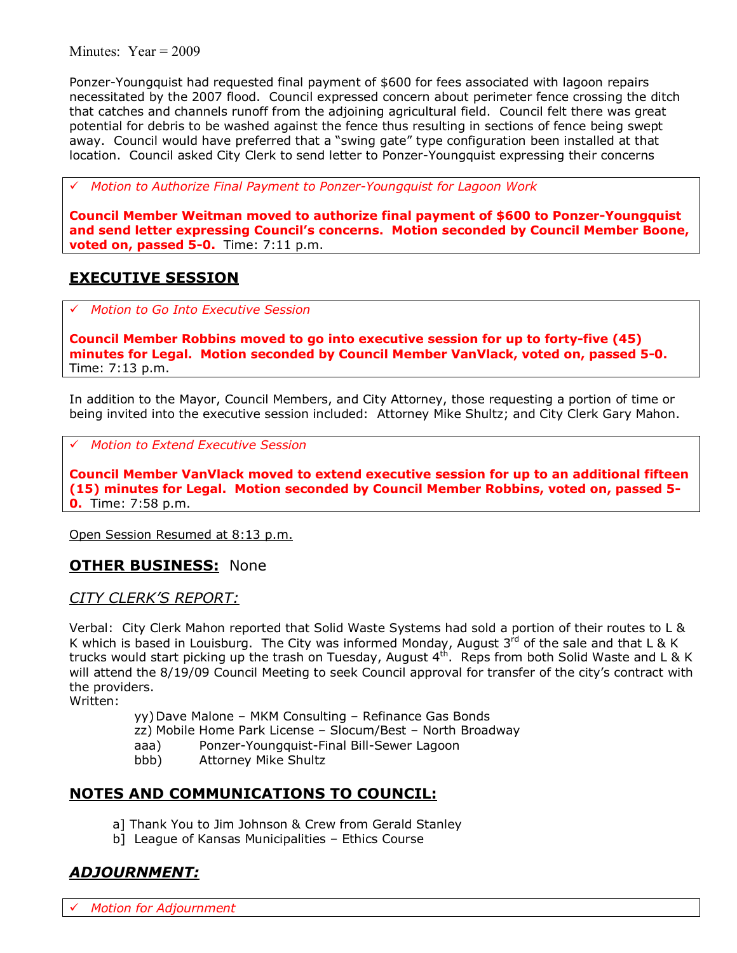Minutes: Year = 2009

Ponzer-Youngquist had requested final payment of \$600 for fees associated with lagoon repairs necessitated by the 2007 flood. Council expressed concern about perimeter fence crossing the ditch that catches and channels runoff from the adjoining agricultural field. Council felt there was great potential for debris to be washed against the fence thus resulting in sections of fence being swept away. Council would have preferred that a "swing gate" type configuration been installed at that location. Council asked City Clerk to send letter to Ponzer-Youngquist expressing their concerns

# *Motion to Authorize Final Payment to Ponzer-Youngquist for Lagoon Work* 

**Council Member Weitman moved to authorize final payment of \$600 to Ponzer-Youngquist and send letter expressing Councilís concerns. Motion seconded by Council Member Boone, voted on, passed 5-0.** Time: 7:11 p.m.

# **EXECUTIVE SESSION**

# *Motion to Go Into Executive Session*

**Council Member Robbins moved to go into executive session for up to forty-five (45) minutes for Legal. Motion seconded by Council Member VanVlack, voted on, passed 5-0.**  Time: 7:13 p.m.

In addition to the Mayor, Council Members, and City Attorney, those requesting a portion of time or being invited into the executive session included: Attorney Mike Shultz; and City Clerk Gary Mahon.

# *Motion to Extend Executive Session*

**Council Member VanVlack moved to extend executive session for up to an additional fifteen (15) minutes for Legal. Motion seconded by Council Member Robbins, voted on, passed 5- 0.** Time: 7:58 p.m.

Open Session Resumed at 8:13 p.m.

### **OTHER BUSINESS:** None

*CITY CLERKíS REPORT:*

Verbal: City Clerk Mahon reported that Solid Waste Systems had sold a portion of their routes to L & K which is based in Louisburg. The City was informed Monday, August  $3^{rd}$  of the sale and that L & K trucks would start picking up the trash on Tuesday, August 4<sup>th</sup>. Reps from both Solid Waste and L & K will attend the 8/19/09 Council Meeting to seek Council approval for transfer of the city's contract with the providers.

Written:

yy) Dave Malone – MKM Consulting – Refinance Gas Bonds

- zz) Mobile Home Park License Slocum/Best North Broadway
- aaa) Ponzer-Youngquist-Final Bill-Sewer Lagoon
- bbb) Attorney Mike Shultz

## **NOTES AND COMMUNICATIONS TO COUNCIL:**

- a] Thank You to Jim Johnson & Crew from Gerald Stanley
- b] League of Kansas Municipalities Ethics Course

# *ADJOURNMENT:*

*Motion for Adjournment*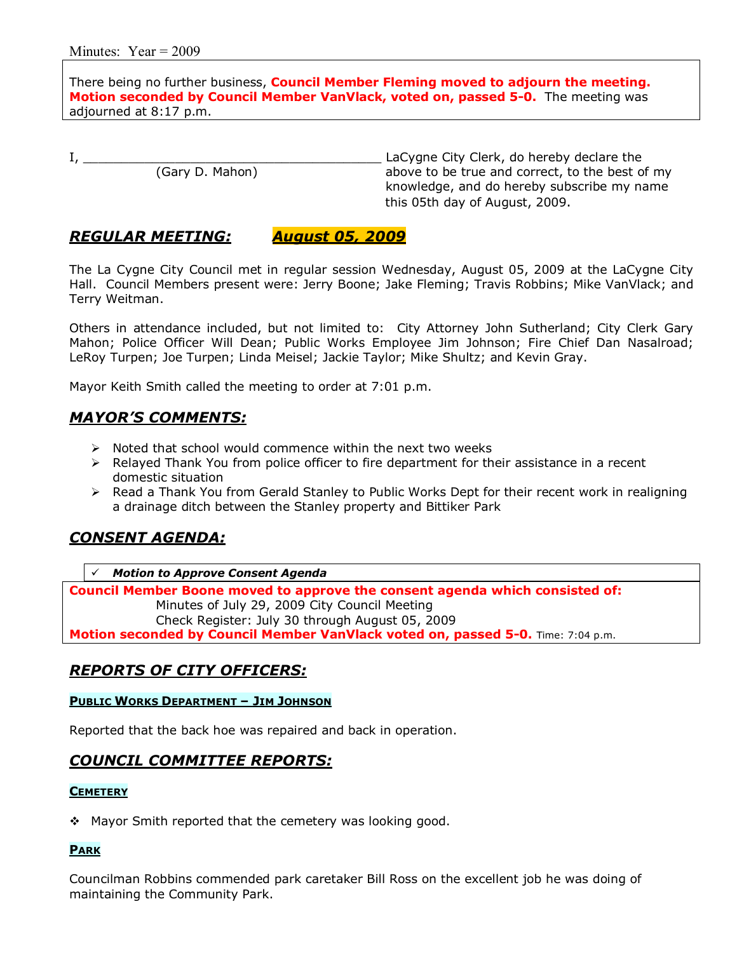There being no further business, **Council Member Fleming moved to adjourn the meeting. Motion seconded by Council Member VanVlack, voted on, passed 5-0.** The meeting was adjourned at 8:17 p.m.

I, \_\_\_\_\_\_\_\_\_\_\_\_\_\_\_\_\_\_\_\_\_\_\_\_\_\_\_\_\_\_\_\_\_\_\_\_\_\_\_ LaCygne City Clerk, do hereby declare the above to be true and correct, to the best of my knowledge, and do hereby subscribe my name this 05th day of August, 2009.

### *REGULAR MEETING: August 05, 2009*

The La Cygne City Council met in regular session Wednesday, August 05, 2009 at the LaCygne City Hall. Council Members present were: Jerry Boone; Jake Fleming; Travis Robbins; Mike VanVlack; and Terry Weitman.

Others in attendance included, but not limited to: City Attorney John Sutherland; City Clerk Gary Mahon; Police Officer Will Dean; Public Works Employee Jim Johnson; Fire Chief Dan Nasalroad; LeRoy Turpen; Joe Turpen; Linda Meisel; Jackie Taylor; Mike Shultz; and Kevin Gray.

Mayor Keith Smith called the meeting to order at 7:01 p.m.

### *MAYORíS COMMENTS:*

- $\triangleright$  Noted that school would commence within the next two weeks
- $\triangleright$  Relayed Thank You from police officer to fire department for their assistance in a recent domestic situation
- $\triangleright$  Read a Thank You from Gerald Stanley to Public Works Dept for their recent work in realigning a drainage ditch between the Stanley property and Bittiker Park

### *CONSENT AGENDA:*

# *Motion to Approve Consent Agenda*

**Council Member Boone moved to approve the consent agenda which consisted of:**  Minutes of July 29, 2009 City Council Meeting Check Register: July 30 through August 05, 2009 **Motion seconded by Council Member VanVlack voted on, passed 5-0.** Time: 7:04 p.m.

### *REPORTS OF CITY OFFICERS:*

#### **PUBLIC WORKS DEPARTMENT - JIM JOHNSON**

Reported that the back hoe was repaired and back in operation.

### *COUNCIL COMMITTEE REPORTS:*

#### **CEMETERY**

 $\div$  Mayor Smith reported that the cemetery was looking good.

#### **PARK**

Councilman Robbins commended park caretaker Bill Ross on the excellent job he was doing of maintaining the Community Park.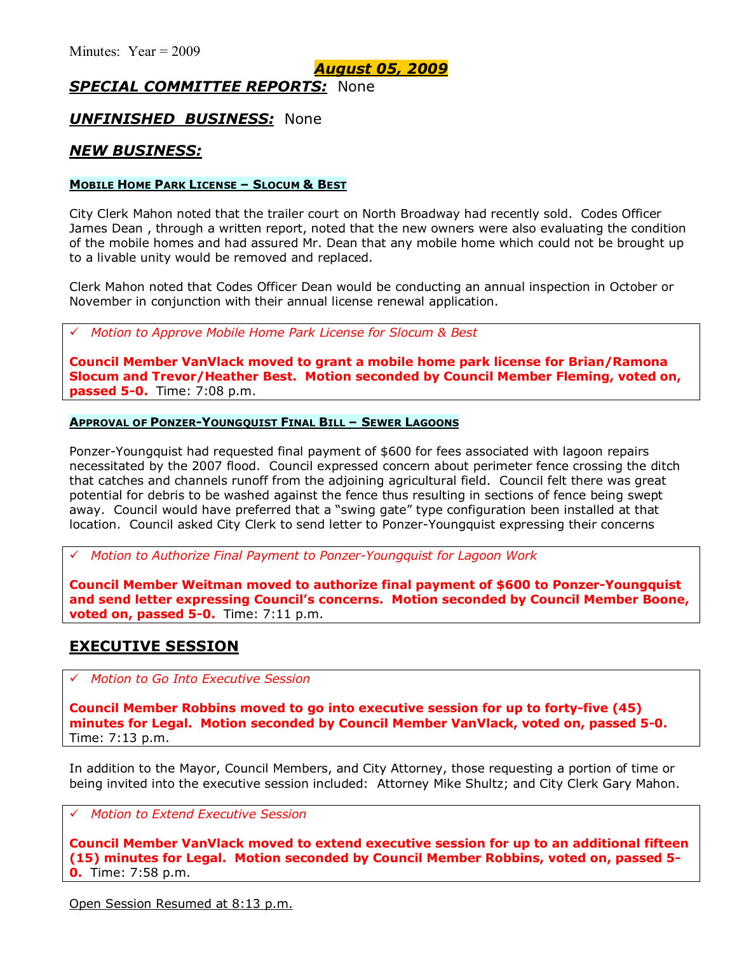*August 05, 2009*

## *SPECIAL COMMITTEE REPORTS:* None

### *UNFINISHED BUSINESS:* None

## *NEW BUSINESS:*

#### **MOBILE HOME PARK LICENSE - SLOCUM & BEST**

City Clerk Mahon noted that the trailer court on North Broadway had recently sold. Codes Officer James Dean , through a written report, noted that the new owners were also evaluating the condition of the mobile homes and had assured Mr. Dean that any mobile home which could not be brought up to a livable unity would be removed and replaced.

Clerk Mahon noted that Codes Officer Dean would be conducting an annual inspection in October or November in conjunction with their annual license renewal application.

# *Motion to Approve Mobile Home Park License for Slocum & Best* 

**Council Member VanVlack moved to grant a mobile home park license for Brian/Ramona Slocum and Trevor/Heather Best. Motion seconded by Council Member Fleming, voted on, passed 5-0.** Time: 7:08 p.m.

#### **APPROVAL OF PONZER-YOUNGQUIST FINAL BILL - SEWER LAGOONS**

Ponzer-Youngquist had requested final payment of \$600 for fees associated with lagoon repairs necessitated by the 2007 flood. Council expressed concern about perimeter fence crossing the ditch that catches and channels runoff from the adjoining agricultural field. Council felt there was great potential for debris to be washed against the fence thus resulting in sections of fence being swept away. Council would have preferred that a "swing gate" type configuration been installed at that location. Council asked City Clerk to send letter to Ponzer-Youngquist expressing their concerns

# *Motion to Authorize Final Payment to Ponzer-Youngquist for Lagoon Work* 

**Council Member Weitman moved to authorize final payment of \$600 to Ponzer-Youngquist and send letter expressing Councilís concerns. Motion seconded by Council Member Boone, voted on, passed 5-0.** Time: 7:11 p.m.

### **EXECUTIVE SESSION**

# *Motion to Go Into Executive Session*

**Council Member Robbins moved to go into executive session for up to forty-five (45) minutes for Legal. Motion seconded by Council Member VanVlack, voted on, passed 5-0.**  Time: 7:13 p.m.

In addition to the Mayor, Council Members, and City Attorney, those requesting a portion of time or being invited into the executive session included: Attorney Mike Shultz; and City Clerk Gary Mahon.

### # *Motion to Extend Executive Session*

**Council Member VanVlack moved to extend executive session for up to an additional fifteen (15) minutes for Legal. Motion seconded by Council Member Robbins, voted on, passed 5- 0.** Time: 7:58 p.m.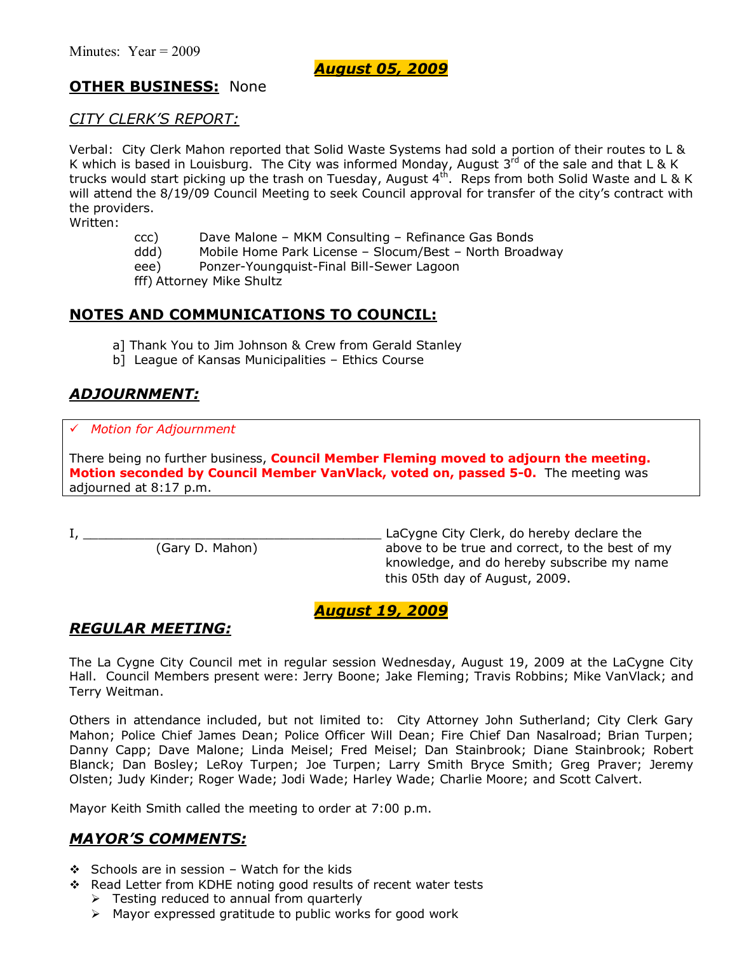## *August 05, 2009*

## **OTHER BUSINESS:** None

### *CITY CLERKíS REPORT:*

Verbal: City Clerk Mahon reported that Solid Waste Systems had sold a portion of their routes to L & K which is based in Louisburg. The City was informed Monday, August  $3^{rd}$  of the sale and that L & K trucks would start picking up the trash on Tuesday, August  $4^{th}$ . Reps from both Solid Waste and L & K will attend the 8/19/09 Council Meeting to seek Council approval for transfer of the city's contract with the providers.

Written:

- ccc) Dave Malone MKM Consulting Refinance Gas Bonds
- ddd) Mobile Home Park License Slocum/Best North Broadway
- eee) Ponzer-Youngquist-Final Bill-Sewer Lagoon

fff) Attorney Mike Shultz

## **NOTES AND COMMUNICATIONS TO COUNCIL:**

- a] Thank You to Jim Johnson & Crew from Gerald Stanley
- b] League of Kansas Municipalities Ethics Course

# *ADJOURNMENT:*

#### # *Motion for Adjournment*

There being no further business, **Council Member Fleming moved to adjourn the meeting. Motion seconded by Council Member VanVlack, voted on, passed 5-0.** The meeting was adjourned at 8:17 p.m.

I, \_\_\_\_\_\_\_\_\_\_\_\_\_\_\_\_\_\_\_\_\_\_\_\_\_\_\_\_\_\_\_\_\_\_\_\_\_\_\_ LaCygne City Clerk, do hereby declare the above to be true and correct, to the best of my knowledge, and do hereby subscribe my name this 05th day of August, 2009.

### *August 19, 2009*

## *REGULAR MEETING:*

The La Cygne City Council met in regular session Wednesday, August 19, 2009 at the LaCygne City Hall. Council Members present were: Jerry Boone; Jake Fleming; Travis Robbins; Mike VanVlack; and Terry Weitman.

Others in attendance included, but not limited to: City Attorney John Sutherland; City Clerk Gary Mahon; Police Chief James Dean; Police Officer Will Dean; Fire Chief Dan Nasalroad; Brian Turpen; Danny Capp; Dave Malone; Linda Meisel; Fred Meisel; Dan Stainbrook; Diane Stainbrook; Robert Blanck; Dan Bosley; LeRoy Turpen; Joe Turpen; Larry Smith Bryce Smith; Greg Praver; Jeremy Olsten; Judy Kinder; Roger Wade; Jodi Wade; Harley Wade; Charlie Moore; and Scott Calvert.

Mayor Keith Smith called the meeting to order at 7:00 p.m.

## *MAYORíS COMMENTS:*

- $\div$  Schools are in session Watch for the kids
- \$ Read Letter from KDHE noting good results of recent water tests
	- $\triangleright$  Testing reduced to annual from quarterly
	- $\triangleright$  Mayor expressed gratitude to public works for good work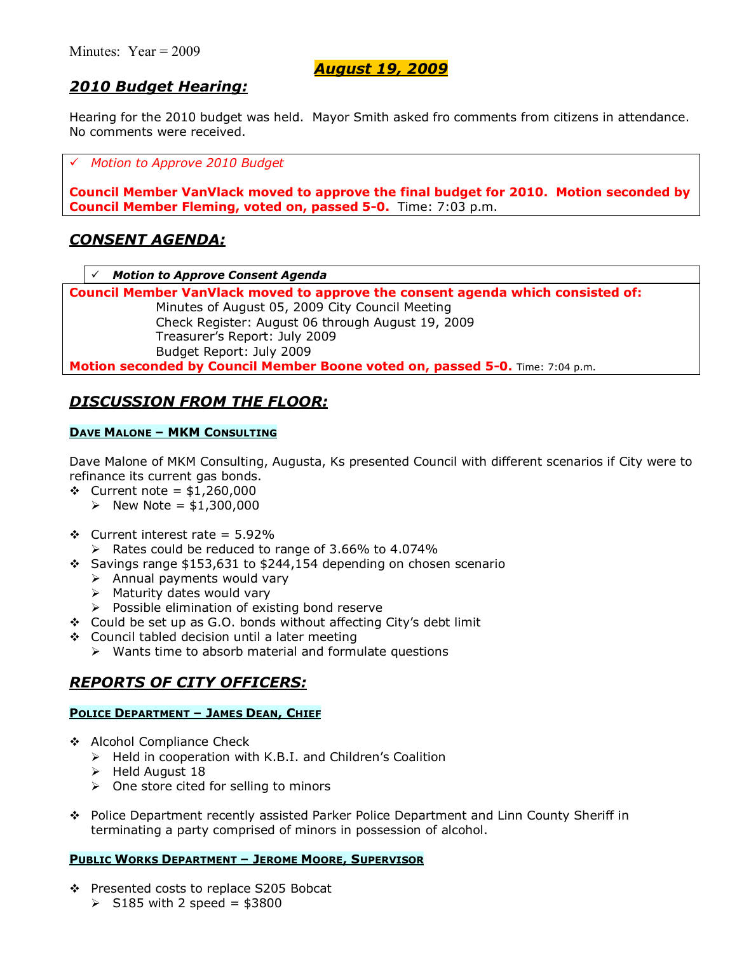# *2010 Budget Hearing:*

Hearing for the 2010 budget was held. Mayor Smith asked fro comments from citizens in attendance. No comments were received.

# *Motion to Approve 2010 Budget* 

**Council Member VanVlack moved to approve the final budget for 2010. Motion seconded by Council Member Fleming, voted on, passed 5-0.** Time: 7:03 p.m.

### *CONSENT AGENDA:*

# *Motion to Approve Consent Agenda*

**Council Member VanVlack moved to approve the consent agenda which consisted of:**  Minutes of August 05, 2009 City Council Meeting Check Register: August 06 through August 19, 2009 Treasurerís Report: July 2009 Budget Report: July 2009 **Motion seconded by Council Member Boone voted on, passed 5-0.** Time: 7:04 p.m.

# *DISCUSSION FROM THE FLOOR:*

#### **DAVE MALONE - MKM CONSULTING**

Dave Malone of MKM Consulting, Augusta, Ks presented Council with different scenarios if City were to refinance its current gas bonds.

- \$ Current note = \$1,260,000
	- $\triangleright$  New Note = \$1,300,000
- $\div$  Current interest rate = 5.92%
	- $\triangleright$  Rates could be reduced to range of 3.66% to 4.074%
- $\div$  Savings range \$153,631 to \$244,154 depending on chosen scenario
	- $\triangleright$  Annual payments would vary
	- $\triangleright$  Maturity dates would vary
	- $\triangleright$  Possible elimination of existing bond reserve
- \* Could be set up as G.O. bonds without affecting City's debt limit
- $\div$  Council tabled decision until a later meeting
	- $\triangleright$  Wants time to absorb material and formulate questions

# *REPORTS OF CITY OFFICERS:*

#### **POLICE DEPARTMENT - JAMES DEAN, CHIEF**

- \$ Alcohol Compliance Check
	- $\triangleright$  Held in cooperation with K.B.I. and Children's Coalition
	- $\triangleright$  Held August 18
	- $\triangleright$  One store cited for selling to minors
- \$ Police Department recently assisted Parker Police Department and Linn County Sheriff in terminating a party comprised of minors in possession of alcohol.

#### **PUBLIC WORKS DEPARTMENT - JEROME MOORE, SUPERVISOR**

- \$ Presented costs to replace S205 Bobcat
	- $\geq$  S185 with 2 speed = \$3800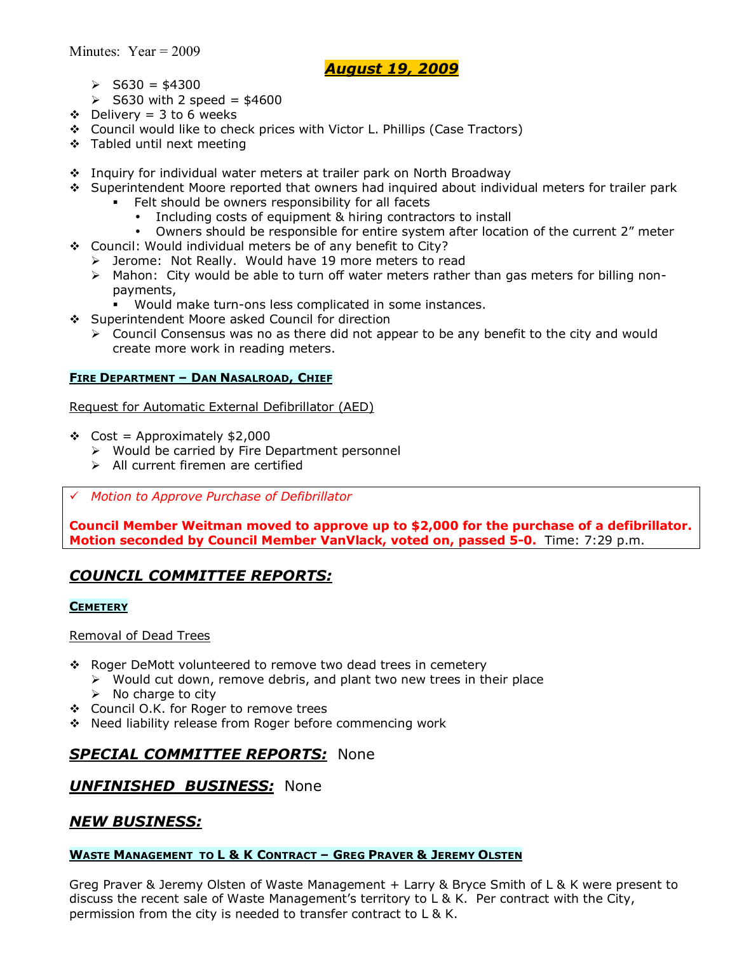- $\ge$  S630 = \$4300
- $\geq$  S630 with 2 speed = \$4600
- $\div$  Delivery = 3 to 6 weeks
- \$ Council would like to check prices with Victor L. Phillips (Case Tractors)
- $\div$  Tabled until next meeting
- \$ Inquiry for individual water meters at trailer park on North Broadway
- \$ Superintendent Moore reported that owners had inquired about individual meters for trailer park
	- Felt should be owners responsibility for all facets
		- Including costs of equipment & hiring contractors to install
	- Owners should be responsible for entire system after location of the current 2" meter
- \$ Council: Would individual meters be of any benefit to City?
	- > Jerome: Not Really. Would have 19 more meters to read
	- $\triangleright$  Mahon: City would be able to turn off water meters rather than gas meters for billing nonpayments,
		- Would make turn-ons less complicated in some instances.
- \$ Superintendent Moore asked Council for direction
	- $\triangleright$  Council Consensus was no as there did not appear to be any benefit to the city and would create more work in reading meters.

### **FIRE DEPARTMENT - DAN NASALROAD, CHIEF**

Request for Automatic External Defibrillator (AED)

- $\div$  Cost = Approximately \$2,000
	- $\triangleright$  Would be carried by Fire Department personnel
	- $\triangleright$  All current firemen are certified
- # *Motion to Approve Purchase of Defibrillator*

**Council Member Weitman moved to approve up to \$2,000 for the purchase of a defibrillator. Motion seconded by Council Member VanVlack, voted on, passed 5-0.** Time: 7:29 p.m.

## *COUNCIL COMMITTEE REPORTS:*

#### **CEMETERY**

### Removal of Dead Trees

- \$ Roger DeMott volunteered to remove two dead trees in cemetery
	- $\triangleright$  Would cut down, remove debris, and plant two new trees in their place
	- $\triangleright$  No charge to city
- \$ Council O.K. for Roger to remove trees
- \$ Need liability release from Roger before commencing work

## *SPECIAL COMMITTEE REPORTS:* None

## *UNFINISHED BUSINESS:* None

### *NEW BUSINESS:*

### **WASTE MANAGEMENT TO L & K CONTRACT - GREG PRAVER & JEREMY OLSTEN**

Greg Praver & Jeremy Olsten of Waste Management + Larry & Bryce Smith of L & K were present to discuss the recent sale of Waste Management's territory to  $L \& K$ . Per contract with the City, permission from the city is needed to transfer contract to L & K.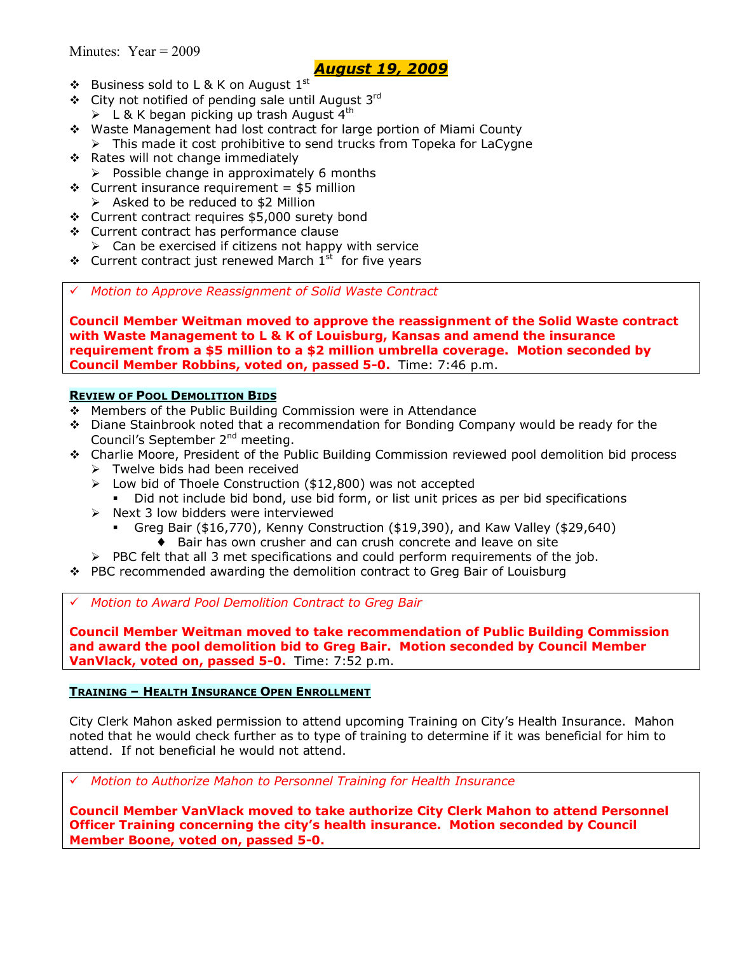- $\triangleleft$  Business sold to L & K on August  $1^{\text{st}}$
- \* City not notified of pending sale until August 3rd  $\geq$  L & K began picking up trash August 4<sup>th</sup>
- \$ Waste Management had lost contract for large portion of Miami County  $\triangleright$  This made it cost prohibitive to send trucks from Topeka for LaCygne
- \* Rates will not change immediately
- $\triangleright$  Possible change in approximately 6 months  $\div$  Current insurance requirement = \$5 million
	- $\triangleright$  Asked to be reduced to \$2 Million
- \$ Current contract requires \$5,000 surety bond
- \$ Current contract has performance clause
	- $\triangleright$  Can be exercised if citizens not happy with service
- $\div$  Current contract just renewed March  $1^{st}$  for five years

# *Motion to Approve Reassignment of Solid Waste Contract* 

**Council Member Weitman moved to approve the reassignment of the Solid Waste contract with Waste Management to L & K of Louisburg, Kansas and amend the insurance requirement from a \$5 million to a \$2 million umbrella coverage. Motion seconded by Council Member Robbins, voted on, passed 5-0.** Time: 7:46 p.m.

### **REVIEW OF POOL DEMOLITION BIDS**

- \$ Members of the Public Building Commission were in Attendance
- \$ Diane Stainbrook noted that a recommendation for Bonding Company would be ready for the Council's September 2<sup>nd</sup> meeting.
- \$ Charlie Moore, President of the Public Building Commission reviewed pool demolition bid process
	- $\triangleright$  Twelve bids had been received
	- $\geq$  Low bid of Thoele Construction (\$12,800) was not accepted
		- Did not include bid bond, use bid form, or list unit prices as per bid specifications
	- $\triangleright$  Next 3 low bidders were interviewed
		- % Greg Bair (\$16,770), Kenny Construction (\$19,390), and Kaw Valley (\$29,640)
			- ♦ Bair has own crusher and can crush concrete and leave on site
	- $\triangleright$  PBC felt that all 3 met specifications and could perform requirements of the job.
- $\cdot \cdot$  PBC recommended awarding the demolition contract to Greg Bair of Louisburg

# *Motion to Award Pool Demolition Contract to Greg Bair* 

**Council Member Weitman moved to take recommendation of Public Building Commission and award the pool demolition bid to Greg Bair. Motion seconded by Council Member VanVlack, voted on, passed 5-0.** Time: 7:52 p.m.

### **TRAINING - HEALTH INSURANCE OPEN ENROLLMENT**

City Clerk Mahon asked permission to attend upcoming Training on Cityís Health Insurance. Mahon noted that he would check further as to type of training to determine if it was beneficial for him to attend. If not beneficial he would not attend.

# *Motion to Authorize Mahon to Personnel Training for Health Insurance* 

**Council Member VanVlack moved to take authorize City Clerk Mahon to attend Personnel Officer Training concerning the cityís health insurance. Motion seconded by Council Member Boone, voted on, passed 5-0.**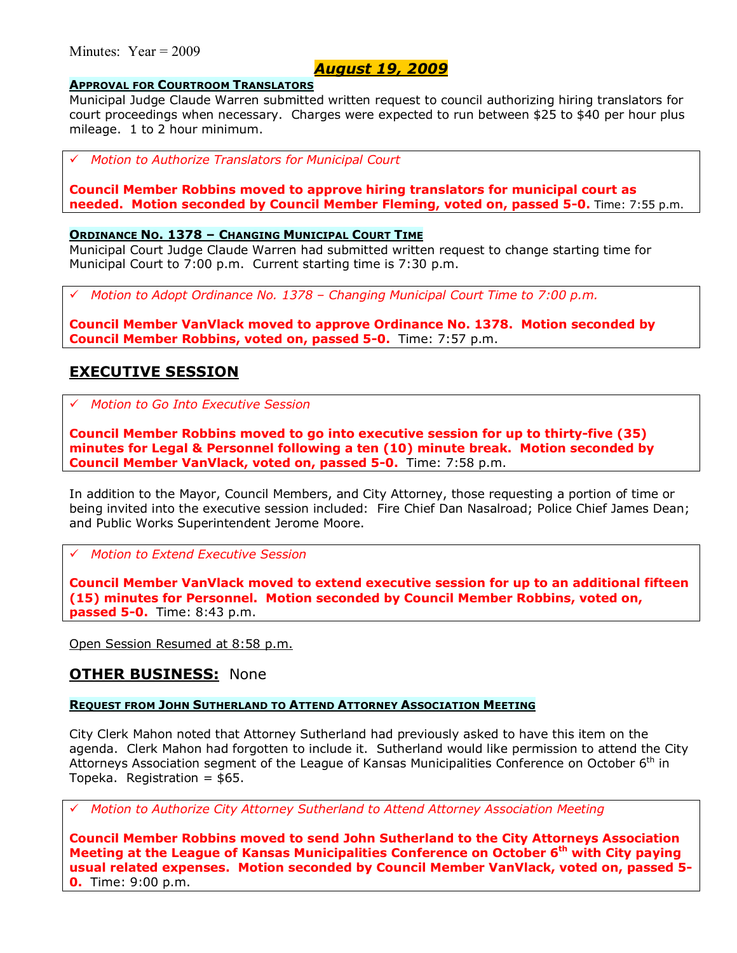### Minutes: Year = 2009

### *August 19, 2009*

#### **APPROVAL FOR COURTROOM TRANSLATORS**

Municipal Judge Claude Warren submitted written request to council authorizing hiring translators for court proceedings when necessary. Charges were expected to run between \$25 to \$40 per hour plus mileage. 1 to 2 hour minimum.

# *Motion to Authorize Translators for Municipal Court*

**Council Member Robbins moved to approve hiring translators for municipal court as needed. Motion seconded by Council Member Fleming, voted on, passed 5-0.** Time: 7:55 p.m.

#### **ORDINANCE NO. 1378 - CHANGING MUNICIPAL COURT TIME**

Municipal Court Judge Claude Warren had submitted written request to change starting time for Municipal Court to 7:00 p.m. Current starting time is 7:30 p.m.

# *Motion to Adopt Ordinance No. 1378 ñ Changing Municipal Court Time to 7:00 p.m.*

**Council Member VanVlack moved to approve Ordinance No. 1378. Motion seconded by Council Member Robbins, voted on, passed 5-0.** Time: 7:57 p.m.

### **EXECUTIVE SESSION**

# *Motion to Go Into Executive Session*

**Council Member Robbins moved to go into executive session for up to thirty-five (35) minutes for Legal & Personnel following a ten (10) minute break. Motion seconded by Council Member VanVlack, voted on, passed 5-0.** Time: 7:58 p.m.

In addition to the Mayor, Council Members, and City Attorney, those requesting a portion of time or being invited into the executive session included: Fire Chief Dan Nasalroad; Police Chief James Dean; and Public Works Superintendent Jerome Moore.

# *Motion to Extend Executive Session*

**Council Member VanVlack moved to extend executive session for up to an additional fifteen (15) minutes for Personnel. Motion seconded by Council Member Robbins, voted on, passed 5-0.** Time: 8:43 p.m.

Open Session Resumed at 8:58 p.m.

### **OTHER BUSINESS:** None

#### **REQUEST FROM JOHN SUTHERLAND TO ATTEND ATTORNEY ASSOCIATION MEETING**

City Clerk Mahon noted that Attorney Sutherland had previously asked to have this item on the agenda. Clerk Mahon had forgotten to include it. Sutherland would like permission to attend the City Attorneys Association segment of the League of Kansas Municipalities Conference on October  $6<sup>th</sup>$  in Topeka. Registration  $=$  \$65.

# *Motion to Authorize City Attorney Sutherland to Attend Attorney Association Meeting*

**Council Member Robbins moved to send John Sutherland to the City Attorneys Association Meeting at the League of Kansas Municipalities Conference on October 6th with City paying usual related expenses. Motion seconded by Council Member VanVlack, voted on, passed 5- 0.** Time: 9:00 p.m.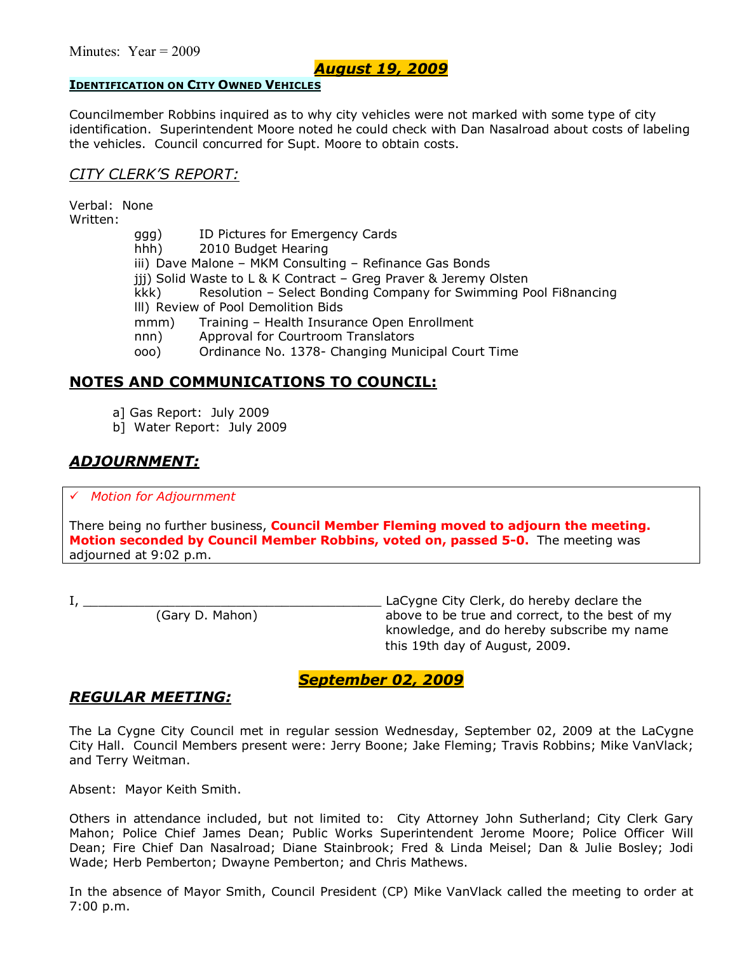#### **IDENTIFICATION ON CITY OWNED VEHICLES**

Councilmember Robbins inquired as to why city vehicles were not marked with some type of city identification. Superintendent Moore noted he could check with Dan Nasalroad about costs of labeling the vehicles. Council concurred for Supt. Moore to obtain costs.

### *CITY CLERKíS REPORT:*

Verbal: None Written:

> ggg) ID Pictures for Emergency Cards hhh) 2010 Budget Hearing iii) Dave Malone - MKM Consulting - Refinance Gas Bonds jjj) Solid Waste to L & K Contract - Greg Praver & Jeremy Olsten kkk) Resolution – Select Bonding Company for Swimming Pool Fi8nancing lll) Review of Pool Demolition Bids mmm) Training – Health Insurance Open Enrollment nnn) Approval for Courtroom Translators ooo) Ordinance No. 1378- Changing Municipal Court Time

## **NOTES AND COMMUNICATIONS TO COUNCIL:**

a] Gas Report: July 2009

b] Water Report: July 2009

# *ADJOURNMENT:*

#### # *Motion for Adjournment*

There being no further business, **Council Member Fleming moved to adjourn the meeting. Motion seconded by Council Member Robbins, voted on, passed 5-0.** The meeting was adjourned at 9:02 p.m.

I, \_\_\_\_\_\_\_\_\_\_\_\_\_\_\_\_\_\_\_\_\_\_\_\_\_\_\_\_\_\_\_\_\_\_\_\_\_\_\_ LaCygne City Clerk, do hereby declare the (Gary D. Mahon) above to be true and correct, to the best of my knowledge, and do hereby subscribe my name this 19th day of August, 2009.

## *September 02, 2009*

# *REGULAR MEETING:*

The La Cygne City Council met in regular session Wednesday, September 02, 2009 at the LaCygne City Hall. Council Members present were: Jerry Boone; Jake Fleming; Travis Robbins; Mike VanVlack; and Terry Weitman.

Absent: Mayor Keith Smith.

Others in attendance included, but not limited to: City Attorney John Sutherland; City Clerk Gary Mahon; Police Chief James Dean; Public Works Superintendent Jerome Moore; Police Officer Will Dean; Fire Chief Dan Nasalroad; Diane Stainbrook; Fred & Linda Meisel; Dan & Julie Bosley; Jodi Wade; Herb Pemberton; Dwayne Pemberton; and Chris Mathews.

In the absence of Mayor Smith, Council President (CP) Mike VanVlack called the meeting to order at 7:00 p.m.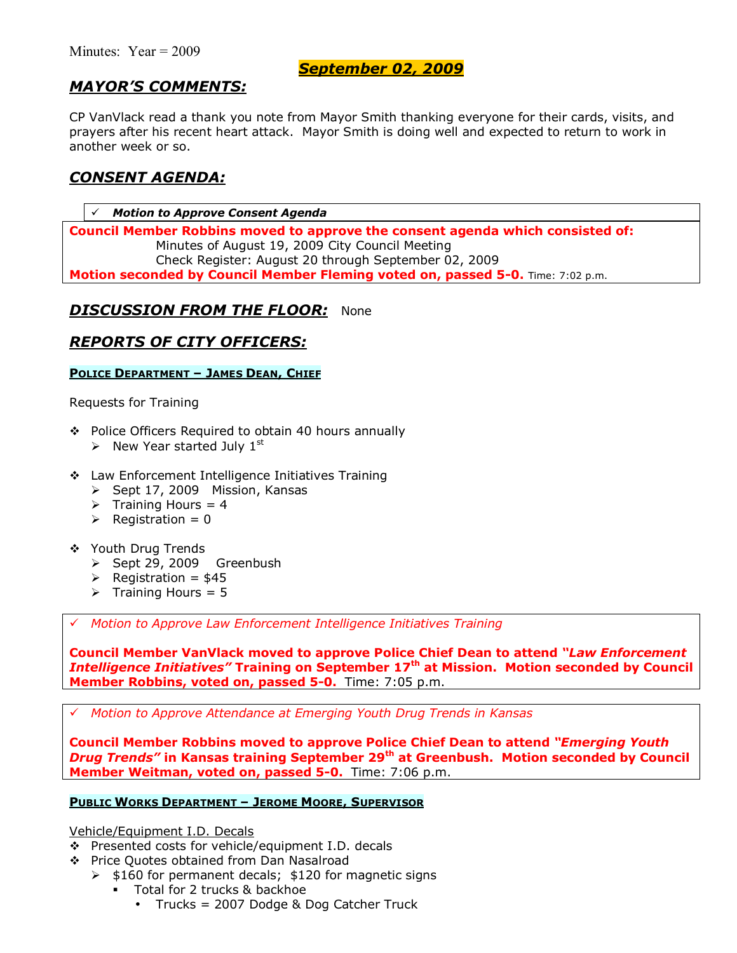### *September 02, 2009*

# *MAYORíS COMMENTS:*

CP VanVlack read a thank you note from Mayor Smith thanking everyone for their cards, visits, and prayers after his recent heart attack. Mayor Smith is doing well and expected to return to work in another week or so.

## *CONSENT AGENDA:*

**Motion to Approve Consent Agenda Council Member Robbins moved to approve the consent agenda which consisted of:**  Minutes of August 19, 2009 City Council Meeting Check Register: August 20 through September 02, 2009 **Motion seconded by Council Member Fleming voted on, passed 5-0.** Time: 7:02 p.m.

## *DISCUSSION FROM THE FLOOR:* None

## *REPORTS OF CITY OFFICERS:*

### **POLICE DEPARTMENT - JAMES DEAN, CHIEF**

Requests for Training

- ◆ Police Officers Required to obtain 40 hours annually
	- $\triangleright$  New Year started July 1<sup>st</sup>
- **\*** Law Enforcement Intelligence Initiatives Training
	- > Sept 17, 2009 Mission, Kansas
	- $\triangleright$  Training Hours = 4
	- $\triangleright$  Registration = 0
- \$ Youth Drug Trends
	- > Sept 29, 2009 Greenbush
	- $\triangleright$  Registration = \$45
	- $\triangleright$  Training Hours = 5

# *Motion to Approve Law Enforcement Intelligence Initiatives Training*

**Council Member VanVlack moved to approve Police Chief Dean to attend** *ìLaw Enforcement Intelligence Initiativesî* **Training on September 17th at Mission. Motion seconded by Council Member Robbins, voted on, passed 5-0.** Time: 7:05 p.m.

# *Motion to Approve Attendance at Emerging Youth Drug Trends in Kansas*

**Council Member Robbins moved to approve Police Chief Dean to attend** *ìEmerging Youth Drug Trends***<sup>***n***</sup> in Kansas training September 29<sup>th</sup> at Greenbush. Motion seconded by Council Member Weitman, voted on, passed 5-0.** Time: 7:06 p.m.

#### **PUBLIC WORKS DEPARTMENT - JEROME MOORE, SUPERVISOR**

Vehicle/Equipment I.D. Decals

- $\div$  Presented costs for vehicle/equipment I.D. decals
- \$ Price Quotes obtained from Dan Nasalroad
	- $\geq$  \$160 for permanent decals; \$120 for magnetic signs
		- **Total for 2 trucks & backhoe** 
			- Trucks = 2007 Dodge & Dog Catcher Truck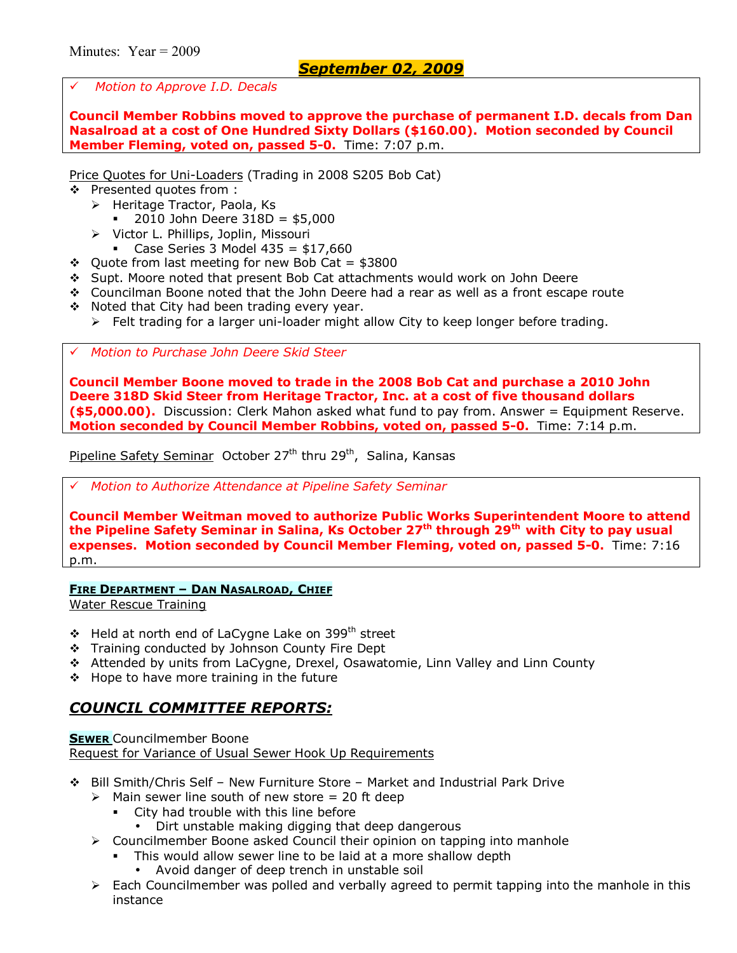# *Motion to Approve I.D. Decals*

**Council Member Robbins moved to approve the purchase of permanent I.D. decals from Dan Nasalroad at a cost of One Hundred Sixty Dollars (\$160.00). Motion seconded by Council Member Fleming, voted on, passed 5-0.** Time: 7:07 p.m.

Price Quotes for Uni-Loaders (Trading in 2008 S205 Bob Cat)

- \$ Presented quotes from :
	- $\triangleright$  Heritage Tractor, Paola, Ks
		- $2010$  John Deere  $318D = $5,000$
	- > Victor L. Phillips, Joplin, Missouri
		- Case Series 3 Model  $435 = $17,660$
- $\div$  Ouote from last meeting for new Bob Cat = \$3800
- \$ Supt. Moore noted that present Bob Cat attachments would work on John Deere
- \$ Councilman Boone noted that the John Deere had a rear as well as a front escape route
- \* Noted that City had been trading every year.
	- $\triangleright$  Felt trading for a larger uni-loader might allow City to keep longer before trading.

# *Motion to Purchase John Deere Skid Steer*

**Council Member Boone moved to trade in the 2008 Bob Cat and purchase a 2010 John Deere 318D Skid Steer from Heritage Tractor, Inc. at a cost of five thousand dollars (\$5,000.00).** Discussion: Clerk Mahon asked what fund to pay from. Answer = Equipment Reserve. **Motion seconded by Council Member Robbins, voted on, passed 5-0.** Time: 7:14 p.m.

Pipeline Safety Seminar October  $27<sup>th</sup>$  thru  $29<sup>th</sup>$ , Salina, Kansas

# *Motion to Authorize Attendance at Pipeline Safety Seminar*

**Council Member Weitman moved to authorize Public Works Superintendent Moore to attend the Pipeline Safety Seminar in Salina, Ks October 27th through 29th with City to pay usual expenses. Motion seconded by Council Member Fleming, voted on, passed 5-0.** Time: 7:16 p.m.

#### **FIRE DEPARTMENT - DAN NASALROAD, CHIEF**

Water Rescue Training

- $\div$  Held at north end of LaCygne Lake on 399<sup>th</sup> street
- \* Training conducted by Johnson County Fire Dept
- \$ Attended by units from LaCygne, Drexel, Osawatomie, Linn Valley and Linn County
- $\div$  Hope to have more training in the future

# *COUNCIL COMMITTEE REPORTS:*

**SEWER** Councilmember Boone Request for Variance of Usual Sewer Hook Up Requirements

- ◆ Bill Smith/Chris Self New Furniture Store Market and Industrial Park Drive
	- $\geq$  Main sewer line south of new store = 20 ft deep
		- City had trouble with this line before
		- Dirt unstable making digging that deep dangerous
	- $\triangleright$  Councilmember Boone asked Council their opinion on tapping into manhole
		- This would allow sewer line to be laid at a more shallow depth
			- Avoid danger of deep trench in unstable soil
	- $\triangleright$  Each Councilmember was polled and verbally agreed to permit tapping into the manhole in this instance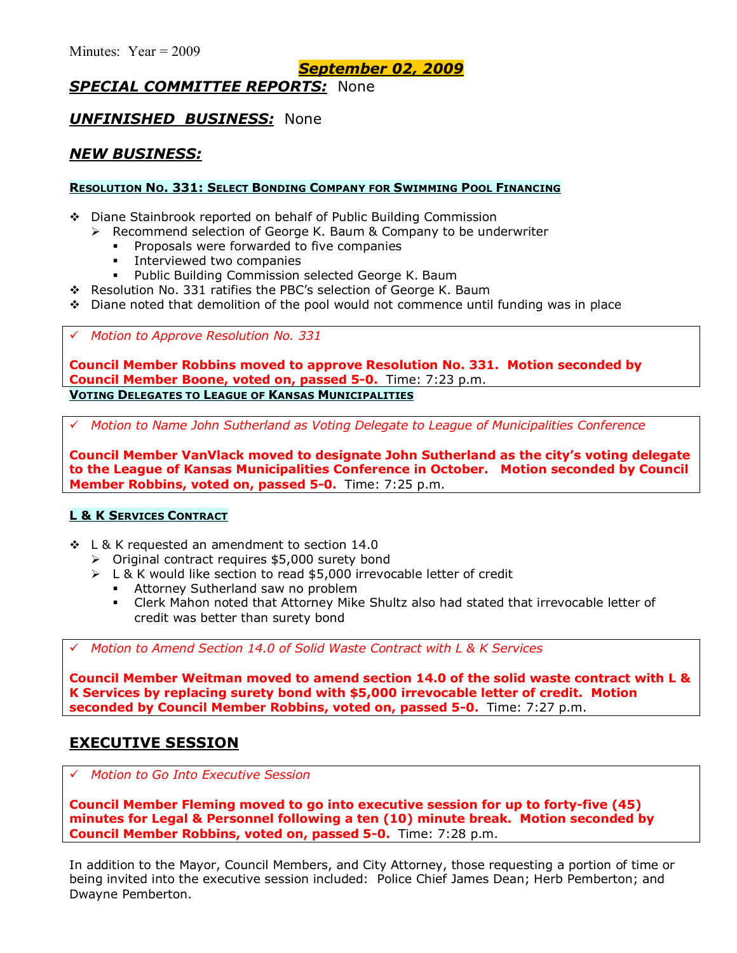*September 02, 2009*

# *SPECIAL COMMITTEE REPORTS:* None

### *UNFINISHED BUSINESS:* None

# *NEW BUSINESS:*

### **RESOLUTION NO. 331: SELECT BONDING COMPANY FOR SWIMMING POOL FINANCING**

- \$ Diane Stainbrook reported on behalf of Public Building Commission
	- $\triangleright$  Recommend selection of George K. Baum & Company to be underwriter
		- Proposals were forwarded to five companies
		- Interviewed two companies
		- **Public Building Commission selected George K. Baum**
- $\div$  Resolution No. 331 ratifies the PBC's selection of George K. Baum
- $\bullet$  Diane noted that demolition of the pool would not commence until funding was in place

### # *Motion to Approve Resolution No. 331*

**Council Member Robbins moved to approve Resolution No. 331. Motion seconded by Council Member Boone, voted on, passed 5-0.** Time: 7:23 p.m. **VOTING DELEGATES TO LEAGUE OF KANSAS MUNICIPALITIES**

# *Motion to Name John Sutherland as Voting Delegate to League of Municipalities Conference* 

**Council Member VanVlack moved to designate John Sutherland as the cityís voting delegate to the League of Kansas Municipalities Conference in October. Motion seconded by Council Member Robbins, voted on, passed 5-0.** Time: 7:25 p.m.

### **L & K SERVICES CONTRACT**

- \$ L & K requested an amendment to section 14.0
	- $\triangleright$  Original contract requires \$5,000 surety bond
	- $\triangleright$  L & K would like section to read \$5,000 irrevocable letter of credit
		- Attorney Sutherland saw no problem
		- % Clerk Mahon noted that Attorney Mike Shultz also had stated that irrevocable letter of credit was better than surety bond

# *Motion to Amend Section 14.0 of Solid Waste Contract with L & K Services* 

**Council Member Weitman moved to amend section 14.0 of the solid waste contract with L & K Services by replacing surety bond with \$5,000 irrevocable letter of credit. Motion seconded by Council Member Robbins, voted on, passed 5-0.** Time: 7:27 p.m.

# **EXECUTIVE SESSION**

# *Motion to Go Into Executive Session*

**Council Member Fleming moved to go into executive session for up to forty-five (45) minutes for Legal & Personnel following a ten (10) minute break. Motion seconded by Council Member Robbins, voted on, passed 5-0.** Time: 7:28 p.m.

In addition to the Mayor, Council Members, and City Attorney, those requesting a portion of time or being invited into the executive session included: Police Chief James Dean; Herb Pemberton; and Dwayne Pemberton.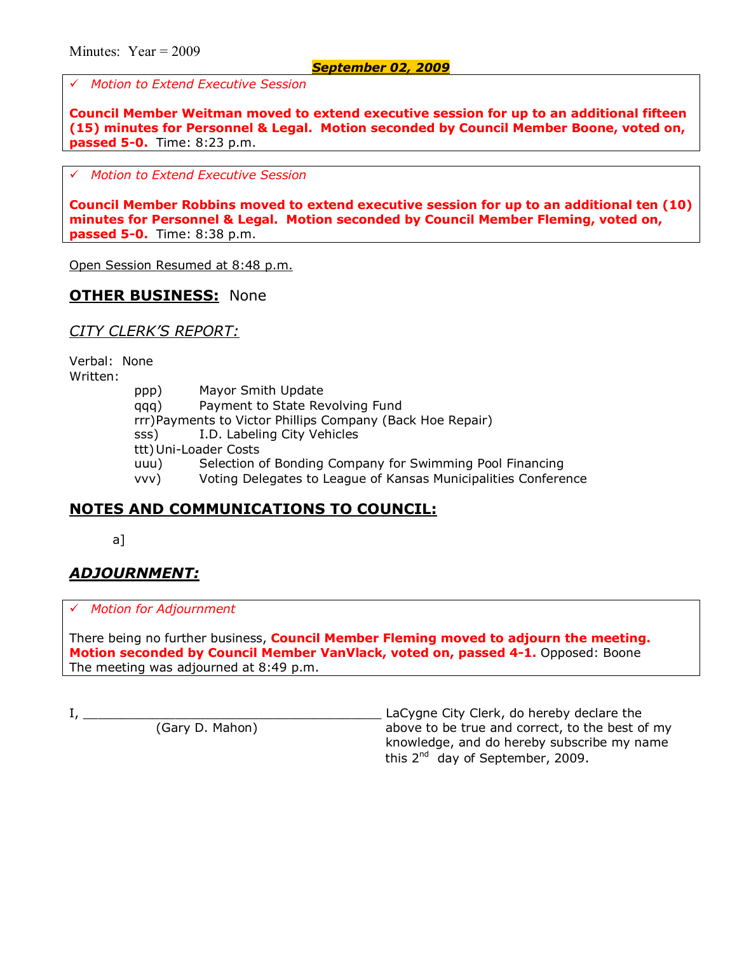# *Motion to Extend Executive Session*

**Council Member Weitman moved to extend executive session for up to an additional fifteen (15) minutes for Personnel & Legal. Motion seconded by Council Member Boone, voted on, passed 5-0.** Time: 8:23 p.m.

# *Motion to Extend Executive Session*

**Council Member Robbins moved to extend executive session for up to an additional ten (10) minutes for Personnel & Legal. Motion seconded by Council Member Fleming, voted on, passed 5-0.** Time: 8:38 p.m.

Open Session Resumed at 8:48 p.m.

## **OTHER BUSINESS:** None

*CITY CLERKíS REPORT:*

Verbal: None Written:

> ppp) Mayor Smith Update qqq) Payment to State Revolving Fund rrr) Payments to Victor Phillips Company (Back Hoe Repair) sss) I.D. Labeling City Vehicles ttt) Uni-Loader Costs uuu) Selection of Bonding Company for Swimming Pool Financing vvv) Voting Delegates to League of Kansas Municipalities Conference

# **NOTES AND COMMUNICATIONS TO COUNCIL:**

a]

# *ADJOURNMENT:*

# *Motion for Adjournment*

There being no further business, **Council Member Fleming moved to adjourn the meeting. Motion seconded by Council Member VanVlack, voted on, passed 4-1.** Opposed: Boone The meeting was adjourned at 8:49 p.m.

I, \_\_\_\_\_\_\_\_\_\_\_\_\_\_\_\_\_\_\_\_\_\_\_\_\_\_\_\_\_\_\_\_\_\_\_\_\_\_\_ LaCygne City Clerk, do hereby declare the above to be true and correct, to the best of my knowledge, and do hereby subscribe my name this  $2^{nd}$  day of September, 2009.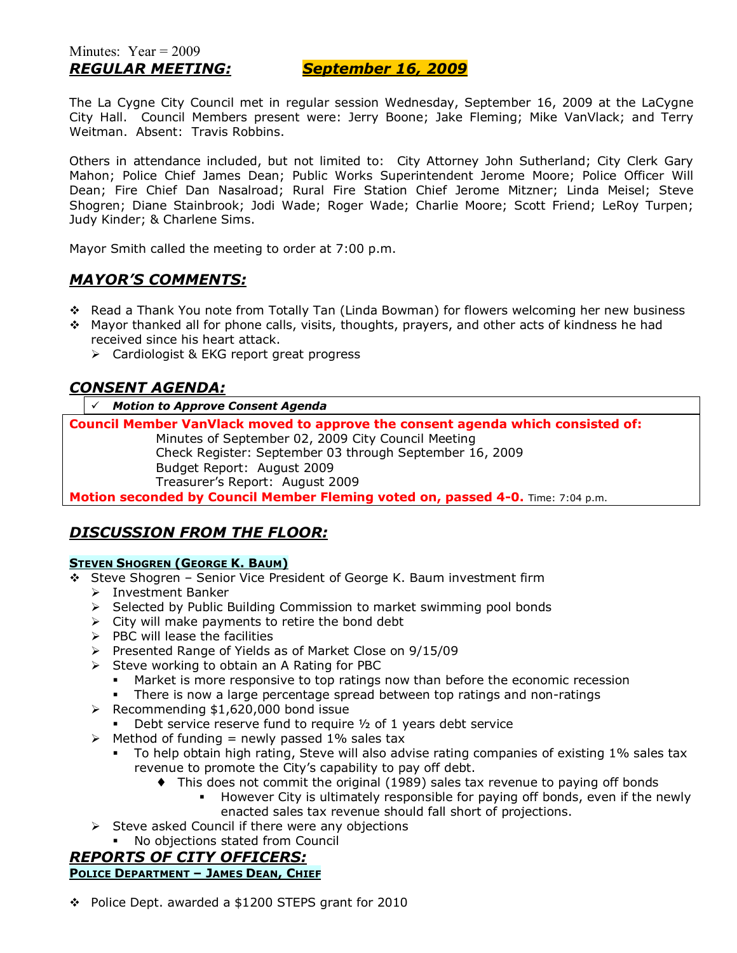### *REGULAR MEETING: September 16, 2009*

The La Cygne City Council met in regular session Wednesday, September 16, 2009 at the LaCygne City Hall. Council Members present were: Jerry Boone; Jake Fleming; Mike VanVlack; and Terry Weitman. Absent: Travis Robbins.

Others in attendance included, but not limited to: City Attorney John Sutherland; City Clerk Gary Mahon; Police Chief James Dean; Public Works Superintendent Jerome Moore; Police Officer Will Dean; Fire Chief Dan Nasalroad; Rural Fire Station Chief Jerome Mitzner; Linda Meisel; Steve Shogren; Diane Stainbrook; Jodi Wade; Roger Wade; Charlie Moore; Scott Friend; LeRoy Turpen; Judy Kinder; & Charlene Sims.

Mayor Smith called the meeting to order at 7:00 p.m.

### *MAYORíS COMMENTS:*

- \* Read a Thank You note from Totally Tan (Linda Bowman) for flowers welcoming her new business
- $\div$  Mayor thanked all for phone calls, visits, thoughts, prayers, and other acts of kindness he had received since his heart attack.
	- $\triangleright$  Cardiologist & EKG report great progress

## *CONSENT AGENDA:*

# *Motion to Approve Consent Agenda*

**Council Member VanVlack moved to approve the consent agenda which consisted of:**  Minutes of September 02, 2009 City Council Meeting Check Register: September 03 through September 16, 2009 Budget Report: August 2009 Treasurerís Report: August 2009

**Motion seconded by Council Member Fleming voted on, passed 4-0.** Time: 7:04 p.m.

## *DISCUSSION FROM THE FLOOR:*

### **STEVEN SHOGREN (GEORGE K. BAUM)**

- \* Steve Shogren Senior Vice President of George K. Baum investment firm
	- > Investment Banker
	- > Selected by Public Building Commission to market swimming pool bonds
	- $\triangleright$  City will make payments to retire the bond debt
	- $\triangleright$  PBC will lease the facilities
	- ! Presented Range of Yields as of Market Close on 9/15/09
	- $\triangleright$  Steve working to obtain an A Rating for PBC
		- Market is more responsive to top ratings now than before the economic recession
		- **There is now a large percentage spread between top ratings and non-ratings**
	- $\triangleright$  Recommending \$1,620,000 bond issue
		- $\blacksquare$  Debt service reserve fund to require  $\frac{1}{2}$  of 1 years debt service
	- $\triangleright$  Method of funding = newly passed 1% sales tax
		- To help obtain high rating, Steve will also advise rating companies of existing 1% sales tax revenue to promote the City's capability to pay off debt.
			- ♦ This does not commit the original (1989) sales tax revenue to paying off bonds
				- However City is ultimately responsible for paying off bonds, even if the newly enacted sales tax revenue should fall short of projections.
	- $\triangleright$  Steve asked Council if there were any objections
		- No objections stated from Council

### *REPORTS OF CITY OFFICERS:* **POLICE DEPARTMENT - JAMES DEAN, CHIEF**

\$ Police Dept. awarded a \$1200 STEPS grant for 2010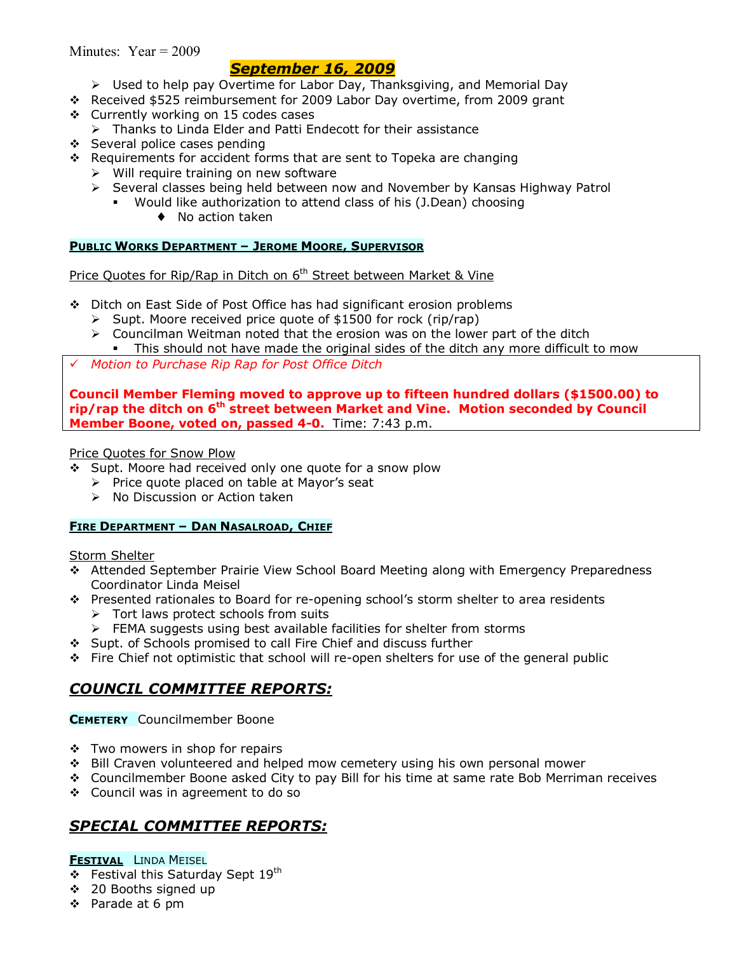Minutes: Year = 2009

## *September 16, 2009*

- ! Used to help pay Overtime for Labor Day, Thanksgiving, and Memorial Day
- \$ Received \$525 reimbursement for 2009 Labor Day overtime, from 2009 grant
- \$ Currently working on 15 codes cases
	- $\triangleright$  Thanks to Linda Elder and Patti Endecott for their assistance
- ❖ Several police cases pending
- \$ Requirements for accident forms that are sent to Topeka are changing
	- $\triangleright$  Will require training on new software
	- ! Several classes being held between now and November by Kansas Highway Patrol
		- . Would like authorization to attend class of his (J.Dean) choosing
			- ♦ No action taken

### **PUBLIC WORKS DEPARTMENT - JEROME MOORE, SUPERVISOR**

Price Quotes for Rip/Rap in Ditch on 6<sup>th</sup> Street between Market & Vine

- \$ Ditch on East Side of Post Office has had significant erosion problems
	- $\triangleright$  Supt. Moore received price quote of \$1500 for rock (rip/rap)
	- $\triangleright$  Councilman Weitman noted that the erosion was on the lower part of the ditch • This should not have made the original sides of the ditch any more difficult to mow
- # *Motion to Purchase Rip Rap for Post Office Ditch*

**Council Member Fleming moved to approve up to fifteen hundred dollars (\$1500.00) to rip/rap the ditch on 6th street between Market and Vine. Motion seconded by Council Member Boone, voted on, passed 4-0.** Time: 7:43 p.m.

### Price Quotes for Snow Plow

- \$ Supt. Moore had received only one quote for a snow plow
	- $\triangleright$  Price quote placed on table at Mayor's seat
	- > No Discussion or Action taken

### **FIRE DEPARTMENT - DAN NASALROAD, CHIEF**

#### **Storm Shelter**

- \$ Attended September Prairie View School Board Meeting along with Emergency Preparedness Coordinator Linda Meisel
- $\cdot \cdot$  Presented rationales to Board for re-opening school's storm shelter to area residents
	- $\triangleright$  Tort laws protect schools from suits
	- $\triangleright$  FEMA suggests using best available facilities for shelter from storms
- \$ Supt. of Schools promised to call Fire Chief and discuss further
- $\div$  Fire Chief not optimistic that school will re-open shelters for use of the general public

# *COUNCIL COMMITTEE REPORTS:*

**CEMETERY** Councilmember Boone

- ❖ Two mowers in shop for repairs
- ❖ Bill Craven volunteered and helped mow cemetery using his own personal mower
- $\div$  Councilmember Boone asked City to pay Bill for his time at same rate Bob Merriman receives
- ❖ Council was in agreement to do so

# *SPECIAL COMMITTEE REPORTS:*

### **FESTIVAL** LINDA MEISEL

- $\div$  Festival this Saturday Sept 19<sup>th</sup>
- \$ 20 Booths signed up
- ❖ Parade at 6 pm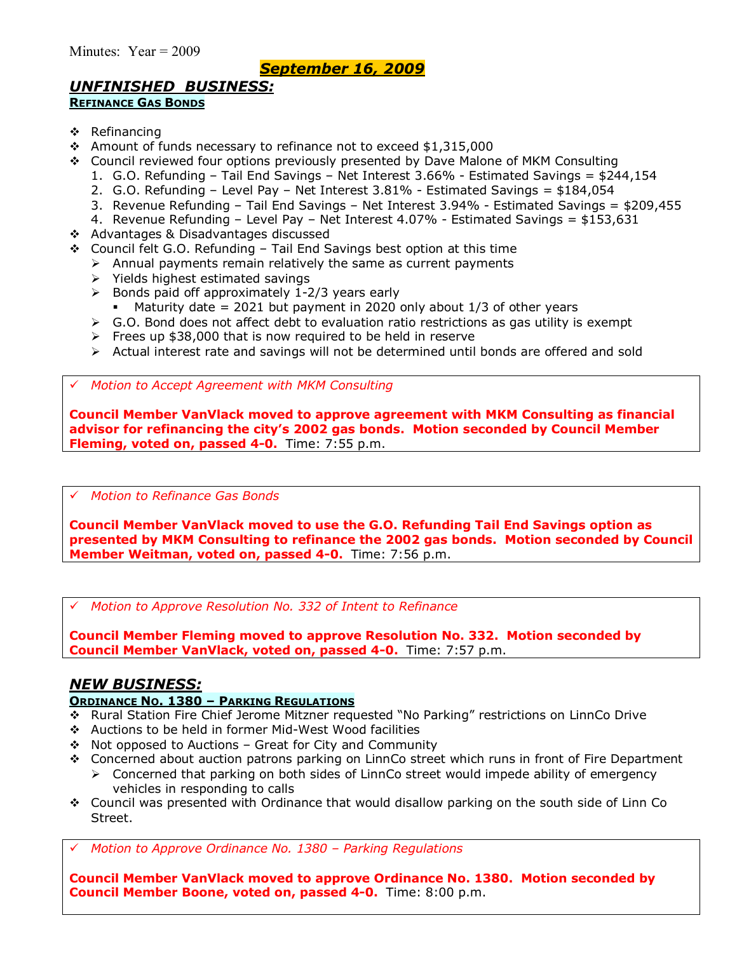# *September 16, 2009*

## *UNFINISHED BUSINESS:*

### **REFINANCE GAS BONDS**

- \$ Refinancing
- \* Amount of funds necessary to refinance not to exceed \$1,315,000
- \$ Council reviewed four options previously presented by Dave Malone of MKM Consulting
	- 1. G.O. Refunding Tail End Savings Net Interest 3.66% Estimated Savings =  $$244,154$
	- 2. G.O. Refunding Level Pay Net Interest  $3.81\%$  Estimated Savings = \$184,054
	- 3. Revenue Refunding Tail End Savings Net Interest 3.94% Estimated Savings =  $$209,455$
	- 4. Revenue Refunding Level Pay Net Interest  $4.07\%$  Estimated Savings = \$153,631
- \$ Advantages & Disadvantages discussed
- $\div$  Council felt G.O. Refunding Tail End Savings best option at this time
	- $\triangleright$  Annual payments remain relatively the same as current payments
	- $\triangleright$  Yields highest estimated savings
	- $\geq$  Bonds paid off approximately 1-2/3 years early
		- $\blacksquare$  Maturity date = 2021 but payment in 2020 only about 1/3 of other years
	- $\triangleright$  G.O. Bond does not affect debt to evaluation ratio restrictions as gas utility is exempt
	- $\triangleright$  Frees up \$38,000 that is now required to be held in reserve
	- ! Actual interest rate and savings will not be determined until bonds are offered and sold

# *Motion to Accept Agreement with MKM Consulting*

**Council Member VanVlack moved to approve agreement with MKM Consulting as financial advisor for refinancing the cityís 2002 gas bonds. Motion seconded by Council Member Fleming, voted on, passed 4-0.** Time: 7:55 p.m.

#### # *Motion to Refinance Gas Bonds*

**Council Member VanVlack moved to use the G.O. Refunding Tail End Savings option as presented by MKM Consulting to refinance the 2002 gas bonds. Motion seconded by Council Member Weitman, voted on, passed 4-0.** Time: 7:56 p.m.

# *Motion to Approve Resolution No. 332 of Intent to Refinance*

**Council Member Fleming moved to approve Resolution No. 332. Motion seconded by Council Member VanVlack, voted on, passed 4-0.** Time: 7:57 p.m.

### *NEW BUSINESS:*

### **ORDINANCE NO. 1380 - PARKING REGULATIONS**

- \* Rural Station Fire Chief Jerome Mitzner requested "No Parking" restrictions on LinnCo Drive
- \$ Auctions to be held in former Mid-West Wood facilities
- $\div$  Not opposed to Auctions Great for City and Community
- \$ Concerned about auction patrons parking on LinnCo street which runs in front of Fire Department
	- > Concerned that parking on both sides of LinnCo street would impede ability of emergency vehicles in responding to calls
- $\div$  Council was presented with Ordinance that would disallow parking on the south side of Linn Co Street.

*Motion to Approve Ordinance No. 1380 - Parking Regulations* 

**Council Member VanVlack moved to approve Ordinance No. 1380. Motion seconded by Council Member Boone, voted on, passed 4-0.** Time: 8:00 p.m.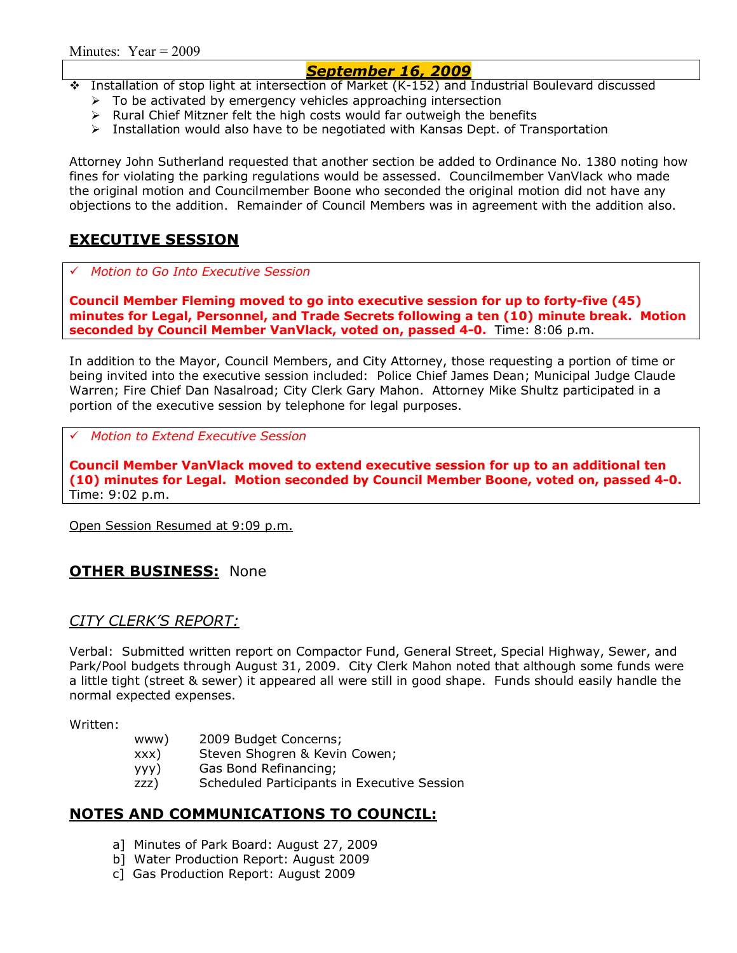## *September 16, 2009*

- \$ Installation of stop light at intersection of Market (K-152) and Industrial Boulevard discussed
	- $\triangleright$  To be activated by emergency vehicles approaching intersection
	- $\triangleright$  Rural Chief Mitzner felt the high costs would far outweigh the benefits
	- $\triangleright$  Installation would also have to be negotiated with Kansas Dept. of Transportation

Attorney John Sutherland requested that another section be added to Ordinance No. 1380 noting how fines for violating the parking regulations would be assessed. Councilmember VanVlack who made the original motion and Councilmember Boone who seconded the original motion did not have any objections to the addition. Remainder of Council Members was in agreement with the addition also.

## **EXECUTIVE SESSION**

# *Motion to Go Into Executive Session*

**Council Member Fleming moved to go into executive session for up to forty-five (45) minutes for Legal, Personnel, and Trade Secrets following a ten (10) minute break. Motion seconded by Council Member VanVlack, voted on, passed 4-0.** Time: 8:06 p.m.

In addition to the Mayor, Council Members, and City Attorney, those requesting a portion of time or being invited into the executive session included: Police Chief James Dean; Municipal Judge Claude Warren; Fire Chief Dan Nasalroad; City Clerk Gary Mahon. Attorney Mike Shultz participated in a portion of the executive session by telephone for legal purposes.

# *Motion to Extend Executive Session*

**Council Member VanVlack moved to extend executive session for up to an additional ten (10) minutes for Legal. Motion seconded by Council Member Boone, voted on, passed 4-0.**  Time: 9:02 p.m.

Open Session Resumed at 9:09 p.m.

### **OTHER BUSINESS:** None

### *CITY CLERKíS REPORT:*

Verbal: Submitted written report on Compactor Fund, General Street, Special Highway, Sewer, and Park/Pool budgets through August 31, 2009. City Clerk Mahon noted that although some funds were a little tight (street & sewer) it appeared all were still in good shape. Funds should easily handle the normal expected expenses.

Written:

- www) 2009 Budget Concerns;
- xxx) Steven Shogren & Kevin Cowen;
- yyy) Gas Bond Refinancing;
- zzz) Scheduled Participants in Executive Session

### **NOTES AND COMMUNICATIONS TO COUNCIL:**

- a] Minutes of Park Board: August 27, 2009
- b] Water Production Report: August 2009
- c] Gas Production Report: August 2009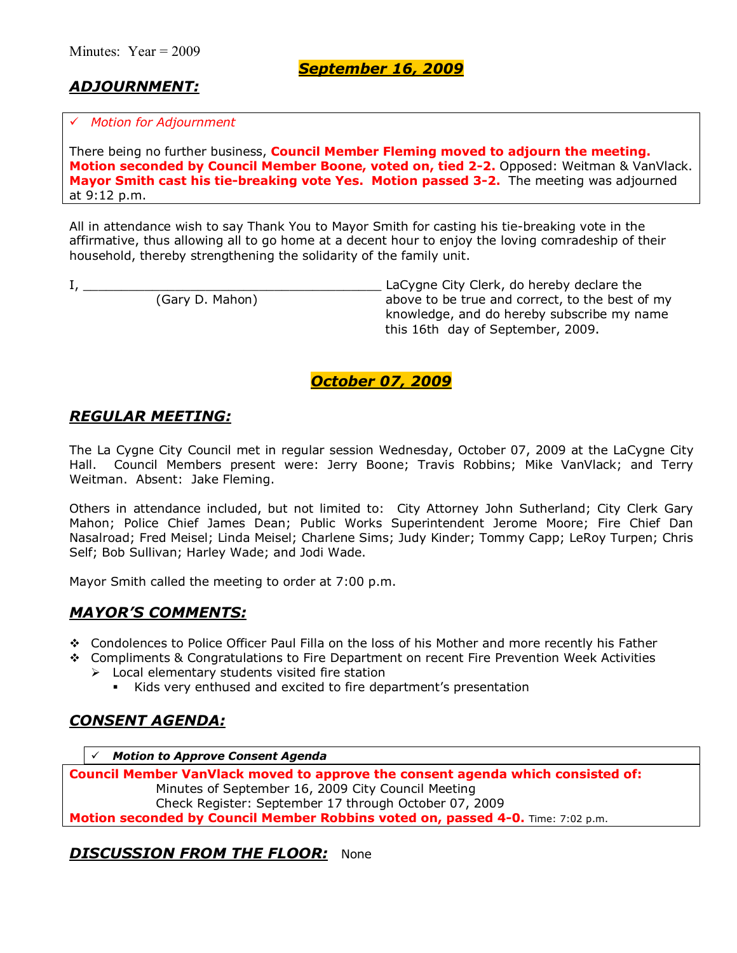*September 16, 2009*

# *ADJOURNMENT:*

#### # *Motion for Adjournment*

There being no further business, **Council Member Fleming moved to adjourn the meeting. Motion seconded by Council Member Boone, voted on, tied 2-2.** Opposed: Weitman & VanVlack. **Mayor Smith cast his tie-breaking vote Yes. Motion passed 3-2.** The meeting was adjourned at 9:12 p.m.

All in attendance wish to say Thank You to Mayor Smith for casting his tie-breaking vote in the affirmative, thus allowing all to go home at a decent hour to enjoy the loving comradeship of their household, thereby strengthening the solidarity of the family unit.

|  |                 | LaCygne City Clerk, do hereby declare the       |
|--|-----------------|-------------------------------------------------|
|  | (Gary D. Mahon) | above to be true and correct, to the best of my |
|  |                 | knowledge, and do hereby subscribe my name      |
|  |                 | this 16th day of September, 2009.               |

## *October 07, 2009*

### *REGULAR MEETING:*

The La Cygne City Council met in regular session Wednesday, October 07, 2009 at the LaCygne City Hall. Council Members present were: Jerry Boone; Travis Robbins; Mike VanVlack; and Terry Weitman. Absent: Jake Fleming.

Others in attendance included, but not limited to: City Attorney John Sutherland; City Clerk Gary Mahon; Police Chief James Dean; Public Works Superintendent Jerome Moore; Fire Chief Dan Nasalroad; Fred Meisel; Linda Meisel; Charlene Sims; Judy Kinder; Tommy Capp; LeRoy Turpen; Chris Self; Bob Sullivan; Harley Wade; and Jodi Wade.

Mayor Smith called the meeting to order at 7:00 p.m.

### *MAYORíS COMMENTS:*

- \$ Condolences to Police Officer Paul Filla on the loss of his Mother and more recently his Father
- \$ Compliments & Congratulations to Fire Department on recent Fire Prevention Week Activities  $\triangleright$  Local elementary students visited fire station
	- Kids very enthused and excited to fire department's presentation

# *CONSENT AGENDA:*

# *Motion to Approve Consent Agenda*

**Council Member VanVlack moved to approve the consent agenda which consisted of:**  Minutes of September 16, 2009 City Council Meeting Check Register: September 17 through October 07, 2009 **Motion seconded by Council Member Robbins voted on, passed 4-0.** Time: 7:02 p.m.

## **DISCUSSION FROM THE FLOOR: None**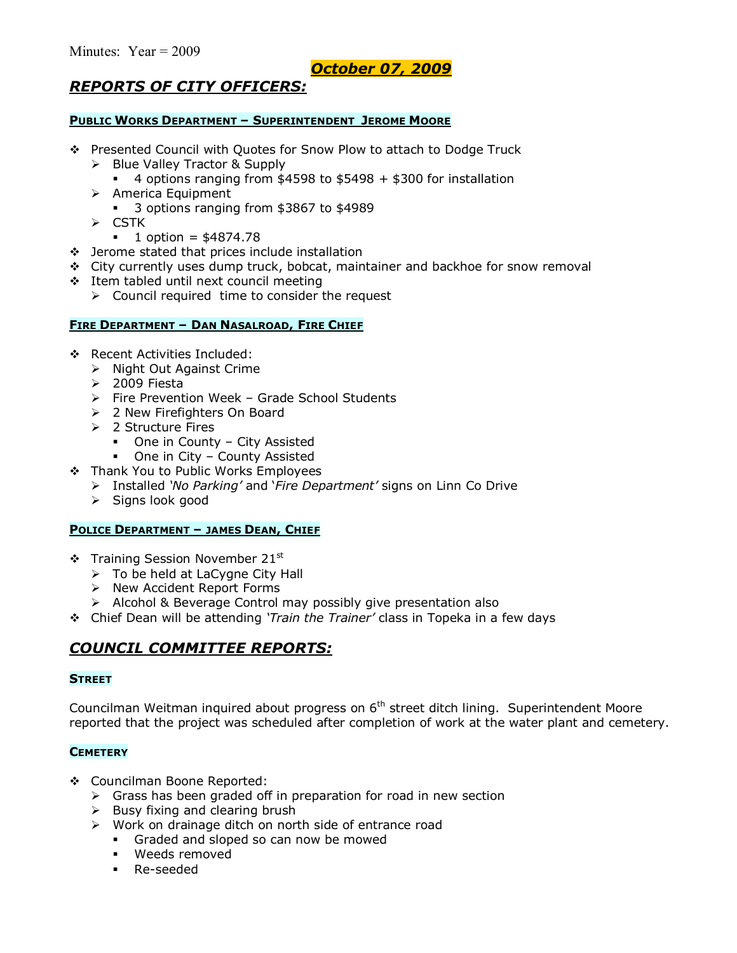# *October 07, 2009*

## *REPORTS OF CITY OFFICERS:*

#### **PUBLIC WORKS DEPARTMENT - SUPERINTENDENT JEROME MOORE**

- \$ Presented Council with Quotes for Snow Plow to attach to Dodge Truck
	- $\triangleright$  Blue Valley Tractor & Supply
		- $\cdot$  4 options ranging from \$4598 to \$5498 + \$300 for installation
	- $\triangleright$  America Equipment
		- **3** options ranging from \$3867 to \$4989
	- $\triangleright$  CSTK
		- $\blacksquare$  1 option = \$4874.78
- $\div$  Jerome stated that prices include installation
- \$ City currently uses dump truck, bobcat, maintainer and backhoe for snow removal
- \$ Item tabled until next council meeting
	- $\triangleright$  Council required time to consider the request

#### **FIRE DEPARTMENT - DAN NASALROAD, FIRE CHIEF**

- \$ Recent Activities Included:
	- $\triangleright$  Night Out Against Crime
	- $\geq$  2009 Fiesta
	- $\triangleright$  Fire Prevention Week Grade School Students
	- > 2 New Firefighters On Board
	- $\geq 2$  Structure Fires
		- One in County City Assisted
		- One in City County Assisted
- \* Thank You to Public Works Employees
	- ! Installed *ëNo Parkingí* and ë*Fire Departmentí* signs on Linn Co Drive
	- $\triangleright$  Signs look good

#### **POLICE DEPARTMENT - JAMES DEAN, CHIEF**

- $\div$  Training Session November 21st
	- $\triangleright$  To be held at LaCygne City Hall
	- > New Accident Report Forms
	- $\triangleright$  Alcohol & Beverage Control may possibly give presentation also
- \$ Chief Dean will be attending *ëTrain the Trainerí* class in Topeka in a few days

## *COUNCIL COMMITTEE REPORTS:*

#### **STREET**

Councilman Weitman inquired about progress on 6<sup>th</sup> street ditch lining. Superintendent Moore reported that the project was scheduled after completion of work at the water plant and cemetery.

#### **CEMETERY**

- \$ Councilman Boone Reported:
	- $\triangleright$  Grass has been graded off in preparation for road in new section
	- $\triangleright$  Busy fixing and clearing brush
	- $\triangleright$  Work on drainage ditch on north side of entrance road
		- **Graded and sloped so can now be mowed**
		- **Weeds removed**
		- **Re-seeded**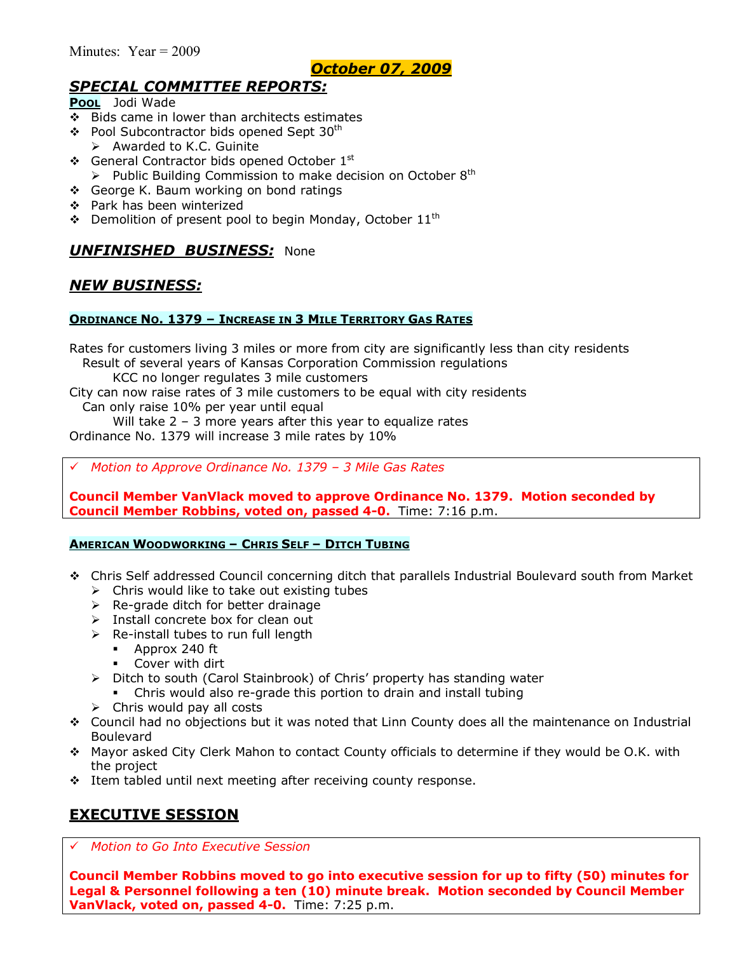## *October 07, 2009*

# *SPECIAL COMMITTEE REPORTS:*

**POOL** Jodi Wade

- $\div$  Bids came in lower than architects estimates
- ❖ Pool Subcontractor bids opened Sept 30<sup>th</sup>
	- $\triangleright$  Awarded to K.C. Guinite
- $\div$  General Contractor bids opened October 1st
- $\triangleright$  Public Building Commission to make decision on October 8<sup>th</sup>
- ❖ George K. Baum working on bond ratings
- \$ Park has been winterized
- $\div$  Demolition of present pool to begin Monday, October 11<sup>th</sup>

## *UNFINISHED BUSINESS:* None

## *NEW BUSINESS:*

### **ORDINANCE NO. 1379 - INCREASE IN 3 MILE TERRITORY GAS RATES**

Rates for customers living 3 miles or more from city are significantly less than city residents Result of several years of Kansas Corporation Commission regulations

KCC no longer regulates 3 mile customers

City can now raise rates of 3 mile customers to be equal with city residents Can only raise 10% per year until equal Will take  $2 - 3$  more years after this year to equalize rates

Ordinance No. 1379 will increase 3 mile rates by 10%

*Motion to Approve Ordinance No. 1379 - 3 Mile Gas Rates* 

**Council Member VanVlack moved to approve Ordinance No. 1379. Motion seconded by Council Member Robbins, voted on, passed 4-0.** Time: 7:16 p.m.

#### **AMERICAN WOODWORKING - CHRIS SELF - DITCH TUBING**

- \$ Chris Self addressed Council concerning ditch that parallels Industrial Boulevard south from Market  $\triangleright$  Chris would like to take out existing tubes
	- $\triangleright$  Re-grade ditch for better drainage
	- $\triangleright$  Install concrete box for clean out
	- $\triangleright$  Re-install tubes to run full length
		- $\blacksquare$  Approx 240 ft
		- **EXECOVER With dirt**
	- $\triangleright$  Ditch to south (Carol Stainbrook) of Chris' property has standing water
		- Chris would also re-grade this portion to drain and install tubing
	- $\triangleright$  Chris would pay all costs
- \$ Council had no objections but it was noted that Linn County does all the maintenance on Industrial Boulevard
- \* Mayor asked City Clerk Mahon to contact County officials to determine if they would be O.K. with the project
- \* Item tabled until next meeting after receiving county response.

# **EXECUTIVE SESSION**

# *Motion to Go Into Executive Session*

**Council Member Robbins moved to go into executive session for up to fifty (50) minutes for Legal & Personnel following a ten (10) minute break. Motion seconded by Council Member VanVlack, voted on, passed 4-0.** Time: 7:25 p.m.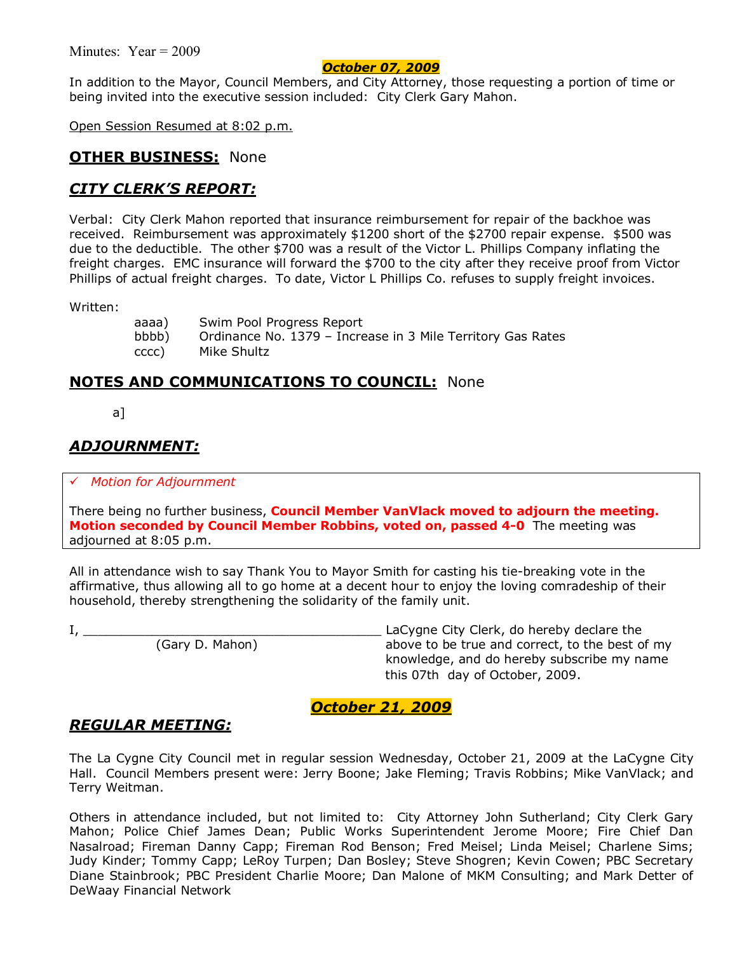### *October 07, 2009*

In addition to the Mayor, Council Members, and City Attorney, those requesting a portion of time or being invited into the executive session included: City Clerk Gary Mahon.

Open Session Resumed at 8:02 p.m.

### **OTHER BUSINESS:** None

### *CITY CLERKíS REPORT:*

Verbal: City Clerk Mahon reported that insurance reimbursement for repair of the backhoe was received. Reimbursement was approximately \$1200 short of the \$2700 repair expense. \$500 was due to the deductible. The other \$700 was a result of the Victor L. Phillips Company inflating the freight charges. EMC insurance will forward the \$700 to the city after they receive proof from Victor Phillips of actual freight charges. To date, Victor L Phillips Co. refuses to supply freight invoices.

Written:

aaaa) Swim Pool Progress Report bbbb) Ordinance No. 1379 – Increase in 3 Mile Territory Gas Rates cccc) Mike Shultz

# **NOTES AND COMMUNICATIONS TO COUNCIL:** None

a]

# *ADJOURNMENT:*

# *Motion for Adjournment*

There being no further business, **Council Member VanVlack moved to adjourn the meeting. Motion seconded by Council Member Robbins, voted on, passed 4-0** The meeting was adjourned at 8:05 p.m.

All in attendance wish to say Thank You to Mayor Smith for casting his tie-breaking vote in the affirmative, thus allowing all to go home at a decent hour to enjoy the loving comradeship of their household, thereby strengthening the solidarity of the family unit.

I, \_\_\_\_\_\_\_\_\_\_\_\_\_\_\_\_\_\_\_\_\_\_\_\_\_\_\_\_\_\_\_\_\_\_\_\_\_\_\_ LaCygne City Clerk, do hereby declare the above to be true and correct, to the best of my knowledge, and do hereby subscribe my name this 07th day of October, 2009.

*October 21, 2009*

## *REGULAR MEETING:*

The La Cygne City Council met in regular session Wednesday, October 21, 2009 at the LaCygne City Hall. Council Members present were: Jerry Boone; Jake Fleming; Travis Robbins; Mike VanVlack; and Terry Weitman.

Others in attendance included, but not limited to: City Attorney John Sutherland; City Clerk Gary Mahon; Police Chief James Dean; Public Works Superintendent Jerome Moore; Fire Chief Dan Nasalroad; Fireman Danny Capp; Fireman Rod Benson; Fred Meisel; Linda Meisel; Charlene Sims; Judy Kinder; Tommy Capp; LeRoy Turpen; Dan Bosley; Steve Shogren; Kevin Cowen; PBC Secretary Diane Stainbrook; PBC President Charlie Moore; Dan Malone of MKM Consulting; and Mark Detter of DeWaay Financial Network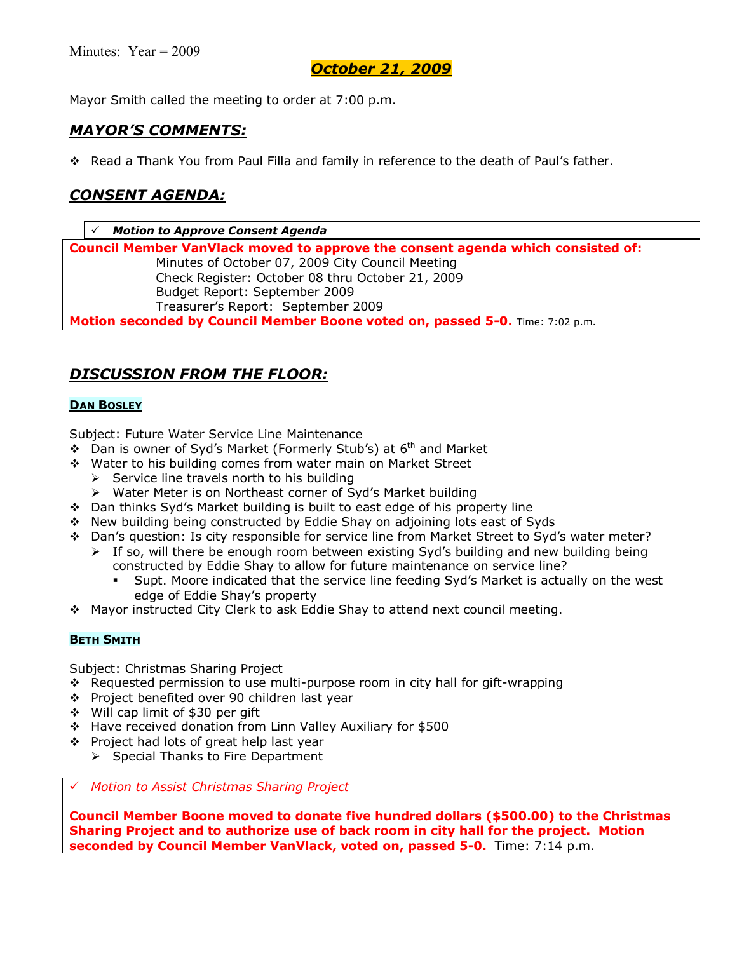Mayor Smith called the meeting to order at 7:00 p.m.

### *MAYORíS COMMENTS:*

\* Read a Thank You from Paul Filla and family in reference to the death of Paul's father.

## *CONSENT AGENDA:*

# *Motion to Approve Consent Agenda* **Council Member VanVlack moved to approve the consent agenda which consisted of:**  Minutes of October 07, 2009 City Council Meeting Check Register: October 08 thru October 21, 2009 Budget Report: September 2009 Treasurerís Report: September 2009 **Motion seconded by Council Member Boone voted on, passed 5-0.** Time: 7:02 p.m.

# *DISCUSSION FROM THE FLOOR:*

### **DAN BOSLEY**

Subject: Future Water Service Line Maintenance

- ◆ Dan is owner of Syd's Market (Formerly Stub's) at 6<sup>th</sup> and Market
- \$ Water to his building comes from water main on Market Street
	- $\triangleright$  Service line travels north to his building
	- > Water Meter is on Northeast corner of Syd's Market building
- \$ Dan thinks Sydís Market building is built to east edge of his property line
- \$ New building being constructed by Eddie Shay on adjoining lots east of Syds
- \* Dan's question: Is city responsible for service line from Market Street to Syd's water meter?  $\triangleright$  If so, will there be enough room between existing Syd's building and new building being
	- constructed by Eddie Shay to allow for future maintenance on service line?
		- % Supt. Moore indicated that the service line feeding Sydís Market is actually on the west edge of Eddie Shay's property
- $\div$  Mayor instructed City Clerk to ask Eddie Shay to attend next council meeting.

### **BETH SMITH**

Subject: Christmas Sharing Project

- \* Requested permission to use multi-purpose room in city hall for gift-wrapping
- \$ Project benefited over 90 children last year
- $\div$  Will cap limit of \$30 per gift
- \$ Have received donation from Linn Valley Auxiliary for \$500
- ❖ Project had lots of great help last year
	- $\triangleright$  Special Thanks to Fire Department

# *Motion to Assist Christmas Sharing Project*

**Council Member Boone moved to donate five hundred dollars (\$500.00) to the Christmas Sharing Project and to authorize use of back room in city hall for the project. Motion seconded by Council Member VanVlack, voted on, passed 5-0.** Time: 7:14 p.m.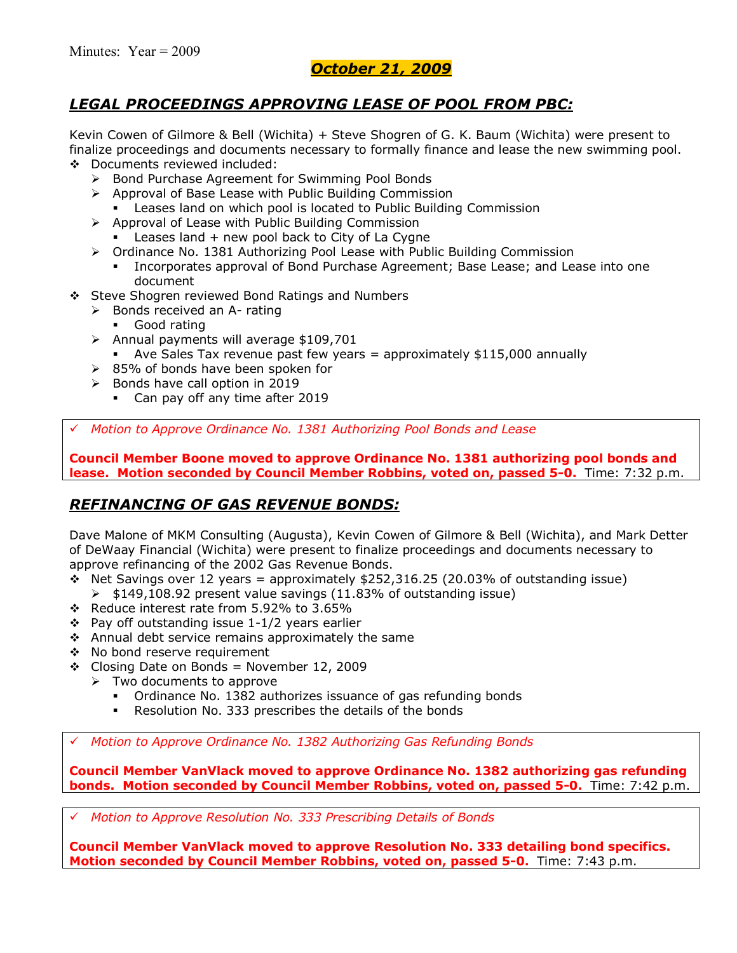# *LEGAL PROCEEDINGS APPROVING LEASE OF POOL FROM PBC:*

Kevin Cowen of Gilmore & Bell (Wichita) + Steve Shogren of G. K. Baum (Wichita) were present to finalize proceedings and documents necessary to formally finance and lease the new swimming pool.

- \$ Documents reviewed included:
	- ▶ Bond Purchase Agreement for Swimming Pool Bonds
	- $\triangleright$  Approval of Base Lease with Public Building Commission
		- Leases land on which pool is located to Public Building Commission
	- $\triangleright$  Approval of Lease with Public Building Commission Leases land  $+$  new pool back to City of La Cygne
	- $\triangleright$  Ordinance No. 1381 Authorizing Pool Lease with Public Building Commission
		- Incorporates approval of Bond Purchase Agreement; Base Lease; and Lease into one document
- ❖ Steve Shogren reviewed Bond Ratings and Numbers
	- $\triangleright$  Bonds received an A- rating
		- **Good rating**
	- $\triangleright$  Annual payments will average \$109,701
	- Ave Sales Tax revenue past few years  $=$  approximately \$115,000 annually
	- $\geq$  85% of bonds have been spoken for
	- $\triangleright$  Bonds have call option in 2019
		- Can pay off any time after 2019

# *Motion to Approve Ordinance No. 1381 Authorizing Pool Bonds and Lease*

**Council Member Boone moved to approve Ordinance No. 1381 authorizing pool bonds and lease. Motion seconded by Council Member Robbins, voted on, passed 5-0.** Time: 7:32 p.m.

# *REFINANCING OF GAS REVENUE BONDS:*

Dave Malone of MKM Consulting (Augusta), Kevin Cowen of Gilmore & Bell (Wichita), and Mark Detter of DeWaay Financial (Wichita) were present to finalize proceedings and documents necessary to approve refinancing of the 2002 Gas Revenue Bonds.

- $\cdot$  Net Savings over 12 years = approximately \$252,316.25 (20.03% of outstanding issue)
- $\triangleright$  \$149,108.92 present value savings (11.83% of outstanding issue)
- \* Reduce interest rate from 5.92% to 3.65%
- $\div$  Pay off outstanding issue 1-1/2 years earlier
- $\div$  Annual debt service remains approximately the same
- ◆ No bond reserve requirement
- $\div$  Closing Date on Bonds = November 12, 2009
	- $\triangleright$  Two documents to approve
		- Ordinance No. 1382 authorizes issuance of gas refunding bonds
		- Resolution No. 333 prescribes the details of the bonds

# *Motion to Approve Ordinance No. 1382 Authorizing Gas Refunding Bonds*

**Council Member VanVlack moved to approve Ordinance No. 1382 authorizing gas refunding bonds. Motion seconded by Council Member Robbins, voted on, passed 5-0.** Time: 7:42 p.m.

# *Motion to Approve Resolution No. 333 Prescribing Details of Bonds*

**Council Member VanVlack moved to approve Resolution No. 333 detailing bond specifics. Motion seconded by Council Member Robbins, voted on, passed 5-0.** Time: 7:43 p.m.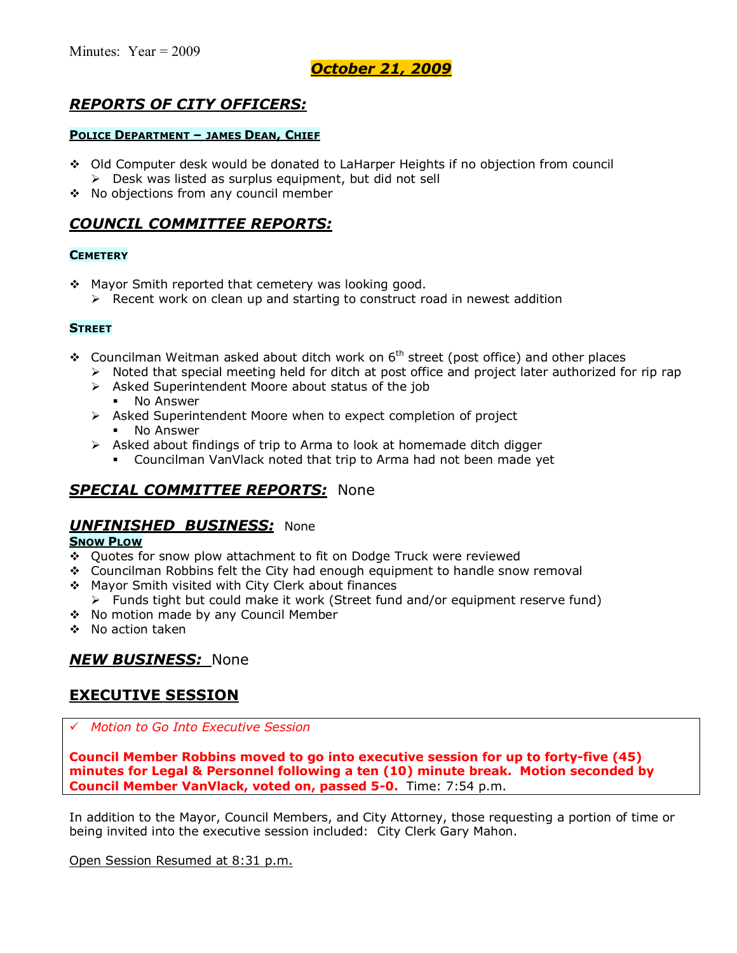# *REPORTS OF CITY OFFICERS:*

#### **POLICE DEPARTMENT - JAMES DEAN, CHIEF**

- \$ Old Computer desk would be donated to LaHarper Heights if no objection from council  $\triangleright$  Desk was listed as surplus equipment, but did not sell
- \* No objections from any council member

## *COUNCIL COMMITTEE REPORTS:*

#### **CEMETERY**

- \* Mayor Smith reported that cemetery was looking good.
	- $\triangleright$  Recent work on clean up and starting to construct road in newest addition

#### **STREET**

- $\div$  Councilman Weitman asked about ditch work on 6<sup>th</sup> street (post office) and other places
	- $\triangleright$  Noted that special meeting held for ditch at post office and project later authorized for rip rap
	- $\triangleright$  Asked Superintendent Moore about status of the job
		- No Answer
	- ! Asked Superintendent Moore when to expect completion of project No Answer
	- $\triangleright$  Asked about findings of trip to Arma to look at homemade ditch digger
		- % Councilman VanVlack noted that trip to Arma had not been made yet

## *SPECIAL COMMITTEE REPORTS:* None

### *UNFINISHED BUSINESS:* None

#### **SNOW PLOW**

- \$ Quotes for snow plow attachment to fit on Dodge Truck were reviewed
- \$ Councilman Robbins felt the City had enough equipment to handle snow removal
- \* Mayor Smith visited with City Clerk about finances
	- $\triangleright$  Funds tight but could make it work (Street fund and/or equipment reserve fund)
- \* No motion made by any Council Member
- \$ No action taken

# *NEW BUSINESS:* None

## **EXECUTIVE SESSION**

# *Motion to Go Into Executive Session*

**Council Member Robbins moved to go into executive session for up to forty-five (45) minutes for Legal & Personnel following a ten (10) minute break. Motion seconded by Council Member VanVlack, voted on, passed 5-0.** Time: 7:54 p.m.

In addition to the Mayor, Council Members, and City Attorney, those requesting a portion of time or being invited into the executive session included: City Clerk Gary Mahon.

Open Session Resumed at 8:31 p.m.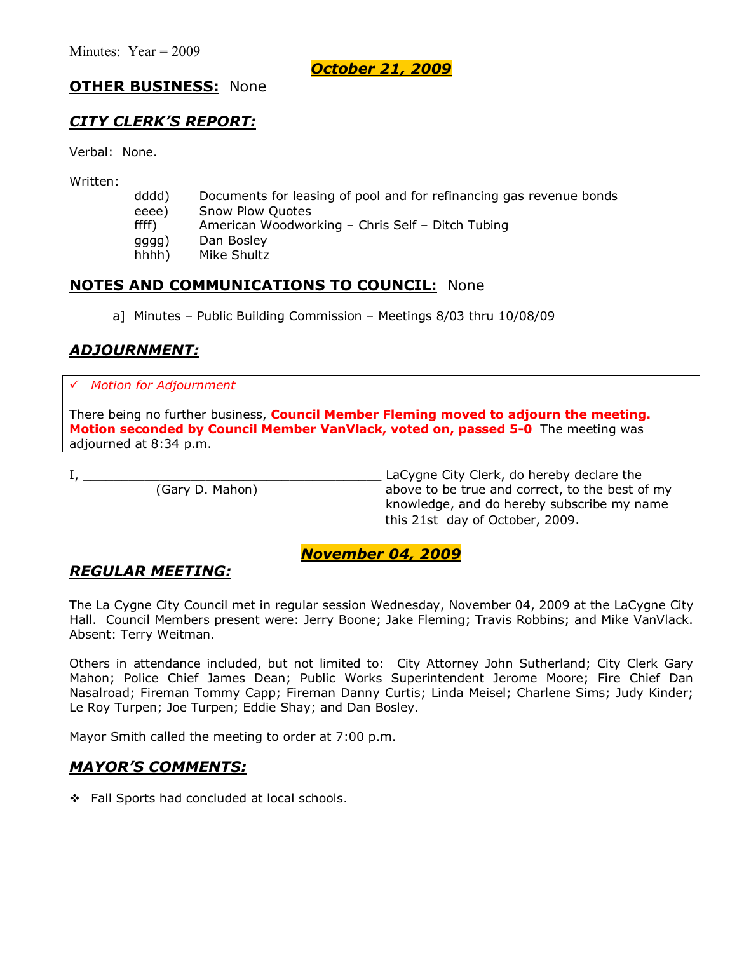## **OTHER BUSINESS:** None

## *CITY CLERKíS REPORT:*

Verbal: None.

Written:

- dddd) Documents for leasing of pool and for refinancing gas revenue bonds eeee) Snow Plow Quotes ffff) American Woodworking - Chris Self - Ditch Tubing gggg) Dan Bosley
- hhhh) Mike Shultz

## **NOTES AND COMMUNICATIONS TO COUNCIL:** None

a] Minutes - Public Building Commission - Meetings 8/03 thru 10/08/09

# *ADJOURNMENT:*

### # *Motion for Adjournment*

There being no further business, **Council Member Fleming moved to adjourn the meeting. Motion seconded by Council Member VanVlack, voted on, passed 5-0** The meeting was adjourned at 8:34 p.m.

I, \_\_\_\_\_\_\_\_\_\_\_\_\_\_\_\_\_\_\_\_\_\_\_\_\_\_\_\_\_\_\_\_\_\_\_\_\_\_\_ LaCygne City Clerk, do hereby declare the (Gary D. Mahon) above to be true and correct, to the best of my knowledge, and do hereby subscribe my name this 21st day of October, 2009.

### *November 04, 2009*

## *REGULAR MEETING:*

The La Cygne City Council met in regular session Wednesday, November 04, 2009 at the LaCygne City Hall. Council Members present were: Jerry Boone; Jake Fleming; Travis Robbins; and Mike VanVlack. Absent: Terry Weitman.

Others in attendance included, but not limited to: City Attorney John Sutherland; City Clerk Gary Mahon; Police Chief James Dean; Public Works Superintendent Jerome Moore; Fire Chief Dan Nasalroad; Fireman Tommy Capp; Fireman Danny Curtis; Linda Meisel; Charlene Sims; Judy Kinder; Le Roy Turpen; Joe Turpen; Eddie Shay; and Dan Bosley.

Mayor Smith called the meeting to order at 7:00 p.m.

## *MAYORíS COMMENTS:*

\$ Fall Sports had concluded at local schools.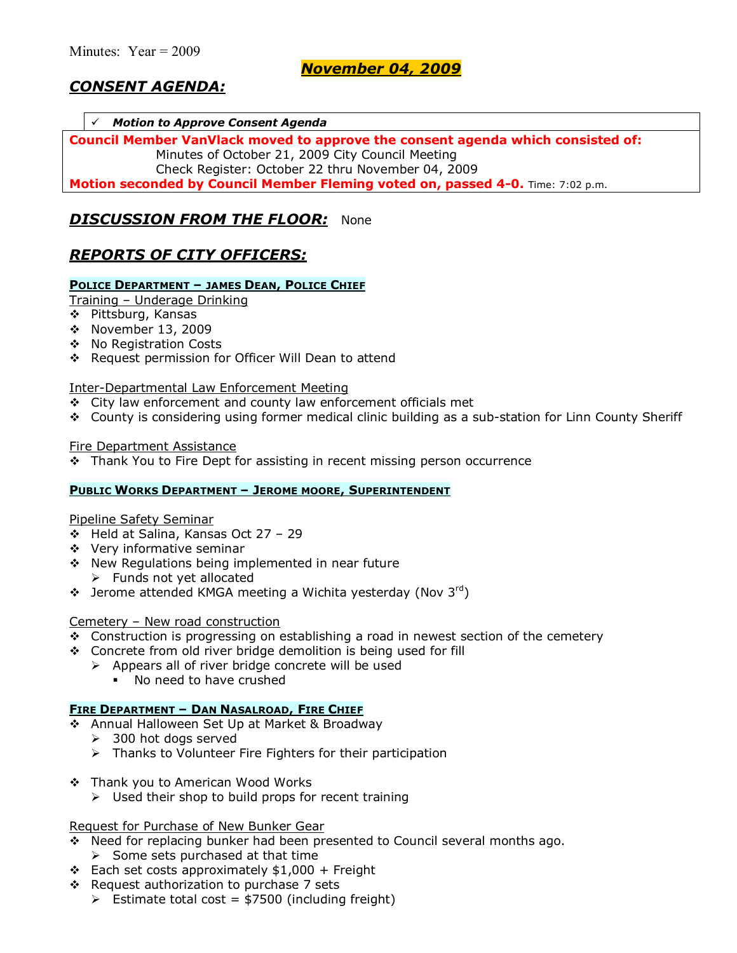# *CONSENT AGENDA:*

#### # *Motion to Approve Consent Agenda*

**Council Member VanVlack moved to approve the consent agenda which consisted of:**  Minutes of October 21, 2009 City Council Meeting Check Register: October 22 thru November 04, 2009

**Motion seconded by Council Member Fleming voted on, passed 4-0.** Time: 7:02 p.m.

### *DISCUSSION FROM THE FLOOR:* None

## *REPORTS OF CITY OFFICERS:*

### **POLICE DEPARTMENT - JAMES DEAN, POLICE CHIEF**

Training - Underage Drinking

- \$ Pittsburg, Kansas
- \$ November 13, 2009
- \$ No Registration Costs
- \$ Request permission for Officer Will Dean to attend

### Inter-Departmental Law Enforcement Meeting

- \$ City law enforcement and county law enforcement officials met
- \* County is considering using former medical clinic building as a sub-station for Linn County Sheriff

### Fire Department Assistance

 $\div$  Thank You to Fire Dept for assisting in recent missing person occurrence

#### **PUBLIC WORKS DEPARTMENT - JEROME MOORE, SUPERINTENDENT**

#### Pipeline Safety Seminar

- $\div$  Held at Salina, Kansas Oct 27 29
- \$ Very informative seminar
- \* New Regulations being implemented in near future
	- $\triangleright$  Funds not yet allocated
- $\div$  Jerome attended KMGA meeting a Wichita yesterday (Nov 3rd)

### Cemetery  $-$  New road construction

- $\div$  Construction is progressing on establishing a road in newest section of the cemetery
- \$ Concrete from old river bridge demolition is being used for fill
	- $\triangleright$  Appears all of river bridge concrete will be used
		- . No need to have crushed

#### **FIRE DEPARTMENT - DAN NASALROAD, FIRE CHIEF**

- \$ Annual Halloween Set Up at Market & Broadway
	- $\geq$  300 hot dogs served
	- $\triangleright$  Thanks to Volunteer Fire Fighters for their participation
- \$ Thank you to American Wood Works
	- $\triangleright$  Used their shop to build props for recent training

#### Request for Purchase of New Bunker Gear

- \* Need for replacing bunker had been presented to Council several months ago.  $\triangleright$  Some sets purchased at that time
- $\div$  Each set costs approximately \$1,000 + Freight
- $\div$  Request authorization to purchase 7 sets
	- $\triangleright$  Estimate total cost = \$7500 (including freight)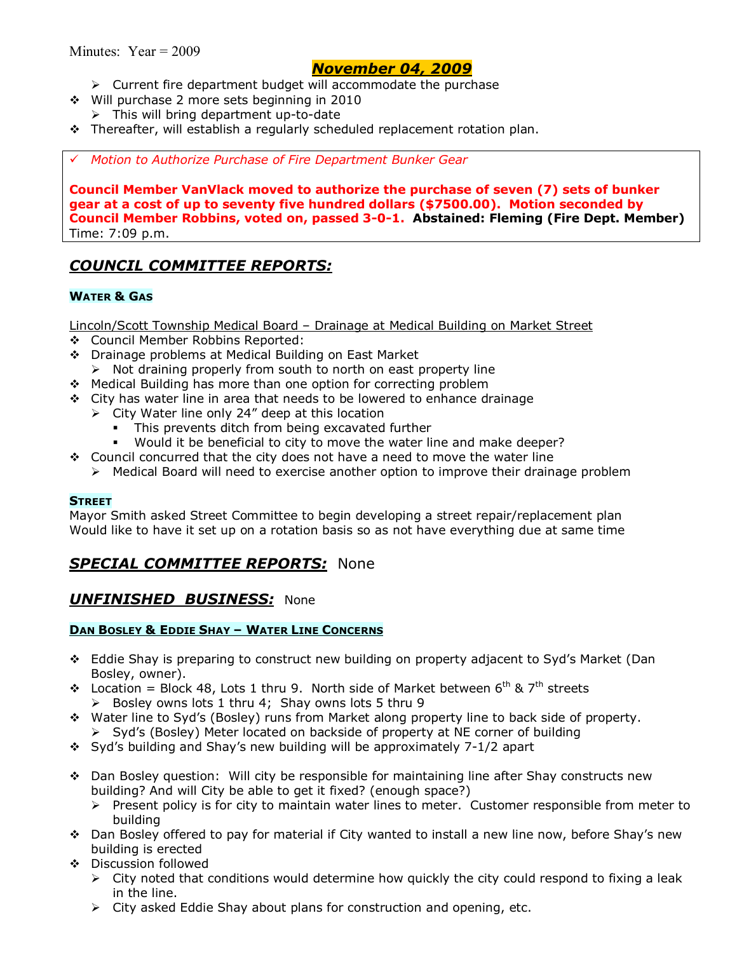- $\triangleright$  Current fire department budget will accommodate the purchase
- \$ Will purchase 2 more sets beginning in 2010
	- $\triangleright$  This will bring department up-to-date
- \* Thereafter, will establish a regularly scheduled replacement rotation plan.

### # *Motion to Authorize Purchase of Fire Department Bunker Gear*

**Council Member VanVlack moved to authorize the purchase of seven (7) sets of bunker gear at a cost of up to seventy five hundred dollars (\$7500.00). Motion seconded by Council Member Robbins, voted on, passed 3-0-1. Abstained: Fleming (Fire Dept. Member)**  Time: 7:09 p.m.

# *COUNCIL COMMITTEE REPORTS:*

### **WATER & GAS**

Lincoln/Scott Township Medical Board – Drainage at Medical Building on Market Street

- \$ Council Member Robbins Reported:
- \$ Drainage problems at Medical Building on East Market
- $\triangleright$  Not draining properly from south to north on east property line
- \* Medical Building has more than one option for correcting problem
- $\div$  City has water line in area that needs to be lowered to enhance drainage
	- $\triangleright$  City Water line only 24" deep at this location
		- This prevents ditch from being excavated further
		- Would it be beneficial to city to move the water line and make deeper?
- $\div$  Council concurred that the city does not have a need to move the water line
	- $\triangleright$  Medical Board will need to exercise another option to improve their drainage problem

#### **STREET**

Mayor Smith asked Street Committee to begin developing a street repair/replacement plan Would like to have it set up on a rotation basis so as not have everything due at same time

## *SPECIAL COMMITTEE REPORTS:* None

### *UNFINISHED BUSINESS:* None

#### **DAN BOSLEY & EDDIE SHAY - WATER LINE CONCERNS**

- \$ Eddie Shay is preparing to construct new building on property adjacent to Sydís Market (Dan Bosley, owner).
- $\cdot$  Location = Block 48, Lots 1 thru 9. North side of Market between 6<sup>th</sup> & 7<sup>th</sup> streets  $\triangleright$  Bosley owns lots 1 thru 4; Shay owns lots 5 thru 9
- \$ Water line to Sydís (Bosley) runs from Market along property line to back side of property.  $\triangleright$  Syd's (Bosley) Meter located on backside of property at NE corner of building
- $\div$  Syd's building and Shay's new building will be approximately 7-1/2 apart
- \$ Dan Bosley question: Will city be responsible for maintaining line after Shay constructs new building? And will City be able to get it fixed? (enough space?)
	- $\triangleright$  Present policy is for city to maintain water lines to meter. Customer responsible from meter to building
- ◆ Dan Bosley offered to pay for material if City wanted to install a new line now, before Shay's new building is erected
- \$ Discussion followed
	- $\triangleright$  City noted that conditions would determine how quickly the city could respond to fixing a leak in the line.
	- $\triangleright$  City asked Eddie Shay about plans for construction and opening, etc.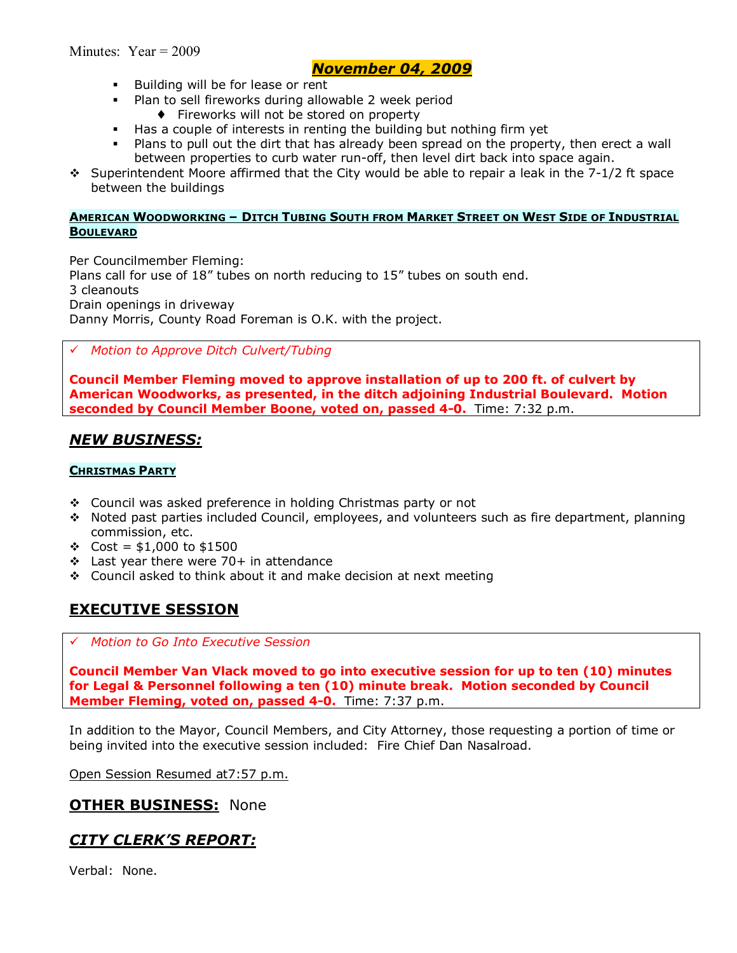- **Building will be for lease or rent**
- Plan to sell fireworks during allowable 2 week period
	- ♦ Fireworks will not be stored on property
- Has a couple of interests in renting the building but nothing firm yet
- Plans to pull out the dirt that has already been spread on the property, then erect a wall between properties to curb water run-off, then level dirt back into space again.
- $\div$  Superintendent Moore affirmed that the City would be able to repair a leak in the 7-1/2 ft space between the buildings

#### **AMERICAN WOODWORKING - DITCH TUBING SOUTH FROM MARKET STREET ON WEST SIDE OF INDUSTRIAL BOULEVARD**

Per Councilmember Fleming: Plans call for use of  $18''$  tubes on north reducing to  $15''$  tubes on south end. 3 cleanouts Drain openings in driveway Danny Morris, County Road Foreman is O.K. with the project.

### # *Motion to Approve Ditch Culvert/Tubing*

**Council Member Fleming moved to approve installation of up to 200 ft. of culvert by American Woodworks, as presented, in the ditch adjoining Industrial Boulevard. Motion seconded by Council Member Boone, voted on, passed 4-0.** Time: 7:32 p.m.

### *NEW BUSINESS:*

### **CHRISTMAS PARTY**

- \$ Council was asked preference in holding Christmas party or not
- $\cdot$  Noted past parties included Council, employees, and volunteers such as fire department, planning commission, etc.
- $\text{cost} = $1,000 \text{ to } $1500$
- $\div$  Last year there were 70+ in attendance
- \* Council asked to think about it and make decision at next meeting

# **EXECUTIVE SESSION**

### # *Motion to Go Into Executive Session*

**Council Member Van Vlack moved to go into executive session for up to ten (10) minutes for Legal & Personnel following a ten (10) minute break. Motion seconded by Council Member Fleming, voted on, passed 4-0.** Time: 7:37 p.m.

In addition to the Mayor, Council Members, and City Attorney, those requesting a portion of time or being invited into the executive session included: Fire Chief Dan Nasalroad.

Open Session Resumed at7:57 p.m.

### **OTHER BUSINESS:** None

# *CITY CLERKíS REPORT:*

Verbal: None.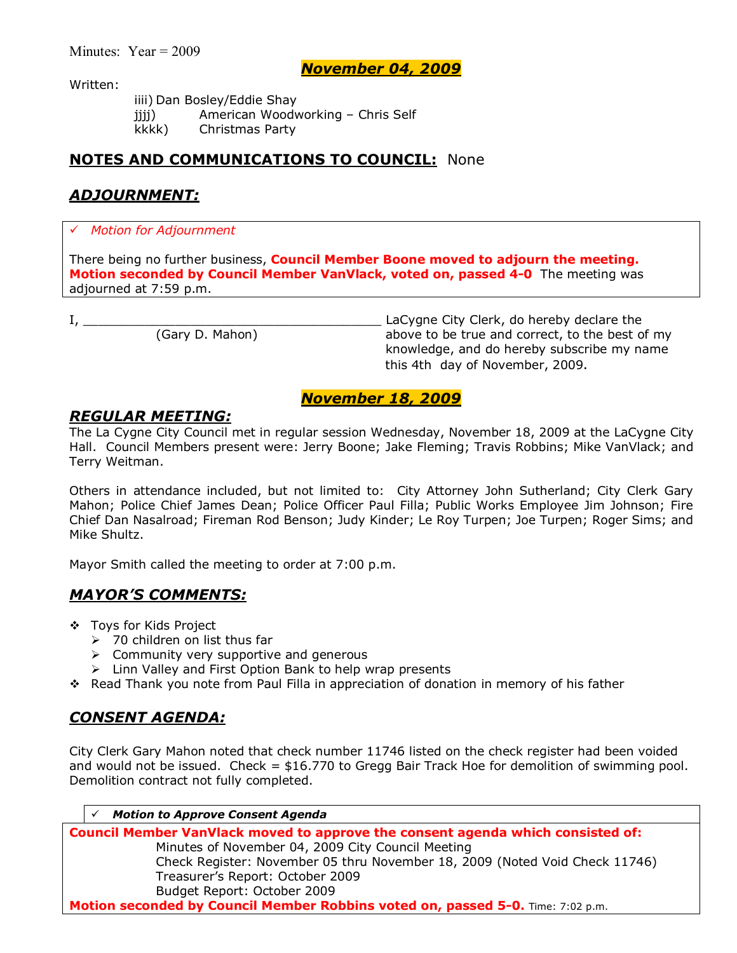Written:

iiii) Dan Bosley/Eddie Shay jijj) American Woodworking - Chris Self kkkk) Christmas Party

# **NOTES AND COMMUNICATIONS TO COUNCIL:** None

# *ADJOURNMENT:*

### # *Motion for Adjournment*

There being no further business, **Council Member Boone moved to adjourn the meeting. Motion seconded by Council Member VanVlack, voted on, passed 4-0** The meeting was adjourned at 7:59 p.m.

I, \_\_\_\_\_\_\_\_\_\_\_\_\_\_\_\_\_\_\_\_\_\_\_\_\_\_\_\_\_\_\_\_\_\_\_\_\_\_\_ LaCygne City Clerk, do hereby declare the (Gary D. Mahon) above to be true and correct, to the best of my knowledge, and do hereby subscribe my name this 4th day of November, 2009.

## *November 18, 2009*

### *REGULAR MEETING:*

The La Cygne City Council met in regular session Wednesday, November 18, 2009 at the LaCygne City Hall. Council Members present were: Jerry Boone; Jake Fleming; Travis Robbins; Mike VanVlack; and Terry Weitman.

Others in attendance included, but not limited to: City Attorney John Sutherland; City Clerk Gary Mahon; Police Chief James Dean; Police Officer Paul Filla; Public Works Employee Jim Johnson; Fire Chief Dan Nasalroad; Fireman Rod Benson; Judy Kinder; Le Roy Turpen; Joe Turpen; Roger Sims; and Mike Shultz.

Mayor Smith called the meeting to order at 7:00 p.m.

## *MAYORíS COMMENTS:*

- ❖ Tovs for Kids Project
	- $\geq$  70 children on list thus far
	- $\triangleright$  Community very supportive and generous
	- $\triangleright$  Linn Valley and First Option Bank to help wrap presents
- \* Read Thank you note from Paul Filla in appreciation of donation in memory of his father

## *CONSENT AGENDA:*

City Clerk Gary Mahon noted that check number 11746 listed on the check register had been voided and would not be issued. Check = \$16.770 to Gregg Bair Track Hoe for demolition of swimming pool. Demolition contract not fully completed.

**Motion to Approve Consent Agenda** 

**Council Member VanVlack moved to approve the consent agenda which consisted of:**  Minutes of November 04, 2009 City Council Meeting Check Register: November 05 thru November 18, 2009 (Noted Void Check 11746) Treasurerís Report: October 2009 Budget Report: October 2009 **Motion seconded by Council Member Robbins voted on, passed 5-0.** Time: 7:02 p.m.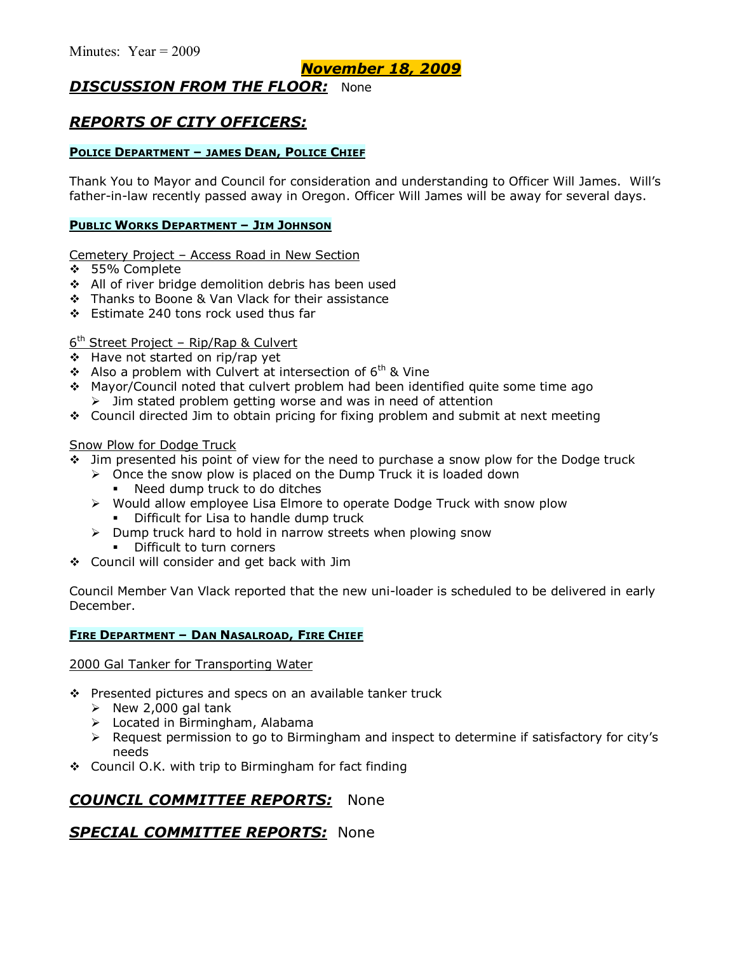## *November 18, 2009*

# *DISCUSSION FROM THE FLOOR:* None

# *REPORTS OF CITY OFFICERS:*

### **POLICE DEPARTMENT - JAMES DEAN, POLICE CHIEF**

Thank You to Mayor and Council for consideration and understanding to Officer Will James. Willís father-in-law recently passed away in Oregon. Officer Will James will be away for several days.

#### **PUBLIC WORKS DEPARTMENT - JIM JOHNSON**

Cemetery Project - Access Road in New Section

- \$ 55% Complete
- \$ All of river bridge demolition debris has been used
- **\*** Thanks to Boone & Van Vlack for their assistance
- \$ Estimate 240 tons rock used thus far

### $6<sup>th</sup>$  Street Project – Rip/Rap & Culvert

- \$ Have not started on rip/rap yet
- $\div$  Also a problem with Culvert at intersection of 6<sup>th</sup> & Vine
- \$ Mayor/Council noted that culvert problem had been identified quite some time ago  $\geq$  Jim stated problem getting worse and was in need of attention
- $\div$  Council directed Jim to obtain pricing for fixing problem and submit at next meeting

### Snow Plow for Dodge Truck

- $\div$  Jim presented his point of view for the need to purchase a snow plow for the Dodge truck
	- $\triangleright$  Once the snow plow is placed on the Dump Truck it is loaded down
		- Need dump truck to do ditches
	- $\triangleright$  Would allow employee Lisa Elmore to operate Dodge Truck with snow plow Difficult for Lisa to handle dump truck
	- $\triangleright$  Dump truck hard to hold in narrow streets when plowing snow
		- **•** Difficult to turn corners
- \$ Council will consider and get back with Jim

Council Member Van Vlack reported that the new uni-loader is scheduled to be delivered in early December.

#### **FIRE DEPARTMENT - DAN NASALROAD, FIRE CHIEF**

2000 Gal Tanker for Transporting Water

- ❖ Presented pictures and specs on an available tanker truck
	- $\triangleright$  New 2,000 gal tank
	- $\triangleright$  Located in Birmingham, Alabama
	- > Request permission to go to Birmingham and inspect to determine if satisfactory for city's needs
- $\div$  Council O.K. with trip to Birmingham for fact finding

# *COUNCIL COMMITTEE REPORTS:* None

### *SPECIAL COMMITTEE REPORTS:* None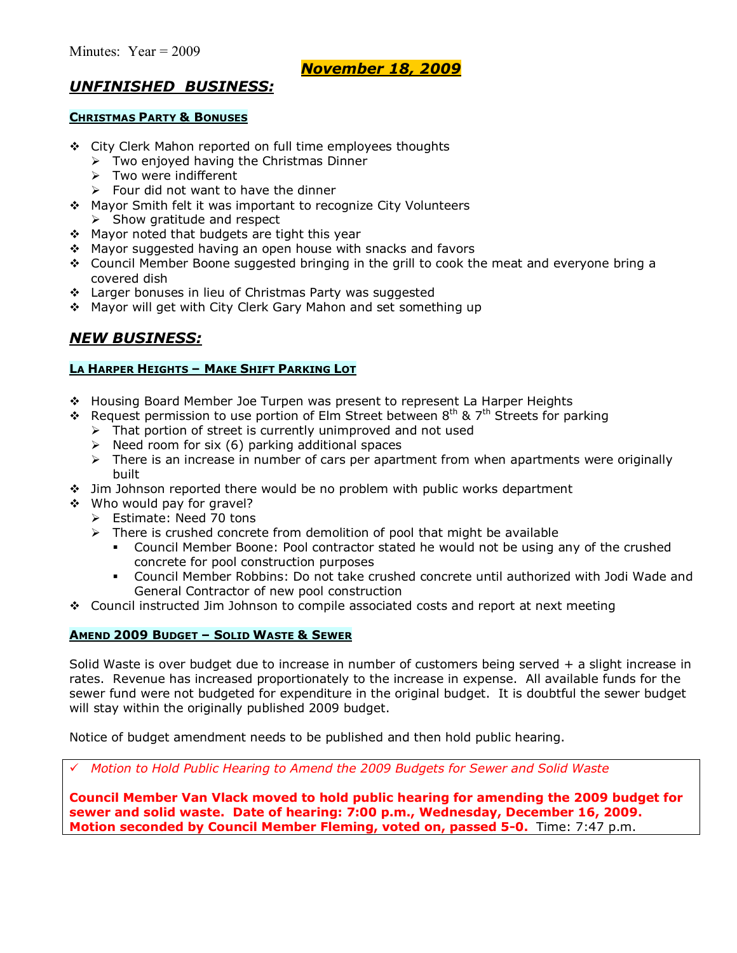*November 18, 2009*

# *UNFINISHED BUSINESS:*

#### **CHRISTMAS PARTY & BONUSES**

- \$ City Clerk Mahon reported on full time employees thoughts
	- $\triangleright$  Two enjoyed having the Christmas Dinner
	- $\triangleright$  Two were indifferent
	- $\triangleright$  Four did not want to have the dinner
- \$ Mayor Smith felt it was important to recognize City Volunteers  $\triangleright$  Show gratitude and respect
- \* Mayor noted that budgets are tight this year
- \* Mayor suggested having an open house with snacks and favors
- $\div$  Council Member Boone suggested bringing in the grill to cook the meat and everyone bring a covered dish
- \* Larger bonuses in lieu of Christmas Party was suggested
- \* Mayor will get with City Clerk Gary Mahon and set something up

## *NEW BUSINESS:*

#### **LA HARPER HEIGHTS - MAKE SHIFT PARKING LOT**

- \* Housing Board Member Joe Turpen was present to represent La Harper Heights
- $\bullet$  Request permission to use portion of Elm Street between 8<sup>th</sup> & 7<sup>th</sup> Streets for parking
	- $\triangleright$  That portion of street is currently unimproved and not used
	- $\triangleright$  Need room for six (6) parking additional spaces
	- $\triangleright$  There is an increase in number of cars per apartment from when apartments were originally built
- $\div$  Jim Johnson reported there would be no problem with public works department
- \$ Who would pay for gravel?
	- $\triangleright$  Estimate: Need 70 tons
	- $\triangleright$  There is crushed concrete from demolition of pool that might be available
		- Council Member Boone: Pool contractor stated he would not be using any of the crushed concrete for pool construction purposes
		- % Council Member Robbins: Do not take crushed concrete until authorized with Jodi Wade and General Contractor of new pool construction
- $\div$  Council instructed Jim Johnson to compile associated costs and report at next meeting

### **AMEND 2009 BUDGET - SOLID WASTE & SEWER**

Solid Waste is over budget due to increase in number of customers being served + a slight increase in rates. Revenue has increased proportionately to the increase in expense. All available funds for the sewer fund were not budgeted for expenditure in the original budget. It is doubtful the sewer budget will stay within the originally published 2009 budget.

Notice of budget amendment needs to be published and then hold public hearing.

# *Motion to Hold Public Hearing to Amend the 2009 Budgets for Sewer and Solid Waste*

**Council Member Van Vlack moved to hold public hearing for amending the 2009 budget for sewer and solid waste. Date of hearing: 7:00 p.m., Wednesday, December 16, 2009. Motion seconded by Council Member Fleming, voted on, passed 5-0.** Time: 7:47 p.m.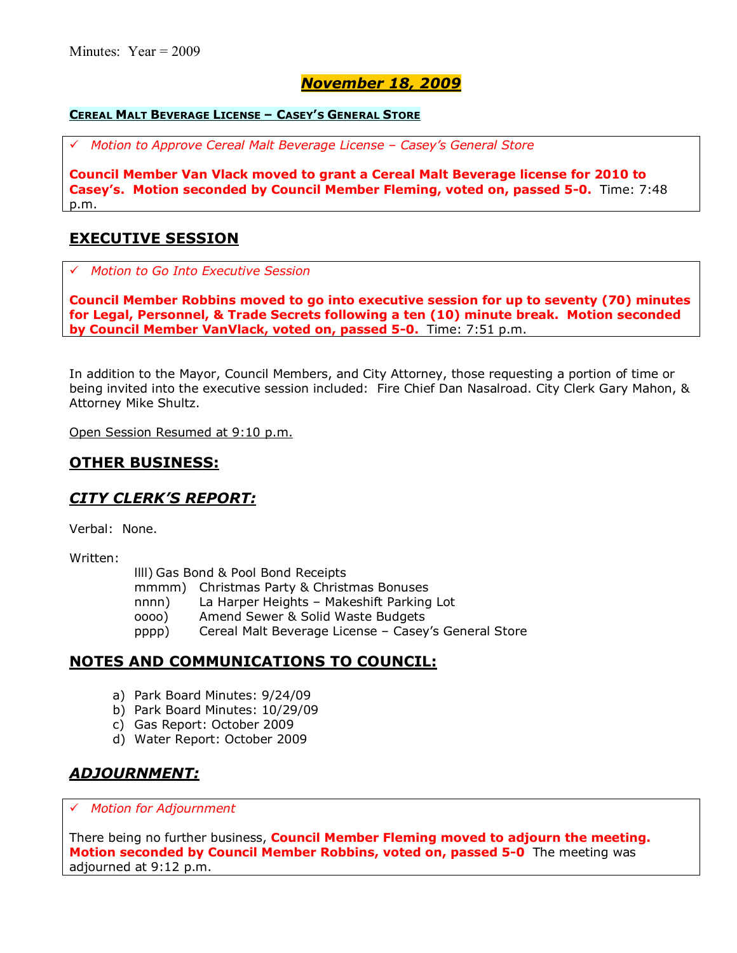# *November 18, 2009*

#### **CEREAL MALT BEVERAGE LICENSE - CASEY'S GENERAL STORE**

# *Motion to Approve Cereal Malt Beverage License ñ Caseyís General Store*

**Council Member Van Vlack moved to grant a Cereal Malt Beverage license for 2010 to Caseyís. Motion seconded by Council Member Fleming, voted on, passed 5-0.** Time: 7:48 p.m.

### **EXECUTIVE SESSION**

# *Motion to Go Into Executive Session*

**Council Member Robbins moved to go into executive session for up to seventy (70) minutes for Legal, Personnel, & Trade Secrets following a ten (10) minute break. Motion seconded by Council Member VanVlack, voted on, passed 5-0.** Time: 7:51 p.m.

In addition to the Mayor, Council Members, and City Attorney, those requesting a portion of time or being invited into the executive session included: Fire Chief Dan Nasalroad. City Clerk Gary Mahon, & Attorney Mike Shultz.

Open Session Resumed at 9:10 p.m.

### **OTHER BUSINESS:**

### *CITY CLERKíS REPORT:*

Verbal: None.

Written:

llll) Gas Bond & Pool Bond Receipts

mmmm) Christmas Party & Christmas Bonuses

nnnn) La Harper Heights - Makeshift Parking Lot

- oooo) Amend Sewer & Solid Waste Budgets
- pppp) Cereal Malt Beverage License Casey's General Store

### **NOTES AND COMMUNICATIONS TO COUNCIL:**

- a) Park Board Minutes: 9/24/09
- b) Park Board Minutes: 10/29/09
- c) Gas Report: October 2009
- d) Water Report: October 2009

## *ADJOURNMENT:*

#### # *Motion for Adjournment*

There being no further business, **Council Member Fleming moved to adjourn the meeting. Motion seconded by Council Member Robbins, voted on, passed 5-0** The meeting was adjourned at 9:12 p.m.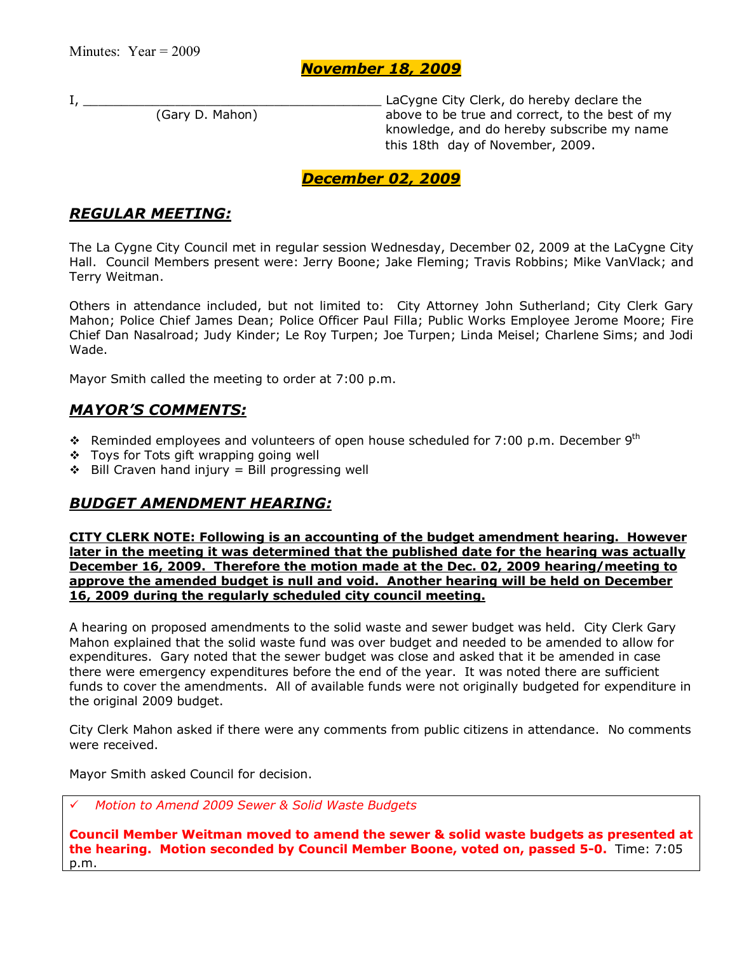### *November 18, 2009*

I, \_\_\_\_\_\_\_\_\_\_\_\_\_\_\_\_\_\_\_\_\_\_\_\_\_\_\_\_\_\_\_\_\_\_\_\_\_\_\_ LaCygne City Clerk, do hereby declare the above to be true and correct, to the best of my knowledge, and do hereby subscribe my name this 18th day of November, 2009.

### *December 02, 2009*

# *REGULAR MEETING:*

The La Cygne City Council met in regular session Wednesday, December 02, 2009 at the LaCygne City Hall. Council Members present were: Jerry Boone; Jake Fleming; Travis Robbins; Mike VanVlack; and Terry Weitman.

Others in attendance included, but not limited to: City Attorney John Sutherland; City Clerk Gary Mahon; Police Chief James Dean; Police Officer Paul Filla; Public Works Employee Jerome Moore; Fire Chief Dan Nasalroad; Judy Kinder; Le Roy Turpen; Joe Turpen; Linda Meisel; Charlene Sims; and Jodi Wade.

Mayor Smith called the meeting to order at 7:00 p.m.

### *MAYORíS COMMENTS:*

- **\*** Reminded employees and volunteers of open house scheduled for 7:00 p.m. December 9<sup>th</sup>
- $\div$  Toys for Tots gift wrapping going well
- $\div$  Bill Craven hand injury = Bill progressing well

# *BUDGET AMENDMENT HEARING:*

**CITY CLERK NOTE: Following is an accounting of the budget amendment hearing. However later in the meeting it was determined that the published date for the hearing was actually December 16, 2009. Therefore the motion made at the Dec. 02, 2009 hearing/meeting to approve the amended budget is null and void. Another hearing will be held on December 16, 2009 during the regularly scheduled city council meeting.** 

A hearing on proposed amendments to the solid waste and sewer budget was held. City Clerk Gary Mahon explained that the solid waste fund was over budget and needed to be amended to allow for expenditures. Gary noted that the sewer budget was close and asked that it be amended in case there were emergency expenditures before the end of the year. It was noted there are sufficient funds to cover the amendments. All of available funds were not originally budgeted for expenditure in the original 2009 budget.

City Clerk Mahon asked if there were any comments from public citizens in attendance. No comments were received.

Mayor Smith asked Council for decision.

# *Motion to Amend 2009 Sewer & Solid Waste Budgets*

**Council Member Weitman moved to amend the sewer & solid waste budgets as presented at the hearing. Motion seconded by Council Member Boone, voted on, passed 5-0.** Time: 7:05 p.m.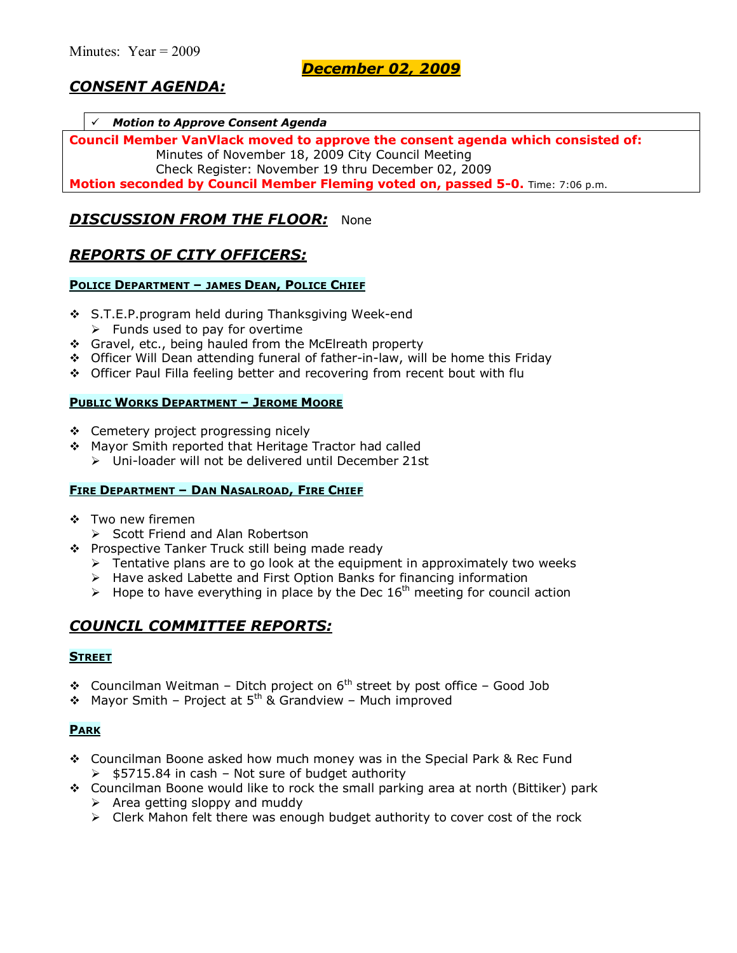# *CONSENT AGENDA:*

#### # *Motion to Approve Consent Agenda*

**Council Member VanVlack moved to approve the consent agenda which consisted of:**  Minutes of November 18, 2009 City Council Meeting Check Register: November 19 thru December 02, 2009

**Motion seconded by Council Member Fleming voted on, passed 5-0.** Time: 7:06 p.m.

### *DISCUSSION FROM THE FLOOR:* None

### *REPORTS OF CITY OFFICERS:*

#### **POLICE DEPARTMENT - JAMES DEAN, POLICE CHIEF**

- \$ S.T.E.P.program held during Thanksgiving Week-end
	- $\triangleright$  Funds used to pay for overtime
- \$ Gravel, etc., being hauled from the McElreath property
- \$ Officer Will Dean attending funeral of father-in-law, will be home this Friday
- \$ Officer Paul Filla feeling better and recovering from recent bout with flu

#### **PUBLIC WORKS DEPARTMENT - JEROME MOORE**

- ❖ Cemetery project progressing nicely
- \$ Mayor Smith reported that Heritage Tractor had called
	- $\triangleright$  Uni-loader will not be delivered until December 21st

#### **FIRE DEPARTMENT - DAN NASALROAD, FIRE CHIEF**

- ❖ Two new firemen
- $\triangleright$  Scott Friend and Alan Robertson
- \* Prospective Tanker Truck still being made ready
	- $\triangleright$  Tentative plans are to go look at the equipment in approximately two weeks
	- > Have asked Labette and First Option Banks for financing information
	- $\geq$  Hope to have everything in place by the Dec 16<sup>th</sup> meeting for council action

### *COUNCIL COMMITTEE REPORTS:*

#### **STREET**

- **\*** Councilman Weitman Ditch project on  $6<sup>th</sup>$  street by post office Good Job
- $\div$  Mayor Smith Project at 5<sup>th</sup> & Grandview Much improved

#### **PARK**

- \$ Councilman Boone asked how much money was in the Special Park & Rec Fund  $\geq$  \$5715.84 in cash – Not sure of budget authority
- \$ Councilman Boone would like to rock the small parking area at north (Bittiker) park
	- $\triangleright$  Area getting sloppy and muddy
	- $\triangleright$  Clerk Mahon felt there was enough budget authority to cover cost of the rock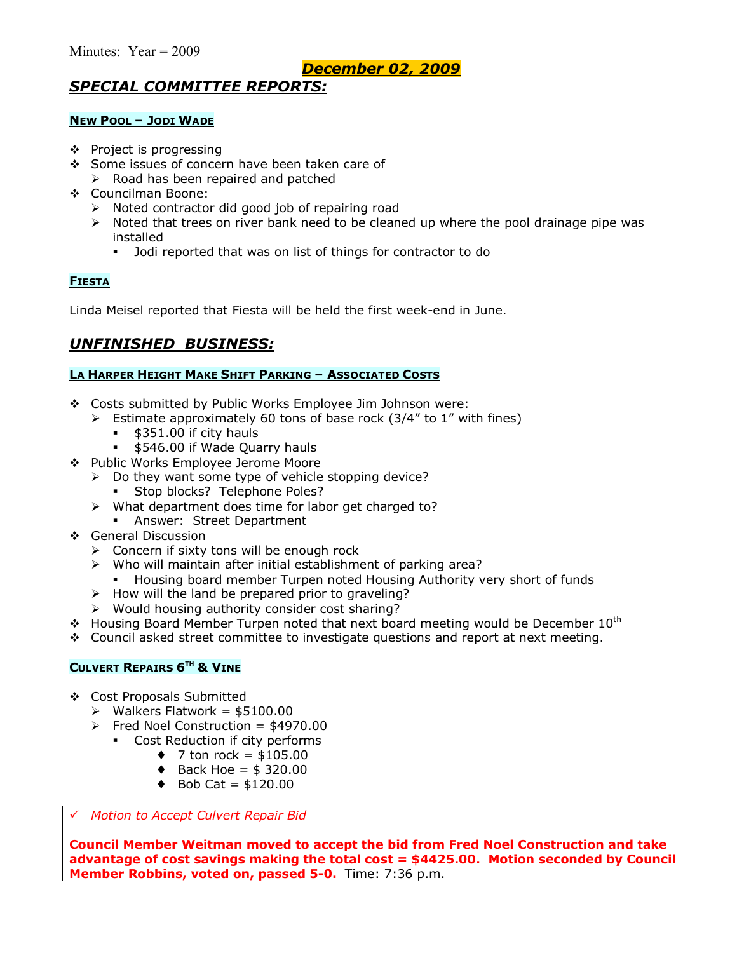# *SPECIAL COMMITTEE REPORTS:*

#### **NEW POOL - JODI WADE**

- $\div$  Project is progressing
- \$ Some issues of concern have been taken care of
	- $\triangleright$  Road has been repaired and patched
- \$ Councilman Boone:
	- $\triangleright$  Noted contractor did good job of repairing road
	- $\triangleright$  Noted that trees on river bank need to be cleaned up where the pool drainage pipe was installed
		- $\blacksquare$  Jodi reported that was on list of things for contractor to do

### **FIESTA**

Linda Meisel reported that Fiesta will be held the first week-end in June.

## *UNFINISHED BUSINESS:*

#### **LA HARPER HEIGHT MAKE SHIFT PARKING - ASSOCIATED COSTS**

- \* Costs submitted by Public Works Employee Jim Johnson were:
	- $\geq$  Estimate approximately 60 tons of base rock (3/4" to 1" with fines)
		- \$351.00 if city hauls
		- **\$546.00 if Wade Quarry hauls**
- \$ Public Works Employee Jerome Moore
	- $\triangleright$  Do they want some type of vehicle stopping device?
		- **Stop blocks? Telephone Poles?**
	- $\triangleright$  What department does time for labor get charged to?
		- **Answer: Street Department**
- \$ General Discussion
	- $\triangleright$  Concern if sixty tons will be enough rock
	- $\triangleright$  Who will maintain after initial establishment of parking area?
		- % Housing board member Turpen noted Housing Authority very short of funds
	- $\triangleright$  How will the land be prepared prior to graveling?
	- $\triangleright$  Would housing authority consider cost sharing?
- $\cdot$  Housing Board Member Turpen noted that next board meeting would be December 10<sup>th</sup>
- $\div$  Council asked street committee to investigate questions and report at next meeting.

#### **CULVERT REPAIRS 6TH & VINE**

- \$ Cost Proposals Submitted
	- $\triangleright$  Walkers Flatwork = \$5100.00
	- $\triangleright$  Fred Noel Construction = \$4970.00
		- Cost Reduction if city performs
			- $\div$  7 ton rock = \$105.00
			- $\triangleleft$  Back Hoe = \$ 320.00
			- $\bullet$  Bob Cat = \$120.00

#### # *Motion to Accept Culvert Repair Bid*

**Council Member Weitman moved to accept the bid from Fred Noel Construction and take advantage of cost savings making the total cost = \$4425.00. Motion seconded by Council Member Robbins, voted on, passed 5-0.** Time: 7:36 p.m.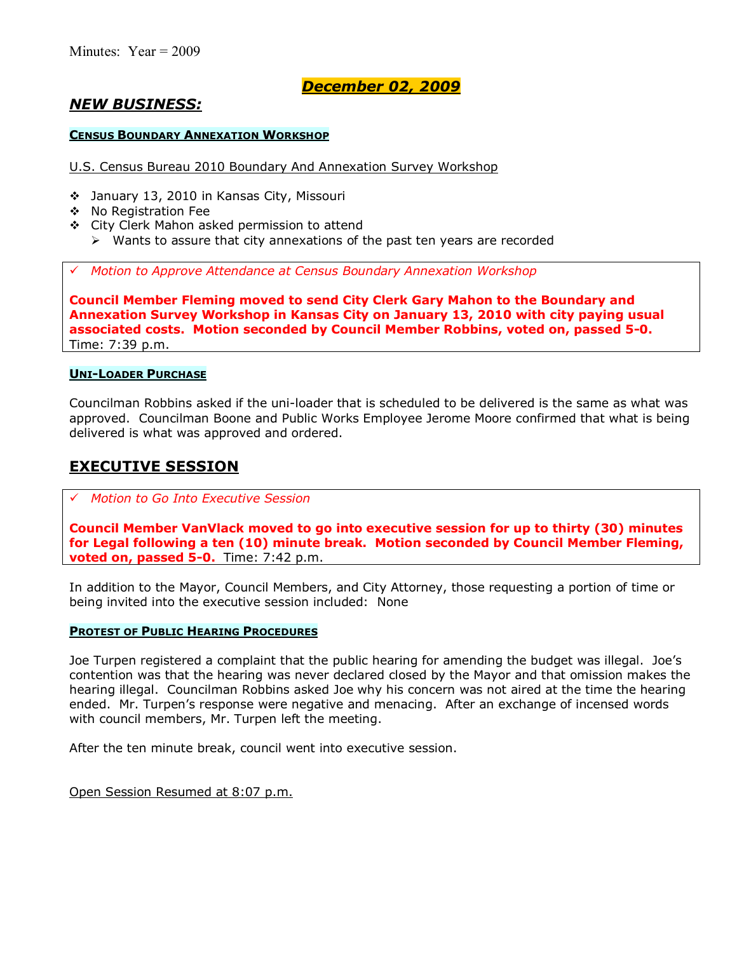# *NEW BUSINESS:*

#### **CENSUS BOUNDARY ANNEXATION WORKSHOP**

U.S. Census Bureau 2010 Boundary And Annexation Survey Workshop

- \$ January 13, 2010 in Kansas City, Missouri
- \$ No Registration Fee
- \$ City Clerk Mahon asked permission to attend
	- $\triangleright$  Wants to assure that city annexations of the past ten years are recorded

# *Motion to Approve Attendance at Census Boundary Annexation Workshop*

**Council Member Fleming moved to send City Clerk Gary Mahon to the Boundary and Annexation Survey Workshop in Kansas City on January 13, 2010 with city paying usual associated costs. Motion seconded by Council Member Robbins, voted on, passed 5-0.**  Time: 7:39 p.m.

#### **UNI-LOADER PURCHASE**

Councilman Robbins asked if the uni-loader that is scheduled to be delivered is the same as what was approved. Councilman Boone and Public Works Employee Jerome Moore confirmed that what is being delivered is what was approved and ordered.

### **EXECUTIVE SESSION**

#### # *Motion to Go Into Executive Session*

**Council Member VanVlack moved to go into executive session for up to thirty (30) minutes for Legal following a ten (10) minute break. Motion seconded by Council Member Fleming, voted on, passed 5-0.** Time: 7:42 p.m.

In addition to the Mayor, Council Members, and City Attorney, those requesting a portion of time or being invited into the executive session included: None

#### **PROTEST OF PUBLIC HEARING PROCEDURES**

Joe Turpen registered a complaint that the public hearing for amending the budget was illegal. Joe's contention was that the hearing was never declared closed by the Mayor and that omission makes the hearing illegal. Councilman Robbins asked Joe why his concern was not aired at the time the hearing ended. Mr. Turpenís response were negative and menacing. After an exchange of incensed words with council members, Mr. Turpen left the meeting.

After the ten minute break, council went into executive session.

Open Session Resumed at 8:07 p.m.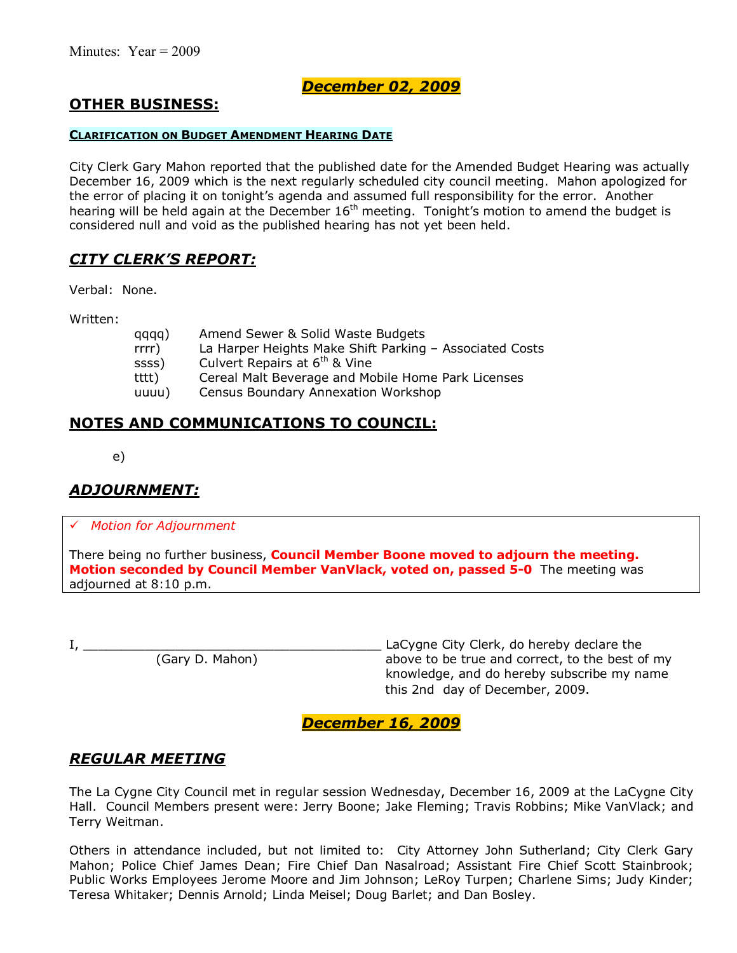# **OTHER BUSINESS:**

#### **CLARIFICATION ON BUDGET AMENDMENT HEARING DATE**

City Clerk Gary Mahon reported that the published date for the Amended Budget Hearing was actually December 16, 2009 which is the next regularly scheduled city council meeting. Mahon apologized for the error of placing it on tonight's agenda and assumed full responsibility for the error. Another hearing will be held again at the December 16<sup>th</sup> meeting. Tonight's motion to amend the budget is considered null and void as the published hearing has not yet been held.

### *CITY CLERKíS REPORT:*

Verbal: None.

Written:

| qqqq)    | Amend Sewer & Solid Waste Budgets                       |
|----------|---------------------------------------------------------|
| $rrrr$ ) | La Harper Heights Make Shift Parking - Associated Costs |
| ssss)    | Culvert Repairs at 6 <sup>th</sup> & Vine               |
| tttt)    | Cereal Malt Beverage and Mobile Home Park Licenses      |
| uuuu)    | <b>Census Boundary Annexation Workshop</b>              |

### **NOTES AND COMMUNICATIONS TO COUNCIL:**

e)

## *ADJOURNMENT:*

# *Motion for Adjournment*

There being no further business, **Council Member Boone moved to adjourn the meeting. Motion seconded by Council Member VanVlack, voted on, passed 5-0** The meeting was adjourned at 8:10 p.m.

I, \_\_\_\_\_\_\_\_\_\_\_\_\_\_\_\_\_\_\_\_\_\_\_\_\_\_\_\_\_\_\_\_\_\_\_\_\_\_\_ LaCygne City Clerk, do hereby declare the above to be true and correct, to the best of my knowledge, and do hereby subscribe my name this 2nd day of December, 2009.

### *December 16, 2009*

### *REGULAR MEETING*

The La Cygne City Council met in regular session Wednesday, December 16, 2009 at the LaCygne City Hall. Council Members present were: Jerry Boone; Jake Fleming; Travis Robbins; Mike VanVlack; and Terry Weitman.

Others in attendance included, but not limited to: City Attorney John Sutherland; City Clerk Gary Mahon; Police Chief James Dean; Fire Chief Dan Nasalroad; Assistant Fire Chief Scott Stainbrook; Public Works Employees Jerome Moore and Jim Johnson; LeRoy Turpen; Charlene Sims; Judy Kinder; Teresa Whitaker; Dennis Arnold; Linda Meisel; Doug Barlet; and Dan Bosley.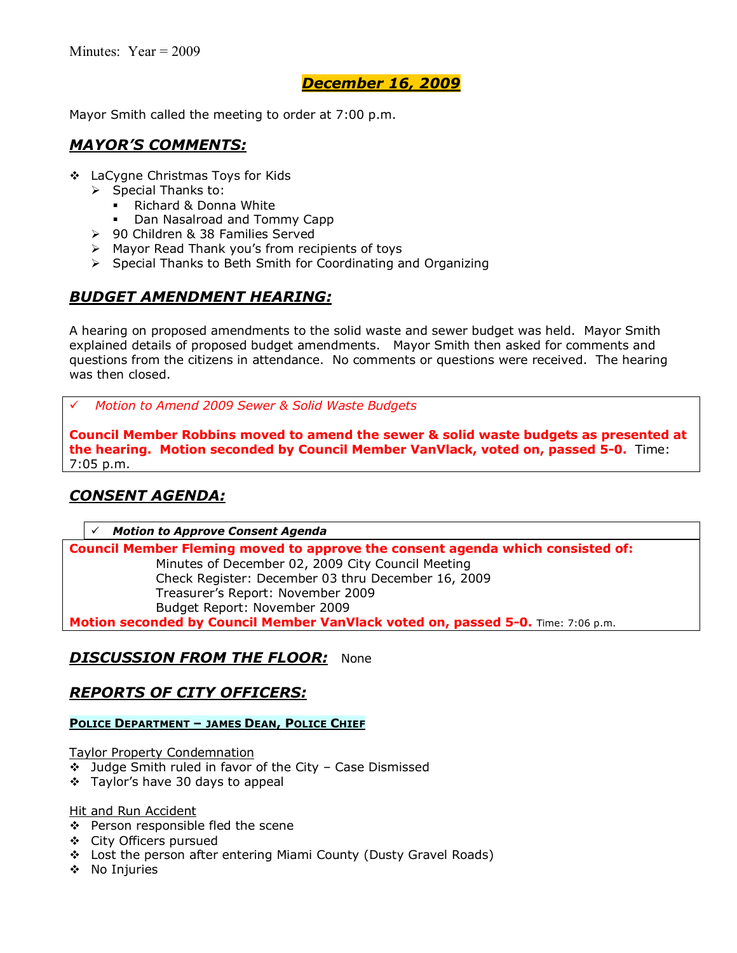Mayor Smith called the meeting to order at 7:00 p.m.

### *MAYORíS COMMENTS:*

- ❖ LaCygne Christmas Toys for Kids
	- $\triangleright$  Special Thanks to:
		- Richard & Donna White
		- Dan Nasalroad and Tommy Capp
	- ▶ 90 Children & 38 Families Served
	- $\triangleright$  Mayor Read Thank you's from recipients of toys
	- $\triangleright$  Special Thanks to Beth Smith for Coordinating and Organizing

# *BUDGET AMENDMENT HEARING:*

A hearing on proposed amendments to the solid waste and sewer budget was held. Mayor Smith explained details of proposed budget amendments. Mayor Smith then asked for comments and questions from the citizens in attendance. No comments or questions were received. The hearing was then closed.

# *Motion to Amend 2009 Sewer & Solid Waste Budgets*

**Council Member Robbins moved to amend the sewer & solid waste budgets as presented at the hearing. Motion seconded by Council Member VanVlack, voted on, passed 5-0.** Time: 7:05 p.m.

# *CONSENT AGENDA:*

#### # *Motion to Approve Consent Agenda*

**Council Member Fleming moved to approve the consent agenda which consisted of:**  Minutes of December 02, 2009 City Council Meeting Check Register: December 03 thru December 16, 2009 Treasurerís Report: November 2009 Budget Report: November 2009

**Motion seconded by Council Member VanVlack voted on, passed 5-0.** Time: 7:06 p.m.

## *DISCUSSION FROM THE FLOOR:* None

## *REPORTS OF CITY OFFICERS:*

#### **POLICE DEPARTMENT - JAMES DEAN, POLICE CHIEF**

Taylor Property Condemnation

- $\div$  Judge Smith ruled in favor of the City Case Dismissed
- ❖ Taylor's have 30 days to appeal

Hit and Run Accident

- ❖ Person responsible fled the scene
- \$ City Officers pursued
- \$ Lost the person after entering Miami County (Dusty Gravel Roads)
- \$ No Injuries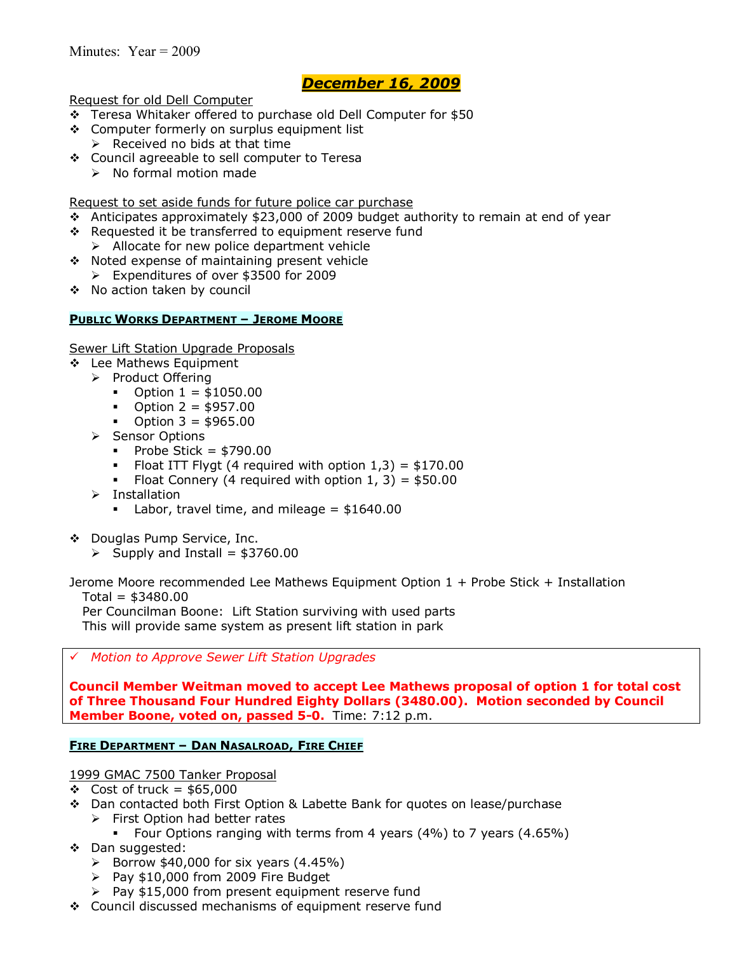Request for old Dell Computer

- \$ Teresa Whitaker offered to purchase old Dell Computer for \$50
- \$ Computer formerly on surplus equipment list
- $\triangleright$  Received no bids at that time
- \$ Council agreeable to sell computer to Teresa
	- $\triangleright$  No formal motion made

Request to set aside funds for future police car purchase

- $\div$  Anticipates approximately \$23,000 of 2009 budget authority to remain at end of year
- \* Requested it be transferred to equipment reserve fund
	- $\triangleright$  Allocate for new police department vehicle
- \$ Noted expense of maintaining present vehicle ! Expenditures of over \$3500 for 2009
- \$ No action taken by council

#### **PUBLIC WORKS DEPARTMENT - JEROME MOORE**

Sewer Lift Station Upgrade Proposals

- ❖ Lee Mathews Equipment
	- > Product Offering
		- $\bullet$  Option  $1 = $1050.00$
		- $\bullet$  Option 2 = \$957.00
		- $\bullet$  Option 3 = \$965.00
	- > Sensor Options
		- $\blacksquare$  Probe Stick = \$790.00
		- Float ITT Flygt (4 required with option  $1,3$ ) = \$170.00
		- Float Connery (4 required with option  $1, 3$ ) = \$50.00
	- $\triangleright$  Installation
		- $\blacksquare$  Labor, travel time, and mileage = \$1640.00
- ◆ Douglas Pump Service, Inc.
	- $\triangleright$  Supply and Install = \$3760.00

Jerome Moore recommended Lee Mathews Equipment Option 1 + Probe Stick + Installation  $Total = $3480.00$ Per Councilman Boone: Lift Station surviving with used parts

This will provide same system as present lift station in park

# *Motion to Approve Sewer Lift Station Upgrades*

**Council Member Weitman moved to accept Lee Mathews proposal of option 1 for total cost of Three Thousand Four Hundred Eighty Dollars (3480.00). Motion seconded by Council Member Boone, voted on, passed 5-0.** Time: 7:12 p.m.

#### **FIRE DEPARTMENT - DAN NASALROAD, FIRE CHIEF**

#### 1999 GMAC 7500 Tanker Proposal

- $\div$  Cost of truck = \$65,000
- ◆ Dan contacted both First Option & Labette Bank for quotes on lease/purchase
	- $\triangleright$  First Option had better rates
	- Four Options ranging with terms from 4 years (4%) to 7 years (4.65%)
- \$ Dan suggested:
	- $\triangleright$  Borrow \$40,000 for six years (4.45%)
	- $\triangleright$  Pay \$10,000 from 2009 Fire Budget
	- $\triangleright$  Pay \$15,000 from present equipment reserve fund
- \$ Council discussed mechanisms of equipment reserve fund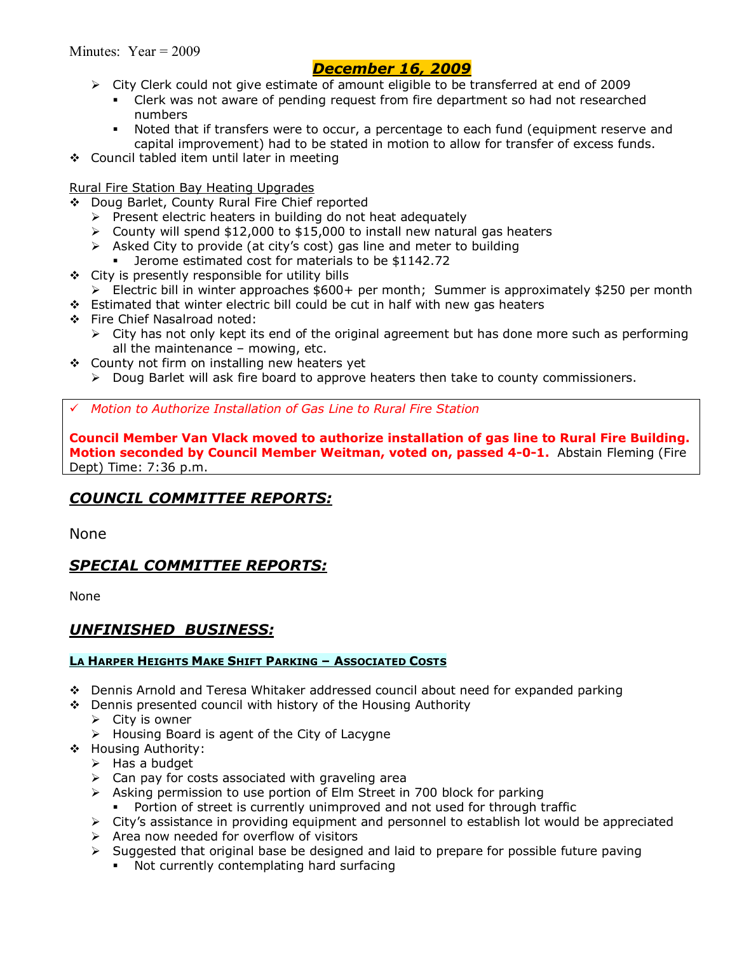- $\triangleright$  City Clerk could not give estimate of amount eligible to be transferred at end of 2009
	- Clerk was not aware of pending request from fire department so had not researched numbers
	- \* Noted that if transfers were to occur, a percentage to each fund (equipment reserve and capital improvement) had to be stated in motion to allow for transfer of excess funds.
- \$ Council tabled item until later in meeting

### Rural Fire Station Bay Heating Upgrades

- \$ Doug Barlet, County Rural Fire Chief reported
	- $\triangleright$  Present electric heaters in building do not heat adequately
	- $\ge$  County will spend \$12,000 to \$15,000 to install new natural gas heaters
	- $\triangleright$  Asked City to provide (at city's cost) gas line and meter to building
		- % Jerome estimated cost for materials to be \$1142.72
- $\div$  City is presently responsible for utility bills
- $\triangleright$  Electric bill in winter approaches \$600+ per month; Summer is approximately \$250 per month
- $\div$  Estimated that winter electric bill could be cut in half with new gas heaters
- \$ Fire Chief Nasalroad noted:
	- $\triangleright$  City has not only kept its end of the original agreement but has done more such as performing all the maintenance  $-$  mowing, etc.
- $\div$  County not firm on installing new heaters yet
	- $\triangleright$  Doug Barlet will ask fire board to approve heaters then take to county commissioners.

# *Motion to Authorize Installation of Gas Line to Rural Fire Station*

**Council Member Van Vlack moved to authorize installation of gas line to Rural Fire Building. Motion seconded by Council Member Weitman, voted on, passed 4-0-1.** Abstain Fleming (Fire Dept) Time: 7:36 p.m.

# *COUNCIL COMMITTEE REPORTS:*

None

## *SPECIAL COMMITTEE REPORTS:*

None

## *UNFINISHED BUSINESS:*

### **LA HARPER HEIGHTS MAKE SHIFT PARKING - ASSOCIATED COSTS**

- \$ Dennis Arnold and Teresa Whitaker addressed council about need for expanded parking
- \$ Dennis presented council with history of the Housing Authority
	- $\triangleright$  City is owner
	- $\triangleright$  Housing Board is agent of the City of Lacygne
- \$ Housing Authority:
	- $\triangleright$  Has a budget
	- $\triangleright$  Can pay for costs associated with graveling area
	- $\triangleright$  Asking permission to use portion of Elm Street in 700 block for parking
		- Portion of street is currently unimproved and not used for through traffic
	- $\triangleright$  City's assistance in providing equipment and personnel to establish lot would be appreciated
	- $\triangleright$  Area now needed for overflow of visitors
	- $\triangleright$  Suggested that original base be designed and laid to prepare for possible future paving
		- . Not currently contemplating hard surfacing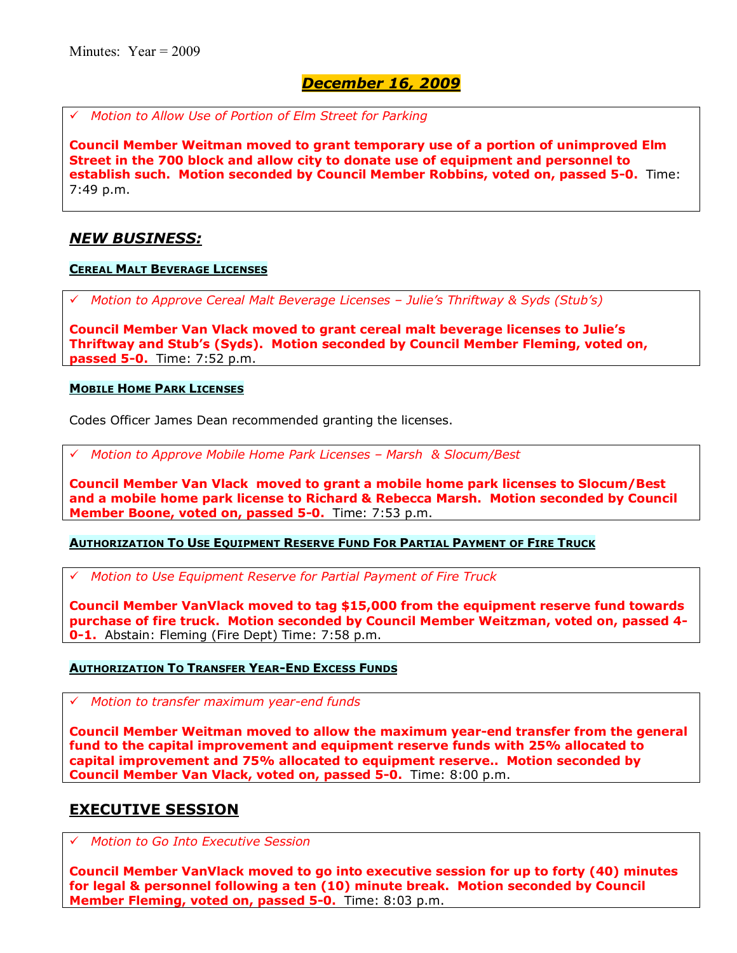# *Motion to Allow Use of Portion of Elm Street for Parking*

**Council Member Weitman moved to grant temporary use of a portion of unimproved Elm Street in the 700 block and allow city to donate use of equipment and personnel to establish such. Motion seconded by Council Member Robbins, voted on, passed 5-0.** Time: 7:49 p.m.

### *NEW BUSINESS:*

#### **CEREAL MALT BEVERAGE LICENSES**

# *Motion to Approve Cereal Malt Beverage Licenses ñ Julieís Thriftway & Syds (Stubís)*

**Council Member Van Vlack moved to grant cereal malt beverage licenses to Julieís Thriftway and Stubís (Syds). Motion seconded by Council Member Fleming, voted on, passed 5-0.** Time: 7:52 p.m.

#### **MOBILE HOME PARK LICENSES**

Codes Officer James Dean recommended granting the licenses.

*Motion to Approve Mobile Home Park Licenses - Marsh & Slocum/Best* 

**Council Member Van Vlack moved to grant a mobile home park licenses to Slocum/Best and a mobile home park license to Richard & Rebecca Marsh. Motion seconded by Council Member Boone, voted on, passed 5-0.** Time: 7:53 p.m.

#### **AUTHORIZATION TO USE EQUIPMENT RESERVE FUND FOR PARTIAL PAYMENT OF FIRE TRUCK**

# *Motion to Use Equipment Reserve for Partial Payment of Fire Truck*

**Council Member VanVlack moved to tag \$15,000 from the equipment reserve fund towards purchase of fire truck. Motion seconded by Council Member Weitzman, voted on, passed 4- 0-1.** Abstain: Fleming (Fire Dept) Time: 7:58 p.m.

#### **AUTHORIZATION TO TRANSFER YEAR-END EXCESS FUNDS**

# *Motion to transfer maximum year-end funds*

**Council Member Weitman moved to allow the maximum year-end transfer from the general fund to the capital improvement and equipment reserve funds with 25% allocated to capital improvement and 75% allocated to equipment reserve.. Motion seconded by Council Member Van Vlack, voted on, passed 5-0.** Time: 8:00 p.m.

## **EXECUTIVE SESSION**

# *Motion to Go Into Executive Session*

**Council Member VanVlack moved to go into executive session for up to forty (40) minutes for legal & personnel following a ten (10) minute break. Motion seconded by Council Member Fleming, voted on, passed 5-0.** Time: 8:03 p.m.